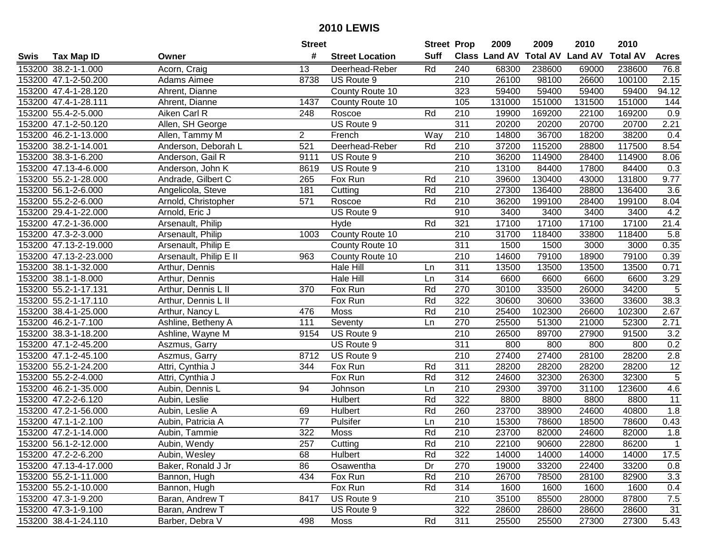|      |                       |                        | <b>Street</b>  |                        | <b>Street Prop</b> |                  | 2009                 | 2009   | 2010                    | 2010            |                 |
|------|-----------------------|------------------------|----------------|------------------------|--------------------|------------------|----------------------|--------|-------------------------|-----------------|-----------------|
| Swis | <b>Tax Map ID</b>     | Owner                  | #              | <b>Street Location</b> | <b>Suff</b>        |                  | <b>Class Land AV</b> |        | <b>Total AV Land AV</b> | <b>Total AV</b> | <b>Acres</b>    |
|      | 153200 38.2-1-1.000   | Acorn, Craig           | 13             | Deerhead-Reber         | Rd                 | 240              | 68300                | 238600 | 69000                   | 238600          | 76.8            |
|      | 153200 47.1-2-50.200  | Adams Aimee            | 8738           | US Route 9             |                    | 210              | 26100                | 98100  | 26600                   | 100100          | 2.15            |
|      | 153200 47.4-1-28.120  | Ahrent, Dianne         |                | County Route 10        |                    | 323              | 59400                | 59400  | 59400                   | 59400           | 94.12           |
|      | 153200 47.4-1-28.111  | Ahrent, Dianne         | 1437           | County Route 10        |                    | 105              | 131000               | 151000 | 131500                  | 151000          | 144             |
|      | 153200 55.4-2-5.000   | Aiken Carl R           | 248            | Roscoe                 | Rd                 | 210              | 19900                | 169200 | 22100                   | 169200          | 0.9             |
|      | 153200 47.1-2-50.120  | Allen, SH George       |                | US Route 9             |                    | 311              | 20200                | 20200  | 20700                   | 20700           | 2.21            |
|      | 153200 46.2-1-13.000  | Allen, Tammy M         | $\overline{2}$ | French                 | Way                | 210              | 14800                | 36700  | 18200                   | 38200           | 0.4             |
|      | 153200 38.2-1-14.001  | Anderson, Deborah L    | 521            | Deerhead-Reber         | Rd                 | 210              | 37200                | 115200 | 28800                   | 117500          | 8.54            |
|      | 153200 38.3-1-6.200   | Anderson, Gail R       | 9111           | US Route 9             |                    | 210              | 36200                | 114900 | 28400                   | 114900          | 8.06            |
|      | 153200 47.13-4-6.000  | Anderson, John K       | 8619           | US Route 9             |                    | 210              | 13100                | 84400  | 17800                   | 84400           | 0.3             |
|      | 153200 55.2-1-28.000  | Andrade, Gilbert C     | 265            | Fox Run                | Rd                 | 210              | 39600                | 130400 | 43000                   | 131800          | 9.77            |
|      | 153200 56.1-2-6.000   | Angelicola, Steve      | 181            | Cutting                | Rd                 | 210              | 27300                | 136400 | 28800                   | 136400          | 3.6             |
|      | 153200 55.2-2-6.000   | Arnold, Christopher    | 571            | Roscoe                 | Rd                 | 210              | 36200                | 199100 | 28400                   | 199100          | 8.04            |
|      | 153200 29.4-1-22.000  | Arnold, Eric J         |                | US Route 9             |                    | 910              | 3400                 | 3400   | 3400                    | 3400            | 4.2             |
|      | 153200 47.2-1-36.000  | Arsenault, Philip      |                | Hyde                   | Rd                 | 321              | 17100                | 17100  | 17100                   | 17100           | 21.4            |
|      | 153200 47.3-2-3.000   | Arsenault, Philip      | 1003           | County Route 10        |                    | 210              | 31700                | 118400 | 33800                   | 118400          | 5.8             |
|      | 153200 47.13-2-19.000 | Arsenault, Philip E    |                | County Route 10        |                    | 311              | 1500                 | 1500   | 3000                    | 3000            | 0.35            |
|      | 153200 47.13-2-23.000 | Arsenault, Philip E II | 963            | County Route 10        |                    | $\overline{210}$ | 14600                | 79100  | 18900                   | 79100           | 0.39            |
|      | 153200 38.1-1-32.000  | Arthur, Dennis         |                | Hale Hill              | Ln                 | $\overline{311}$ | 13500                | 13500  | 13500                   | 13500           | 0.71            |
|      | 153200 38.1-1-8.000   | Arthur, Dennis         |                | Hale Hill              | Ln                 | 314              | 6600                 | 6600   | 6600                    | 6600            | 3.29            |
|      | 153200 55.2-1-17.131  | Arthur, Dennis L II    | 370            | Fox Run                | Rd                 | 270              | 30100                | 33500  | 26000                   | 34200           | $\sqrt{5}$      |
|      | 153200 55.2-1-17.110  | Arthur, Dennis L II    |                | Fox Run                | Rd                 | 322              | 30600                | 30600  | 33600                   | 33600           | 38.3            |
|      | 153200 38.4-1-25.000  | Arthur, Nancy L        | 476            | Moss                   | Rd                 | 210              | 25400                | 102300 | 26600                   | 102300          | 2.67            |
|      | 153200 46.2-1-7.100   | Ashline, Betheny A     | 111            | Seventy                | Ln                 | 270              | 25500                | 51300  | 21000                   | 52300           | 2.71            |
|      | 153200 38.3-1-18.200  | Ashline, Wayne M       | 9154           | US Route 9             |                    | 210              | 26500                | 89700  | 27900                   | 91500           | 3.2             |
|      | 153200 47.1-2-45.200  | Aszmus, Garry          |                | US Route 9             |                    | $\overline{311}$ | 800                  | 800    | 800                     | 800             | 0.2             |
|      | 153200 47.1-2-45.100  | Aszmus, Garry          | 8712           | US Route 9             |                    | 210              | 27400                | 27400  | 28100                   | 28200           | 2.8             |
|      | 153200 55.2-1-24.200  | Attri, Cynthia J       | 344            | Fox Run                | Rd                 | 311              | 28200                | 28200  | 28200                   | 28200           | $\overline{12}$ |
|      | 153200 55.2-2-4.000   | Attri, Cynthia J       |                | Fox Run                | Rd                 | 312              | 24600                | 32300  | 26300                   | 32300           | $\overline{5}$  |
|      | 153200 46.2-1-35.000  | Aubin, Dennis L        | 94             | Johnson                | Ln                 | 210              | 29300                | 39700  | 31100                   | 123600          | 4.6             |
|      | 153200 47.2-2-6.120   | Aubin, Leslie          |                | Hulbert                | Rd                 | 322              | 8800                 | 8800   | 8800                    | 8800            | 11              |
|      | 153200 47.2-1-56.000  | Aubin, Leslie A        | 69             | Hulbert                | Rd                 | 260              | 23700                | 38900  | 24600                   | 40800           | 1.8             |
|      | 153200 47.1-1-2.100   | Aubin, Patricia A      | 77             | Pulsifer               | Ln                 | 210              | 15300                | 78600  | 18500                   | 78600           | 0.43            |
|      | 153200 47.2-1-14.000  | Aubin, Tammie          | 322            | Moss                   | Rd                 | $\overline{210}$ | 23700                | 82000  | 24600                   | 82000           | 1.8             |
|      | 153200 56.1-2-12.000  | Aubin, Wendy           | 257            | Cutting                | Rd                 | 210              | 22100                | 90600  | 22800                   | 86200           |                 |
|      | 153200 47.2-2-6.200   | Aubin, Wesley          | 68             | Hulbert                | Rd                 | 322              | 14000                | 14000  | 14000                   | 14000           | 17.5            |
|      | 153200 47.13-4-17.000 | Baker, Ronald J Jr     | 86             | Osawentha              | Dr                 | 270              | 19000                | 33200  | 22400                   | 33200           | 0.8             |
|      | 153200 55.2-1-11.000  | Bannon, Hugh           | 434            | Fox Run                | Rd                 | 210              | 26700                | 78500  | 28100                   | 82900           | 3.3             |
|      | 153200 55.2-1-10.000  | Bannon, Hugh           |                | Fox Run                | Rd                 | 314              | 1600                 | 1600   | 1600                    | 1600            | 0.4             |
|      | 153200 47.3-1-9.200   | Baran, Andrew T        | 8417           | US Route 9             |                    | 210              | 35100                | 85500  | 28000                   | 87800           | $7.5$           |
|      | 153200 47.3-1-9.100   | Baran, Andrew T        |                | US Route 9             |                    | 322              | 28600                | 28600  | 28600                   | 28600           | 31              |
|      | 153200 38.4-1-24.110  | Barber, Debra V        | 498            | <b>Moss</b>            | Rd                 | 311              | 25500                | 25500  | 27300                   | 27300           | 5.43            |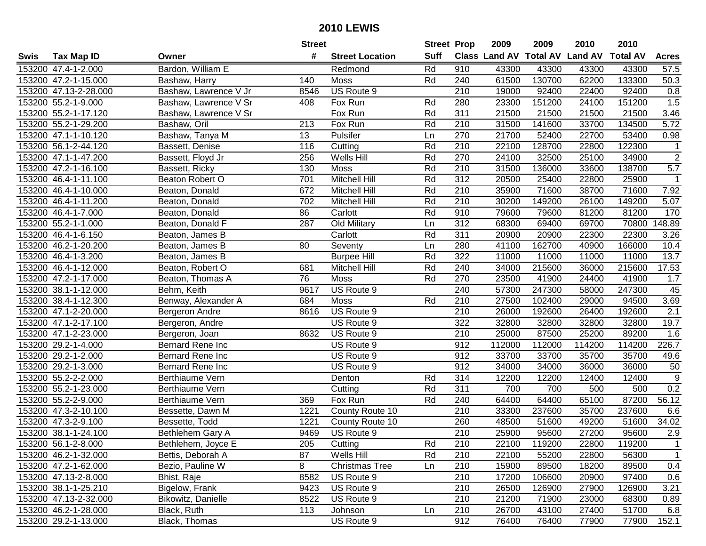|      |                       |                       | <b>Street</b> |                        | <b>Street Prop</b> |                  | 2009                 | 2009            | 2010           | 2010            |                |
|------|-----------------------|-----------------------|---------------|------------------------|--------------------|------------------|----------------------|-----------------|----------------|-----------------|----------------|
| Swis | Tax Map ID            | Owner                 | #             | <b>Street Location</b> | <b>Suff</b>        |                  | <b>Class Land AV</b> | <b>Total AV</b> | <b>Land AV</b> | <b>Total AV</b> | <b>Acres</b>   |
|      | 153200 47.4-1-2.000   | Bardon, William E     |               | Redmond                | Rd                 | 910              | 43300                | 43300           | 43300          | 43300           | 57.5           |
|      | 153200 47.2-1-15.000  | Bashaw, Harry         | 140           | Moss                   | Rd                 | 240              | 61500                | 130700          | 62200          | 133300          | 50.3           |
|      | 153200 47.13-2-28.000 | Bashaw, Lawrence V Jr | 8546          | US Route 9             |                    | 210              | 19000                | 92400           | 22400          | 92400           | 0.8            |
|      | 153200 55.2-1-9.000   | Bashaw, Lawrence V Sr | 408           | Fox Run                | Rd                 | 280              | 23300                | 151200          | 24100          | 151200          | 1.5            |
|      | 153200 55.2-1-17.120  | Bashaw, Lawrence V Sr |               | Fox Run                | Rd                 | 311              | 21500                | 21500           | 21500          | 21500           | 3.46           |
|      | 153200 55.2-1-29.200  | Bashaw, Oril          | 213           | Fox Run                | Rd                 | 210              | 31500                | 141600          | 33700          | 134500          | 5.72           |
|      | 153200 47.1-1-10.120  | Bashaw, Tanya M       | 13            | Pulsifer               | Ln                 | 270              | 21700                | 52400           | 22700          | 53400           | 0.98           |
|      | 153200 56.1-2-44.120  | Bassett, Denise       | 116           | Cutting                | Rd                 | $\overline{210}$ | 22100                | 128700          | 22800          | 122300          | $\mathbf{1}$   |
|      | 153200 47.1-1-47.200  | Bassett, Floyd Jr     | 256           | Wells Hill             | Rd                 | 270              | 24100                | 32500           | 25100          | 34900           | $\overline{2}$ |
|      | 153200 47.2-1-16.100  | Bassett, Ricky        | 130           | Moss                   | Rd                 | 210              | 31500                | 136000          | 33600          | 138700          | 5.7            |
|      | 153200 46.4-1-11.100  | Beaton Robert O       | 701           | Mitchell Hill          | Rd                 | 312              | 20500                | 25400           | 22800          | 25900           | 1              |
|      | 153200 46.4-1-10.000  | Beaton, Donald        | 672           | Mitchell Hill          | Rd                 | 210              | 35900                | 71600           | 38700          | 71600           | 7.92           |
|      | 153200 46.4-1-11.200  | Beaton, Donald        | 702           | Mitchell Hill          | Rd                 | 210              | 30200                | 149200          | 26100          | 149200          | 5.07           |
|      | 153200 46.4-1-7.000   | Beaton, Donald        | 86            | Carlott                | Rd                 | 910              | 79600                | 79600           | 81200          | 81200           | 170            |
|      | 153200 55.2-1-1.000   | Beaton, Donald F      | 287           | Old Military           | Ln                 | 312              | 68300                | 69400           | 69700          | 70800           | 148.89         |
|      | 153200 46.4-1-6.150   | Beaton, James B       |               | Carlott                | Rd                 | 311              | 20900                | 20900           | 22300          | 22300           | 3.26           |
|      | 153200 46.2-1-20.200  | Beaton, James B       | 80            | Seventy                | Ln                 | 280              | 41100                | 162700          | 40900          | 166000          | 10.4           |
|      | 153200 46.4-1-3.200   | Beaton, James B       |               | <b>Burpee Hill</b>     | Rd                 | 322              | 11000                | 11000           | 11000          | 11000           | 13.7           |
|      | 153200 46.4-1-12.000  | Beaton, Robert O      | 681           | Mitchell Hill          | Rd                 | 240              | 34000                | 215600          | 36000          | 215600          | 17.53          |
|      | 153200 47.2-1-17.000  | Beaton, Thomas A      | 76            | Moss                   | Rd                 | 270              | 23500                | 41900           | 24400          | 41900           | 1.7            |
|      | 153200 38.1-1-12.000  | Behm, Keith           | 9617          | US Route 9             |                    | 240              | 57300                | 247300          | 58000          | 247300          | 45             |
|      | 153200 38.4-1-12.300  | Benway, Alexander A   | 684           | Moss                   | Rd                 | 210              | 27500                | 102400          | 29000          | 94500           | 3.69           |
|      | 153200 47.1-2-20.000  | Bergeron Andre        | 8616          | US Route 9             |                    | 210              | 26000                | 192600          | 26400          | 192600          | 2.1            |
|      | 153200 47.1-2-17.100  | Bergeron, Andre       |               | US Route 9             |                    | 322              | 32800                | 32800           | 32800          | 32800           | 19.7           |
|      | 153200 47.1-2-23.000  | Bergeron, Joan        | 8632          | US Route 9             |                    | 210              | 25000                | 87500           | 25200          | 89200           | 1.6            |
|      | 153200 29.2-1-4.000   | Bernard Rene Inc      |               | US Route 9             |                    | 912              | 112000               | 112000          | 114200         | 114200          | 226.7          |
|      | 153200 29.2-1-2.000   | Bernard Rene Inc      |               | US Route 9             |                    | 912              | 33700                | 33700           | 35700          | 35700           | 49.6           |
|      | 153200 29.2-1-3.000   | Bernard Rene Inc      |               | US Route 9             |                    | 912              | 34000                | 34000           | 36000          | 36000           | 50             |
|      | 153200 55.2-2-2.000   | Berthiaume Vern       |               | Denton                 | Rd                 | 314              | 12200                | 12200           | 12400          | 12400           | $\overline{9}$ |
|      | 153200 55.2-1-23.000  | Berthiaume Vern       |               | Cutting                | Rd                 | 311              | 700                  | 700             | 500            | 500             | 0.2            |
|      | 153200 55.2-2-9.000   | Berthiaume Vern       | 369           | Fox Run                | Rd                 | 240              | 64400                | 64400           | 65100          | 87200           | 56.12          |
|      | 153200 47.3-2-10.100  | Bessette, Dawn M      | 1221          | County Route 10        |                    | 210              | 33300                | 237600          | 35700          | 237600          | 6.6            |
|      | 153200 47.3-2-9.100   | Bessette, Todd        | 1221          | County Route 10        |                    | 260              | 48500                | 51600           | 49200          | 51600           | 34.02          |
|      | 153200 38.1-1-24.100  | Bethlehem Gary A      | 9469          | US Route 9             |                    | 210              | 25900                | 95600           | 27200          | 95600           | 2.9            |
|      | 153200 56.1-2-8.000   | Bethlehem, Joyce E    | 205           | Cutting                | Rd                 | 210              | 22100                | 119200          | 22800          | 119200          |                |
|      | 153200 46.2-1-32.000  | Bettis, Deborah A     | 87            | Wells Hill             | Rd                 | 210              | 22100                | 55200           | 22800          | 56300           | $\mathbf{1}$   |
|      | 153200 47.2-1-62.000  | Bezio, Pauline W      | 8             | <b>Christmas Tree</b>  | Ln                 | 210              | 15900                | 89500           | 18200          | 89500           | 0.4            |
|      | 153200 47.13-2-8.000  | Bhist, Raje           | 8582          | US Route 9             |                    | 210              | 17200                | 106600          | 20900          | 97400           | 0.6            |
|      | 153200 38.1-1-25.210  | Bigelow, Frank        | 9423          | US Route 9             |                    | 210              | 26500                | 126900          | 27900          | 126900          | 3.21           |
|      | 153200 47.13-2-32.000 | Bikowitz, Danielle    | 8522          | US Route 9             |                    | 210              | 21200                | 71900           | 23000          | 68300           | 0.89           |
|      | 153200 46.2-1-28.000  | Black, Ruth           | 113           | Johnson                | Ln                 | 210              | 26700                | 43100           | 27400          | 51700           | 6.8            |
|      | 153200 29.2-1-13.000  | Black, Thomas         |               | US Route 9             |                    | 912              | 76400                | 76400           | 77900          | 77900           | 152.1          |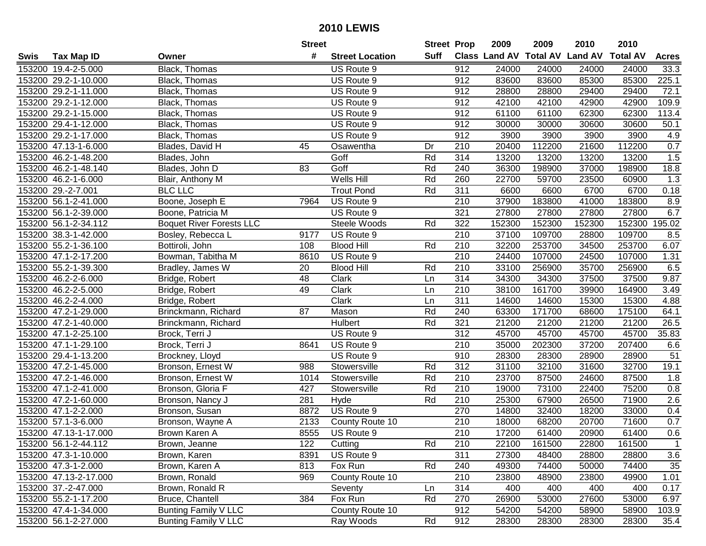|      |                       |                                 | <b>Street</b> |                        | <b>Street Prop</b> |                  | 2009                          | 2009   | 2010           | 2010            |                  |
|------|-----------------------|---------------------------------|---------------|------------------------|--------------------|------------------|-------------------------------|--------|----------------|-----------------|------------------|
| Swis | <b>Tax Map ID</b>     | Owner                           | #             | <b>Street Location</b> | Suff               |                  | <b>Class Land AV Total AV</b> |        | <b>Land AV</b> | <b>Total AV</b> | <b>Acres</b>     |
|      | 153200 19.4-2-5.000   | Black, Thomas                   |               | US Route 9             |                    | 912              | 24000                         | 24000  | 24000          | 24000           | 33.3             |
|      | 153200 29.2-1-10.000  | Black, Thomas                   |               | US Route 9             |                    | 912              | 83600                         | 83600  | 85300          | 85300           | 225.1            |
|      | 153200 29.2-1-11.000  | Black, Thomas                   |               | US Route 9             |                    | 912              | 28800                         | 28800  | 29400          | 29400           | 72.1             |
|      | 153200 29.2-1-12.000  | Black, Thomas                   |               | US Route 9             |                    | 912              | 42100                         | 42100  | 42900          | 42900           | 109.9            |
|      | 153200 29.2-1-15.000  | Black, Thomas                   |               | US Route 9             |                    | 912              | 61100                         | 61100  | 62300          | 62300           | 113.4            |
|      | 153200 29.4-1-12.000  | Black, Thomas                   |               | US Route 9             |                    | 912              | 30000                         | 30000  | 30600          | 30600           | 50.1             |
|      | 153200 29.2-1-17.000  | Black, Thomas                   |               | US Route 9             |                    | 912              | 3900                          | 3900   | 3900           | 3900            | 4.9              |
|      | 153200 47.13-1-6.000  | Blades, David H                 | 45            | Osawentha              | Dr                 | $\overline{210}$ | 20400                         | 112200 | 21600          | 112200          | 0.7              |
|      | 153200 46.2-1-48.200  | Blades, John                    |               | Goff                   | Rd                 | 314              | 13200                         | 13200  | 13200          | 13200           | 1.5              |
|      | 153200 46.2-1-48.140  | Blades, John D                  | 83            | Goff                   | Rd                 | 240              | 36300                         | 198900 | 37000          | 198900          | 18.8             |
|      | 153200 46.2-1-6.000   | Blair, Anthony M                |               | Wells Hill             | Rd                 | 260              | 22700                         | 59700  | 23500          | 60900           | 1.3              |
|      | 153200 29.-2-7.001    | <b>BLC LLC</b>                  |               | <b>Trout Pond</b>      | Rd                 | 311              | 6600                          | 6600   | 6700           | 6700            | 0.18             |
|      | 153200 56.1-2-41.000  | Boone, Joseph E                 | 7964          | US Route 9             |                    | 210              | 37900                         | 183800 | 41000          | 183800          | 8.9              |
|      | 153200 56.1-2-39.000  | Boone, Patricia M               |               | US Route 9             |                    | 321              | 27800                         | 27800  | 27800          | 27800           | 6.7              |
|      | 153200 56.1-2-34.112  | <b>Boquet River Forests LLC</b> |               | Steele Woods           | Rd                 | 322              | 152300                        | 152300 | 152300         | 152300          | 195.02           |
|      | 153200 38.3-1-42.000  | Bosley, Rebecca L               | 9177          | US Route 9             |                    | 210              | 37100                         | 109700 | 28800          | 109700          | 8.5              |
|      | 153200 55.2-1-36.100  | Bottiroli, John                 | 108           | <b>Blood Hill</b>      | Rd                 | 210              | 32200                         | 253700 | 34500          | 253700          | 6.07             |
|      | 153200 47.1-2-17.200  | Bowman, Tabitha M               | 8610          | US Route 9             |                    | 210              | 24400                         | 107000 | 24500          | 107000          | 1.31             |
|      | 153200 55.2-1-39.300  | Bradley, James W                | 20            | <b>Blood Hill</b>      | Rd                 | 210              | 33100                         | 256900 | 35700          | 256900          | 6.5              |
|      | 153200 46.2-2-6.000   | Bridge, Robert                  | 48            | Clark                  | Ln                 | 314              | 34300                         | 34300  | 37500          | 37500           | 9.87             |
|      | 153200 46.2-2-5.000   | Bridge, Robert                  | 49            | Clark                  | Ln                 | 210              | 38100                         | 161700 | 39900          | 164900          | 3.49             |
|      | 153200 46.2-2-4.000   | Bridge, Robert                  |               | Clark                  | Ln                 | 311              | 14600                         | 14600  | 15300          | 15300           | 4.88             |
|      | 153200 47.2-1-29.000  | Brinckmann, Richard             | 87            | Mason                  | Rd                 | 240              | 63300                         | 171700 | 68600          | 175100          | 64.1             |
|      | 153200 47.2-1-40.000  | Brinckmann, Richard             |               | Hulbert                | Rd                 | 321              | 21200                         | 21200  | 21200          | 21200           | 26.5             |
|      | 153200 47.1-2-25.100  | Brock, Terri J                  |               | US Route 9             |                    | 312              | 45700                         | 45700  | 45700          | 45700           | 35.83            |
|      | 153200 47.1-1-29.100  | Brock, Terri J                  | 8641          | US Route 9             |                    | 210              | 35000                         | 202300 | 37200          | 207400          | 6.6              |
|      | 153200 29.4-1-13.200  | Brockney, Lloyd                 |               | US Route 9             |                    | 910              | 28300                         | 28300  | 28900          | 28900           | 51               |
|      | 153200 47.2-1-45.000  | Bronson, Ernest W               | 988           | Stowersville           | Rd                 | 312              | 31100                         | 32100  | 31600          | 32700           | 19.1             |
|      | 153200 47.2-1-46.000  | Bronson, Ernest W               | 1014          | Stowersville           | Rd                 | 210              | 23700                         | 87500  | 24600          | 87500           | 1.8              |
|      | 153200 47.1-2-41.000  | Bronson, Gloria F               | 427           | Stowersville           | Rd                 | $\overline{210}$ | 19000                         | 73100  | 22400          | 75200           | 0.8              |
|      | 153200 47.2-1-60.000  | Bronson, Nancy J                | 281           | Hyde                   | Rd                 | $\overline{210}$ | 25300                         | 67900  | 26500          | 71900           | $\overline{2.6}$ |
|      | 153200 47.1-2-2.000   | Bronson, Susan                  | 8872          | US Route 9             |                    | 270              | 14800                         | 32400  | 18200          | 33000           | 0.4              |
|      | 153200 57.1-3-6.000   | Bronson, Wayne A                | 2133          | County Route 10        |                    | $\overline{210}$ | 18000                         | 68200  | 20700          | 71600           | 0.7              |
|      | 153200 47.13-1-17.000 | Brown Karen A                   | 8555          | US Route 9             |                    | 210              | 17200                         | 61400  | 20900          | 61400           | 0.6              |
|      | 153200 56.1-2-44.112  | Brown, Jeanne                   | 122           | Cutting                | Rd                 | 210              | 22100                         | 161500 | 22800          | 161500          | 1                |
|      | 153200 47.3-1-10.000  | Brown, Karen                    | 8391          | US Route 9             |                    | 311              | 27300                         | 48400  | 28800          | 28800           | 3.6              |
|      | 153200 47.3-1-2.000   | Brown, Karen A                  | 813           | Fox Run                | Rd                 | 240              | 49300                         | 74400  | 50000          | 74400           | 35               |
|      | 153200 47.13-2-17.000 | Brown, Ronald                   | 969           | County Route 10        |                    | 210              | 23800                         | 48900  | 23800          | 49900           | 1.01             |
|      | 153200 37.-2-47.000   | Brown, Ronald R                 |               | Seventy                | Ln                 | 314              | 400                           | 400    | 400            | 400             | 0.17             |
|      | 153200 55.2-1-17.200  | Bruce, Chantell                 | 384           | Fox Run                | Rd                 | 270              | 26900                         | 53000  | 27600          | 53000           | 6.97             |
|      | 153200 47.4-1-34.000  | <b>Bunting Family V LLC</b>     |               | County Route 10        |                    | 912              | 54200                         | 54200  | 58900          | 58900           | 103.9            |
|      | 153200 56.1-2-27.000  | Bunting Family V LLC            |               | Ray Woods              | Rd                 | 912              | 28300                         | 28300  | 28300          | 28300           | 35.4             |
|      |                       |                                 |               |                        |                    |                  |                               |        |                |                 |                  |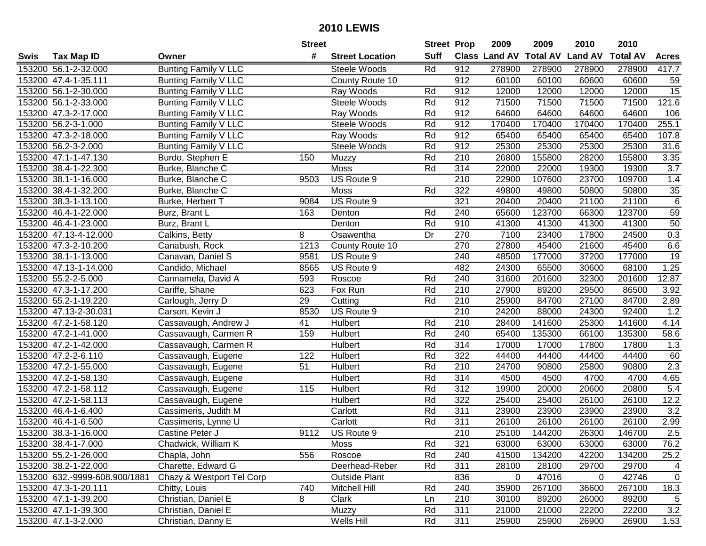| #<br><b>Suff</b><br><b>Total AV</b><br><b>Land AV</b><br><b>Class Land AV</b><br><b>Total AV</b><br><b>Tax Map ID</b><br><b>Street Location</b><br><b>Acres</b><br>Swis<br>Owner<br>Bunting Family V LLC<br>Rd<br>912<br>153200 56.1-2-32.000<br>Steele Woods<br>278900<br>278900<br>278900<br>278900<br>417.7<br>912<br>153200 47.4-1-35.111<br>60100<br>60100<br>60600<br>60600<br>59<br><b>Bunting Family V LLC</b><br>County Route 10<br>15<br>153200 56.1-2-30.000<br><b>Bunting Family V LLC</b><br>12000<br>12000<br>12000<br>12000<br>Ray Woods<br>Rd<br>912<br>121.6<br>Rd<br>912<br>71500<br>71500<br>71500<br>71500<br>153200 56.1-2-33.000<br><b>Bunting Family V LLC</b><br>Steele Woods<br>64600<br>153200 47.3-2-17.000<br><b>Bunting Family V LLC</b><br>Ray Woods<br>Rd<br>912<br>64600<br>64600<br>64600<br>106<br>Rd<br>255.1<br>153200 56.2-3-1.000<br><b>Bunting Family V LLC</b><br>Steele Woods<br>912<br>170400<br>170400<br>170400<br>170400<br>153200 47.3-2-18.000<br><b>Bunting Family V LLC</b><br>Rd<br>912<br>65400<br>65400<br>65400<br>65400<br>107.8<br>Ray Woods<br>Rd<br>912<br>31.6<br>153200 56.2-3-2.000<br><b>Bunting Family V LLC</b><br>25300<br>25300<br>25300<br>25300<br>Steele Woods<br>153200 47.1-1-47.130<br>Rd<br>$\overline{210}$<br>26800<br>155800<br>155800<br>3.35<br>150<br>28200<br>Burdo, Stephen E<br>Muzzy<br>Rd<br>314<br>22000<br>3.7<br>153200 38.4-1-22.300<br>Burke, Blanche C<br>Moss<br>22000<br>19300<br>19300<br>US Route 9<br>210<br>23700<br>1.4<br>153200 38.1-1-16.000<br>9503<br>22900<br>107600<br>109700<br>Burke, Blanche C<br>322<br>153200 38.4-1-32.200<br>Moss<br>Rd<br>49800<br>49800<br>50800<br>50800<br>35<br>Burke, Blanche C<br>321<br>$\overline{6}$<br>153200 38.3-1-13.100<br>US Route 9<br>20400<br>20400<br>21100<br>21100<br>9084<br>Burke, Herbert T<br>Rd<br>123700<br>123700<br>59<br>153200 46.4-1-22.000<br>240<br>65600<br>66300<br>Burz, Brant L<br>163<br>Denton<br>50<br>Rd<br>910<br>41300<br>153200 46.4-1-23.000<br>Burz, Brant L<br>41300<br>41300<br>41300<br>Denton<br>Dr<br>0.3<br>270<br>7100<br>23400<br>17800<br>24500<br>153200 47.13-4-12.000<br>Calkins, Betty<br>8<br>Osawentha<br>1213<br>270<br>45400<br>6.6<br>153200 47.3-2-10.200<br>27800<br>45400<br>21600<br>Canabush, Rock<br>County Route 10<br>19<br>153200 38.1-1-13.000<br>240<br>48500<br>177000<br>37200<br>177000<br>Canavan, Daniel S<br>9581<br>US Route 9<br>482<br>1.25<br>153200 47.13-1-14.000<br>US Route 9<br>24300<br>65500<br>30600<br>68100<br>Candido, Michael<br>8565<br>153200 55.2-2-5.000<br>593<br>240<br>31600<br>201600<br>32300<br>201600<br>12.87<br>Cannamela, David A<br>Roscoe<br>Rd<br>Rd<br>Fox Run<br>210<br>27900<br>86500<br>3.92<br>153200 47.3-1-17.200<br>Cariffe, Shane<br>623<br>89200<br>29500<br>Rd<br>153200 55.2-1-19.220<br>Carlough, Jerry D<br>29<br>210<br>25900<br>84700<br>27100<br>84700<br>2.89<br>Cutting<br>210<br>1.2<br>153200 47.13-2-30.031<br>Carson, Kevin J<br>8530<br>US Route 9<br>24200<br>88000<br>24300<br>92400<br>210<br>153200 47.2-1-58.120<br>41<br>Hulbert<br>Rd<br>28400<br>141600<br>25300<br>141600<br>4.14<br>Cassavaugh, Andrew J<br>153200 47.2-1-41.000<br>159<br>Rd<br>240<br>65400<br>135300<br>66100<br>135300<br>58.6<br>Hulbert<br>Cassavaugh, Carmen R<br>Rd<br>314<br>17000<br>153200 47.2-1-42.000<br>Cassavaugh, Carmen R<br>Hulbert<br>17000<br>17800<br>17800<br>1.3<br>122<br>Rd<br>322<br>44400<br>44400<br>60<br>153200 47.2-2-6.110<br>Hulbert<br>44400<br>44400<br>Cassavaugh, Eugene<br>2.3<br>Rd<br>210<br>24700<br>90800<br>153200 47.2-1-55.000<br>51<br>Hulbert<br>90800<br>25800<br>Cassavaugh, Eugene<br>$\overline{314}$<br>153200 47.2-1-58.130<br><b>Hulbert</b><br>Rd<br>4500<br>4500<br>4700<br>4.65<br>4700<br>Cassavaugh, Eugene<br>153200 47.2-1-58.112<br>Rd<br>$\overline{312}$<br>20800<br>5.4<br>115<br>19900<br>20000<br>20600<br>Cassavaugh, Eugene<br>Hulbert<br>322<br>12.2<br>153200 47.2-1-58.113<br>Rd<br>25400<br>26100<br>26100<br>25400<br>Cassavaugh, Eugene<br>Hulbert<br>Rd<br>311<br>3.2<br>153200 46.4-1-6.400<br>Cassimeris, Judith M<br>23900<br>23900<br>23900<br>23900<br>Carlott<br>153200 46.4-1-6.500<br>Rd<br>311<br>26100<br>26100<br>2.99<br>Cassimeris, Lynne U<br>26100<br>26100<br>Carlott<br>$\overline{210}$<br>2.5<br>153200 38.3-1-16.000<br>9112<br>US Route 9<br>25100<br>144200<br>26300<br>146700<br>Castine Peter J<br>153200 38.4-1-7.000<br>Chadwick, William K<br>Moss<br>Rd<br>321<br>63000<br>63000<br>63000<br>63000<br>Rd<br>153200 55.2-1-26.000<br>Chapla, John<br>556<br>Roscoe<br>240<br>41500<br>134200<br>42200<br>134200<br>25.2<br>Charette, Edward G<br>Deerhead-Reber<br>Rd<br>29700<br>153200 38.2-1-22.000<br>311<br>28100<br>28100<br>29700<br>153200 632.-9999-608.900/1881<br>Chazy & Westport Tel Corp<br>836<br>42746<br><b>Outside Plant</b><br>0<br>47016<br>0<br>153200 47.3-1-20.111<br>Chitty, Louis<br>Mitchell Hill<br>Rd<br>240<br>35900<br>267100<br>267100<br>18.3<br>740<br>36600<br>Christian, Daniel E<br>8<br>210<br>30100<br>$\overline{5}$<br>153200 47.1-1-39.200<br>Clark<br>89200<br>26000<br>89200<br>Ln<br>311<br>153200 47.1-1-39.300<br>Christian, Daniel E<br>Rd<br>21000<br>21000<br>22200<br>22200<br>Muzzy<br>153200 47.1-3-2.000<br>Wells Hill<br>Rd<br>311<br>Christian, Danny E<br>25900<br>26900<br>26900<br>25900 |  | <b>Street</b> | <b>Street Prop</b> | 2009 | 2009 | 2010 | 2010 |  |
|----------------------------------------------------------------------------------------------------------------------------------------------------------------------------------------------------------------------------------------------------------------------------------------------------------------------------------------------------------------------------------------------------------------------------------------------------------------------------------------------------------------------------------------------------------------------------------------------------------------------------------------------------------------------------------------------------------------------------------------------------------------------------------------------------------------------------------------------------------------------------------------------------------------------------------------------------------------------------------------------------------------------------------------------------------------------------------------------------------------------------------------------------------------------------------------------------------------------------------------------------------------------------------------------------------------------------------------------------------------------------------------------------------------------------------------------------------------------------------------------------------------------------------------------------------------------------------------------------------------------------------------------------------------------------------------------------------------------------------------------------------------------------------------------------------------------------------------------------------------------------------------------------------------------------------------------------------------------------------------------------------------------------------------------------------------------------------------------------------------------------------------------------------------------------------------------------------------------------------------------------------------------------------------------------------------------------------------------------------------------------------------------------------------------------------------------------------------------------------------------------------------------------------------------------------------------------------------------------------------------------------------------------------------------------------------------------------------------------------------------------------------------------------------------------------------------------------------------------------------------------------------------------------------------------------------------------------------------------------------------------------------------------------------------------------------------------------------------------------------------------------------------------------------------------------------------------------------------------------------------------------------------------------------------------------------------------------------------------------------------------------------------------------------------------------------------------------------------------------------------------------------------------------------------------------------------------------------------------------------------------------------------------------------------------------------------------------------------------------------------------------------------------------------------------------------------------------------------------------------------------------------------------------------------------------------------------------------------------------------------------------------------------------------------------------------------------------------------------------------------------------------------------------------------------------------------------------------------------------------------------------------------------------------------------------------------------------------------------------------------------------------------------------------------------------------------------------------------------------------------------------------------------------------------------------------------------------------------------------------------------------------------------------------------------------------------------------------------------------------------------------------------------------------------------------------------------------------------------------------------------------------------------------------------------------------------------------------------------------------------------------------------------------------------------------------------------------------------------------------------------------------------------------------------------------------------------------------------------------------------------------------------------------------------------------------------------------------------------------------------------------------------------------------|--|---------------|--------------------|------|------|------|------|--|
|                                                                                                                                                                                                                                                                                                                                                                                                                                                                                                                                                                                                                                                                                                                                                                                                                                                                                                                                                                                                                                                                                                                                                                                                                                                                                                                                                                                                                                                                                                                                                                                                                                                                                                                                                                                                                                                                                                                                                                                                                                                                                                                                                                                                                                                                                                                                                                                                                                                                                                                                                                                                                                                                                                                                                                                                                                                                                                                                                                                                                                                                                                                                                                                                                                                                                                                                                                                                                                                                                                                                                                                                                                                                                                                                                                                                                                                                                                                                                                                                                                                                                                                                                                                                                                                                                                                                                                                                                                                                                                                                                                                                                                                                                                                                                                                                                                                                                                                                                                                                                                                                                                                                                                                                                                                                                                                                                                                                                |  |               |                    |      |      |      |      |  |
| 76.2<br>4<br>$\mathbf 0$<br>3.2<br>1.53                                                                                                                                                                                                                                                                                                                                                                                                                                                                                                                                                                                                                                                                                                                                                                                                                                                                                                                                                                                                                                                                                                                                                                                                                                                                                                                                                                                                                                                                                                                                                                                                                                                                                                                                                                                                                                                                                                                                                                                                                                                                                                                                                                                                                                                                                                                                                                                                                                                                                                                                                                                                                                                                                                                                                                                                                                                                                                                                                                                                                                                                                                                                                                                                                                                                                                                                                                                                                                                                                                                                                                                                                                                                                                                                                                                                                                                                                                                                                                                                                                                                                                                                                                                                                                                                                                                                                                                                                                                                                                                                                                                                                                                                                                                                                                                                                                                                                                                                                                                                                                                                                                                                                                                                                                                                                                                                                                        |  |               |                    |      |      |      |      |  |
|                                                                                                                                                                                                                                                                                                                                                                                                                                                                                                                                                                                                                                                                                                                                                                                                                                                                                                                                                                                                                                                                                                                                                                                                                                                                                                                                                                                                                                                                                                                                                                                                                                                                                                                                                                                                                                                                                                                                                                                                                                                                                                                                                                                                                                                                                                                                                                                                                                                                                                                                                                                                                                                                                                                                                                                                                                                                                                                                                                                                                                                                                                                                                                                                                                                                                                                                                                                                                                                                                                                                                                                                                                                                                                                                                                                                                                                                                                                                                                                                                                                                                                                                                                                                                                                                                                                                                                                                                                                                                                                                                                                                                                                                                                                                                                                                                                                                                                                                                                                                                                                                                                                                                                                                                                                                                                                                                                                                                |  |               |                    |      |      |      |      |  |
|                                                                                                                                                                                                                                                                                                                                                                                                                                                                                                                                                                                                                                                                                                                                                                                                                                                                                                                                                                                                                                                                                                                                                                                                                                                                                                                                                                                                                                                                                                                                                                                                                                                                                                                                                                                                                                                                                                                                                                                                                                                                                                                                                                                                                                                                                                                                                                                                                                                                                                                                                                                                                                                                                                                                                                                                                                                                                                                                                                                                                                                                                                                                                                                                                                                                                                                                                                                                                                                                                                                                                                                                                                                                                                                                                                                                                                                                                                                                                                                                                                                                                                                                                                                                                                                                                                                                                                                                                                                                                                                                                                                                                                                                                                                                                                                                                                                                                                                                                                                                                                                                                                                                                                                                                                                                                                                                                                                                                |  |               |                    |      |      |      |      |  |
|                                                                                                                                                                                                                                                                                                                                                                                                                                                                                                                                                                                                                                                                                                                                                                                                                                                                                                                                                                                                                                                                                                                                                                                                                                                                                                                                                                                                                                                                                                                                                                                                                                                                                                                                                                                                                                                                                                                                                                                                                                                                                                                                                                                                                                                                                                                                                                                                                                                                                                                                                                                                                                                                                                                                                                                                                                                                                                                                                                                                                                                                                                                                                                                                                                                                                                                                                                                                                                                                                                                                                                                                                                                                                                                                                                                                                                                                                                                                                                                                                                                                                                                                                                                                                                                                                                                                                                                                                                                                                                                                                                                                                                                                                                                                                                                                                                                                                                                                                                                                                                                                                                                                                                                                                                                                                                                                                                                                                |  |               |                    |      |      |      |      |  |
|                                                                                                                                                                                                                                                                                                                                                                                                                                                                                                                                                                                                                                                                                                                                                                                                                                                                                                                                                                                                                                                                                                                                                                                                                                                                                                                                                                                                                                                                                                                                                                                                                                                                                                                                                                                                                                                                                                                                                                                                                                                                                                                                                                                                                                                                                                                                                                                                                                                                                                                                                                                                                                                                                                                                                                                                                                                                                                                                                                                                                                                                                                                                                                                                                                                                                                                                                                                                                                                                                                                                                                                                                                                                                                                                                                                                                                                                                                                                                                                                                                                                                                                                                                                                                                                                                                                                                                                                                                                                                                                                                                                                                                                                                                                                                                                                                                                                                                                                                                                                                                                                                                                                                                                                                                                                                                                                                                                                                |  |               |                    |      |      |      |      |  |
|                                                                                                                                                                                                                                                                                                                                                                                                                                                                                                                                                                                                                                                                                                                                                                                                                                                                                                                                                                                                                                                                                                                                                                                                                                                                                                                                                                                                                                                                                                                                                                                                                                                                                                                                                                                                                                                                                                                                                                                                                                                                                                                                                                                                                                                                                                                                                                                                                                                                                                                                                                                                                                                                                                                                                                                                                                                                                                                                                                                                                                                                                                                                                                                                                                                                                                                                                                                                                                                                                                                                                                                                                                                                                                                                                                                                                                                                                                                                                                                                                                                                                                                                                                                                                                                                                                                                                                                                                                                                                                                                                                                                                                                                                                                                                                                                                                                                                                                                                                                                                                                                                                                                                                                                                                                                                                                                                                                                                |  |               |                    |      |      |      |      |  |
|                                                                                                                                                                                                                                                                                                                                                                                                                                                                                                                                                                                                                                                                                                                                                                                                                                                                                                                                                                                                                                                                                                                                                                                                                                                                                                                                                                                                                                                                                                                                                                                                                                                                                                                                                                                                                                                                                                                                                                                                                                                                                                                                                                                                                                                                                                                                                                                                                                                                                                                                                                                                                                                                                                                                                                                                                                                                                                                                                                                                                                                                                                                                                                                                                                                                                                                                                                                                                                                                                                                                                                                                                                                                                                                                                                                                                                                                                                                                                                                                                                                                                                                                                                                                                                                                                                                                                                                                                                                                                                                                                                                                                                                                                                                                                                                                                                                                                                                                                                                                                                                                                                                                                                                                                                                                                                                                                                                                                |  |               |                    |      |      |      |      |  |
|                                                                                                                                                                                                                                                                                                                                                                                                                                                                                                                                                                                                                                                                                                                                                                                                                                                                                                                                                                                                                                                                                                                                                                                                                                                                                                                                                                                                                                                                                                                                                                                                                                                                                                                                                                                                                                                                                                                                                                                                                                                                                                                                                                                                                                                                                                                                                                                                                                                                                                                                                                                                                                                                                                                                                                                                                                                                                                                                                                                                                                                                                                                                                                                                                                                                                                                                                                                                                                                                                                                                                                                                                                                                                                                                                                                                                                                                                                                                                                                                                                                                                                                                                                                                                                                                                                                                                                                                                                                                                                                                                                                                                                                                                                                                                                                                                                                                                                                                                                                                                                                                                                                                                                                                                                                                                                                                                                                                                |  |               |                    |      |      |      |      |  |
|                                                                                                                                                                                                                                                                                                                                                                                                                                                                                                                                                                                                                                                                                                                                                                                                                                                                                                                                                                                                                                                                                                                                                                                                                                                                                                                                                                                                                                                                                                                                                                                                                                                                                                                                                                                                                                                                                                                                                                                                                                                                                                                                                                                                                                                                                                                                                                                                                                                                                                                                                                                                                                                                                                                                                                                                                                                                                                                                                                                                                                                                                                                                                                                                                                                                                                                                                                                                                                                                                                                                                                                                                                                                                                                                                                                                                                                                                                                                                                                                                                                                                                                                                                                                                                                                                                                                                                                                                                                                                                                                                                                                                                                                                                                                                                                                                                                                                                                                                                                                                                                                                                                                                                                                                                                                                                                                                                                                                |  |               |                    |      |      |      |      |  |
|                                                                                                                                                                                                                                                                                                                                                                                                                                                                                                                                                                                                                                                                                                                                                                                                                                                                                                                                                                                                                                                                                                                                                                                                                                                                                                                                                                                                                                                                                                                                                                                                                                                                                                                                                                                                                                                                                                                                                                                                                                                                                                                                                                                                                                                                                                                                                                                                                                                                                                                                                                                                                                                                                                                                                                                                                                                                                                                                                                                                                                                                                                                                                                                                                                                                                                                                                                                                                                                                                                                                                                                                                                                                                                                                                                                                                                                                                                                                                                                                                                                                                                                                                                                                                                                                                                                                                                                                                                                                                                                                                                                                                                                                                                                                                                                                                                                                                                                                                                                                                                                                                                                                                                                                                                                                                                                                                                                                                |  |               |                    |      |      |      |      |  |
|                                                                                                                                                                                                                                                                                                                                                                                                                                                                                                                                                                                                                                                                                                                                                                                                                                                                                                                                                                                                                                                                                                                                                                                                                                                                                                                                                                                                                                                                                                                                                                                                                                                                                                                                                                                                                                                                                                                                                                                                                                                                                                                                                                                                                                                                                                                                                                                                                                                                                                                                                                                                                                                                                                                                                                                                                                                                                                                                                                                                                                                                                                                                                                                                                                                                                                                                                                                                                                                                                                                                                                                                                                                                                                                                                                                                                                                                                                                                                                                                                                                                                                                                                                                                                                                                                                                                                                                                                                                                                                                                                                                                                                                                                                                                                                                                                                                                                                                                                                                                                                                                                                                                                                                                                                                                                                                                                                                                                |  |               |                    |      |      |      |      |  |
|                                                                                                                                                                                                                                                                                                                                                                                                                                                                                                                                                                                                                                                                                                                                                                                                                                                                                                                                                                                                                                                                                                                                                                                                                                                                                                                                                                                                                                                                                                                                                                                                                                                                                                                                                                                                                                                                                                                                                                                                                                                                                                                                                                                                                                                                                                                                                                                                                                                                                                                                                                                                                                                                                                                                                                                                                                                                                                                                                                                                                                                                                                                                                                                                                                                                                                                                                                                                                                                                                                                                                                                                                                                                                                                                                                                                                                                                                                                                                                                                                                                                                                                                                                                                                                                                                                                                                                                                                                                                                                                                                                                                                                                                                                                                                                                                                                                                                                                                                                                                                                                                                                                                                                                                                                                                                                                                                                                                                |  |               |                    |      |      |      |      |  |
|                                                                                                                                                                                                                                                                                                                                                                                                                                                                                                                                                                                                                                                                                                                                                                                                                                                                                                                                                                                                                                                                                                                                                                                                                                                                                                                                                                                                                                                                                                                                                                                                                                                                                                                                                                                                                                                                                                                                                                                                                                                                                                                                                                                                                                                                                                                                                                                                                                                                                                                                                                                                                                                                                                                                                                                                                                                                                                                                                                                                                                                                                                                                                                                                                                                                                                                                                                                                                                                                                                                                                                                                                                                                                                                                                                                                                                                                                                                                                                                                                                                                                                                                                                                                                                                                                                                                                                                                                                                                                                                                                                                                                                                                                                                                                                                                                                                                                                                                                                                                                                                                                                                                                                                                                                                                                                                                                                                                                |  |               |                    |      |      |      |      |  |
|                                                                                                                                                                                                                                                                                                                                                                                                                                                                                                                                                                                                                                                                                                                                                                                                                                                                                                                                                                                                                                                                                                                                                                                                                                                                                                                                                                                                                                                                                                                                                                                                                                                                                                                                                                                                                                                                                                                                                                                                                                                                                                                                                                                                                                                                                                                                                                                                                                                                                                                                                                                                                                                                                                                                                                                                                                                                                                                                                                                                                                                                                                                                                                                                                                                                                                                                                                                                                                                                                                                                                                                                                                                                                                                                                                                                                                                                                                                                                                                                                                                                                                                                                                                                                                                                                                                                                                                                                                                                                                                                                                                                                                                                                                                                                                                                                                                                                                                                                                                                                                                                                                                                                                                                                                                                                                                                                                                                                |  |               |                    |      |      |      |      |  |
|                                                                                                                                                                                                                                                                                                                                                                                                                                                                                                                                                                                                                                                                                                                                                                                                                                                                                                                                                                                                                                                                                                                                                                                                                                                                                                                                                                                                                                                                                                                                                                                                                                                                                                                                                                                                                                                                                                                                                                                                                                                                                                                                                                                                                                                                                                                                                                                                                                                                                                                                                                                                                                                                                                                                                                                                                                                                                                                                                                                                                                                                                                                                                                                                                                                                                                                                                                                                                                                                                                                                                                                                                                                                                                                                                                                                                                                                                                                                                                                                                                                                                                                                                                                                                                                                                                                                                                                                                                                                                                                                                                                                                                                                                                                                                                                                                                                                                                                                                                                                                                                                                                                                                                                                                                                                                                                                                                                                                |  |               |                    |      |      |      |      |  |
|                                                                                                                                                                                                                                                                                                                                                                                                                                                                                                                                                                                                                                                                                                                                                                                                                                                                                                                                                                                                                                                                                                                                                                                                                                                                                                                                                                                                                                                                                                                                                                                                                                                                                                                                                                                                                                                                                                                                                                                                                                                                                                                                                                                                                                                                                                                                                                                                                                                                                                                                                                                                                                                                                                                                                                                                                                                                                                                                                                                                                                                                                                                                                                                                                                                                                                                                                                                                                                                                                                                                                                                                                                                                                                                                                                                                                                                                                                                                                                                                                                                                                                                                                                                                                                                                                                                                                                                                                                                                                                                                                                                                                                                                                                                                                                                                                                                                                                                                                                                                                                                                                                                                                                                                                                                                                                                                                                                                                |  |               |                    |      |      |      |      |  |
|                                                                                                                                                                                                                                                                                                                                                                                                                                                                                                                                                                                                                                                                                                                                                                                                                                                                                                                                                                                                                                                                                                                                                                                                                                                                                                                                                                                                                                                                                                                                                                                                                                                                                                                                                                                                                                                                                                                                                                                                                                                                                                                                                                                                                                                                                                                                                                                                                                                                                                                                                                                                                                                                                                                                                                                                                                                                                                                                                                                                                                                                                                                                                                                                                                                                                                                                                                                                                                                                                                                                                                                                                                                                                                                                                                                                                                                                                                                                                                                                                                                                                                                                                                                                                                                                                                                                                                                                                                                                                                                                                                                                                                                                                                                                                                                                                                                                                                                                                                                                                                                                                                                                                                                                                                                                                                                                                                                                                |  |               |                    |      |      |      |      |  |
|                                                                                                                                                                                                                                                                                                                                                                                                                                                                                                                                                                                                                                                                                                                                                                                                                                                                                                                                                                                                                                                                                                                                                                                                                                                                                                                                                                                                                                                                                                                                                                                                                                                                                                                                                                                                                                                                                                                                                                                                                                                                                                                                                                                                                                                                                                                                                                                                                                                                                                                                                                                                                                                                                                                                                                                                                                                                                                                                                                                                                                                                                                                                                                                                                                                                                                                                                                                                                                                                                                                                                                                                                                                                                                                                                                                                                                                                                                                                                                                                                                                                                                                                                                                                                                                                                                                                                                                                                                                                                                                                                                                                                                                                                                                                                                                                                                                                                                                                                                                                                                                                                                                                                                                                                                                                                                                                                                                                                |  |               |                    |      |      |      |      |  |
|                                                                                                                                                                                                                                                                                                                                                                                                                                                                                                                                                                                                                                                                                                                                                                                                                                                                                                                                                                                                                                                                                                                                                                                                                                                                                                                                                                                                                                                                                                                                                                                                                                                                                                                                                                                                                                                                                                                                                                                                                                                                                                                                                                                                                                                                                                                                                                                                                                                                                                                                                                                                                                                                                                                                                                                                                                                                                                                                                                                                                                                                                                                                                                                                                                                                                                                                                                                                                                                                                                                                                                                                                                                                                                                                                                                                                                                                                                                                                                                                                                                                                                                                                                                                                                                                                                                                                                                                                                                                                                                                                                                                                                                                                                                                                                                                                                                                                                                                                                                                                                                                                                                                                                                                                                                                                                                                                                                                                |  |               |                    |      |      |      |      |  |
|                                                                                                                                                                                                                                                                                                                                                                                                                                                                                                                                                                                                                                                                                                                                                                                                                                                                                                                                                                                                                                                                                                                                                                                                                                                                                                                                                                                                                                                                                                                                                                                                                                                                                                                                                                                                                                                                                                                                                                                                                                                                                                                                                                                                                                                                                                                                                                                                                                                                                                                                                                                                                                                                                                                                                                                                                                                                                                                                                                                                                                                                                                                                                                                                                                                                                                                                                                                                                                                                                                                                                                                                                                                                                                                                                                                                                                                                                                                                                                                                                                                                                                                                                                                                                                                                                                                                                                                                                                                                                                                                                                                                                                                                                                                                                                                                                                                                                                                                                                                                                                                                                                                                                                                                                                                                                                                                                                                                                |  |               |                    |      |      |      |      |  |
|                                                                                                                                                                                                                                                                                                                                                                                                                                                                                                                                                                                                                                                                                                                                                                                                                                                                                                                                                                                                                                                                                                                                                                                                                                                                                                                                                                                                                                                                                                                                                                                                                                                                                                                                                                                                                                                                                                                                                                                                                                                                                                                                                                                                                                                                                                                                                                                                                                                                                                                                                                                                                                                                                                                                                                                                                                                                                                                                                                                                                                                                                                                                                                                                                                                                                                                                                                                                                                                                                                                                                                                                                                                                                                                                                                                                                                                                                                                                                                                                                                                                                                                                                                                                                                                                                                                                                                                                                                                                                                                                                                                                                                                                                                                                                                                                                                                                                                                                                                                                                                                                                                                                                                                                                                                                                                                                                                                                                |  |               |                    |      |      |      |      |  |
|                                                                                                                                                                                                                                                                                                                                                                                                                                                                                                                                                                                                                                                                                                                                                                                                                                                                                                                                                                                                                                                                                                                                                                                                                                                                                                                                                                                                                                                                                                                                                                                                                                                                                                                                                                                                                                                                                                                                                                                                                                                                                                                                                                                                                                                                                                                                                                                                                                                                                                                                                                                                                                                                                                                                                                                                                                                                                                                                                                                                                                                                                                                                                                                                                                                                                                                                                                                                                                                                                                                                                                                                                                                                                                                                                                                                                                                                                                                                                                                                                                                                                                                                                                                                                                                                                                                                                                                                                                                                                                                                                                                                                                                                                                                                                                                                                                                                                                                                                                                                                                                                                                                                                                                                                                                                                                                                                                                                                |  |               |                    |      |      |      |      |  |
|                                                                                                                                                                                                                                                                                                                                                                                                                                                                                                                                                                                                                                                                                                                                                                                                                                                                                                                                                                                                                                                                                                                                                                                                                                                                                                                                                                                                                                                                                                                                                                                                                                                                                                                                                                                                                                                                                                                                                                                                                                                                                                                                                                                                                                                                                                                                                                                                                                                                                                                                                                                                                                                                                                                                                                                                                                                                                                                                                                                                                                                                                                                                                                                                                                                                                                                                                                                                                                                                                                                                                                                                                                                                                                                                                                                                                                                                                                                                                                                                                                                                                                                                                                                                                                                                                                                                                                                                                                                                                                                                                                                                                                                                                                                                                                                                                                                                                                                                                                                                                                                                                                                                                                                                                                                                                                                                                                                                                |  |               |                    |      |      |      |      |  |
|                                                                                                                                                                                                                                                                                                                                                                                                                                                                                                                                                                                                                                                                                                                                                                                                                                                                                                                                                                                                                                                                                                                                                                                                                                                                                                                                                                                                                                                                                                                                                                                                                                                                                                                                                                                                                                                                                                                                                                                                                                                                                                                                                                                                                                                                                                                                                                                                                                                                                                                                                                                                                                                                                                                                                                                                                                                                                                                                                                                                                                                                                                                                                                                                                                                                                                                                                                                                                                                                                                                                                                                                                                                                                                                                                                                                                                                                                                                                                                                                                                                                                                                                                                                                                                                                                                                                                                                                                                                                                                                                                                                                                                                                                                                                                                                                                                                                                                                                                                                                                                                                                                                                                                                                                                                                                                                                                                                                                |  |               |                    |      |      |      |      |  |
|                                                                                                                                                                                                                                                                                                                                                                                                                                                                                                                                                                                                                                                                                                                                                                                                                                                                                                                                                                                                                                                                                                                                                                                                                                                                                                                                                                                                                                                                                                                                                                                                                                                                                                                                                                                                                                                                                                                                                                                                                                                                                                                                                                                                                                                                                                                                                                                                                                                                                                                                                                                                                                                                                                                                                                                                                                                                                                                                                                                                                                                                                                                                                                                                                                                                                                                                                                                                                                                                                                                                                                                                                                                                                                                                                                                                                                                                                                                                                                                                                                                                                                                                                                                                                                                                                                                                                                                                                                                                                                                                                                                                                                                                                                                                                                                                                                                                                                                                                                                                                                                                                                                                                                                                                                                                                                                                                                                                                |  |               |                    |      |      |      |      |  |
|                                                                                                                                                                                                                                                                                                                                                                                                                                                                                                                                                                                                                                                                                                                                                                                                                                                                                                                                                                                                                                                                                                                                                                                                                                                                                                                                                                                                                                                                                                                                                                                                                                                                                                                                                                                                                                                                                                                                                                                                                                                                                                                                                                                                                                                                                                                                                                                                                                                                                                                                                                                                                                                                                                                                                                                                                                                                                                                                                                                                                                                                                                                                                                                                                                                                                                                                                                                                                                                                                                                                                                                                                                                                                                                                                                                                                                                                                                                                                                                                                                                                                                                                                                                                                                                                                                                                                                                                                                                                                                                                                                                                                                                                                                                                                                                                                                                                                                                                                                                                                                                                                                                                                                                                                                                                                                                                                                                                                |  |               |                    |      |      |      |      |  |
|                                                                                                                                                                                                                                                                                                                                                                                                                                                                                                                                                                                                                                                                                                                                                                                                                                                                                                                                                                                                                                                                                                                                                                                                                                                                                                                                                                                                                                                                                                                                                                                                                                                                                                                                                                                                                                                                                                                                                                                                                                                                                                                                                                                                                                                                                                                                                                                                                                                                                                                                                                                                                                                                                                                                                                                                                                                                                                                                                                                                                                                                                                                                                                                                                                                                                                                                                                                                                                                                                                                                                                                                                                                                                                                                                                                                                                                                                                                                                                                                                                                                                                                                                                                                                                                                                                                                                                                                                                                                                                                                                                                                                                                                                                                                                                                                                                                                                                                                                                                                                                                                                                                                                                                                                                                                                                                                                                                                                |  |               |                    |      |      |      |      |  |
|                                                                                                                                                                                                                                                                                                                                                                                                                                                                                                                                                                                                                                                                                                                                                                                                                                                                                                                                                                                                                                                                                                                                                                                                                                                                                                                                                                                                                                                                                                                                                                                                                                                                                                                                                                                                                                                                                                                                                                                                                                                                                                                                                                                                                                                                                                                                                                                                                                                                                                                                                                                                                                                                                                                                                                                                                                                                                                                                                                                                                                                                                                                                                                                                                                                                                                                                                                                                                                                                                                                                                                                                                                                                                                                                                                                                                                                                                                                                                                                                                                                                                                                                                                                                                                                                                                                                                                                                                                                                                                                                                                                                                                                                                                                                                                                                                                                                                                                                                                                                                                                                                                                                                                                                                                                                                                                                                                                                                |  |               |                    |      |      |      |      |  |
|                                                                                                                                                                                                                                                                                                                                                                                                                                                                                                                                                                                                                                                                                                                                                                                                                                                                                                                                                                                                                                                                                                                                                                                                                                                                                                                                                                                                                                                                                                                                                                                                                                                                                                                                                                                                                                                                                                                                                                                                                                                                                                                                                                                                                                                                                                                                                                                                                                                                                                                                                                                                                                                                                                                                                                                                                                                                                                                                                                                                                                                                                                                                                                                                                                                                                                                                                                                                                                                                                                                                                                                                                                                                                                                                                                                                                                                                                                                                                                                                                                                                                                                                                                                                                                                                                                                                                                                                                                                                                                                                                                                                                                                                                                                                                                                                                                                                                                                                                                                                                                                                                                                                                                                                                                                                                                                                                                                                                |  |               |                    |      |      |      |      |  |
|                                                                                                                                                                                                                                                                                                                                                                                                                                                                                                                                                                                                                                                                                                                                                                                                                                                                                                                                                                                                                                                                                                                                                                                                                                                                                                                                                                                                                                                                                                                                                                                                                                                                                                                                                                                                                                                                                                                                                                                                                                                                                                                                                                                                                                                                                                                                                                                                                                                                                                                                                                                                                                                                                                                                                                                                                                                                                                                                                                                                                                                                                                                                                                                                                                                                                                                                                                                                                                                                                                                                                                                                                                                                                                                                                                                                                                                                                                                                                                                                                                                                                                                                                                                                                                                                                                                                                                                                                                                                                                                                                                                                                                                                                                                                                                                                                                                                                                                                                                                                                                                                                                                                                                                                                                                                                                                                                                                                                |  |               |                    |      |      |      |      |  |
|                                                                                                                                                                                                                                                                                                                                                                                                                                                                                                                                                                                                                                                                                                                                                                                                                                                                                                                                                                                                                                                                                                                                                                                                                                                                                                                                                                                                                                                                                                                                                                                                                                                                                                                                                                                                                                                                                                                                                                                                                                                                                                                                                                                                                                                                                                                                                                                                                                                                                                                                                                                                                                                                                                                                                                                                                                                                                                                                                                                                                                                                                                                                                                                                                                                                                                                                                                                                                                                                                                                                                                                                                                                                                                                                                                                                                                                                                                                                                                                                                                                                                                                                                                                                                                                                                                                                                                                                                                                                                                                                                                                                                                                                                                                                                                                                                                                                                                                                                                                                                                                                                                                                                                                                                                                                                                                                                                                                                |  |               |                    |      |      |      |      |  |
|                                                                                                                                                                                                                                                                                                                                                                                                                                                                                                                                                                                                                                                                                                                                                                                                                                                                                                                                                                                                                                                                                                                                                                                                                                                                                                                                                                                                                                                                                                                                                                                                                                                                                                                                                                                                                                                                                                                                                                                                                                                                                                                                                                                                                                                                                                                                                                                                                                                                                                                                                                                                                                                                                                                                                                                                                                                                                                                                                                                                                                                                                                                                                                                                                                                                                                                                                                                                                                                                                                                                                                                                                                                                                                                                                                                                                                                                                                                                                                                                                                                                                                                                                                                                                                                                                                                                                                                                                                                                                                                                                                                                                                                                                                                                                                                                                                                                                                                                                                                                                                                                                                                                                                                                                                                                                                                                                                                                                |  |               |                    |      |      |      |      |  |
|                                                                                                                                                                                                                                                                                                                                                                                                                                                                                                                                                                                                                                                                                                                                                                                                                                                                                                                                                                                                                                                                                                                                                                                                                                                                                                                                                                                                                                                                                                                                                                                                                                                                                                                                                                                                                                                                                                                                                                                                                                                                                                                                                                                                                                                                                                                                                                                                                                                                                                                                                                                                                                                                                                                                                                                                                                                                                                                                                                                                                                                                                                                                                                                                                                                                                                                                                                                                                                                                                                                                                                                                                                                                                                                                                                                                                                                                                                                                                                                                                                                                                                                                                                                                                                                                                                                                                                                                                                                                                                                                                                                                                                                                                                                                                                                                                                                                                                                                                                                                                                                                                                                                                                                                                                                                                                                                                                                                                |  |               |                    |      |      |      |      |  |
|                                                                                                                                                                                                                                                                                                                                                                                                                                                                                                                                                                                                                                                                                                                                                                                                                                                                                                                                                                                                                                                                                                                                                                                                                                                                                                                                                                                                                                                                                                                                                                                                                                                                                                                                                                                                                                                                                                                                                                                                                                                                                                                                                                                                                                                                                                                                                                                                                                                                                                                                                                                                                                                                                                                                                                                                                                                                                                                                                                                                                                                                                                                                                                                                                                                                                                                                                                                                                                                                                                                                                                                                                                                                                                                                                                                                                                                                                                                                                                                                                                                                                                                                                                                                                                                                                                                                                                                                                                                                                                                                                                                                                                                                                                                                                                                                                                                                                                                                                                                                                                                                                                                                                                                                                                                                                                                                                                                                                |  |               |                    |      |      |      |      |  |
|                                                                                                                                                                                                                                                                                                                                                                                                                                                                                                                                                                                                                                                                                                                                                                                                                                                                                                                                                                                                                                                                                                                                                                                                                                                                                                                                                                                                                                                                                                                                                                                                                                                                                                                                                                                                                                                                                                                                                                                                                                                                                                                                                                                                                                                                                                                                                                                                                                                                                                                                                                                                                                                                                                                                                                                                                                                                                                                                                                                                                                                                                                                                                                                                                                                                                                                                                                                                                                                                                                                                                                                                                                                                                                                                                                                                                                                                                                                                                                                                                                                                                                                                                                                                                                                                                                                                                                                                                                                                                                                                                                                                                                                                                                                                                                                                                                                                                                                                                                                                                                                                                                                                                                                                                                                                                                                                                                                                                |  |               |                    |      |      |      |      |  |
|                                                                                                                                                                                                                                                                                                                                                                                                                                                                                                                                                                                                                                                                                                                                                                                                                                                                                                                                                                                                                                                                                                                                                                                                                                                                                                                                                                                                                                                                                                                                                                                                                                                                                                                                                                                                                                                                                                                                                                                                                                                                                                                                                                                                                                                                                                                                                                                                                                                                                                                                                                                                                                                                                                                                                                                                                                                                                                                                                                                                                                                                                                                                                                                                                                                                                                                                                                                                                                                                                                                                                                                                                                                                                                                                                                                                                                                                                                                                                                                                                                                                                                                                                                                                                                                                                                                                                                                                                                                                                                                                                                                                                                                                                                                                                                                                                                                                                                                                                                                                                                                                                                                                                                                                                                                                                                                                                                                                                |  |               |                    |      |      |      |      |  |
|                                                                                                                                                                                                                                                                                                                                                                                                                                                                                                                                                                                                                                                                                                                                                                                                                                                                                                                                                                                                                                                                                                                                                                                                                                                                                                                                                                                                                                                                                                                                                                                                                                                                                                                                                                                                                                                                                                                                                                                                                                                                                                                                                                                                                                                                                                                                                                                                                                                                                                                                                                                                                                                                                                                                                                                                                                                                                                                                                                                                                                                                                                                                                                                                                                                                                                                                                                                                                                                                                                                                                                                                                                                                                                                                                                                                                                                                                                                                                                                                                                                                                                                                                                                                                                                                                                                                                                                                                                                                                                                                                                                                                                                                                                                                                                                                                                                                                                                                                                                                                                                                                                                                                                                                                                                                                                                                                                                                                |  |               |                    |      |      |      |      |  |
|                                                                                                                                                                                                                                                                                                                                                                                                                                                                                                                                                                                                                                                                                                                                                                                                                                                                                                                                                                                                                                                                                                                                                                                                                                                                                                                                                                                                                                                                                                                                                                                                                                                                                                                                                                                                                                                                                                                                                                                                                                                                                                                                                                                                                                                                                                                                                                                                                                                                                                                                                                                                                                                                                                                                                                                                                                                                                                                                                                                                                                                                                                                                                                                                                                                                                                                                                                                                                                                                                                                                                                                                                                                                                                                                                                                                                                                                                                                                                                                                                                                                                                                                                                                                                                                                                                                                                                                                                                                                                                                                                                                                                                                                                                                                                                                                                                                                                                                                                                                                                                                                                                                                                                                                                                                                                                                                                                                                                |  |               |                    |      |      |      |      |  |
|                                                                                                                                                                                                                                                                                                                                                                                                                                                                                                                                                                                                                                                                                                                                                                                                                                                                                                                                                                                                                                                                                                                                                                                                                                                                                                                                                                                                                                                                                                                                                                                                                                                                                                                                                                                                                                                                                                                                                                                                                                                                                                                                                                                                                                                                                                                                                                                                                                                                                                                                                                                                                                                                                                                                                                                                                                                                                                                                                                                                                                                                                                                                                                                                                                                                                                                                                                                                                                                                                                                                                                                                                                                                                                                                                                                                                                                                                                                                                                                                                                                                                                                                                                                                                                                                                                                                                                                                                                                                                                                                                                                                                                                                                                                                                                                                                                                                                                                                                                                                                                                                                                                                                                                                                                                                                                                                                                                                                |  |               |                    |      |      |      |      |  |
|                                                                                                                                                                                                                                                                                                                                                                                                                                                                                                                                                                                                                                                                                                                                                                                                                                                                                                                                                                                                                                                                                                                                                                                                                                                                                                                                                                                                                                                                                                                                                                                                                                                                                                                                                                                                                                                                                                                                                                                                                                                                                                                                                                                                                                                                                                                                                                                                                                                                                                                                                                                                                                                                                                                                                                                                                                                                                                                                                                                                                                                                                                                                                                                                                                                                                                                                                                                                                                                                                                                                                                                                                                                                                                                                                                                                                                                                                                                                                                                                                                                                                                                                                                                                                                                                                                                                                                                                                                                                                                                                                                                                                                                                                                                                                                                                                                                                                                                                                                                                                                                                                                                                                                                                                                                                                                                                                                                                                |  |               |                    |      |      |      |      |  |
|                                                                                                                                                                                                                                                                                                                                                                                                                                                                                                                                                                                                                                                                                                                                                                                                                                                                                                                                                                                                                                                                                                                                                                                                                                                                                                                                                                                                                                                                                                                                                                                                                                                                                                                                                                                                                                                                                                                                                                                                                                                                                                                                                                                                                                                                                                                                                                                                                                                                                                                                                                                                                                                                                                                                                                                                                                                                                                                                                                                                                                                                                                                                                                                                                                                                                                                                                                                                                                                                                                                                                                                                                                                                                                                                                                                                                                                                                                                                                                                                                                                                                                                                                                                                                                                                                                                                                                                                                                                                                                                                                                                                                                                                                                                                                                                                                                                                                                                                                                                                                                                                                                                                                                                                                                                                                                                                                                                                                |  |               |                    |      |      |      |      |  |
|                                                                                                                                                                                                                                                                                                                                                                                                                                                                                                                                                                                                                                                                                                                                                                                                                                                                                                                                                                                                                                                                                                                                                                                                                                                                                                                                                                                                                                                                                                                                                                                                                                                                                                                                                                                                                                                                                                                                                                                                                                                                                                                                                                                                                                                                                                                                                                                                                                                                                                                                                                                                                                                                                                                                                                                                                                                                                                                                                                                                                                                                                                                                                                                                                                                                                                                                                                                                                                                                                                                                                                                                                                                                                                                                                                                                                                                                                                                                                                                                                                                                                                                                                                                                                                                                                                                                                                                                                                                                                                                                                                                                                                                                                                                                                                                                                                                                                                                                                                                                                                                                                                                                                                                                                                                                                                                                                                                                                |  |               |                    |      |      |      |      |  |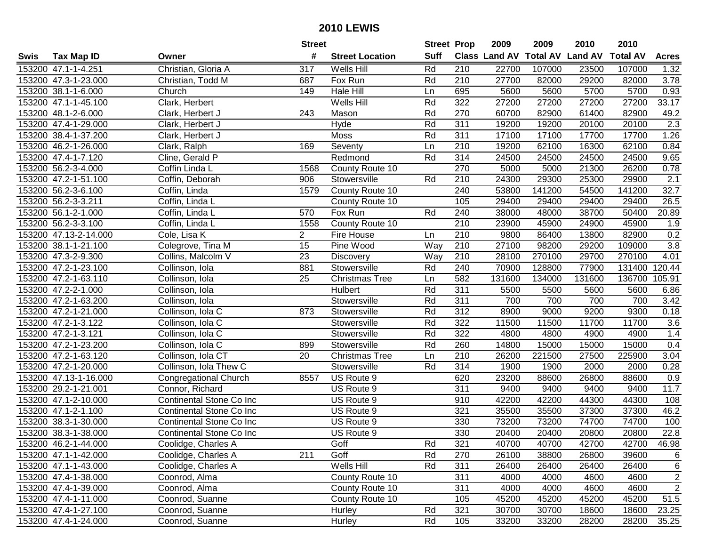| #<br><b>Suff</b><br><b>Total AV</b><br><b>Land AV</b><br><b>Class Land AV</b><br><b>Total AV</b><br><b>Tax Map ID</b><br><b>Street Location</b><br><b>Acres</b><br>Swis<br>Owner<br>Christian, Gloria A<br>153200 47.1-1-4.251<br>317<br>Wells Hill<br>Rd<br>210<br>22700<br>107000<br>23500<br>107000<br>1.32<br>27700<br>3.78<br>153200 47.3-1-23.000<br>Fox Run<br>Rd<br>210<br>82000<br>29200<br>82000<br>Christian, Todd M<br>687<br>5700<br>153200 38.1-1-6.000<br>Hale Hill<br>695<br>5600<br>5600<br>5700<br>0.93<br>Church<br>149<br>Ln<br>322<br>Wells Hill<br>Rd<br>27200<br>27200<br>27200<br>33.17<br>153200 47.1-1-45.100<br>Clark, Herbert<br>27200<br>153200 48.1-2-6.000<br>243<br>Rd<br>270<br>60700<br>82900<br>61400<br>82900<br>49.2<br>Clark, Herbert J<br>Mason<br>311<br>$\overline{2.3}$<br>153200 47.4-1-29.000<br>Hyde<br>Rd<br>19200<br>19200<br>20100<br>20100<br>Clark, Herbert J<br>153200 38.4-1-37.200<br>Moss<br>Rd<br>311<br>17100<br>17100<br>17700<br>17700<br>1.26<br>Clark, Herbert J<br>210<br>153200 46.2-1-26.000<br>Seventy<br>19200<br>62100<br>16300<br>62100<br>0.84<br>169<br>Clark, Ralph<br>Ln<br>Rd<br>314<br>153200 47.4-1-7.120<br>Cline, Gerald P<br>24500<br>24500<br>24500<br>24500<br>9.65<br>Redmond<br>270<br>5000<br>26200<br>153200 56.2-3-4.000<br>Coffin Linda L<br>1568<br>5000<br>21300<br>0.78<br>County Route 10<br>210<br>24300<br>25300<br>2.1<br>153200 47.2-1-51.100<br>Coffin, Deborah<br>Stowersville<br>Rd<br>29300<br>29900<br>906<br>153200 56.2-3-6.100<br>Coffin, Linda<br>240<br>53800<br>141200<br>54500<br>141200<br>32.7<br>1579<br>County Route 10<br>153200 56.2-3-3.211<br>105<br>29400<br>29400<br>29400<br>26.5<br>Coffin, Linda L<br>County Route 10<br>29400<br>38700<br>153200 56.1-2-1.000<br>Coffin, Linda L<br>570<br>Fox Run<br>Rd<br>240<br>38000<br>48000<br>50400<br>20.89<br>210<br>153200 56.2-3-3.100<br>Coffin, Linda L<br>County Route 10<br>23900<br>45900<br>24900<br>45900<br>1.9<br>1558<br>210<br>153200 47.13-2-14.000<br>$\overline{c}$<br>9800<br>86400<br>13800<br>82900<br>0.2<br>Cole, Lisa K<br>Fire House<br>Ln<br>$\overline{15}$<br>$\overline{3.8}$<br>210<br>27100<br>153200 38.1-1-21.100<br>Colegrove, Tina M<br>Pine Wood<br>Way<br>98200<br>29200<br>109000<br>23<br>153200 47.3-2-9.300<br>Collins, Malcolm V<br>Way<br>210<br>28100<br>270100<br>29700<br>270100<br>4.01<br><b>Discovery</b><br>153200 47.2-1-23.100<br>Collinson, Iola<br>881<br>Stowersville<br>Rd<br>240<br>70900<br>128800<br>77900<br>131400<br>120.44<br>136700<br>153200 47.2-1-63.110<br>Collinson, Iola<br>25<br>582<br>131600<br>134000<br>131600<br>105.91<br><b>Christmas Tree</b><br>Ln<br>$\overline{311}$<br><b>Hulbert</b><br>Rd<br>5500<br>5600<br>153200 47.2-2-1.000<br>Collinson, Iola<br>5500<br>5600<br>6.86<br>Rd<br>153200 47.2-1-63.200<br>Collinson, Iola<br>Stowersville<br>311<br>700<br>700<br>700<br>700<br>3.42<br>Rd<br>312<br>8900<br>153200 47.2-1-21.000<br>Collinson, Iola C<br>873<br>Stowersville<br>9000<br>9200<br>9300<br>0.18<br>322<br>153200 47.2-1-3.122<br>Rd<br>11500<br>11500<br>11700<br>11700<br>3.6<br>Collinson, Iola C<br>Stowersville<br>322<br>153200 47.2-1-3.121<br>Rd<br>4800<br>1.4<br>Collinson, Iola C<br>Stowersville<br>4800<br>4900<br>4900<br>Rd<br>260<br>14800<br>15000<br>153200 47.2-1-23.200<br>Collinson, Iola C<br>899<br>Stowersville<br>15000<br>15000<br>0.4<br>210<br>221500<br>225900<br>153200 47.2-1-63.120<br>Collinson, Iola CT<br>20<br><b>Christmas Tree</b><br>26200<br>27500<br>3.04<br>Ln<br>153200 47.2-1-20.000<br>Collinson, Iola Thew C<br>Rd<br>314<br>1900<br>1900<br>2000<br>2000<br>Stowersville<br>0.28<br>153200 47.13-1-16.000<br>8557<br>620<br>23200<br>88600<br>26800<br>88600<br><b>Congregational Church</b><br>US Route 9<br>0.9<br>311<br>153200 29.2-1-21.001<br>Connor, Richard<br>US Route 9<br>9400<br>9400<br>9400<br>9400<br>11.7<br>153200 47.1-2-10.000<br>910<br>42200<br>42200<br>44300<br>44300<br>Continental Stone Co Inc<br>US Route 9<br>108<br>153200 47.1-2-1.100<br>321<br>35500<br>35500<br>37300<br>37300<br>46.2<br>Continental Stone Co Inc<br>US Route 9<br>330<br>73200<br>74700<br>74700<br>153200 38.3-1-30.000<br>Continental Stone Co Inc<br>US Route 9<br>73200<br>100<br>22.8<br>153200 38.3-1-38.000<br>Continental Stone Co Inc<br>US Route 9<br>330<br>20400<br>20400<br>20800<br>20800<br>153200 46.2-1-44.000<br>Coolidge, Charles A<br>Goff<br>Rd<br>321<br>40700<br>40700<br>42700<br>42700<br>46.98<br>Goff<br>153200 47.1-1-42.000<br>Coolidge, Charles A<br>211<br>Rd<br>270<br>26100<br>38800<br>26800<br>39600<br>6<br>Wells Hill<br>153200 47.1-1-43.000<br>Coolidge, Charles A<br>Rd<br>311<br>26400<br>26400<br>26400<br>26400<br>6<br>$\overline{c}$<br>County Route 10<br>311<br>4000<br>153200 47.4-1-38.000<br>Coonrod, Alma<br>4000<br>4600<br>4600<br>$\overline{2}$<br>County Route 10<br>311<br>153200 47.4-1-39.000<br>Coonrod, Alma<br>4000<br>4000<br>4600<br>4600<br>105<br>45200<br>51.5<br>153200 47.4-1-11.000<br>Coonrod, Suanne<br>County Route 10<br>45200<br>45200<br>45200<br>321<br>153200 47.4-1-27.100<br>Rd<br>30700<br>30700<br>18600<br>18600<br>23.25<br>Coonrod, Suanne<br>Hurley<br>Rd<br>153200 47.4-1-24.000<br>Coonrod, Suanne<br>105<br>33200<br>33200<br>28200<br>28200<br>35.25 |  | <b>Street</b> |        | <b>Street Prop</b> | 2009 | 2009 | 2010 | 2010 |  |
|---------------------------------------------------------------------------------------------------------------------------------------------------------------------------------------------------------------------------------------------------------------------------------------------------------------------------------------------------------------------------------------------------------------------------------------------------------------------------------------------------------------------------------------------------------------------------------------------------------------------------------------------------------------------------------------------------------------------------------------------------------------------------------------------------------------------------------------------------------------------------------------------------------------------------------------------------------------------------------------------------------------------------------------------------------------------------------------------------------------------------------------------------------------------------------------------------------------------------------------------------------------------------------------------------------------------------------------------------------------------------------------------------------------------------------------------------------------------------------------------------------------------------------------------------------------------------------------------------------------------------------------------------------------------------------------------------------------------------------------------------------------------------------------------------------------------------------------------------------------------------------------------------------------------------------------------------------------------------------------------------------------------------------------------------------------------------------------------------------------------------------------------------------------------------------------------------------------------------------------------------------------------------------------------------------------------------------------------------------------------------------------------------------------------------------------------------------------------------------------------------------------------------------------------------------------------------------------------------------------------------------------------------------------------------------------------------------------------------------------------------------------------------------------------------------------------------------------------------------------------------------------------------------------------------------------------------------------------------------------------------------------------------------------------------------------------------------------------------------------------------------------------------------------------------------------------------------------------------------------------------------------------------------------------------------------------------------------------------------------------------------------------------------------------------------------------------------------------------------------------------------------------------------------------------------------------------------------------------------------------------------------------------------------------------------------------------------------------------------------------------------------------------------------------------------------------------------------------------------------------------------------------------------------------------------------------------------------------------------------------------------------------------------------------------------------------------------------------------------------------------------------------------------------------------------------------------------------------------------------------------------------------------------------------------------------------------------------------------------------------------------------------------------------------------------------------------------------------------------------------------------------------------------------------------------------------------------------------------------------------------------------------------------------------------------------------------------------------------------------------------------------------------------------------------------------------------------------------------------------------------------------------------------------------------------------------------------------------------------------------------------------------------------------------------------------------------------------------------------------------------------------------------------------------------------------------------------------------------------------------------------------------------------------------------------------------------------------------------------------------|--|---------------|--------|--------------------|------|------|------|------|--|
|                                                                                                                                                                                                                                                                                                                                                                                                                                                                                                                                                                                                                                                                                                                                                                                                                                                                                                                                                                                                                                                                                                                                                                                                                                                                                                                                                                                                                                                                                                                                                                                                                                                                                                                                                                                                                                                                                                                                                                                                                                                                                                                                                                                                                                                                                                                                                                                                                                                                                                                                                                                                                                                                                                                                                                                                                                                                                                                                                                                                                                                                                                                                                                                                                                                                                                                                                                                                                                                                                                                                                                                                                                                                                                                                                                                                                                                                                                                                                                                                                                                                                                                                                                                                                                                                                                                                                                                                                                                                                                                                                                                                                                                                                                                                                                                                                                                                                                                                                                                                                                                                                                                                                                                                                                                                                                                                                                     |  |               |        |                    |      |      |      |      |  |
|                                                                                                                                                                                                                                                                                                                                                                                                                                                                                                                                                                                                                                                                                                                                                                                                                                                                                                                                                                                                                                                                                                                                                                                                                                                                                                                                                                                                                                                                                                                                                                                                                                                                                                                                                                                                                                                                                                                                                                                                                                                                                                                                                                                                                                                                                                                                                                                                                                                                                                                                                                                                                                                                                                                                                                                                                                                                                                                                                                                                                                                                                                                                                                                                                                                                                                                                                                                                                                                                                                                                                                                                                                                                                                                                                                                                                                                                                                                                                                                                                                                                                                                                                                                                                                                                                                                                                                                                                                                                                                                                                                                                                                                                                                                                                                                                                                                                                                                                                                                                                                                                                                                                                                                                                                                                                                                                                                     |  |               |        |                    |      |      |      |      |  |
|                                                                                                                                                                                                                                                                                                                                                                                                                                                                                                                                                                                                                                                                                                                                                                                                                                                                                                                                                                                                                                                                                                                                                                                                                                                                                                                                                                                                                                                                                                                                                                                                                                                                                                                                                                                                                                                                                                                                                                                                                                                                                                                                                                                                                                                                                                                                                                                                                                                                                                                                                                                                                                                                                                                                                                                                                                                                                                                                                                                                                                                                                                                                                                                                                                                                                                                                                                                                                                                                                                                                                                                                                                                                                                                                                                                                                                                                                                                                                                                                                                                                                                                                                                                                                                                                                                                                                                                                                                                                                                                                                                                                                                                                                                                                                                                                                                                                                                                                                                                                                                                                                                                                                                                                                                                                                                                                                                     |  |               |        |                    |      |      |      |      |  |
|                                                                                                                                                                                                                                                                                                                                                                                                                                                                                                                                                                                                                                                                                                                                                                                                                                                                                                                                                                                                                                                                                                                                                                                                                                                                                                                                                                                                                                                                                                                                                                                                                                                                                                                                                                                                                                                                                                                                                                                                                                                                                                                                                                                                                                                                                                                                                                                                                                                                                                                                                                                                                                                                                                                                                                                                                                                                                                                                                                                                                                                                                                                                                                                                                                                                                                                                                                                                                                                                                                                                                                                                                                                                                                                                                                                                                                                                                                                                                                                                                                                                                                                                                                                                                                                                                                                                                                                                                                                                                                                                                                                                                                                                                                                                                                                                                                                                                                                                                                                                                                                                                                                                                                                                                                                                                                                                                                     |  |               |        |                    |      |      |      |      |  |
|                                                                                                                                                                                                                                                                                                                                                                                                                                                                                                                                                                                                                                                                                                                                                                                                                                                                                                                                                                                                                                                                                                                                                                                                                                                                                                                                                                                                                                                                                                                                                                                                                                                                                                                                                                                                                                                                                                                                                                                                                                                                                                                                                                                                                                                                                                                                                                                                                                                                                                                                                                                                                                                                                                                                                                                                                                                                                                                                                                                                                                                                                                                                                                                                                                                                                                                                                                                                                                                                                                                                                                                                                                                                                                                                                                                                                                                                                                                                                                                                                                                                                                                                                                                                                                                                                                                                                                                                                                                                                                                                                                                                                                                                                                                                                                                                                                                                                                                                                                                                                                                                                                                                                                                                                                                                                                                                                                     |  |               |        |                    |      |      |      |      |  |
|                                                                                                                                                                                                                                                                                                                                                                                                                                                                                                                                                                                                                                                                                                                                                                                                                                                                                                                                                                                                                                                                                                                                                                                                                                                                                                                                                                                                                                                                                                                                                                                                                                                                                                                                                                                                                                                                                                                                                                                                                                                                                                                                                                                                                                                                                                                                                                                                                                                                                                                                                                                                                                                                                                                                                                                                                                                                                                                                                                                                                                                                                                                                                                                                                                                                                                                                                                                                                                                                                                                                                                                                                                                                                                                                                                                                                                                                                                                                                                                                                                                                                                                                                                                                                                                                                                                                                                                                                                                                                                                                                                                                                                                                                                                                                                                                                                                                                                                                                                                                                                                                                                                                                                                                                                                                                                                                                                     |  |               |        |                    |      |      |      |      |  |
|                                                                                                                                                                                                                                                                                                                                                                                                                                                                                                                                                                                                                                                                                                                                                                                                                                                                                                                                                                                                                                                                                                                                                                                                                                                                                                                                                                                                                                                                                                                                                                                                                                                                                                                                                                                                                                                                                                                                                                                                                                                                                                                                                                                                                                                                                                                                                                                                                                                                                                                                                                                                                                                                                                                                                                                                                                                                                                                                                                                                                                                                                                                                                                                                                                                                                                                                                                                                                                                                                                                                                                                                                                                                                                                                                                                                                                                                                                                                                                                                                                                                                                                                                                                                                                                                                                                                                                                                                                                                                                                                                                                                                                                                                                                                                                                                                                                                                                                                                                                                                                                                                                                                                                                                                                                                                                                                                                     |  |               |        |                    |      |      |      |      |  |
|                                                                                                                                                                                                                                                                                                                                                                                                                                                                                                                                                                                                                                                                                                                                                                                                                                                                                                                                                                                                                                                                                                                                                                                                                                                                                                                                                                                                                                                                                                                                                                                                                                                                                                                                                                                                                                                                                                                                                                                                                                                                                                                                                                                                                                                                                                                                                                                                                                                                                                                                                                                                                                                                                                                                                                                                                                                                                                                                                                                                                                                                                                                                                                                                                                                                                                                                                                                                                                                                                                                                                                                                                                                                                                                                                                                                                                                                                                                                                                                                                                                                                                                                                                                                                                                                                                                                                                                                                                                                                                                                                                                                                                                                                                                                                                                                                                                                                                                                                                                                                                                                                                                                                                                                                                                                                                                                                                     |  |               |        |                    |      |      |      |      |  |
|                                                                                                                                                                                                                                                                                                                                                                                                                                                                                                                                                                                                                                                                                                                                                                                                                                                                                                                                                                                                                                                                                                                                                                                                                                                                                                                                                                                                                                                                                                                                                                                                                                                                                                                                                                                                                                                                                                                                                                                                                                                                                                                                                                                                                                                                                                                                                                                                                                                                                                                                                                                                                                                                                                                                                                                                                                                                                                                                                                                                                                                                                                                                                                                                                                                                                                                                                                                                                                                                                                                                                                                                                                                                                                                                                                                                                                                                                                                                                                                                                                                                                                                                                                                                                                                                                                                                                                                                                                                                                                                                                                                                                                                                                                                                                                                                                                                                                                                                                                                                                                                                                                                                                                                                                                                                                                                                                                     |  |               |        |                    |      |      |      |      |  |
|                                                                                                                                                                                                                                                                                                                                                                                                                                                                                                                                                                                                                                                                                                                                                                                                                                                                                                                                                                                                                                                                                                                                                                                                                                                                                                                                                                                                                                                                                                                                                                                                                                                                                                                                                                                                                                                                                                                                                                                                                                                                                                                                                                                                                                                                                                                                                                                                                                                                                                                                                                                                                                                                                                                                                                                                                                                                                                                                                                                                                                                                                                                                                                                                                                                                                                                                                                                                                                                                                                                                                                                                                                                                                                                                                                                                                                                                                                                                                                                                                                                                                                                                                                                                                                                                                                                                                                                                                                                                                                                                                                                                                                                                                                                                                                                                                                                                                                                                                                                                                                                                                                                                                                                                                                                                                                                                                                     |  |               |        |                    |      |      |      |      |  |
|                                                                                                                                                                                                                                                                                                                                                                                                                                                                                                                                                                                                                                                                                                                                                                                                                                                                                                                                                                                                                                                                                                                                                                                                                                                                                                                                                                                                                                                                                                                                                                                                                                                                                                                                                                                                                                                                                                                                                                                                                                                                                                                                                                                                                                                                                                                                                                                                                                                                                                                                                                                                                                                                                                                                                                                                                                                                                                                                                                                                                                                                                                                                                                                                                                                                                                                                                                                                                                                                                                                                                                                                                                                                                                                                                                                                                                                                                                                                                                                                                                                                                                                                                                                                                                                                                                                                                                                                                                                                                                                                                                                                                                                                                                                                                                                                                                                                                                                                                                                                                                                                                                                                                                                                                                                                                                                                                                     |  |               |        |                    |      |      |      |      |  |
|                                                                                                                                                                                                                                                                                                                                                                                                                                                                                                                                                                                                                                                                                                                                                                                                                                                                                                                                                                                                                                                                                                                                                                                                                                                                                                                                                                                                                                                                                                                                                                                                                                                                                                                                                                                                                                                                                                                                                                                                                                                                                                                                                                                                                                                                                                                                                                                                                                                                                                                                                                                                                                                                                                                                                                                                                                                                                                                                                                                                                                                                                                                                                                                                                                                                                                                                                                                                                                                                                                                                                                                                                                                                                                                                                                                                                                                                                                                                                                                                                                                                                                                                                                                                                                                                                                                                                                                                                                                                                                                                                                                                                                                                                                                                                                                                                                                                                                                                                                                                                                                                                                                                                                                                                                                                                                                                                                     |  |               |        |                    |      |      |      |      |  |
|                                                                                                                                                                                                                                                                                                                                                                                                                                                                                                                                                                                                                                                                                                                                                                                                                                                                                                                                                                                                                                                                                                                                                                                                                                                                                                                                                                                                                                                                                                                                                                                                                                                                                                                                                                                                                                                                                                                                                                                                                                                                                                                                                                                                                                                                                                                                                                                                                                                                                                                                                                                                                                                                                                                                                                                                                                                                                                                                                                                                                                                                                                                                                                                                                                                                                                                                                                                                                                                                                                                                                                                                                                                                                                                                                                                                                                                                                                                                                                                                                                                                                                                                                                                                                                                                                                                                                                                                                                                                                                                                                                                                                                                                                                                                                                                                                                                                                                                                                                                                                                                                                                                                                                                                                                                                                                                                                                     |  |               |        |                    |      |      |      |      |  |
|                                                                                                                                                                                                                                                                                                                                                                                                                                                                                                                                                                                                                                                                                                                                                                                                                                                                                                                                                                                                                                                                                                                                                                                                                                                                                                                                                                                                                                                                                                                                                                                                                                                                                                                                                                                                                                                                                                                                                                                                                                                                                                                                                                                                                                                                                                                                                                                                                                                                                                                                                                                                                                                                                                                                                                                                                                                                                                                                                                                                                                                                                                                                                                                                                                                                                                                                                                                                                                                                                                                                                                                                                                                                                                                                                                                                                                                                                                                                                                                                                                                                                                                                                                                                                                                                                                                                                                                                                                                                                                                                                                                                                                                                                                                                                                                                                                                                                                                                                                                                                                                                                                                                                                                                                                                                                                                                                                     |  |               |        |                    |      |      |      |      |  |
|                                                                                                                                                                                                                                                                                                                                                                                                                                                                                                                                                                                                                                                                                                                                                                                                                                                                                                                                                                                                                                                                                                                                                                                                                                                                                                                                                                                                                                                                                                                                                                                                                                                                                                                                                                                                                                                                                                                                                                                                                                                                                                                                                                                                                                                                                                                                                                                                                                                                                                                                                                                                                                                                                                                                                                                                                                                                                                                                                                                                                                                                                                                                                                                                                                                                                                                                                                                                                                                                                                                                                                                                                                                                                                                                                                                                                                                                                                                                                                                                                                                                                                                                                                                                                                                                                                                                                                                                                                                                                                                                                                                                                                                                                                                                                                                                                                                                                                                                                                                                                                                                                                                                                                                                                                                                                                                                                                     |  |               |        |                    |      |      |      |      |  |
|                                                                                                                                                                                                                                                                                                                                                                                                                                                                                                                                                                                                                                                                                                                                                                                                                                                                                                                                                                                                                                                                                                                                                                                                                                                                                                                                                                                                                                                                                                                                                                                                                                                                                                                                                                                                                                                                                                                                                                                                                                                                                                                                                                                                                                                                                                                                                                                                                                                                                                                                                                                                                                                                                                                                                                                                                                                                                                                                                                                                                                                                                                                                                                                                                                                                                                                                                                                                                                                                                                                                                                                                                                                                                                                                                                                                                                                                                                                                                                                                                                                                                                                                                                                                                                                                                                                                                                                                                                                                                                                                                                                                                                                                                                                                                                                                                                                                                                                                                                                                                                                                                                                                                                                                                                                                                                                                                                     |  |               |        |                    |      |      |      |      |  |
|                                                                                                                                                                                                                                                                                                                                                                                                                                                                                                                                                                                                                                                                                                                                                                                                                                                                                                                                                                                                                                                                                                                                                                                                                                                                                                                                                                                                                                                                                                                                                                                                                                                                                                                                                                                                                                                                                                                                                                                                                                                                                                                                                                                                                                                                                                                                                                                                                                                                                                                                                                                                                                                                                                                                                                                                                                                                                                                                                                                                                                                                                                                                                                                                                                                                                                                                                                                                                                                                                                                                                                                                                                                                                                                                                                                                                                                                                                                                                                                                                                                                                                                                                                                                                                                                                                                                                                                                                                                                                                                                                                                                                                                                                                                                                                                                                                                                                                                                                                                                                                                                                                                                                                                                                                                                                                                                                                     |  |               |        |                    |      |      |      |      |  |
|                                                                                                                                                                                                                                                                                                                                                                                                                                                                                                                                                                                                                                                                                                                                                                                                                                                                                                                                                                                                                                                                                                                                                                                                                                                                                                                                                                                                                                                                                                                                                                                                                                                                                                                                                                                                                                                                                                                                                                                                                                                                                                                                                                                                                                                                                                                                                                                                                                                                                                                                                                                                                                                                                                                                                                                                                                                                                                                                                                                                                                                                                                                                                                                                                                                                                                                                                                                                                                                                                                                                                                                                                                                                                                                                                                                                                                                                                                                                                                                                                                                                                                                                                                                                                                                                                                                                                                                                                                                                                                                                                                                                                                                                                                                                                                                                                                                                                                                                                                                                                                                                                                                                                                                                                                                                                                                                                                     |  |               |        |                    |      |      |      |      |  |
|                                                                                                                                                                                                                                                                                                                                                                                                                                                                                                                                                                                                                                                                                                                                                                                                                                                                                                                                                                                                                                                                                                                                                                                                                                                                                                                                                                                                                                                                                                                                                                                                                                                                                                                                                                                                                                                                                                                                                                                                                                                                                                                                                                                                                                                                                                                                                                                                                                                                                                                                                                                                                                                                                                                                                                                                                                                                                                                                                                                                                                                                                                                                                                                                                                                                                                                                                                                                                                                                                                                                                                                                                                                                                                                                                                                                                                                                                                                                                                                                                                                                                                                                                                                                                                                                                                                                                                                                                                                                                                                                                                                                                                                                                                                                                                                                                                                                                                                                                                                                                                                                                                                                                                                                                                                                                                                                                                     |  |               |        |                    |      |      |      |      |  |
|                                                                                                                                                                                                                                                                                                                                                                                                                                                                                                                                                                                                                                                                                                                                                                                                                                                                                                                                                                                                                                                                                                                                                                                                                                                                                                                                                                                                                                                                                                                                                                                                                                                                                                                                                                                                                                                                                                                                                                                                                                                                                                                                                                                                                                                                                                                                                                                                                                                                                                                                                                                                                                                                                                                                                                                                                                                                                                                                                                                                                                                                                                                                                                                                                                                                                                                                                                                                                                                                                                                                                                                                                                                                                                                                                                                                                                                                                                                                                                                                                                                                                                                                                                                                                                                                                                                                                                                                                                                                                                                                                                                                                                                                                                                                                                                                                                                                                                                                                                                                                                                                                                                                                                                                                                                                                                                                                                     |  |               |        |                    |      |      |      |      |  |
|                                                                                                                                                                                                                                                                                                                                                                                                                                                                                                                                                                                                                                                                                                                                                                                                                                                                                                                                                                                                                                                                                                                                                                                                                                                                                                                                                                                                                                                                                                                                                                                                                                                                                                                                                                                                                                                                                                                                                                                                                                                                                                                                                                                                                                                                                                                                                                                                                                                                                                                                                                                                                                                                                                                                                                                                                                                                                                                                                                                                                                                                                                                                                                                                                                                                                                                                                                                                                                                                                                                                                                                                                                                                                                                                                                                                                                                                                                                                                                                                                                                                                                                                                                                                                                                                                                                                                                                                                                                                                                                                                                                                                                                                                                                                                                                                                                                                                                                                                                                                                                                                                                                                                                                                                                                                                                                                                                     |  |               |        |                    |      |      |      |      |  |
|                                                                                                                                                                                                                                                                                                                                                                                                                                                                                                                                                                                                                                                                                                                                                                                                                                                                                                                                                                                                                                                                                                                                                                                                                                                                                                                                                                                                                                                                                                                                                                                                                                                                                                                                                                                                                                                                                                                                                                                                                                                                                                                                                                                                                                                                                                                                                                                                                                                                                                                                                                                                                                                                                                                                                                                                                                                                                                                                                                                                                                                                                                                                                                                                                                                                                                                                                                                                                                                                                                                                                                                                                                                                                                                                                                                                                                                                                                                                                                                                                                                                                                                                                                                                                                                                                                                                                                                                                                                                                                                                                                                                                                                                                                                                                                                                                                                                                                                                                                                                                                                                                                                                                                                                                                                                                                                                                                     |  |               |        |                    |      |      |      |      |  |
|                                                                                                                                                                                                                                                                                                                                                                                                                                                                                                                                                                                                                                                                                                                                                                                                                                                                                                                                                                                                                                                                                                                                                                                                                                                                                                                                                                                                                                                                                                                                                                                                                                                                                                                                                                                                                                                                                                                                                                                                                                                                                                                                                                                                                                                                                                                                                                                                                                                                                                                                                                                                                                                                                                                                                                                                                                                                                                                                                                                                                                                                                                                                                                                                                                                                                                                                                                                                                                                                                                                                                                                                                                                                                                                                                                                                                                                                                                                                                                                                                                                                                                                                                                                                                                                                                                                                                                                                                                                                                                                                                                                                                                                                                                                                                                                                                                                                                                                                                                                                                                                                                                                                                                                                                                                                                                                                                                     |  |               |        |                    |      |      |      |      |  |
|                                                                                                                                                                                                                                                                                                                                                                                                                                                                                                                                                                                                                                                                                                                                                                                                                                                                                                                                                                                                                                                                                                                                                                                                                                                                                                                                                                                                                                                                                                                                                                                                                                                                                                                                                                                                                                                                                                                                                                                                                                                                                                                                                                                                                                                                                                                                                                                                                                                                                                                                                                                                                                                                                                                                                                                                                                                                                                                                                                                                                                                                                                                                                                                                                                                                                                                                                                                                                                                                                                                                                                                                                                                                                                                                                                                                                                                                                                                                                                                                                                                                                                                                                                                                                                                                                                                                                                                                                                                                                                                                                                                                                                                                                                                                                                                                                                                                                                                                                                                                                                                                                                                                                                                                                                                                                                                                                                     |  |               |        |                    |      |      |      |      |  |
|                                                                                                                                                                                                                                                                                                                                                                                                                                                                                                                                                                                                                                                                                                                                                                                                                                                                                                                                                                                                                                                                                                                                                                                                                                                                                                                                                                                                                                                                                                                                                                                                                                                                                                                                                                                                                                                                                                                                                                                                                                                                                                                                                                                                                                                                                                                                                                                                                                                                                                                                                                                                                                                                                                                                                                                                                                                                                                                                                                                                                                                                                                                                                                                                                                                                                                                                                                                                                                                                                                                                                                                                                                                                                                                                                                                                                                                                                                                                                                                                                                                                                                                                                                                                                                                                                                                                                                                                                                                                                                                                                                                                                                                                                                                                                                                                                                                                                                                                                                                                                                                                                                                                                                                                                                                                                                                                                                     |  |               |        |                    |      |      |      |      |  |
|                                                                                                                                                                                                                                                                                                                                                                                                                                                                                                                                                                                                                                                                                                                                                                                                                                                                                                                                                                                                                                                                                                                                                                                                                                                                                                                                                                                                                                                                                                                                                                                                                                                                                                                                                                                                                                                                                                                                                                                                                                                                                                                                                                                                                                                                                                                                                                                                                                                                                                                                                                                                                                                                                                                                                                                                                                                                                                                                                                                                                                                                                                                                                                                                                                                                                                                                                                                                                                                                                                                                                                                                                                                                                                                                                                                                                                                                                                                                                                                                                                                                                                                                                                                                                                                                                                                                                                                                                                                                                                                                                                                                                                                                                                                                                                                                                                                                                                                                                                                                                                                                                                                                                                                                                                                                                                                                                                     |  |               |        |                    |      |      |      |      |  |
|                                                                                                                                                                                                                                                                                                                                                                                                                                                                                                                                                                                                                                                                                                                                                                                                                                                                                                                                                                                                                                                                                                                                                                                                                                                                                                                                                                                                                                                                                                                                                                                                                                                                                                                                                                                                                                                                                                                                                                                                                                                                                                                                                                                                                                                                                                                                                                                                                                                                                                                                                                                                                                                                                                                                                                                                                                                                                                                                                                                                                                                                                                                                                                                                                                                                                                                                                                                                                                                                                                                                                                                                                                                                                                                                                                                                                                                                                                                                                                                                                                                                                                                                                                                                                                                                                                                                                                                                                                                                                                                                                                                                                                                                                                                                                                                                                                                                                                                                                                                                                                                                                                                                                                                                                                                                                                                                                                     |  |               |        |                    |      |      |      |      |  |
|                                                                                                                                                                                                                                                                                                                                                                                                                                                                                                                                                                                                                                                                                                                                                                                                                                                                                                                                                                                                                                                                                                                                                                                                                                                                                                                                                                                                                                                                                                                                                                                                                                                                                                                                                                                                                                                                                                                                                                                                                                                                                                                                                                                                                                                                                                                                                                                                                                                                                                                                                                                                                                                                                                                                                                                                                                                                                                                                                                                                                                                                                                                                                                                                                                                                                                                                                                                                                                                                                                                                                                                                                                                                                                                                                                                                                                                                                                                                                                                                                                                                                                                                                                                                                                                                                                                                                                                                                                                                                                                                                                                                                                                                                                                                                                                                                                                                                                                                                                                                                                                                                                                                                                                                                                                                                                                                                                     |  |               |        |                    |      |      |      |      |  |
|                                                                                                                                                                                                                                                                                                                                                                                                                                                                                                                                                                                                                                                                                                                                                                                                                                                                                                                                                                                                                                                                                                                                                                                                                                                                                                                                                                                                                                                                                                                                                                                                                                                                                                                                                                                                                                                                                                                                                                                                                                                                                                                                                                                                                                                                                                                                                                                                                                                                                                                                                                                                                                                                                                                                                                                                                                                                                                                                                                                                                                                                                                                                                                                                                                                                                                                                                                                                                                                                                                                                                                                                                                                                                                                                                                                                                                                                                                                                                                                                                                                                                                                                                                                                                                                                                                                                                                                                                                                                                                                                                                                                                                                                                                                                                                                                                                                                                                                                                                                                                                                                                                                                                                                                                                                                                                                                                                     |  |               |        |                    |      |      |      |      |  |
|                                                                                                                                                                                                                                                                                                                                                                                                                                                                                                                                                                                                                                                                                                                                                                                                                                                                                                                                                                                                                                                                                                                                                                                                                                                                                                                                                                                                                                                                                                                                                                                                                                                                                                                                                                                                                                                                                                                                                                                                                                                                                                                                                                                                                                                                                                                                                                                                                                                                                                                                                                                                                                                                                                                                                                                                                                                                                                                                                                                                                                                                                                                                                                                                                                                                                                                                                                                                                                                                                                                                                                                                                                                                                                                                                                                                                                                                                                                                                                                                                                                                                                                                                                                                                                                                                                                                                                                                                                                                                                                                                                                                                                                                                                                                                                                                                                                                                                                                                                                                                                                                                                                                                                                                                                                                                                                                                                     |  |               |        |                    |      |      |      |      |  |
|                                                                                                                                                                                                                                                                                                                                                                                                                                                                                                                                                                                                                                                                                                                                                                                                                                                                                                                                                                                                                                                                                                                                                                                                                                                                                                                                                                                                                                                                                                                                                                                                                                                                                                                                                                                                                                                                                                                                                                                                                                                                                                                                                                                                                                                                                                                                                                                                                                                                                                                                                                                                                                                                                                                                                                                                                                                                                                                                                                                                                                                                                                                                                                                                                                                                                                                                                                                                                                                                                                                                                                                                                                                                                                                                                                                                                                                                                                                                                                                                                                                                                                                                                                                                                                                                                                                                                                                                                                                                                                                                                                                                                                                                                                                                                                                                                                                                                                                                                                                                                                                                                                                                                                                                                                                                                                                                                                     |  |               |        |                    |      |      |      |      |  |
|                                                                                                                                                                                                                                                                                                                                                                                                                                                                                                                                                                                                                                                                                                                                                                                                                                                                                                                                                                                                                                                                                                                                                                                                                                                                                                                                                                                                                                                                                                                                                                                                                                                                                                                                                                                                                                                                                                                                                                                                                                                                                                                                                                                                                                                                                                                                                                                                                                                                                                                                                                                                                                                                                                                                                                                                                                                                                                                                                                                                                                                                                                                                                                                                                                                                                                                                                                                                                                                                                                                                                                                                                                                                                                                                                                                                                                                                                                                                                                                                                                                                                                                                                                                                                                                                                                                                                                                                                                                                                                                                                                                                                                                                                                                                                                                                                                                                                                                                                                                                                                                                                                                                                                                                                                                                                                                                                                     |  |               |        |                    |      |      |      |      |  |
|                                                                                                                                                                                                                                                                                                                                                                                                                                                                                                                                                                                                                                                                                                                                                                                                                                                                                                                                                                                                                                                                                                                                                                                                                                                                                                                                                                                                                                                                                                                                                                                                                                                                                                                                                                                                                                                                                                                                                                                                                                                                                                                                                                                                                                                                                                                                                                                                                                                                                                                                                                                                                                                                                                                                                                                                                                                                                                                                                                                                                                                                                                                                                                                                                                                                                                                                                                                                                                                                                                                                                                                                                                                                                                                                                                                                                                                                                                                                                                                                                                                                                                                                                                                                                                                                                                                                                                                                                                                                                                                                                                                                                                                                                                                                                                                                                                                                                                                                                                                                                                                                                                                                                                                                                                                                                                                                                                     |  |               |        |                    |      |      |      |      |  |
|                                                                                                                                                                                                                                                                                                                                                                                                                                                                                                                                                                                                                                                                                                                                                                                                                                                                                                                                                                                                                                                                                                                                                                                                                                                                                                                                                                                                                                                                                                                                                                                                                                                                                                                                                                                                                                                                                                                                                                                                                                                                                                                                                                                                                                                                                                                                                                                                                                                                                                                                                                                                                                                                                                                                                                                                                                                                                                                                                                                                                                                                                                                                                                                                                                                                                                                                                                                                                                                                                                                                                                                                                                                                                                                                                                                                                                                                                                                                                                                                                                                                                                                                                                                                                                                                                                                                                                                                                                                                                                                                                                                                                                                                                                                                                                                                                                                                                                                                                                                                                                                                                                                                                                                                                                                                                                                                                                     |  |               |        |                    |      |      |      |      |  |
|                                                                                                                                                                                                                                                                                                                                                                                                                                                                                                                                                                                                                                                                                                                                                                                                                                                                                                                                                                                                                                                                                                                                                                                                                                                                                                                                                                                                                                                                                                                                                                                                                                                                                                                                                                                                                                                                                                                                                                                                                                                                                                                                                                                                                                                                                                                                                                                                                                                                                                                                                                                                                                                                                                                                                                                                                                                                                                                                                                                                                                                                                                                                                                                                                                                                                                                                                                                                                                                                                                                                                                                                                                                                                                                                                                                                                                                                                                                                                                                                                                                                                                                                                                                                                                                                                                                                                                                                                                                                                                                                                                                                                                                                                                                                                                                                                                                                                                                                                                                                                                                                                                                                                                                                                                                                                                                                                                     |  |               |        |                    |      |      |      |      |  |
|                                                                                                                                                                                                                                                                                                                                                                                                                                                                                                                                                                                                                                                                                                                                                                                                                                                                                                                                                                                                                                                                                                                                                                                                                                                                                                                                                                                                                                                                                                                                                                                                                                                                                                                                                                                                                                                                                                                                                                                                                                                                                                                                                                                                                                                                                                                                                                                                                                                                                                                                                                                                                                                                                                                                                                                                                                                                                                                                                                                                                                                                                                                                                                                                                                                                                                                                                                                                                                                                                                                                                                                                                                                                                                                                                                                                                                                                                                                                                                                                                                                                                                                                                                                                                                                                                                                                                                                                                                                                                                                                                                                                                                                                                                                                                                                                                                                                                                                                                                                                                                                                                                                                                                                                                                                                                                                                                                     |  |               |        |                    |      |      |      |      |  |
|                                                                                                                                                                                                                                                                                                                                                                                                                                                                                                                                                                                                                                                                                                                                                                                                                                                                                                                                                                                                                                                                                                                                                                                                                                                                                                                                                                                                                                                                                                                                                                                                                                                                                                                                                                                                                                                                                                                                                                                                                                                                                                                                                                                                                                                                                                                                                                                                                                                                                                                                                                                                                                                                                                                                                                                                                                                                                                                                                                                                                                                                                                                                                                                                                                                                                                                                                                                                                                                                                                                                                                                                                                                                                                                                                                                                                                                                                                                                                                                                                                                                                                                                                                                                                                                                                                                                                                                                                                                                                                                                                                                                                                                                                                                                                                                                                                                                                                                                                                                                                                                                                                                                                                                                                                                                                                                                                                     |  |               |        |                    |      |      |      |      |  |
|                                                                                                                                                                                                                                                                                                                                                                                                                                                                                                                                                                                                                                                                                                                                                                                                                                                                                                                                                                                                                                                                                                                                                                                                                                                                                                                                                                                                                                                                                                                                                                                                                                                                                                                                                                                                                                                                                                                                                                                                                                                                                                                                                                                                                                                                                                                                                                                                                                                                                                                                                                                                                                                                                                                                                                                                                                                                                                                                                                                                                                                                                                                                                                                                                                                                                                                                                                                                                                                                                                                                                                                                                                                                                                                                                                                                                                                                                                                                                                                                                                                                                                                                                                                                                                                                                                                                                                                                                                                                                                                                                                                                                                                                                                                                                                                                                                                                                                                                                                                                                                                                                                                                                                                                                                                                                                                                                                     |  |               |        |                    |      |      |      |      |  |
|                                                                                                                                                                                                                                                                                                                                                                                                                                                                                                                                                                                                                                                                                                                                                                                                                                                                                                                                                                                                                                                                                                                                                                                                                                                                                                                                                                                                                                                                                                                                                                                                                                                                                                                                                                                                                                                                                                                                                                                                                                                                                                                                                                                                                                                                                                                                                                                                                                                                                                                                                                                                                                                                                                                                                                                                                                                                                                                                                                                                                                                                                                                                                                                                                                                                                                                                                                                                                                                                                                                                                                                                                                                                                                                                                                                                                                                                                                                                                                                                                                                                                                                                                                                                                                                                                                                                                                                                                                                                                                                                                                                                                                                                                                                                                                                                                                                                                                                                                                                                                                                                                                                                                                                                                                                                                                                                                                     |  |               |        |                    |      |      |      |      |  |
|                                                                                                                                                                                                                                                                                                                                                                                                                                                                                                                                                                                                                                                                                                                                                                                                                                                                                                                                                                                                                                                                                                                                                                                                                                                                                                                                                                                                                                                                                                                                                                                                                                                                                                                                                                                                                                                                                                                                                                                                                                                                                                                                                                                                                                                                                                                                                                                                                                                                                                                                                                                                                                                                                                                                                                                                                                                                                                                                                                                                                                                                                                                                                                                                                                                                                                                                                                                                                                                                                                                                                                                                                                                                                                                                                                                                                                                                                                                                                                                                                                                                                                                                                                                                                                                                                                                                                                                                                                                                                                                                                                                                                                                                                                                                                                                                                                                                                                                                                                                                                                                                                                                                                                                                                                                                                                                                                                     |  |               |        |                    |      |      |      |      |  |
|                                                                                                                                                                                                                                                                                                                                                                                                                                                                                                                                                                                                                                                                                                                                                                                                                                                                                                                                                                                                                                                                                                                                                                                                                                                                                                                                                                                                                                                                                                                                                                                                                                                                                                                                                                                                                                                                                                                                                                                                                                                                                                                                                                                                                                                                                                                                                                                                                                                                                                                                                                                                                                                                                                                                                                                                                                                                                                                                                                                                                                                                                                                                                                                                                                                                                                                                                                                                                                                                                                                                                                                                                                                                                                                                                                                                                                                                                                                                                                                                                                                                                                                                                                                                                                                                                                                                                                                                                                                                                                                                                                                                                                                                                                                                                                                                                                                                                                                                                                                                                                                                                                                                                                                                                                                                                                                                                                     |  |               |        |                    |      |      |      |      |  |
|                                                                                                                                                                                                                                                                                                                                                                                                                                                                                                                                                                                                                                                                                                                                                                                                                                                                                                                                                                                                                                                                                                                                                                                                                                                                                                                                                                                                                                                                                                                                                                                                                                                                                                                                                                                                                                                                                                                                                                                                                                                                                                                                                                                                                                                                                                                                                                                                                                                                                                                                                                                                                                                                                                                                                                                                                                                                                                                                                                                                                                                                                                                                                                                                                                                                                                                                                                                                                                                                                                                                                                                                                                                                                                                                                                                                                                                                                                                                                                                                                                                                                                                                                                                                                                                                                                                                                                                                                                                                                                                                                                                                                                                                                                                                                                                                                                                                                                                                                                                                                                                                                                                                                                                                                                                                                                                                                                     |  |               |        |                    |      |      |      |      |  |
|                                                                                                                                                                                                                                                                                                                                                                                                                                                                                                                                                                                                                                                                                                                                                                                                                                                                                                                                                                                                                                                                                                                                                                                                                                                                                                                                                                                                                                                                                                                                                                                                                                                                                                                                                                                                                                                                                                                                                                                                                                                                                                                                                                                                                                                                                                                                                                                                                                                                                                                                                                                                                                                                                                                                                                                                                                                                                                                                                                                                                                                                                                                                                                                                                                                                                                                                                                                                                                                                                                                                                                                                                                                                                                                                                                                                                                                                                                                                                                                                                                                                                                                                                                                                                                                                                                                                                                                                                                                                                                                                                                                                                                                                                                                                                                                                                                                                                                                                                                                                                                                                                                                                                                                                                                                                                                                                                                     |  |               | Hurley |                    |      |      |      |      |  |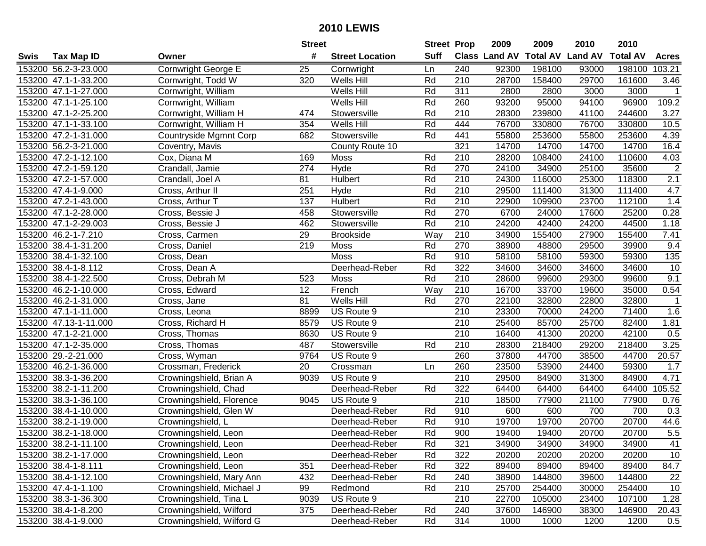|      |                       |                           | <b>Street</b> |                        | <b>Street Prop</b> |                  | 2009                 | 2009            | 2010           | 2010            |              |
|------|-----------------------|---------------------------|---------------|------------------------|--------------------|------------------|----------------------|-----------------|----------------|-----------------|--------------|
| Swis | <b>Tax Map ID</b>     | Owner                     | #             | <b>Street Location</b> | <b>Suff</b>        |                  | <b>Class Land AV</b> | <b>Total AV</b> | <b>Land AV</b> | <b>Total AV</b> | <b>Acres</b> |
|      | 153200 56.2-3-23.000  | Cornwright George E       | 25            | Cornwright             | Ln                 | 240              | 92300                | 198100          | 93000          | 198100          | 103.21       |
|      | 153200 47.1-1-33.200  | Cornwright, Todd W        | 320           | Wells Hill             | Rd                 | 210              | 28700                | 158400          | 29700          | 161600          | 3.46         |
|      | 153200 47.1-1-27.000  | Cornwright, William       |               | Wells Hill             | Rd                 | 311              | 2800                 | 2800            | 3000           | 3000            | $\mathbf{1}$ |
|      | 153200 47.1-1-25.100  | Cornwright, William       |               | Wells Hill             | Rd                 | 260              | 93200                | 95000           | 94100          | 96900           | 109.2        |
|      | 153200 47.1-2-25.200  | Cornwright, William H     | 474           | Stowersville           | Rd                 | 210              | 28300                | 239800          | 41100          | 244600          | 3.27         |
|      | 153200 47.1-1-33.100  | Cornwright, William H     | 354           | Wells Hill             | Rd                 | 444              | 76700                | 330800          | 76700          | 330800          | 10.5         |
|      | 153200 47.2-1-31.000  | Countryside Mgmnt Corp    | 682           | Stowersville           | Rd                 | 441              | 55800                | 253600          | 55800          | 253600          | 4.39         |
|      | 153200 56.2-3-21.000  | Coventry, Mavis           |               | County Route 10        |                    | 321              | 14700                | 14700           | 14700          | 14700           | 16.4         |
|      | 153200 47.2-1-12.100  | Cox, Diana M              | 169           | Moss                   | Rd                 | 210              | 28200                | 108400          | 24100          | 110600          | 4.03         |
|      | 153200 47.2-1-59.120  | Crandall, Jamie           | 274           | Hyde                   | Rd                 | 270              | 24100                | 34900           | 25100          | 35600           | $\sqrt{2}$   |
|      | 153200 47.2-1-57.000  | Crandall, Joel A          | 81            | Hulbert                | Rd                 | 210              | 24300                | 116000          | 25300          | 118300          | 2.1          |
|      | 153200 47.4-1-9.000   | Cross, Arthur II          | 251           | Hyde                   | Rd                 | 210              | 29500                | 111400          | 31300          | 111400          | 4.7          |
|      | 153200 47.2-1-43.000  | Cross, Arthur T           | 137           | Hulbert                | Rd                 | 210              | 22900                | 109900          | 23700          | 112100          | 1.4          |
|      | 153200 47.1-2-28.000  | Cross, Bessie J           | 458           | Stowersville           | Rd                 | 270              | 6700                 | 24000           | 17600          | 25200           | 0.28         |
|      | 153200 47.1-2-29.003  | Cross, Bessie J           | 462           | Stowersville           | Rd                 | 210              | 24200                | 42400           | 24200          | 44500           | 1.18         |
|      | 153200 46.2-1-7.210   | Cross, Carmen             | 29            | <b>Brookside</b>       | Way                | 210              | 34900                | 155400          | 27900          | 155400          | 7.41         |
|      | 153200 38.4-1-31.200  | Cross, Daniel             | 219           | Moss                   | Rd                 | 270              | 38900                | 48800           | 29500          | 39900           | 9.4          |
|      | 153200 38.4-1-32.100  | Cross, Dean               |               | Moss                   | Rd                 | 910              | 58100                | 58100           | 59300          | 59300           | 135          |
|      | 153200 38.4-1-8.112   | Cross, Dean A             |               | Deerhead-Reber         | Rd                 | 322              | 34600                | 34600           | 34600          | 34600           | 10           |
|      | 153200 38.4-1-22.500  | Cross, Debrah M           | 523           | Moss                   | Rd                 | 210              | 28600                | 99600           | 29300          | 99600           | 9.1          |
|      | 153200 46.2-1-10.000  | Cross, Edward             | 12            | French                 | Way                | 210              | 16700                | 33700           | 19600          | 35000           | 0.54         |
|      | 153200 46.2-1-31.000  | Cross, Jane               | 81            | Wells Hill             | Rd                 | 270              | 22100                | 32800           | 22800          | 32800           | $\mathbf{1}$ |
|      | 153200 47.1-1-11.000  | Cross, Leona              | 8899          | US Route 9             |                    | 210              | 23300                | 70000           | 24200          | 71400           | 1.6          |
|      | 153200 47.13-1-11.000 | Cross, Richard H          | 8579          | US Route 9             |                    | 210              | 25400                | 85700           | 25700          | 82400           | 1.81         |
|      | 153200 47.1-2-21.000  | Cross, Thomas             | 8630          | US Route 9             |                    | 210              | 16400                | 41300           | 20200          | 42100           | 0.5          |
|      | 153200 47.1-2-35.000  | Cross, Thomas             | 487           | Stowersville           | Rd                 | 210              | 28300                | 218400          | 29200          | 218400          | 3.25         |
|      | 153200 29.-2-21.000   | Cross, Wyman              | 9764          | US Route 9             |                    | 260              | 37800                | 44700           | 38500          | 44700           | 20.57        |
|      | 153200 46.2-1-36.000  | Crossman, Frederick       | 20            | Crossman               | Ln                 | 260              | 23500                | 53900           | 24400          | 59300           | 1.7          |
|      | 153200 38.3-1-36.200  | Crowningshield, Brian A   | 9039          | US Route 9             |                    | $\overline{210}$ | 29500                | 84900           | 31300          | 84900           | 4.71         |
|      | 153200 38.2-1-11.200  | Crowningshield, Chad      |               | Deerhead-Reber         | Rd                 | 322              | 64400                | 64400           | 64400          | 64400           | 105.52       |
|      | 153200 38.3-1-36.100  | Crowningshield, Florence  | 9045          | US Route 9             |                    | $\overline{210}$ | 18500                | 77900           | 21100          | 77900           | 0.76         |
|      | 153200 38.4-1-10.000  | Crowningshield, Glen W    |               | Deerhead-Reber         | Rd                 | 910              | 600                  | 600             | 700            | 700             | 0.3          |
|      | 153200 38.2-1-19.000  | Crowningshield, L         |               | Deerhead-Reber         | Rd                 | 910              | 19700                | 19700           | 20700          | 20700           | 44.6         |
|      | 153200 38.2-1-18.000  | Crowningshield, Leon      |               | Deerhead-Reber         | Rd                 | 900              | 19400                | 19400           | 20700          | 20700           | 5.5          |
|      | 153200 38.2-1-11.100  | Crowningshield, Leon      |               | Deerhead-Reber         | Rd                 | 321              | 34900                | 34900           | 34900          | 34900           | 41           |
|      | 153200 38.2-1-17.000  | Crowningshield, Leon      |               | Deerhead-Reber         | Rd                 | 322              | 20200                | 20200           | 20200          | 20200           | 10           |
|      | 153200 38.4-1-8.111   | Crowningshield, Leon      | 351           | Deerhead-Reber         | Rd                 | 322              | 89400                | 89400           | 89400          | 89400           | 84.7         |
|      | 153200 38.4-1-12.100  | Crowningshield, Mary Ann  | 432           | Deerhead-Reber         | Rd                 | 240              | 38900                | 144800          | 39600          | 144800          | 22           |
|      | 153200 47.4-1-1.100   | Crowningshield, Michael J | 99            | Redmond                | Rd                 | 210              | 25700                | 254400          | 30000          | 254400          | 10           |
|      | 153200 38.3-1-36.300  | Crowningshield, Tina L    | 9039          | US Route 9             |                    | 210              | 22700                | 105000          | 23400          | 107100          | 1.28         |
|      | 153200 38.4-1-8.200   | Crowningshield, Wilford   | 375           | Deerhead-Reber         | Rd                 | 240              | 37600                | 146900          | 38300          | 146900          | 20.43        |
|      | 153200 38.4-1-9.000   | Crowningshield, Wilford G |               | Deerhead-Reber         | Rd                 | 314              | 1000                 | 1000            | 1200           | 1200            | 0.5          |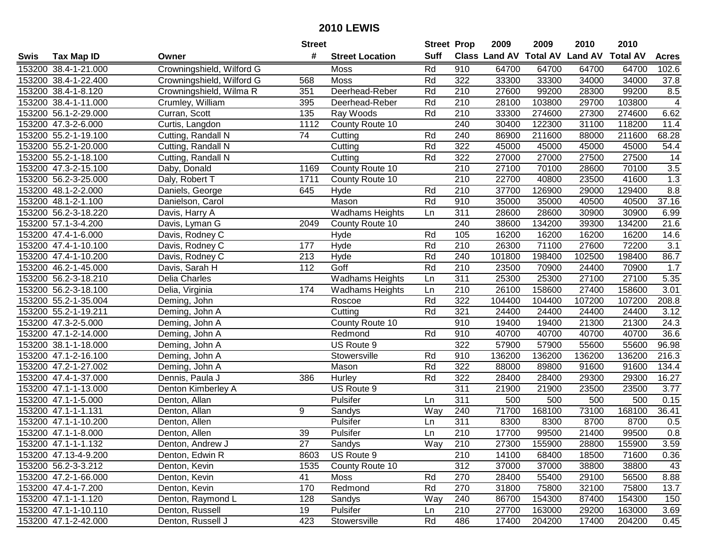|      |                      |                           | <b>Street</b> |                        | <b>Street Prop</b> |                  | 2009   | 2009   | 2010                           | 2010            |                  |
|------|----------------------|---------------------------|---------------|------------------------|--------------------|------------------|--------|--------|--------------------------------|-----------------|------------------|
| Swis | <b>Tax Map ID</b>    | Owner                     | #             | <b>Street Location</b> | <b>Suff</b>        |                  |        |        | Class Land AV Total AV Land AV | <b>Total AV</b> | <b>Acres</b>     |
|      | 153200 38.4-1-21.000 | Crowningshield, Wilford G |               | <b>Moss</b>            | Rd                 | 910              | 64700  | 64700  | 64700                          | 64700           | 102.6            |
|      | 153200 38.4-1-22.400 | Crowningshield, Wilford G | 568           | <b>Moss</b>            | Rd                 | 322              | 33300  | 33300  | 34000                          | 34000           | 37.8             |
|      | 153200 38.4-1-8.120  | Crowningshield, Wilma R   | 351           | Deerhead-Reber         | Rd                 | 210              | 27600  | 99200  | 28300                          | 99200           | 8.5              |
|      | 153200 38.4-1-11.000 | Crumley, William          | 395           | Deerhead-Reber         | Rd                 | 210              | 28100  | 103800 | 29700                          | 103800          | $\overline{4}$   |
|      | 153200 56.1-2-29.000 | Curran, Scott             | 135           | Ray Woods              | Rd                 | 210              | 33300  | 274600 | 27300                          | 274600          | 6.62             |
|      | 153200 47.3-2-6.000  | Curtis, Langdon           | 1112          | County Route 10        |                    | 240              | 30400  | 122300 | 31100                          | 118200          | 11.4             |
|      | 153200 55.2-1-19.100 | Cutting, Randall N        | 74            | Cutting                | Rd                 | 240              | 86900  | 211600 | 88000                          | 211600          | 68.28            |
|      | 153200 55.2-1-20.000 | Cutting, Randall N        |               | Cutting                | Rd                 | 322              | 45000  | 45000  | 45000                          | 45000           | 54.4             |
|      | 153200 55.2-1-18.100 | Cutting, Randall N        |               | Cutting                | Rd                 | 322              | 27000  | 27000  | 27500                          | 27500           | 14               |
|      | 153200 47.3-2-15.100 | Daby, Donald              | 1169          | County Route 10        |                    | 210              | 27100  | 70100  | 28600                          | 70100           | $3.5\,$          |
|      | 153200 56.2-3-25.000 | Daly, Robert T            | 1711          | County Route 10        |                    | 210              | 22700  | 40800  | 23500                          | 41600           | 1.3              |
|      | 153200 48.1-2-2.000  | Daniels, George           | 645           | Hyde                   | Rd                 | 210              | 37700  | 126900 | 29000                          | 129400          | 8.8              |
|      | 153200 48.1-2-1.100  | Danielson, Carol          |               | Mason                  | Rd                 | 910              | 35000  | 35000  | 40500                          | 40500           | 37.16            |
|      | 153200 56.2-3-18.220 | Davis, Harry A            |               | <b>Wadhams Heights</b> | Ln                 | 311              | 28600  | 28600  | 30900                          | 30900           | 6.99             |
|      | 153200 57.1-3-4.200  | Davis, Lyman G            | 2049          | County Route 10        |                    | 240              | 38600  | 134200 | 39300                          | 134200          | 21.6             |
|      | 153200 47.4-1-6.000  | Davis, Rodney C           |               | Hyde                   | Rd                 | 105              | 16200  | 16200  | 16200                          | 16200           | 14.6             |
|      | 153200 47.4-1-10.100 | Davis, Rodney C           | 177           | Hyde                   | Rd                 | 210              | 26300  | 71100  | 27600                          | 72200           | $\overline{3.1}$ |
|      | 153200 47.4-1-10.200 | Davis, Rodney C           | 213           | Hyde                   | Rd                 | 240              | 101800 | 198400 | 102500                         | 198400          | 86.7             |
|      | 153200 46.2-1-45.000 | Davis, Sarah H            | 112           | Goff                   | Rd                 | 210              | 23500  | 70900  | 24400                          | 70900           | 1.7              |
|      | 153200 56.2-3-18.210 | Delia Charles             |               | <b>Wadhams Heights</b> | Ln                 | 311              | 25300  | 25300  | 27100                          | 27100           | 5.35             |
|      | 153200 56.2-3-18.100 | Delia, Virginia           | 174           | <b>Wadhams Heights</b> | Ln                 | 210              | 26100  | 158600 | 27400                          | 158600          | 3.01             |
|      | 153200 55.2-1-35.004 | Deming, John              |               | Roscoe                 | Rd                 | 322              | 104400 | 104400 | 107200                         | 107200          | 208.8            |
|      | 153200 55.2-1-19.211 | Deming, John A            |               | Cutting                | Rd                 | 321              | 24400  | 24400  | 24400                          | 24400           | 3.12             |
|      | 153200 47.3-2-5.000  | Deming, John A            |               | County Route 10        |                    | 910              | 19400  | 19400  | 21300                          | 21300           | 24.3             |
|      | 153200 47.1-2-14.000 | Deming, John A            |               | Redmond                | Rd                 | 910              | 40700  | 40700  | 40700                          | 40700           | 36.6             |
|      | 153200 38.1-1-18.000 | Deming, John A            |               | US Route 9             |                    | 322              | 57900  | 57900  | 55600                          | 55600           | 96.98            |
|      | 153200 47.1-2-16.100 | Deming, John A            |               | Stowersville           | Rd                 | 910              | 136200 | 136200 | 136200                         | 136200          | 216.3            |
|      | 153200 47.2-1-27.002 | Deming, John A            |               | Mason                  | Rd                 | 322              | 88000  | 89800  | 91600                          | 91600           | 134.4            |
|      | 153200 47.4-1-37.000 | Dennis, Paula J           | 386           | Hurley                 | Rd                 | 322              | 28400  | 28400  | 29300                          | 29300           | 16.27            |
|      | 153200 47.1-1-13.000 | Denton Kimberley A        |               | US Route 9             |                    | 311              | 21900  | 21900  | 23500                          | 23500           | 3.77             |
|      | 153200 47.1-1-5.000  | Denton, Allan             |               | Pulsifer               | Ln                 | 311              | 500    | 500    | 500                            | 500             | 0.15             |
|      | 153200 47.1-1-1.131  | Denton, Allan             | 9             | Sandys                 | Way                | 240              | 71700  | 168100 | 73100                          | 168100          | 36.41            |
|      | 153200 47.1-1-10.200 | Denton, Allen             |               | Pulsifer               | Ln                 | 311              | 8300   | 8300   | 8700                           | 8700            | 0.5              |
|      | 153200 47.1-1-8.000  | Denton, Allen             | 39            | Pulsifer               | Ln                 | $\overline{210}$ | 17700  | 99500  | 21400                          | 99500           | 0.8              |
|      | 153200 47.1-1-1.132  | Denton, Andrew J          | 27            | Sandys                 | Way                | 210              | 27300  | 155900 | 28800                          | 155900          | 3.59             |
|      | 153200 47.13-4-9.200 | Denton, Edwin R           | 8603          | US Route 9             |                    | 210              | 14100  | 68400  | 18500                          | 71600           | 0.36             |
|      | 153200 56.2-3-3.212  | Denton, Kevin             | 1535          | County Route 10        |                    | 312              | 37000  | 37000  | 38800                          | 38800           | 43               |
|      | 153200 47.2-1-66.000 | Denton, Kevin             | 41            | Moss                   | Rd                 | 270              | 28400  | 55400  | 29100                          | 56500           | 8.88             |
|      | 153200 47.4-1-7.200  | Denton, Kevin             | 170           | Redmond                | Rd                 | 270              | 31800  | 75800  | 32100                          | 75800           | 13.7             |
|      | 153200 47.1-1-1.120  | Denton, Raymond L         | 128           | Sandys                 | Way                | 240              | 86700  | 154300 | 87400                          | 154300          | 150              |
|      | 153200 47.1-1-10.110 | Denton, Russell           | 19            | Pulsifer               | Ln                 | 210              | 27700  | 163000 | 29200                          | 163000          | 3.69             |
|      | 153200 47.1-2-42.000 | Denton, Russell J         | 423           | Stowersville           | Rd                 | 486              | 17400  | 204200 | 17400                          | 204200          | 0.45             |
|      |                      |                           |               |                        |                    |                  |        |        |                                |                 |                  |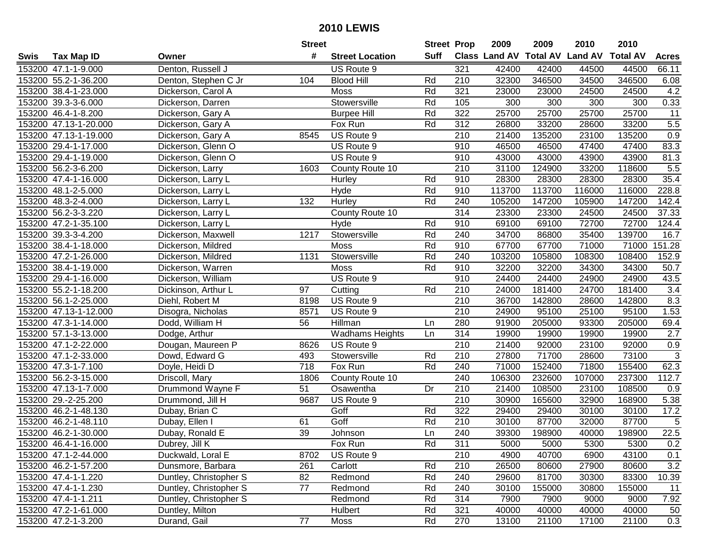|      |                       |                        | <b>Street</b>   |                        | <b>Street Prop</b> |                  | 2009                          | 2009   | 2010           | 2010            |                |
|------|-----------------------|------------------------|-----------------|------------------------|--------------------|------------------|-------------------------------|--------|----------------|-----------------|----------------|
| Swis | <b>Tax Map ID</b>     | Owner                  | #               | <b>Street Location</b> | Suff               |                  | <b>Class Land AV Total AV</b> |        | <b>Land AV</b> | <b>Total AV</b> | <b>Acres</b>   |
|      | 153200 47.1-1-9.000   | Denton, Russell J      |                 | US Route 9             |                    | 321              | 42400                         | 42400  | 44500          | 44500           | 66.11          |
|      | 153200 55.2-1-36.200  | Denton, Stephen C Jr   | 104             | <b>Blood Hill</b>      | Rd                 | 210              | 32300                         | 346500 | 34500          | 346500          | 6.08           |
|      | 153200 38.4-1-23.000  | Dickerson, Carol A     |                 | Moss                   | Rd                 | 321              | 23000                         | 23000  | 24500          | 24500           | 4.2            |
|      | 153200 39.3-3-6.000   | Dickerson, Darren      |                 | Stowersville           | Rd                 | 105              | 300                           | 300    | 300            | 300             | 0.33           |
|      | 153200 46.4-1-8.200   | Dickerson, Gary A      |                 | <b>Burpee Hill</b>     | Rd                 | 322              | 25700                         | 25700  | 25700          | 25700           | 11             |
|      | 153200 47.13-1-20.000 | Dickerson, Gary A      |                 | Fox Run                | Rd                 | 312              | 26800                         | 33200  | 28600          | 33200           | 5.5            |
|      | 153200 47.13-1-19.000 | Dickerson, Gary A      | 8545            | US Route 9             |                    | 210              | 21400                         | 135200 | 23100          | 135200          | 0.9            |
|      | 153200 29.4-1-17.000  | Dickerson, Glenn O     |                 | US Route 9             |                    | 910              | 46500                         | 46500  | 47400          | 47400           | 83.3           |
|      | 153200 29.4-1-19.000  | Dickerson, Glenn O     |                 | US Route 9             |                    | 910              | 43000                         | 43000  | 43900          | 43900           | 81.3           |
|      | 153200 56.2-3-6.200   | Dickerson, Larry       | 1603            | County Route 10        |                    | 210              | 31100                         | 124900 | 33200          | 118600          | 5.5            |
|      | 153200 47.4-1-16.000  | Dickerson, Larry L     |                 | Hurley                 | Rd                 | 910              | 28300                         | 28300  | 28300          | 28300           | 35.4           |
|      | 153200 48.1-2-5.000   | Dickerson, Larry L     |                 | Hyde                   | Rd                 | 910              | 113700                        | 113700 | 116000         | 116000          | 228.8          |
|      | 153200 48.3-2-4.000   | Dickerson, Larry L     | 132             | Hurley                 | Rd                 | 240              | 105200                        | 147200 | 105900         | 147200          | 142.4          |
|      | 153200 56.2-3-3.220   | Dickerson, Larry L     |                 | County Route 10        |                    | 314              | 23300                         | 23300  | 24500          | 24500           | 37.33          |
|      | 153200 47.2-1-35.100  | Dickerson, Larry L     |                 | Hyde                   | Rd                 | 910              | 69100                         | 69100  | 72700          | 72700           | 124.4          |
|      | 153200 39.3-3-4.200   | Dickerson, Maxwell     | 1217            | Stowersville           | Rd                 | 240              | 34700                         | 86800  | 35400          | 139700          | 16.7           |
|      | 153200 38.4-1-18.000  | Dickerson, Mildred     |                 | Moss                   | Rd                 | 910              | 67700                         | 67700  | 71000          | 71000           | 151.28         |
|      | 153200 47.2-1-26.000  | Dickerson, Mildred     | 1131            | Stowersville           | Rd                 | 240              | 103200                        | 105800 | 108300         | 108400          | 152.9          |
|      | 153200 38.4-1-19.000  | Dickerson, Warren      |                 | <b>Moss</b>            | Rd                 | 910              | 32200                         | 32200  | 34300          | 34300           | 50.7           |
|      | 153200 29.4-1-16.000  | Dickerson, William     |                 | US Route 9             |                    | 910              | 24400                         | 24400  | 24900          | 24900           | 43.5           |
|      | 153200 55.2-1-18.200  | Dickinson, Arthur L    | 97              | Cutting                | Rd                 | 210              | 24000                         | 181400 | 24700          | 181400          | 3.4            |
|      | 153200 56.1-2-25.000  | Diehl, Robert M        | 8198            | US Route 9             |                    | 210              | 36700                         | 142800 | 28600          | 142800          | 8.3            |
|      | 153200 47.13-1-12.000 | Disogra, Nicholas      | 8571            | US Route 9             |                    | 210              | 24900                         | 95100  | 25100          | 95100           | 1.53           |
|      | 153200 47.3-1-14.000  | Dodd, William H        | 56              | Hillman                | Ln                 | 280              | 91900                         | 205000 | 93300          | 205000          | 69.4           |
|      | 153200 57.1-3-13.000  | Dodge, Arthur          |                 | <b>Wadhams Heights</b> | Ln                 | 314              | 19900                         | 19900  | 19900          | 19900           | 2.7            |
|      | 153200 47.1-2-22.000  | Dougan, Maureen P      | 8626            | US Route 9             |                    | 210              | 21400                         | 92000  | 23100          | 92000           | 0.9            |
|      | 153200 47.1-2-33.000  | Dowd, Edward G         | 493             | Stowersville           | Rd                 | 210              | 27800                         | 71700  | 28600          | 73100           | $\mathbf{3}$   |
|      | 153200 47.3-1-7.100   | Doyle, Heidi D         | 718             | Fox Run                | Rd                 | 240              | 71000                         | 152400 | 71800          | 155400          | 62.3           |
|      | 153200 56.2-3-15.000  | Driscoll, Mary         | 1806            | County Route 10        |                    | 240              | 106300                        | 232600 | 107000         | 237300          | 112.7          |
|      | 153200 47.13-1-7.000  | Drummond Wayne F       | 51              | Osawentha              | Dr                 | $\overline{210}$ | 21400                         | 108500 | 23100          | 108500          | 0.9            |
|      | 153200 29.-2-25.200   | Drummond, Jill H       | 9687            | US Route 9             |                    | 210              | 30900                         | 165600 | 32900          | 168900          | 5.38           |
|      | 153200 46.2-1-48.130  | Dubay, Brian C         |                 | Goff                   | Rd                 | 322              | 29400                         | 29400  | 30100          | 30100           | 17.2           |
|      | 153200 46.2-1-48.110  | Dubay, Ellen I         | 61              | Goff                   | Rd                 | $\overline{210}$ | 30100                         | 87700  | 32000          | 87700           | $\overline{5}$ |
|      | 153200 46.2-1-30.000  | Dubay, Ronald E        | $\overline{39}$ | Johnson                | Ln                 | 240              | 39300                         | 198900 | 40000          | 198900          | 22.5           |
|      | 153200 46.4-1-16.000  | Dubrey, Jill K         |                 | Fox Run                | Rd                 | 311              | 5000                          | 5000   | 5300           | 5300            | 0.2            |
|      | 153200 47.1-2-44.000  | Duckwald, Loral E      | 8702            | US Route 9             |                    | 210              | 4900                          | 40700  | 6900           | 43100           | 0.1            |
|      | 153200 46.2-1-57.200  | Dunsmore, Barbara      | 261             | Carlott                | Rd                 | 210              | 26500                         | 80600  | 27900          | 80600           | 3.2            |
|      | 153200 47.4-1-1.220   | Duntley, Christopher S | 82              | Redmond                | Rd                 | 240              | 29600                         | 81700  | 30300          | 83300           | 10.39          |
|      | 153200 47.4-1-1.230   | Duntley, Christopher S | 77              | Redmond                | Rd                 | 240              | 30100                         | 155000 | 30800          | 155000          | 11             |
|      | 153200 47.4-1-1.211   | Duntley, Christopher S |                 | Redmond                | Rd                 | 314              | 7900                          | 7900   | 9000           | 9000            | 7.92           |
|      | 153200 47.2-1-61.000  | Duntley, Milton        |                 | Hulbert                | Rd                 | 321              | 40000                         | 40000  | 40000          | 40000           | 50             |
|      | 153200 47.2-1-3.200   | Durand, Gail           | 77              | Moss                   | Rd                 | 270              | 13100                         | 21100  | 17100          | 21100           | 0.3            |
|      |                       |                        |                 |                        |                    |                  |                               |        |                |                 |                |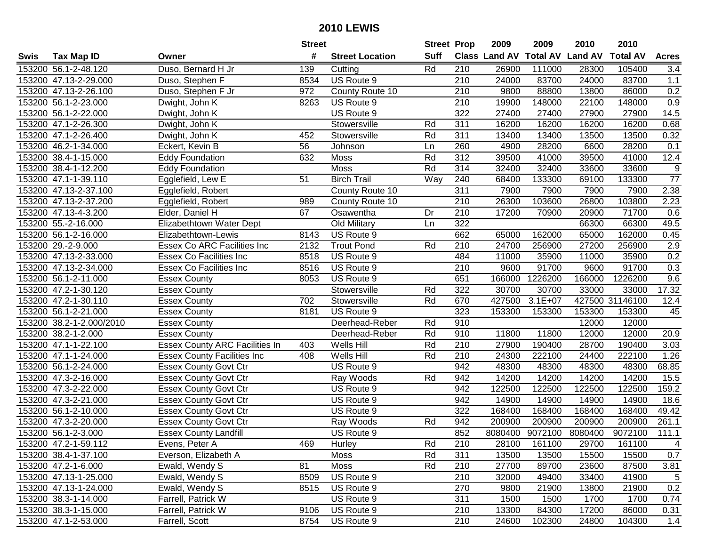|      |                          |                                       | <b>Street</b> |                        | <b>Street Prop</b> |                  | 2009          | 2009            | 2010            | 2010            |                  |
|------|--------------------------|---------------------------------------|---------------|------------------------|--------------------|------------------|---------------|-----------------|-----------------|-----------------|------------------|
| Swis | <b>Tax Map ID</b>        | Owner                                 | #             | <b>Street Location</b> | <b>Suff</b>        |                  | Class Land AV | <b>Total AV</b> | <b>Land AV</b>  | <b>Total AV</b> | <b>Acres</b>     |
|      | 153200 56.1-2-48.120     | Duso, Bernard H Jr                    | 139           | Cutting                | Rd                 | 210              | 26900         | 111000          | 28300           | 105400          | 3.4              |
|      | 153200 47.13-2-29.000    | Duso, Stephen F                       | 8534          | US Route 9             |                    | 210              | 24000         | 83700           | 24000           | 83700           | 1.1              |
|      | 153200 47.13-2-26.100    | Duso, Stephen F Jr                    | 972           | County Route 10        |                    | 210              | 9800          | 88800           | 13800           | 86000           | 0.2              |
|      | 153200 56.1-2-23.000     | Dwight, John K                        | 8263          | US Route 9             |                    | 210              | 19900         | 148000          | 22100           | 148000          | 0.9              |
|      | 153200 56.1-2-22.000     | Dwight, John K                        |               | US Route 9             |                    | 322              | 27400         | 27400           | 27900           | 27900           | 14.5             |
|      | 153200 47.1-2-26.300     | Dwight, John K                        |               | Stowersville           | Rd                 | $\overline{311}$ | 16200         | 16200           | 16200           | 16200           | 0.68             |
|      | 153200 47.1-2-26.400     | Dwight, John K                        | 452           | Stowersville           | Rd                 | 311              | 13400         | 13400           | 13500           | 13500           | 0.32             |
|      | 153200 46.2-1-34.000     | Eckert, Kevin B                       | 56            | Johnson                | Ln                 | 260              | 4900          | 28200           | 6600            | 28200           | 0.1              |
|      | 153200 38.4-1-15.000     | Eddy Foundation                       | 632           | Moss                   | Rd                 | $\overline{312}$ | 39500         | 41000           | 39500           | 41000           | 12.4             |
|      | 153200 38.4-1-12.200     | <b>Eddy Foundation</b>                |               | Moss                   | Rd                 | 314              | 32400         | 32400           | 33600           | 33600           | $\boldsymbol{9}$ |
|      | 153200 47.1-1-39.110     | Egglefield, Lew E                     | 51            | <b>Birch Trail</b>     | Way                | 240              | 68400         | 133300          | 69100           | 133300          | $\overline{77}$  |
|      | 153200 47.13-2-37.100    | Egglefield, Robert                    |               | County Route 10        |                    | 311              | 7900          | 7900            | 7900            | 7900            | 2.38             |
|      | 153200 47.13-2-37.200    | Egglefield, Robert                    | 989           | County Route 10        |                    | 210              | 26300         | 103600          | 26800           | 103800          | 2.23             |
|      | 153200 47.13-4-3.200     | Elder, Daniel H                       | 67            | Osawentha              | Dr                 | 210              | 17200         | 70900           | 20900           | 71700           | 0.6              |
|      | 153200 55.-2-16.000      | Elizabethtown Water Dept              |               | Old Military           | Ln                 | 322              |               |                 | 66300           | 66300           | 49.5             |
|      | 153200 56.1-2-16.000     | Elizabethtown-Lewis                   | 8143          | US Route 9             |                    | 662              | 65000         | 162000          | 65000           | 162000          | 0.45             |
|      | 153200 29.-2-9.000       | Essex Co ARC Facilities Inc           | 2132          | <b>Trout Pond</b>      | Rd                 | 210              | 24700         | 256900          | 27200           | 256900          | 2.9              |
|      | 153200 47.13-2-33.000    | <b>Essex Co Facilities Inc</b>        | 8518          | US Route 9             |                    | 484              | 11000         | 35900           | 11000           | 35900           | 0.2              |
|      | 153200 47.13-2-34.000    | <b>Essex Co Facilities Inc</b>        | 8516          | US Route 9             |                    | 210              | 9600          | 91700           | 9600            | 91700           | 0.3              |
|      | 153200 56.1-2-11.000     | <b>Essex County</b>                   | 8053          | US Route 9             |                    | 651              | 166000        | 1226200         | 166000          | 1226200         | 9.6              |
|      | 153200 47.2-1-30.120     | <b>Essex County</b>                   |               | Stowersville           | Rd                 | 322              | 30700         | 30700           | 33000           | 33000           | 17.32            |
|      | 153200 47.2-1-30.110     | <b>Essex County</b>                   | 702           | Stowersville           | Rd                 | 670              | 427500        | $3.1E + 07$     |                 | 427500 31146100 | 12.4             |
|      | 153200 56.1-2-21.000     | <b>Essex County</b>                   | 8181          | US Route 9             |                    | 323              | 153300        | 153300          | 153300          | 153300          | 45               |
|      | 153200 38.2-1-2.000/2010 | <b>Essex County</b>                   |               | Deerhead-Reber         | Rd                 | 910              |               |                 | 12000           | 12000           |                  |
|      | 153200 38.2-1-2.000      | <b>Essex County</b>                   |               | Deerhead-Reber         | Rd                 | 910              | 11800         | 11800           | 12000           | 12000           | 20.9             |
|      | 153200 47.1-1-22.100     | <b>Essex County ARC Facilities In</b> | 403           | Wells Hill             | Rd                 | 210              | 27900         | 190400          | 28700           | 190400          | 3.03             |
|      | 153200 47.1-1-24.000     | <b>Essex County Facilities Inc</b>    | 408           | Wells Hill             | Rd                 | 210              | 24300         | 222100          | 24400           | 222100          | 1.26             |
|      | 153200 56.1-2-24.000     | <b>Essex County Govt Ctr</b>          |               | US Route 9             |                    | 942              | 48300         | 48300           | 48300           | 48300           | 68.85            |
|      | 153200 47.3-2-16.000     | <b>Essex County Govt Ctr</b>          |               | Ray Woods              | Rd                 | 942              | 14200         | 14200           | 14200           | 14200           | 15.5             |
|      | 153200 47.3-2-22.000     | <b>Essex County Govt Ctr</b>          |               | US Route 9             |                    | 942              | 122500        | 122500          | 122500          | 122500          | 159.2            |
|      | 153200 47.3-2-21.000     | <b>Essex County Govt Ctr</b>          |               | US Route 9             |                    | $\overline{942}$ | 14900         | 14900           | 14900           | 14900           | 18.6             |
|      | 153200 56.1-2-10.000     | <b>Essex County Govt Ctr</b>          |               | US Route 9             |                    | 322              | 168400        | 168400          | 168400          | 168400          | 49.42            |
|      | 153200 47.3-2-20.000     | <b>Essex County Govt Ctr</b>          |               | Ray Woods              | Rd                 | 942              | 200900        | 200900          | 200900          | 200900          | 261.1            |
|      | 153200 56.1-2-3.000      | <b>Essex County Landfill</b>          |               | US Route 9             |                    | 852              | 8080400       |                 | 9072100 8080400 | 9072100         | 111.1            |
|      | 153200 47.2-1-59.112     | Evens, Peter A                        | 469           | Hurley                 | Rd                 | 210              | 28100         | 161100          | 29700           | 161100          | 4                |
|      | 153200 38.4-1-37.100     | Everson, Elizabeth A                  |               | Moss                   | Rd                 | 311              | 13500         | 13500           | 15500           | 15500           | 0.7              |
|      | 153200 47.2-1-6.000      | Ewald, Wendy S                        | 81            | Moss                   | Rd                 | 210              | 27700         | 89700           | 23600           | 87500           | 3.81             |
|      | 153200 47.13-1-25.000    | Ewald, Wendy S                        | 8509          | US Route 9             |                    | 210              | 32000         | 49400           | 33400           | 41900           | 5                |
|      | 153200 47.13-1-24.000    | Ewald, Wendy S                        | 8515          | US Route 9             |                    | 270              | 9800          | 21900           | 13800           | 21900           | 0.2              |
|      | 153200 38.3-1-14.000     | Farrell, Patrick W                    |               | US Route 9             |                    | 311              | 1500          | 1500            | 1700            | 1700            | 0.74             |
|      | 153200 38.3-1-15.000     | Farrell, Patrick W                    | 9106          | US Route 9             |                    | 210              | 13300         | 84300           | 17200           | 86000           | 0.31             |
|      | 153200 47.1-2-53.000     | Farrell, Scott                        | 8754          | US Route 9             |                    | 210              | 24600         | 102300          | 24800           | 104300          | 1.4              |
|      |                          |                                       |               |                        |                    |                  |               |                 |                 |                 |                  |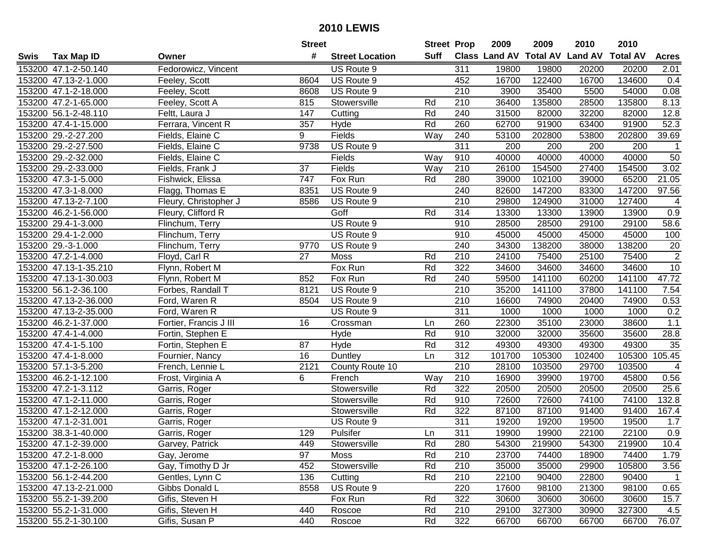|      |                       |                        | <b>Street</b> |                        | <b>Street Prop</b> |     | 2009                           | 2009   | 2010   | 2010             |                |
|------|-----------------------|------------------------|---------------|------------------------|--------------------|-----|--------------------------------|--------|--------|------------------|----------------|
| Swis | <b>Tax Map ID</b>     | Owner                  | #             | <b>Street Location</b> | Suff               |     | Class Land AV Total AV Land AV |        |        | <b>Total AV</b>  | <b>Acres</b>   |
|      | 153200 47.1-2-50.140  | Fedorowicz, Vincent    |               | US Route 9             |                    | 311 | 19800                          | 19800  | 20200  | 20200            | 2.01           |
|      | 153200 47.13-2-1.000  | Feeley, Scott          | 8604          | US Route 9             |                    | 452 | 16700                          | 122400 | 16700  | 134600           | 0.4            |
|      | 153200 47.1-2-18.000  | Feeley, Scott          | 8608          | US Route 9             |                    | 210 | 3900                           | 35400  | 5500   | 54000            | 0.08           |
|      | 153200 47.2-1-65.000  | Feeley, Scott A        | 815           | Stowersville           | Rd                 | 210 | 36400                          | 135800 | 28500  | 135800           | 8.13           |
|      | 153200 56.1-2-48.110  | Feltt, Laura J         | 147           | Cutting                | Rd                 | 240 | 31500                          | 82000  | 32200  | 82000            | 12.8           |
|      | 153200 47.4-1-15.000  | Ferrara, Vincent R     | 357           | Hyde                   | Rd                 | 260 | 62700                          | 91900  | 63400  | 91900            | 52.3           |
|      | 153200 29.-2-27.200   | Fields, Elaine C       | 9             | Fields                 | Way                | 240 | 53100                          | 202800 | 53800  | 202800           | 39.69          |
|      | 153200 29.-2-27.500   | Fields, Elaine C       | 9738          | US Route 9             |                    | 311 | 200                            | 200    | 200    | $\overline{200}$ | $\mathbf{1}$   |
|      | 153200 29.-2-32.000   | Fields, Elaine C       |               | Fields                 | Way                | 910 | 40000                          | 40000  | 40000  | 40000            | 50             |
|      | 153200 29.-2-33.000   | Fields, Frank J        | 37            | Fields                 | Way                | 210 | 26100                          | 154500 | 27400  | 154500           | 3.02           |
|      | 153200 47.3-1-5.000   | Fishwick, Elissa       | 747           | Fox Run                | Rd                 | 280 | 39000                          | 102100 | 39000  | 65200            | 21.05          |
|      | 153200 47.3-1-8.000   | Flagg, Thomas E        | 8351          | US Route 9             |                    | 240 | 82600                          | 147200 | 83300  | 147200           | 97.56          |
|      | 153200 47.13-2-7.100  | Fleury, Christopher J  | 8586          | US Route 9             |                    | 210 | 29800                          | 124900 | 31000  | 127400           | 4              |
|      | 153200 46.2-1-56.000  | Fleury, Clifford R     |               | Goff                   | Rd                 | 314 | 13300                          | 13300  | 13900  | 13900            | 0.9            |
|      | 153200 29.4-1-3.000   | Flinchum, Terry        |               | US Route 9             |                    | 910 | 28500                          | 28500  | 29100  | 29100            | 58.6           |
|      | 153200 29.4-1-2.000   | Flinchum, Terry        |               | US Route 9             |                    | 910 | 45000                          | 45000  | 45000  | 45000            | 100            |
|      | 153200 29.-3-1.000    | Flinchum, Terry        | 9770          | US Route 9             |                    | 240 | 34300                          | 138200 | 38000  | 138200           | 20             |
|      | 153200 47.2-1-4.000   | Floyd, Carl R          | 27            | Moss                   | Rd                 | 210 | 24100                          | 75400  | 25100  | 75400            | $\overline{2}$ |
|      | 153200 47.13-1-35.210 | Flynn, Robert M        |               | Fox Run                | Rd                 | 322 | 34600                          | 34600  | 34600  | 34600            | 10             |
|      | 153200 47.13-1-30.003 | Flynn, Robert M        | 852           | Fox Run                | Rd                 | 240 | 59500                          | 141100 | 60200  | 141100           | 47.72          |
|      | 153200 56.1-2-36.100  | Forbes, Randall T      | 8121          | US Route 9             |                    | 210 | 35200                          | 141100 | 37800  | 141100           | 7.54           |
|      | 153200 47.13-2-36.000 | Ford, Waren R          | 8504          | US Route 9             |                    | 210 | 16600                          | 74900  | 20400  | 74900            | 0.53           |
|      | 153200 47.13-2-35.000 | Ford, Waren R          |               | US Route 9             |                    | 311 | 1000                           | 1000   | 1000   | 1000             | 0.2            |
|      | 153200 46.2-1-37.000  | Fortier, Francis J III | 16            | Crossman               | Ln                 | 260 | 22300                          | 35100  | 23000  | 38600            | 1.1            |
|      | 153200 47.4-1-4.000   | Fortin, Stephen E      |               | Hyde                   | Rd                 | 910 | 32000                          | 32000  | 35600  | 35600            | 28.8           |
|      | 153200 47.4-1-5.100   | Fortin, Stephen E      | 87            | Hyde                   | Rd                 | 312 | 49300                          | 49300  | 49300  | 49300            | 35             |
|      | 153200 47.4-1-8.000   | Fournier, Nancy        | 16            | Duntley                | Ln                 | 312 | 101700                         | 105300 | 102400 | 105300           | 105.45         |
|      | 153200 57.1-3-5.200   | French, Lennie L       | 2121          | County Route 10        |                    | 210 | 28100                          | 103500 | 29700  | 103500           | 4              |
|      | 153200 46.2-1-12.100  | Frost, Virginia A      | 6             | French                 | Way                | 210 | 16900                          | 39900  | 19700  | 45800            | 0.56           |
|      | 153200 47.2-1-3.112   | Garris, Roger          |               | Stowersville           | Rd                 | 322 | 20500                          | 20500  | 20500  | 20500            | 25.6           |
|      | 153200 47.1-2-11.000  | Garris, Roger          |               | Stowersville           | Rd                 | 910 | 72600                          | 72600  | 74100  | 74100            | 132.8          |
|      | 153200 47.1-2-12.000  | Garris, Roger          |               | Stowersville           | Rd                 | 322 | 87100                          | 87100  | 91400  | 91400            | 167.4          |
|      | 153200 47.1-2-31.001  | Garris, Roger          |               | US Route 9             |                    | 311 | 19200                          | 19200  | 19500  | 19500            | 1.7            |
|      | 153200 38.3-1-40.000  | Garris, Roger          | 129           | Pulsifer               | Ln                 | 311 | 19900                          | 19900  | 22100  | 22100            | 0.9            |
|      | 153200 47.1-2-39.000  | Garvey, Patrick        | 449           | Stowersville           | Rd                 | 280 | 54300                          | 219900 | 54300  | 219900           | 10.4           |
|      | 153200 47.2-1-8.000   | Gay, Jerome            | 97            | Moss                   | Rd                 | 210 | 23700                          | 74400  | 18900  | 74400            | 1.79           |
|      | 153200 47.1-2-26.100  | Gay, Timothy D Jr      | 452           | Stowersville           | Rd                 | 210 | 35000                          | 35000  | 29900  | 105800           | 3.56           |
|      | 153200 56.1-2-44.200  | Gentles, Lynn C        | 136           | Cutting                | Rd                 | 210 | 22100                          | 90400  | 22800  | 90400            | $\mathbf{1}$   |
|      | 153200 47.13-2-21.000 | Gibbs Donald L         | 8558          | US Route 9             |                    | 220 | 17600                          | 98100  | 21300  | 98100            | 0.65           |
|      | 153200 55.2-1-39.200  | Gifis, Steven H        |               | Fox Run                | Rd                 | 322 | 30600                          | 30600  | 30600  | 30600            | 15.7           |
|      | 153200 55.2-1-31.000  | Gifis, Steven H        | 440           | Roscoe                 | Rd                 | 210 | 29100                          | 327300 | 30900  | 327300           | 4.5            |
|      | 153200 55.2-1-30.100  | Gifis, Susan P         | 440           | Roscoe                 | Rd                 | 322 | 66700                          | 66700  | 66700  | 66700            | 76.07          |
|      |                       |                        |               |                        |                    |     |                                |        |        |                  |                |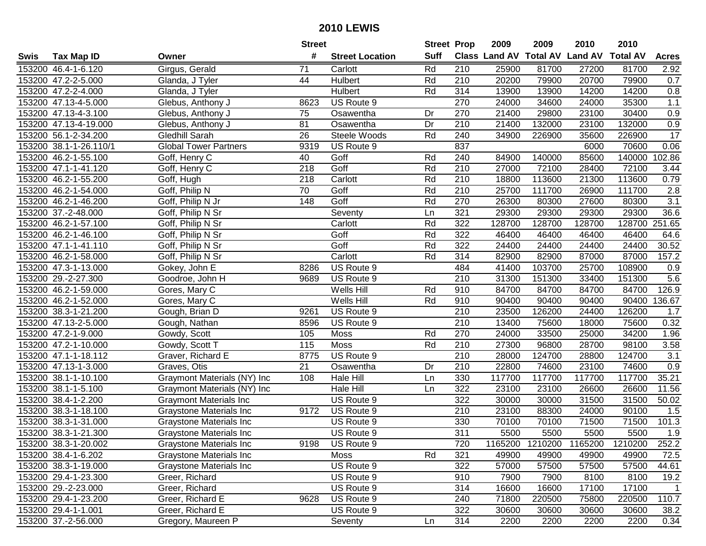| #<br><b>Suff</b><br><b>Total AV</b><br><b>Land AV</b><br>Class Land AV<br><b>Total AV</b><br>Tax Map ID<br><b>Street Location</b><br><b>Acres</b><br>Swis<br>Owner<br>Rd<br>153200 46.4-1-6.120<br>Girgus, Gerald<br>71<br>210<br>25900<br>81700<br>27200<br>81700<br>2.92<br>Carlott<br>153200 47.2-2-5.000<br>44<br>Hulbert<br>Rd<br>210<br>20200<br>79900<br>20700<br>79900<br>0.7<br>Glanda, J Tyler<br>153200 47.2-2-4.000<br>Hulbert<br>Rd<br>314<br>13900<br>13900<br>14200<br>0.8<br>Glanda, J Tyler<br>14200<br>US Route 9<br>270<br>24000<br>34600<br>35300<br>1.1<br>153200 47.13-4-5.000<br>Glebus, Anthony J<br>8623<br>24000<br>153200 47.13-4-3.100<br>21400<br>29800<br>23100<br>30400<br>0.9<br>Glebus, Anthony J<br>Osawentha<br>Dr<br>270<br>75<br>0.9<br>153200 47.13-4-19.000<br>Glebus, Anthony J<br>81<br>Dr<br>210<br>21400<br>132000<br>23100<br>132000<br>Osawentha<br>153200 56.1-2-34.200<br>Steele Woods<br>34900<br>17<br>Gledhill Sarah<br>26<br>Rd<br>240<br>226900<br>35600<br>226900<br>153200 38.1-1-26.110/1<br>837<br>70600<br>0.06<br><b>Global Tower Partners</b><br>9319<br>US Route 9<br>6000<br>Goff<br>102.86<br>153200 46.2-1-55.100<br>Goff, Henry C<br>40<br>Rd<br>240<br>84900<br>140000<br>85600<br>140000<br>Goff<br>Rd<br>27000<br>72100<br>153200 47.1-1-41.120<br>Goff, Henry C<br>218<br>210<br>72100<br>28400<br>3.44<br>153200 46.2-1-55.200<br>Goff, Hugh<br>218<br>Carlott<br>Rd<br>210<br>18800<br>113600<br>21300<br>113600<br>0.79<br>153200 46.2-1-54.000<br>Goff, Philip N<br>70<br>Goff<br>Rd<br>210<br>25700<br>111700<br>26900<br>111700<br>2.8<br>$\overline{3.1}$<br>153200 46.2-1-46.200<br>148<br>Goff<br>Rd<br>270<br>26300<br>27600<br>80300<br>Goff, Philip N Jr<br>80300<br>321<br>29300<br>153200 37.-2-48.000<br>Seventy<br>29300<br>29300<br>29300<br>36.6<br>Goff, Philip N Sr<br>Ln<br>Rd<br>322<br>251.65<br>153200 46.2-1-57.100<br>Carlott<br>128700<br>128700<br>128700<br>128700<br>Goff, Philip N Sr<br>Rd<br>153200 46.2-1-46.100<br>Goff<br>322<br>46400<br>46400<br>46400<br>64.6<br>Goff, Philip N Sr<br>46400<br>Rd<br>322<br>30.52<br>153200 47.1-1-41.110<br>Goff<br>24400<br>24400<br>24400<br>24400<br>Goff, Philip N Sr<br>Rd<br>153200 46.2-1-58.000<br>Carlott<br>314<br>82900<br>82900<br>87000<br>87000<br>157.2<br>Goff, Philip N Sr<br>153200 47.3-1-13.000<br>US Route 9<br>484<br>41400<br>103700<br>25700<br>Gokey, John E<br>8286<br>108900<br>0.9<br>153200 29.-2-27.300<br>US Route 9<br>210<br>31300<br>151300<br>33400<br>151300<br>5.6<br>Goodroe, John H<br>9689<br>84700<br>84700<br>126.9<br>153200 46.2-1-59.000<br>Gores, Mary C<br>Wells Hill<br>Rd<br>910<br>84700<br>84700<br>153200 46.2-1-52.000<br>Wells Hill<br>Rd<br>910<br>90400<br>90400<br>90400<br>90400<br>136.67<br>Gores, Mary C<br>153200 38.3-1-21.200<br>Gough, Brian D<br>US Route 9<br>210<br>23500<br>126200<br>24400<br>126200<br>1.7<br>9261<br>153200 47.13-2-5.000<br>US Route 9<br>210<br>13400<br>75600<br>75600<br>0.32<br>Gough, Nathan<br>8596<br>18000<br>153200 47.2-1-9.000<br>Rd<br>270<br>24000<br>34200<br>105<br>Moss<br>33500<br>25000<br>1.96<br>Gowdy, Scott<br>Rd<br>27300<br>153200 47.2-1-10.000<br>115<br>210<br>28700<br>98100<br>3.58<br>Gowdy, Scott T<br><b>Moss</b><br>96800<br>US Route 9<br>210<br>153200 47.1-1-18.112<br>Graver, Richard E<br>8775<br>28000<br>124700<br>28800<br>124700<br>3.1<br>21<br>153200 47.13-1-3.000<br>Dr<br>210<br>22800<br>74600<br>23100<br>74600<br>0.9<br>Graves, Otis<br>Osawentha<br>153200 38.1-1-10.100<br>108<br>Hale Hill<br>330<br>117700<br>117700<br>117700<br>117700<br>35.21<br>Graymont Materials (NY) Inc<br>Ln<br>$\overline{322}$<br>153200 38.1-1-5.100<br>Hale Hill<br>23100<br>23100<br>26600<br>26600<br>11.56<br>Graymont Materials (NY) Inc<br>Ln<br>$\overline{322}$<br>50.02<br>153200 38.4-1-2.200<br>US Route 9<br>30000<br>30000<br>31500<br>31500<br><b>Graymont Materials Inc</b><br>153200 38.3-1-18.100<br>210<br>23100<br>24000<br>90100<br><b>Graystone Materials Inc</b><br>9172<br>US Route 9<br>88300<br>1.5<br>153200 38.3-1-31.000<br>70100<br>71500<br>101.3<br>US Route 9<br>330<br>70100<br>71500<br><b>Graystone Materials Inc</b><br>153200 38.3-1-21.300<br>311<br>5500<br>5500<br>5500<br>5500<br>1.9<br>US Route 9<br>Graystone Materials Inc<br>153200 38.3-1-20.002<br>Graystone Materials Inc<br>9198<br>US Route 9<br>720<br>1165200<br>1210200<br>1165200<br>1210200<br>252.2<br>321<br>153200 38.4-1-6.202<br>Graystone Materials Inc<br>Moss<br>Rd<br>49900<br>49900<br>72.5<br>49900<br>49900<br>US Route 9<br>322<br>57500<br>153200 38.3-1-19.000<br>Graystone Materials Inc<br>57000<br>57500<br>57500<br>44.61<br>153200 29.4-1-23.300<br>Greer, Richard<br>US Route 9<br>910<br>7900<br>7900<br>8100<br>8100<br>19.2<br>153200 29.-2-23.000<br>Greer, Richard<br>US Route 9<br>314<br>16600<br>16600<br>17100<br>17100<br>$\overline{1}$<br>Greer, Richard E<br>US Route 9<br>71800<br>75800<br>220500<br>110.7<br>153200 29.4-1-23.200<br>9628<br>240<br>220500<br>Greer, Richard E<br>US Route 9<br>322<br>153200 29.4-1-1.001<br>30600<br>30600<br>30600<br>30600<br>38.2<br>153200 37.-2-56.000<br>314<br>Gregory, Maureen P<br>Seventy<br>Ln<br>2200<br>2200<br>2200<br>2200<br>0.34 |  | <b>Street</b> | <b>Street Prop</b> | 2009 | 2009 | 2010 | 2010 |  |
|-----------------------------------------------------------------------------------------------------------------------------------------------------------------------------------------------------------------------------------------------------------------------------------------------------------------------------------------------------------------------------------------------------------------------------------------------------------------------------------------------------------------------------------------------------------------------------------------------------------------------------------------------------------------------------------------------------------------------------------------------------------------------------------------------------------------------------------------------------------------------------------------------------------------------------------------------------------------------------------------------------------------------------------------------------------------------------------------------------------------------------------------------------------------------------------------------------------------------------------------------------------------------------------------------------------------------------------------------------------------------------------------------------------------------------------------------------------------------------------------------------------------------------------------------------------------------------------------------------------------------------------------------------------------------------------------------------------------------------------------------------------------------------------------------------------------------------------------------------------------------------------------------------------------------------------------------------------------------------------------------------------------------------------------------------------------------------------------------------------------------------------------------------------------------------------------------------------------------------------------------------------------------------------------------------------------------------------------------------------------------------------------------------------------------------------------------------------------------------------------------------------------------------------------------------------------------------------------------------------------------------------------------------------------------------------------------------------------------------------------------------------------------------------------------------------------------------------------------------------------------------------------------------------------------------------------------------------------------------------------------------------------------------------------------------------------------------------------------------------------------------------------------------------------------------------------------------------------------------------------------------------------------------------------------------------------------------------------------------------------------------------------------------------------------------------------------------------------------------------------------------------------------------------------------------------------------------------------------------------------------------------------------------------------------------------------------------------------------------------------------------------------------------------------------------------------------------------------------------------------------------------------------------------------------------------------------------------------------------------------------------------------------------------------------------------------------------------------------------------------------------------------------------------------------------------------------------------------------------------------------------------------------------------------------------------------------------------------------------------------------------------------------------------------------------------------------------------------------------------------------------------------------------------------------------------------------------------------------------------------------------------------------------------------------------------------------------------------------------------------------------------------------------------------------------------------------------------------------------------------------------------------------------------------------------------------------------------------------------------------------------------------------------------------------------------------------------------------------------------------------------------------------------------------------------------------------------------------------------------------------------------------------------------------------------------|--|---------------|--------------------|------|------|------|------|--|
|                                                                                                                                                                                                                                                                                                                                                                                                                                                                                                                                                                                                                                                                                                                                                                                                                                                                                                                                                                                                                                                                                                                                                                                                                                                                                                                                                                                                                                                                                                                                                                                                                                                                                                                                                                                                                                                                                                                                                                                                                                                                                                                                                                                                                                                                                                                                                                                                                                                                                                                                                                                                                                                                                                                                                                                                                                                                                                                                                                                                                                                                                                                                                                                                                                                                                                                                                                                                                                                                                                                                                                                                                                                                                                                                                                                                                                                                                                                                                                                                                                                                                                                                                                                                                                                                                                                                                                                                                                                                                                                                                                                                                                                                                                                                                                                                                                                                                                                                                                                                                                                                                                                                                                                                                                                                                                           |  |               |                    |      |      |      |      |  |
|                                                                                                                                                                                                                                                                                                                                                                                                                                                                                                                                                                                                                                                                                                                                                                                                                                                                                                                                                                                                                                                                                                                                                                                                                                                                                                                                                                                                                                                                                                                                                                                                                                                                                                                                                                                                                                                                                                                                                                                                                                                                                                                                                                                                                                                                                                                                                                                                                                                                                                                                                                                                                                                                                                                                                                                                                                                                                                                                                                                                                                                                                                                                                                                                                                                                                                                                                                                                                                                                                                                                                                                                                                                                                                                                                                                                                                                                                                                                                                                                                                                                                                                                                                                                                                                                                                                                                                                                                                                                                                                                                                                                                                                                                                                                                                                                                                                                                                                                                                                                                                                                                                                                                                                                                                                                                                           |  |               |                    |      |      |      |      |  |
|                                                                                                                                                                                                                                                                                                                                                                                                                                                                                                                                                                                                                                                                                                                                                                                                                                                                                                                                                                                                                                                                                                                                                                                                                                                                                                                                                                                                                                                                                                                                                                                                                                                                                                                                                                                                                                                                                                                                                                                                                                                                                                                                                                                                                                                                                                                                                                                                                                                                                                                                                                                                                                                                                                                                                                                                                                                                                                                                                                                                                                                                                                                                                                                                                                                                                                                                                                                                                                                                                                                                                                                                                                                                                                                                                                                                                                                                                                                                                                                                                                                                                                                                                                                                                                                                                                                                                                                                                                                                                                                                                                                                                                                                                                                                                                                                                                                                                                                                                                                                                                                                                                                                                                                                                                                                                                           |  |               |                    |      |      |      |      |  |
|                                                                                                                                                                                                                                                                                                                                                                                                                                                                                                                                                                                                                                                                                                                                                                                                                                                                                                                                                                                                                                                                                                                                                                                                                                                                                                                                                                                                                                                                                                                                                                                                                                                                                                                                                                                                                                                                                                                                                                                                                                                                                                                                                                                                                                                                                                                                                                                                                                                                                                                                                                                                                                                                                                                                                                                                                                                                                                                                                                                                                                                                                                                                                                                                                                                                                                                                                                                                                                                                                                                                                                                                                                                                                                                                                                                                                                                                                                                                                                                                                                                                                                                                                                                                                                                                                                                                                                                                                                                                                                                                                                                                                                                                                                                                                                                                                                                                                                                                                                                                                                                                                                                                                                                                                                                                                                           |  |               |                    |      |      |      |      |  |
|                                                                                                                                                                                                                                                                                                                                                                                                                                                                                                                                                                                                                                                                                                                                                                                                                                                                                                                                                                                                                                                                                                                                                                                                                                                                                                                                                                                                                                                                                                                                                                                                                                                                                                                                                                                                                                                                                                                                                                                                                                                                                                                                                                                                                                                                                                                                                                                                                                                                                                                                                                                                                                                                                                                                                                                                                                                                                                                                                                                                                                                                                                                                                                                                                                                                                                                                                                                                                                                                                                                                                                                                                                                                                                                                                                                                                                                                                                                                                                                                                                                                                                                                                                                                                                                                                                                                                                                                                                                                                                                                                                                                                                                                                                                                                                                                                                                                                                                                                                                                                                                                                                                                                                                                                                                                                                           |  |               |                    |      |      |      |      |  |
|                                                                                                                                                                                                                                                                                                                                                                                                                                                                                                                                                                                                                                                                                                                                                                                                                                                                                                                                                                                                                                                                                                                                                                                                                                                                                                                                                                                                                                                                                                                                                                                                                                                                                                                                                                                                                                                                                                                                                                                                                                                                                                                                                                                                                                                                                                                                                                                                                                                                                                                                                                                                                                                                                                                                                                                                                                                                                                                                                                                                                                                                                                                                                                                                                                                                                                                                                                                                                                                                                                                                                                                                                                                                                                                                                                                                                                                                                                                                                                                                                                                                                                                                                                                                                                                                                                                                                                                                                                                                                                                                                                                                                                                                                                                                                                                                                                                                                                                                                                                                                                                                                                                                                                                                                                                                                                           |  |               |                    |      |      |      |      |  |
|                                                                                                                                                                                                                                                                                                                                                                                                                                                                                                                                                                                                                                                                                                                                                                                                                                                                                                                                                                                                                                                                                                                                                                                                                                                                                                                                                                                                                                                                                                                                                                                                                                                                                                                                                                                                                                                                                                                                                                                                                                                                                                                                                                                                                                                                                                                                                                                                                                                                                                                                                                                                                                                                                                                                                                                                                                                                                                                                                                                                                                                                                                                                                                                                                                                                                                                                                                                                                                                                                                                                                                                                                                                                                                                                                                                                                                                                                                                                                                                                                                                                                                                                                                                                                                                                                                                                                                                                                                                                                                                                                                                                                                                                                                                                                                                                                                                                                                                                                                                                                                                                                                                                                                                                                                                                                                           |  |               |                    |      |      |      |      |  |
|                                                                                                                                                                                                                                                                                                                                                                                                                                                                                                                                                                                                                                                                                                                                                                                                                                                                                                                                                                                                                                                                                                                                                                                                                                                                                                                                                                                                                                                                                                                                                                                                                                                                                                                                                                                                                                                                                                                                                                                                                                                                                                                                                                                                                                                                                                                                                                                                                                                                                                                                                                                                                                                                                                                                                                                                                                                                                                                                                                                                                                                                                                                                                                                                                                                                                                                                                                                                                                                                                                                                                                                                                                                                                                                                                                                                                                                                                                                                                                                                                                                                                                                                                                                                                                                                                                                                                                                                                                                                                                                                                                                                                                                                                                                                                                                                                                                                                                                                                                                                                                                                                                                                                                                                                                                                                                           |  |               |                    |      |      |      |      |  |
|                                                                                                                                                                                                                                                                                                                                                                                                                                                                                                                                                                                                                                                                                                                                                                                                                                                                                                                                                                                                                                                                                                                                                                                                                                                                                                                                                                                                                                                                                                                                                                                                                                                                                                                                                                                                                                                                                                                                                                                                                                                                                                                                                                                                                                                                                                                                                                                                                                                                                                                                                                                                                                                                                                                                                                                                                                                                                                                                                                                                                                                                                                                                                                                                                                                                                                                                                                                                                                                                                                                                                                                                                                                                                                                                                                                                                                                                                                                                                                                                                                                                                                                                                                                                                                                                                                                                                                                                                                                                                                                                                                                                                                                                                                                                                                                                                                                                                                                                                                                                                                                                                                                                                                                                                                                                                                           |  |               |                    |      |      |      |      |  |
|                                                                                                                                                                                                                                                                                                                                                                                                                                                                                                                                                                                                                                                                                                                                                                                                                                                                                                                                                                                                                                                                                                                                                                                                                                                                                                                                                                                                                                                                                                                                                                                                                                                                                                                                                                                                                                                                                                                                                                                                                                                                                                                                                                                                                                                                                                                                                                                                                                                                                                                                                                                                                                                                                                                                                                                                                                                                                                                                                                                                                                                                                                                                                                                                                                                                                                                                                                                                                                                                                                                                                                                                                                                                                                                                                                                                                                                                                                                                                                                                                                                                                                                                                                                                                                                                                                                                                                                                                                                                                                                                                                                                                                                                                                                                                                                                                                                                                                                                                                                                                                                                                                                                                                                                                                                                                                           |  |               |                    |      |      |      |      |  |
|                                                                                                                                                                                                                                                                                                                                                                                                                                                                                                                                                                                                                                                                                                                                                                                                                                                                                                                                                                                                                                                                                                                                                                                                                                                                                                                                                                                                                                                                                                                                                                                                                                                                                                                                                                                                                                                                                                                                                                                                                                                                                                                                                                                                                                                                                                                                                                                                                                                                                                                                                                                                                                                                                                                                                                                                                                                                                                                                                                                                                                                                                                                                                                                                                                                                                                                                                                                                                                                                                                                                                                                                                                                                                                                                                                                                                                                                                                                                                                                                                                                                                                                                                                                                                                                                                                                                                                                                                                                                                                                                                                                                                                                                                                                                                                                                                                                                                                                                                                                                                                                                                                                                                                                                                                                                                                           |  |               |                    |      |      |      |      |  |
|                                                                                                                                                                                                                                                                                                                                                                                                                                                                                                                                                                                                                                                                                                                                                                                                                                                                                                                                                                                                                                                                                                                                                                                                                                                                                                                                                                                                                                                                                                                                                                                                                                                                                                                                                                                                                                                                                                                                                                                                                                                                                                                                                                                                                                                                                                                                                                                                                                                                                                                                                                                                                                                                                                                                                                                                                                                                                                                                                                                                                                                                                                                                                                                                                                                                                                                                                                                                                                                                                                                                                                                                                                                                                                                                                                                                                                                                                                                                                                                                                                                                                                                                                                                                                                                                                                                                                                                                                                                                                                                                                                                                                                                                                                                                                                                                                                                                                                                                                                                                                                                                                                                                                                                                                                                                                                           |  |               |                    |      |      |      |      |  |
|                                                                                                                                                                                                                                                                                                                                                                                                                                                                                                                                                                                                                                                                                                                                                                                                                                                                                                                                                                                                                                                                                                                                                                                                                                                                                                                                                                                                                                                                                                                                                                                                                                                                                                                                                                                                                                                                                                                                                                                                                                                                                                                                                                                                                                                                                                                                                                                                                                                                                                                                                                                                                                                                                                                                                                                                                                                                                                                                                                                                                                                                                                                                                                                                                                                                                                                                                                                                                                                                                                                                                                                                                                                                                                                                                                                                                                                                                                                                                                                                                                                                                                                                                                                                                                                                                                                                                                                                                                                                                                                                                                                                                                                                                                                                                                                                                                                                                                                                                                                                                                                                                                                                                                                                                                                                                                           |  |               |                    |      |      |      |      |  |
|                                                                                                                                                                                                                                                                                                                                                                                                                                                                                                                                                                                                                                                                                                                                                                                                                                                                                                                                                                                                                                                                                                                                                                                                                                                                                                                                                                                                                                                                                                                                                                                                                                                                                                                                                                                                                                                                                                                                                                                                                                                                                                                                                                                                                                                                                                                                                                                                                                                                                                                                                                                                                                                                                                                                                                                                                                                                                                                                                                                                                                                                                                                                                                                                                                                                                                                                                                                                                                                                                                                                                                                                                                                                                                                                                                                                                                                                                                                                                                                                                                                                                                                                                                                                                                                                                                                                                                                                                                                                                                                                                                                                                                                                                                                                                                                                                                                                                                                                                                                                                                                                                                                                                                                                                                                                                                           |  |               |                    |      |      |      |      |  |
|                                                                                                                                                                                                                                                                                                                                                                                                                                                                                                                                                                                                                                                                                                                                                                                                                                                                                                                                                                                                                                                                                                                                                                                                                                                                                                                                                                                                                                                                                                                                                                                                                                                                                                                                                                                                                                                                                                                                                                                                                                                                                                                                                                                                                                                                                                                                                                                                                                                                                                                                                                                                                                                                                                                                                                                                                                                                                                                                                                                                                                                                                                                                                                                                                                                                                                                                                                                                                                                                                                                                                                                                                                                                                                                                                                                                                                                                                                                                                                                                                                                                                                                                                                                                                                                                                                                                                                                                                                                                                                                                                                                                                                                                                                                                                                                                                                                                                                                                                                                                                                                                                                                                                                                                                                                                                                           |  |               |                    |      |      |      |      |  |
|                                                                                                                                                                                                                                                                                                                                                                                                                                                                                                                                                                                                                                                                                                                                                                                                                                                                                                                                                                                                                                                                                                                                                                                                                                                                                                                                                                                                                                                                                                                                                                                                                                                                                                                                                                                                                                                                                                                                                                                                                                                                                                                                                                                                                                                                                                                                                                                                                                                                                                                                                                                                                                                                                                                                                                                                                                                                                                                                                                                                                                                                                                                                                                                                                                                                                                                                                                                                                                                                                                                                                                                                                                                                                                                                                                                                                                                                                                                                                                                                                                                                                                                                                                                                                                                                                                                                                                                                                                                                                                                                                                                                                                                                                                                                                                                                                                                                                                                                                                                                                                                                                                                                                                                                                                                                                                           |  |               |                    |      |      |      |      |  |
|                                                                                                                                                                                                                                                                                                                                                                                                                                                                                                                                                                                                                                                                                                                                                                                                                                                                                                                                                                                                                                                                                                                                                                                                                                                                                                                                                                                                                                                                                                                                                                                                                                                                                                                                                                                                                                                                                                                                                                                                                                                                                                                                                                                                                                                                                                                                                                                                                                                                                                                                                                                                                                                                                                                                                                                                                                                                                                                                                                                                                                                                                                                                                                                                                                                                                                                                                                                                                                                                                                                                                                                                                                                                                                                                                                                                                                                                                                                                                                                                                                                                                                                                                                                                                                                                                                                                                                                                                                                                                                                                                                                                                                                                                                                                                                                                                                                                                                                                                                                                                                                                                                                                                                                                                                                                                                           |  |               |                    |      |      |      |      |  |
|                                                                                                                                                                                                                                                                                                                                                                                                                                                                                                                                                                                                                                                                                                                                                                                                                                                                                                                                                                                                                                                                                                                                                                                                                                                                                                                                                                                                                                                                                                                                                                                                                                                                                                                                                                                                                                                                                                                                                                                                                                                                                                                                                                                                                                                                                                                                                                                                                                                                                                                                                                                                                                                                                                                                                                                                                                                                                                                                                                                                                                                                                                                                                                                                                                                                                                                                                                                                                                                                                                                                                                                                                                                                                                                                                                                                                                                                                                                                                                                                                                                                                                                                                                                                                                                                                                                                                                                                                                                                                                                                                                                                                                                                                                                                                                                                                                                                                                                                                                                                                                                                                                                                                                                                                                                                                                           |  |               |                    |      |      |      |      |  |
|                                                                                                                                                                                                                                                                                                                                                                                                                                                                                                                                                                                                                                                                                                                                                                                                                                                                                                                                                                                                                                                                                                                                                                                                                                                                                                                                                                                                                                                                                                                                                                                                                                                                                                                                                                                                                                                                                                                                                                                                                                                                                                                                                                                                                                                                                                                                                                                                                                                                                                                                                                                                                                                                                                                                                                                                                                                                                                                                                                                                                                                                                                                                                                                                                                                                                                                                                                                                                                                                                                                                                                                                                                                                                                                                                                                                                                                                                                                                                                                                                                                                                                                                                                                                                                                                                                                                                                                                                                                                                                                                                                                                                                                                                                                                                                                                                                                                                                                                                                                                                                                                                                                                                                                                                                                                                                           |  |               |                    |      |      |      |      |  |
|                                                                                                                                                                                                                                                                                                                                                                                                                                                                                                                                                                                                                                                                                                                                                                                                                                                                                                                                                                                                                                                                                                                                                                                                                                                                                                                                                                                                                                                                                                                                                                                                                                                                                                                                                                                                                                                                                                                                                                                                                                                                                                                                                                                                                                                                                                                                                                                                                                                                                                                                                                                                                                                                                                                                                                                                                                                                                                                                                                                                                                                                                                                                                                                                                                                                                                                                                                                                                                                                                                                                                                                                                                                                                                                                                                                                                                                                                                                                                                                                                                                                                                                                                                                                                                                                                                                                                                                                                                                                                                                                                                                                                                                                                                                                                                                                                                                                                                                                                                                                                                                                                                                                                                                                                                                                                                           |  |               |                    |      |      |      |      |  |
|                                                                                                                                                                                                                                                                                                                                                                                                                                                                                                                                                                                                                                                                                                                                                                                                                                                                                                                                                                                                                                                                                                                                                                                                                                                                                                                                                                                                                                                                                                                                                                                                                                                                                                                                                                                                                                                                                                                                                                                                                                                                                                                                                                                                                                                                                                                                                                                                                                                                                                                                                                                                                                                                                                                                                                                                                                                                                                                                                                                                                                                                                                                                                                                                                                                                                                                                                                                                                                                                                                                                                                                                                                                                                                                                                                                                                                                                                                                                                                                                                                                                                                                                                                                                                                                                                                                                                                                                                                                                                                                                                                                                                                                                                                                                                                                                                                                                                                                                                                                                                                                                                                                                                                                                                                                                                                           |  |               |                    |      |      |      |      |  |
|                                                                                                                                                                                                                                                                                                                                                                                                                                                                                                                                                                                                                                                                                                                                                                                                                                                                                                                                                                                                                                                                                                                                                                                                                                                                                                                                                                                                                                                                                                                                                                                                                                                                                                                                                                                                                                                                                                                                                                                                                                                                                                                                                                                                                                                                                                                                                                                                                                                                                                                                                                                                                                                                                                                                                                                                                                                                                                                                                                                                                                                                                                                                                                                                                                                                                                                                                                                                                                                                                                                                                                                                                                                                                                                                                                                                                                                                                                                                                                                                                                                                                                                                                                                                                                                                                                                                                                                                                                                                                                                                                                                                                                                                                                                                                                                                                                                                                                                                                                                                                                                                                                                                                                                                                                                                                                           |  |               |                    |      |      |      |      |  |
|                                                                                                                                                                                                                                                                                                                                                                                                                                                                                                                                                                                                                                                                                                                                                                                                                                                                                                                                                                                                                                                                                                                                                                                                                                                                                                                                                                                                                                                                                                                                                                                                                                                                                                                                                                                                                                                                                                                                                                                                                                                                                                                                                                                                                                                                                                                                                                                                                                                                                                                                                                                                                                                                                                                                                                                                                                                                                                                                                                                                                                                                                                                                                                                                                                                                                                                                                                                                                                                                                                                                                                                                                                                                                                                                                                                                                                                                                                                                                                                                                                                                                                                                                                                                                                                                                                                                                                                                                                                                                                                                                                                                                                                                                                                                                                                                                                                                                                                                                                                                                                                                                                                                                                                                                                                                                                           |  |               |                    |      |      |      |      |  |
|                                                                                                                                                                                                                                                                                                                                                                                                                                                                                                                                                                                                                                                                                                                                                                                                                                                                                                                                                                                                                                                                                                                                                                                                                                                                                                                                                                                                                                                                                                                                                                                                                                                                                                                                                                                                                                                                                                                                                                                                                                                                                                                                                                                                                                                                                                                                                                                                                                                                                                                                                                                                                                                                                                                                                                                                                                                                                                                                                                                                                                                                                                                                                                                                                                                                                                                                                                                                                                                                                                                                                                                                                                                                                                                                                                                                                                                                                                                                                                                                                                                                                                                                                                                                                                                                                                                                                                                                                                                                                                                                                                                                                                                                                                                                                                                                                                                                                                                                                                                                                                                                                                                                                                                                                                                                                                           |  |               |                    |      |      |      |      |  |
|                                                                                                                                                                                                                                                                                                                                                                                                                                                                                                                                                                                                                                                                                                                                                                                                                                                                                                                                                                                                                                                                                                                                                                                                                                                                                                                                                                                                                                                                                                                                                                                                                                                                                                                                                                                                                                                                                                                                                                                                                                                                                                                                                                                                                                                                                                                                                                                                                                                                                                                                                                                                                                                                                                                                                                                                                                                                                                                                                                                                                                                                                                                                                                                                                                                                                                                                                                                                                                                                                                                                                                                                                                                                                                                                                                                                                                                                                                                                                                                                                                                                                                                                                                                                                                                                                                                                                                                                                                                                                                                                                                                                                                                                                                                                                                                                                                                                                                                                                                                                                                                                                                                                                                                                                                                                                                           |  |               |                    |      |      |      |      |  |
|                                                                                                                                                                                                                                                                                                                                                                                                                                                                                                                                                                                                                                                                                                                                                                                                                                                                                                                                                                                                                                                                                                                                                                                                                                                                                                                                                                                                                                                                                                                                                                                                                                                                                                                                                                                                                                                                                                                                                                                                                                                                                                                                                                                                                                                                                                                                                                                                                                                                                                                                                                                                                                                                                                                                                                                                                                                                                                                                                                                                                                                                                                                                                                                                                                                                                                                                                                                                                                                                                                                                                                                                                                                                                                                                                                                                                                                                                                                                                                                                                                                                                                                                                                                                                                                                                                                                                                                                                                                                                                                                                                                                                                                                                                                                                                                                                                                                                                                                                                                                                                                                                                                                                                                                                                                                                                           |  |               |                    |      |      |      |      |  |
|                                                                                                                                                                                                                                                                                                                                                                                                                                                                                                                                                                                                                                                                                                                                                                                                                                                                                                                                                                                                                                                                                                                                                                                                                                                                                                                                                                                                                                                                                                                                                                                                                                                                                                                                                                                                                                                                                                                                                                                                                                                                                                                                                                                                                                                                                                                                                                                                                                                                                                                                                                                                                                                                                                                                                                                                                                                                                                                                                                                                                                                                                                                                                                                                                                                                                                                                                                                                                                                                                                                                                                                                                                                                                                                                                                                                                                                                                                                                                                                                                                                                                                                                                                                                                                                                                                                                                                                                                                                                                                                                                                                                                                                                                                                                                                                                                                                                                                                                                                                                                                                                                                                                                                                                                                                                                                           |  |               |                    |      |      |      |      |  |
|                                                                                                                                                                                                                                                                                                                                                                                                                                                                                                                                                                                                                                                                                                                                                                                                                                                                                                                                                                                                                                                                                                                                                                                                                                                                                                                                                                                                                                                                                                                                                                                                                                                                                                                                                                                                                                                                                                                                                                                                                                                                                                                                                                                                                                                                                                                                                                                                                                                                                                                                                                                                                                                                                                                                                                                                                                                                                                                                                                                                                                                                                                                                                                                                                                                                                                                                                                                                                                                                                                                                                                                                                                                                                                                                                                                                                                                                                                                                                                                                                                                                                                                                                                                                                                                                                                                                                                                                                                                                                                                                                                                                                                                                                                                                                                                                                                                                                                                                                                                                                                                                                                                                                                                                                                                                                                           |  |               |                    |      |      |      |      |  |
|                                                                                                                                                                                                                                                                                                                                                                                                                                                                                                                                                                                                                                                                                                                                                                                                                                                                                                                                                                                                                                                                                                                                                                                                                                                                                                                                                                                                                                                                                                                                                                                                                                                                                                                                                                                                                                                                                                                                                                                                                                                                                                                                                                                                                                                                                                                                                                                                                                                                                                                                                                                                                                                                                                                                                                                                                                                                                                                                                                                                                                                                                                                                                                                                                                                                                                                                                                                                                                                                                                                                                                                                                                                                                                                                                                                                                                                                                                                                                                                                                                                                                                                                                                                                                                                                                                                                                                                                                                                                                                                                                                                                                                                                                                                                                                                                                                                                                                                                                                                                                                                                                                                                                                                                                                                                                                           |  |               |                    |      |      |      |      |  |
|                                                                                                                                                                                                                                                                                                                                                                                                                                                                                                                                                                                                                                                                                                                                                                                                                                                                                                                                                                                                                                                                                                                                                                                                                                                                                                                                                                                                                                                                                                                                                                                                                                                                                                                                                                                                                                                                                                                                                                                                                                                                                                                                                                                                                                                                                                                                                                                                                                                                                                                                                                                                                                                                                                                                                                                                                                                                                                                                                                                                                                                                                                                                                                                                                                                                                                                                                                                                                                                                                                                                                                                                                                                                                                                                                                                                                                                                                                                                                                                                                                                                                                                                                                                                                                                                                                                                                                                                                                                                                                                                                                                                                                                                                                                                                                                                                                                                                                                                                                                                                                                                                                                                                                                                                                                                                                           |  |               |                    |      |      |      |      |  |
|                                                                                                                                                                                                                                                                                                                                                                                                                                                                                                                                                                                                                                                                                                                                                                                                                                                                                                                                                                                                                                                                                                                                                                                                                                                                                                                                                                                                                                                                                                                                                                                                                                                                                                                                                                                                                                                                                                                                                                                                                                                                                                                                                                                                                                                                                                                                                                                                                                                                                                                                                                                                                                                                                                                                                                                                                                                                                                                                                                                                                                                                                                                                                                                                                                                                                                                                                                                                                                                                                                                                                                                                                                                                                                                                                                                                                                                                                                                                                                                                                                                                                                                                                                                                                                                                                                                                                                                                                                                                                                                                                                                                                                                                                                                                                                                                                                                                                                                                                                                                                                                                                                                                                                                                                                                                                                           |  |               |                    |      |      |      |      |  |
|                                                                                                                                                                                                                                                                                                                                                                                                                                                                                                                                                                                                                                                                                                                                                                                                                                                                                                                                                                                                                                                                                                                                                                                                                                                                                                                                                                                                                                                                                                                                                                                                                                                                                                                                                                                                                                                                                                                                                                                                                                                                                                                                                                                                                                                                                                                                                                                                                                                                                                                                                                                                                                                                                                                                                                                                                                                                                                                                                                                                                                                                                                                                                                                                                                                                                                                                                                                                                                                                                                                                                                                                                                                                                                                                                                                                                                                                                                                                                                                                                                                                                                                                                                                                                                                                                                                                                                                                                                                                                                                                                                                                                                                                                                                                                                                                                                                                                                                                                                                                                                                                                                                                                                                                                                                                                                           |  |               |                    |      |      |      |      |  |
|                                                                                                                                                                                                                                                                                                                                                                                                                                                                                                                                                                                                                                                                                                                                                                                                                                                                                                                                                                                                                                                                                                                                                                                                                                                                                                                                                                                                                                                                                                                                                                                                                                                                                                                                                                                                                                                                                                                                                                                                                                                                                                                                                                                                                                                                                                                                                                                                                                                                                                                                                                                                                                                                                                                                                                                                                                                                                                                                                                                                                                                                                                                                                                                                                                                                                                                                                                                                                                                                                                                                                                                                                                                                                                                                                                                                                                                                                                                                                                                                                                                                                                                                                                                                                                                                                                                                                                                                                                                                                                                                                                                                                                                                                                                                                                                                                                                                                                                                                                                                                                                                                                                                                                                                                                                                                                           |  |               |                    |      |      |      |      |  |
|                                                                                                                                                                                                                                                                                                                                                                                                                                                                                                                                                                                                                                                                                                                                                                                                                                                                                                                                                                                                                                                                                                                                                                                                                                                                                                                                                                                                                                                                                                                                                                                                                                                                                                                                                                                                                                                                                                                                                                                                                                                                                                                                                                                                                                                                                                                                                                                                                                                                                                                                                                                                                                                                                                                                                                                                                                                                                                                                                                                                                                                                                                                                                                                                                                                                                                                                                                                                                                                                                                                                                                                                                                                                                                                                                                                                                                                                                                                                                                                                                                                                                                                                                                                                                                                                                                                                                                                                                                                                                                                                                                                                                                                                                                                                                                                                                                                                                                                                                                                                                                                                                                                                                                                                                                                                                                           |  |               |                    |      |      |      |      |  |
|                                                                                                                                                                                                                                                                                                                                                                                                                                                                                                                                                                                                                                                                                                                                                                                                                                                                                                                                                                                                                                                                                                                                                                                                                                                                                                                                                                                                                                                                                                                                                                                                                                                                                                                                                                                                                                                                                                                                                                                                                                                                                                                                                                                                                                                                                                                                                                                                                                                                                                                                                                                                                                                                                                                                                                                                                                                                                                                                                                                                                                                                                                                                                                                                                                                                                                                                                                                                                                                                                                                                                                                                                                                                                                                                                                                                                                                                                                                                                                                                                                                                                                                                                                                                                                                                                                                                                                                                                                                                                                                                                                                                                                                                                                                                                                                                                                                                                                                                                                                                                                                                                                                                                                                                                                                                                                           |  |               |                    |      |      |      |      |  |
|                                                                                                                                                                                                                                                                                                                                                                                                                                                                                                                                                                                                                                                                                                                                                                                                                                                                                                                                                                                                                                                                                                                                                                                                                                                                                                                                                                                                                                                                                                                                                                                                                                                                                                                                                                                                                                                                                                                                                                                                                                                                                                                                                                                                                                                                                                                                                                                                                                                                                                                                                                                                                                                                                                                                                                                                                                                                                                                                                                                                                                                                                                                                                                                                                                                                                                                                                                                                                                                                                                                                                                                                                                                                                                                                                                                                                                                                                                                                                                                                                                                                                                                                                                                                                                                                                                                                                                                                                                                                                                                                                                                                                                                                                                                                                                                                                                                                                                                                                                                                                                                                                                                                                                                                                                                                                                           |  |               |                    |      |      |      |      |  |
|                                                                                                                                                                                                                                                                                                                                                                                                                                                                                                                                                                                                                                                                                                                                                                                                                                                                                                                                                                                                                                                                                                                                                                                                                                                                                                                                                                                                                                                                                                                                                                                                                                                                                                                                                                                                                                                                                                                                                                                                                                                                                                                                                                                                                                                                                                                                                                                                                                                                                                                                                                                                                                                                                                                                                                                                                                                                                                                                                                                                                                                                                                                                                                                                                                                                                                                                                                                                                                                                                                                                                                                                                                                                                                                                                                                                                                                                                                                                                                                                                                                                                                                                                                                                                                                                                                                                                                                                                                                                                                                                                                                                                                                                                                                                                                                                                                                                                                                                                                                                                                                                                                                                                                                                                                                                                                           |  |               |                    |      |      |      |      |  |
|                                                                                                                                                                                                                                                                                                                                                                                                                                                                                                                                                                                                                                                                                                                                                                                                                                                                                                                                                                                                                                                                                                                                                                                                                                                                                                                                                                                                                                                                                                                                                                                                                                                                                                                                                                                                                                                                                                                                                                                                                                                                                                                                                                                                                                                                                                                                                                                                                                                                                                                                                                                                                                                                                                                                                                                                                                                                                                                                                                                                                                                                                                                                                                                                                                                                                                                                                                                                                                                                                                                                                                                                                                                                                                                                                                                                                                                                                                                                                                                                                                                                                                                                                                                                                                                                                                                                                                                                                                                                                                                                                                                                                                                                                                                                                                                                                                                                                                                                                                                                                                                                                                                                                                                                                                                                                                           |  |               |                    |      |      |      |      |  |
|                                                                                                                                                                                                                                                                                                                                                                                                                                                                                                                                                                                                                                                                                                                                                                                                                                                                                                                                                                                                                                                                                                                                                                                                                                                                                                                                                                                                                                                                                                                                                                                                                                                                                                                                                                                                                                                                                                                                                                                                                                                                                                                                                                                                                                                                                                                                                                                                                                                                                                                                                                                                                                                                                                                                                                                                                                                                                                                                                                                                                                                                                                                                                                                                                                                                                                                                                                                                                                                                                                                                                                                                                                                                                                                                                                                                                                                                                                                                                                                                                                                                                                                                                                                                                                                                                                                                                                                                                                                                                                                                                                                                                                                                                                                                                                                                                                                                                                                                                                                                                                                                                                                                                                                                                                                                                                           |  |               |                    |      |      |      |      |  |
|                                                                                                                                                                                                                                                                                                                                                                                                                                                                                                                                                                                                                                                                                                                                                                                                                                                                                                                                                                                                                                                                                                                                                                                                                                                                                                                                                                                                                                                                                                                                                                                                                                                                                                                                                                                                                                                                                                                                                                                                                                                                                                                                                                                                                                                                                                                                                                                                                                                                                                                                                                                                                                                                                                                                                                                                                                                                                                                                                                                                                                                                                                                                                                                                                                                                                                                                                                                                                                                                                                                                                                                                                                                                                                                                                                                                                                                                                                                                                                                                                                                                                                                                                                                                                                                                                                                                                                                                                                                                                                                                                                                                                                                                                                                                                                                                                                                                                                                                                                                                                                                                                                                                                                                                                                                                                                           |  |               |                    |      |      |      |      |  |
|                                                                                                                                                                                                                                                                                                                                                                                                                                                                                                                                                                                                                                                                                                                                                                                                                                                                                                                                                                                                                                                                                                                                                                                                                                                                                                                                                                                                                                                                                                                                                                                                                                                                                                                                                                                                                                                                                                                                                                                                                                                                                                                                                                                                                                                                                                                                                                                                                                                                                                                                                                                                                                                                                                                                                                                                                                                                                                                                                                                                                                                                                                                                                                                                                                                                                                                                                                                                                                                                                                                                                                                                                                                                                                                                                                                                                                                                                                                                                                                                                                                                                                                                                                                                                                                                                                                                                                                                                                                                                                                                                                                                                                                                                                                                                                                                                                                                                                                                                                                                                                                                                                                                                                                                                                                                                                           |  |               |                    |      |      |      |      |  |
|                                                                                                                                                                                                                                                                                                                                                                                                                                                                                                                                                                                                                                                                                                                                                                                                                                                                                                                                                                                                                                                                                                                                                                                                                                                                                                                                                                                                                                                                                                                                                                                                                                                                                                                                                                                                                                                                                                                                                                                                                                                                                                                                                                                                                                                                                                                                                                                                                                                                                                                                                                                                                                                                                                                                                                                                                                                                                                                                                                                                                                                                                                                                                                                                                                                                                                                                                                                                                                                                                                                                                                                                                                                                                                                                                                                                                                                                                                                                                                                                                                                                                                                                                                                                                                                                                                                                                                                                                                                                                                                                                                                                                                                                                                                                                                                                                                                                                                                                                                                                                                                                                                                                                                                                                                                                                                           |  |               |                    |      |      |      |      |  |
|                                                                                                                                                                                                                                                                                                                                                                                                                                                                                                                                                                                                                                                                                                                                                                                                                                                                                                                                                                                                                                                                                                                                                                                                                                                                                                                                                                                                                                                                                                                                                                                                                                                                                                                                                                                                                                                                                                                                                                                                                                                                                                                                                                                                                                                                                                                                                                                                                                                                                                                                                                                                                                                                                                                                                                                                                                                                                                                                                                                                                                                                                                                                                                                                                                                                                                                                                                                                                                                                                                                                                                                                                                                                                                                                                                                                                                                                                                                                                                                                                                                                                                                                                                                                                                                                                                                                                                                                                                                                                                                                                                                                                                                                                                                                                                                                                                                                                                                                                                                                                                                                                                                                                                                                                                                                                                           |  |               |                    |      |      |      |      |  |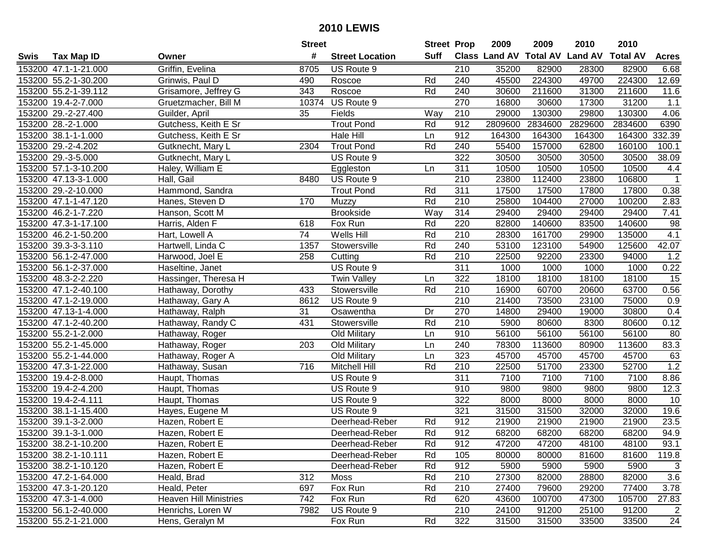|      |                      |                               | <b>Street</b> |                        | <b>Street Prop</b> |                  | 2009                 | 2009            | 2010           | 2010            |              |
|------|----------------------|-------------------------------|---------------|------------------------|--------------------|------------------|----------------------|-----------------|----------------|-----------------|--------------|
| Swis | <b>Tax Map ID</b>    | Owner                         | #             | <b>Street Location</b> | Suff               |                  | <b>Class Land AV</b> | <b>Total AV</b> | <b>Land AV</b> | <b>Total AV</b> | <b>Acres</b> |
|      | 153200 47.1-1-21.000 | Griffin, Evelina              | 8705          | US Route 9             |                    | 210              | 35200                | 82900           | 28300          | 82900           | 6.68         |
|      | 153200 55.2-1-30.200 | Grinwis, Paul D               | 490           | Roscoe                 | Rd                 | 240              | 45500                | 224300          | 49700          | 224300          | 12.69        |
|      | 153200 55.2-1-39.112 | Grisamore, Jeffrey G          | 343           | Roscoe                 | Rd                 | 240              | 30600                | 211600          | 31300          | 211600          | 11.6         |
|      | 153200 19.4-2-7.000  | Gruetzmacher, Bill M          |               | 10374 US Route 9       |                    | 270              | 16800                | 30600           | 17300          | 31200           | 1.1          |
|      | 153200 29.-2-27.400  | Guilder, April                | 35            | Fields                 | Way                | 210              | 29000                | 130300          | 29800          | 130300          | 4.06         |
|      | 153200 28.-2-1.000   | Gutchess, Keith E Sr          |               | <b>Trout Pond</b>      | Rd                 | 912              | 2809600              | 2834600         | 2829600        | 2834600         | 6390         |
|      | 153200 38.1-1-1.000  | Gutchess, Keith E Sr          |               | <b>Hale Hill</b>       | Ln                 | 912              | 164300               | 164300          | 164300         | 164300          | 332.39       |
|      | 153200 29.-2-4.202   | Gutknecht, Mary L             | 2304          | <b>Trout Pond</b>      | Rd                 | 240              | 55400                | 157000          | 62800          | 160100          | 100.1        |
|      | 153200 29.-3-5.000   | Gutknecht, Mary L             |               | US Route 9             |                    | 322              | 30500                | 30500           | 30500          | 30500           | 38.09        |
|      | 153200 57.1-3-10.200 | Haley, William E              |               | Eggleston              | Ln                 | 311              | 10500                | 10500           | 10500          | 10500           | 4.4          |
|      | 153200 47.13-3-1.000 | Hall, Gail                    | 8480          | US Route 9             |                    | 210              | 23800                | 112400          | 23800          | 106800          | $\mathbf{1}$ |
|      | 153200 29.-2-10.000  | Hammond, Sandra               |               | <b>Trout Pond</b>      | Rd                 | 311              | 17500                | 17500           | 17800          | 17800           | 0.38         |
|      | 153200 47.1-1-47.120 | Hanes, Steven D               | 170           | Muzzy                  | Rd                 | 210              | 25800                | 104400          | 27000          | 100200          | 2.83         |
|      | 153200 46.2-1-7.220  | Hanson, Scott M               |               | <b>Brookside</b>       | Way                | 314              | 29400                | 29400           | 29400          | 29400           | 7.41         |
|      | 153200 47.3-1-17.100 | Harris, Alden F               | 618           | Fox Run                | Rd                 | 220              | 82800                | 140600          | 83500          | 140600          | 98           |
|      | 153200 46.2-1-50.200 | Hart, Lowell A                | 74            | Wells Hill             | Rd                 | 210              | 28300                | 161700          | 29900          | 135000          | 4.1          |
|      | 153200 39.3-3-3.110  | Hartwell, Linda C             | 1357          | Stowersville           | Rd                 | 240              | 53100                | 123100          | 54900          | 125600          | 42.07        |
|      | 153200 56.1-2-47.000 | Harwood, Joel E               | 258           | Cutting                | Rd                 | 210              | 22500                | 92200           | 23300          | 94000           | 1.2          |
|      | 153200 56.1-2-37.000 | Haseltine, Janet              |               | US Route 9             |                    | 311              | 1000                 | 1000            | 1000           | 1000            | 0.22         |
|      | 153200 48.3-2-2.220  | Hassinger, Theresa H          |               | <b>Twin Valley</b>     | Ln                 | 322              | 18100                | 18100           | 18100          | 18100           | 15           |
|      | 153200 47.1-2-40.100 | Hathaway, Dorothy             | 433           | Stowersville           | Rd                 | 210              | 16900                | 60700           | 20600          | 63700           | 0.56         |
|      | 153200 47.1-2-19.000 | Hathaway, Gary A              | 8612          | US Route 9             |                    | 210              | 21400                | 73500           | 23100          | 75000           | 0.9          |
|      | 153200 47.13-1-4.000 | Hathaway, Ralph               | 31            | Osawentha              | Dr                 | 270              | 14800                | 29400           | 19000          | 30800           | 0.4          |
|      | 153200 47.1-2-40.200 | Hathaway, Randy C             | 431           | Stowersville           | Rd                 | 210              | 5900                 | 80600           | 8300           | 80600           | 0.12         |
|      | 153200 55.2-1-2.000  | Hathaway, Roger               |               | Old Military           | Ln                 | 910              | 56100                | 56100           | 56100          | 56100           | 80           |
|      | 153200 55.2-1-45.000 | Hathaway, Roger               | 203           | Old Military           | Ln                 | 240              | 78300                | 113600          | 80900          | 113600          | 83.3         |
|      | 153200 55.2-1-44.000 | Hathaway, Roger A             |               | Old Military           | Ln                 | 323              | 45700                | 45700           | 45700          | 45700           | 63           |
|      | 153200 47.3-1-22.000 | Hathaway, Susan               | 716           | Mitchell Hill          | Rd                 | 210              | 22500                | 51700           | 23300          | 52700           | 1.2          |
|      | 153200 19.4-2-8.000  | Haupt, Thomas                 |               | US Route 9             |                    | $\overline{311}$ | 7100                 | 7100            | 7100           | 7100            | 8.86         |
|      | 153200 19.4-2-4.200  | Haupt, Thomas                 |               | US Route 9             |                    | 910              | 9800                 | 9800            | 9800           | 9800            | 12.3         |
|      | 153200 19.4-2-4.111  | Haupt, Thomas                 |               | US Route 9             |                    | 322              | 8000                 | 8000            | 8000           | 8000            | 10           |
|      | 153200 38.1-1-15.400 | Hayes, Eugene M               |               | US Route 9             |                    | 321              | 31500                | 31500           | 32000          | 32000           | 19.6         |
|      | 153200 39.1-3-2.000  | Hazen, Robert E               |               | Deerhead-Reber         | Rd                 | 912              | 21900                | 21900           | 21900          | 21900           | 23.5         |
|      | 153200 39.1-3-1.000  | Hazen, Robert E               |               | Deerhead-Reber         | Rd                 | 912              | 68200                | 68200           | 68200          | 68200           | 94.9         |
|      | 153200 38.2-1-10.200 | Hazen, Robert E               |               | Deerhead-Reber         | Rd                 | 912              | 47200                | 47200           | 48100          | 48100           | 93.1         |
|      | 153200 38.2-1-10.111 | Hazen, Robert E               |               | Deerhead-Reber         | Rd                 | 105              | 80000                | 80000           | 81600          | 81600           | 119.8        |
|      | 153200 38.2-1-10.120 | Hazen, Robert E               |               | Deerhead-Reber         | Rd                 | 912              | 5900                 | 5900            | 5900           | 5900            | 3            |
|      | 153200 47.2-1-64.000 | Heald, Brad                   | 312           | Moss                   | Rd                 | 210              | 27300                | 82000           | 28800          | 82000           | 3.6          |
|      | 153200 47.3-1-20.120 | Heald, Peter                  | 697           | Fox Run                | Rd                 | 210              | 27400                | 79600           | 29200          | 77400           | 3.78         |
|      | 153200 47.3-1-4.000  | <b>Heaven Hill Ministries</b> | 742           | Fox Run                | Rd                 | 620              | 43600                | 100700          | 47300          | 105700          | 27.83        |
|      | 153200 56.1-2-40.000 | Henrichs, Loren W             | 7982          | US Route 9             |                    | 210              | 24100                | 91200           | 25100          | 91200           | 2            |
|      | 153200 55.2-1-21.000 | Hens, Geralyn M               |               | Fox Run                | Rd                 | 322              | 31500                | 31500           | 33500          | 33500           | 24           |
|      |                      |                               |               |                        |                    |                  |                      |                 |                |                 |              |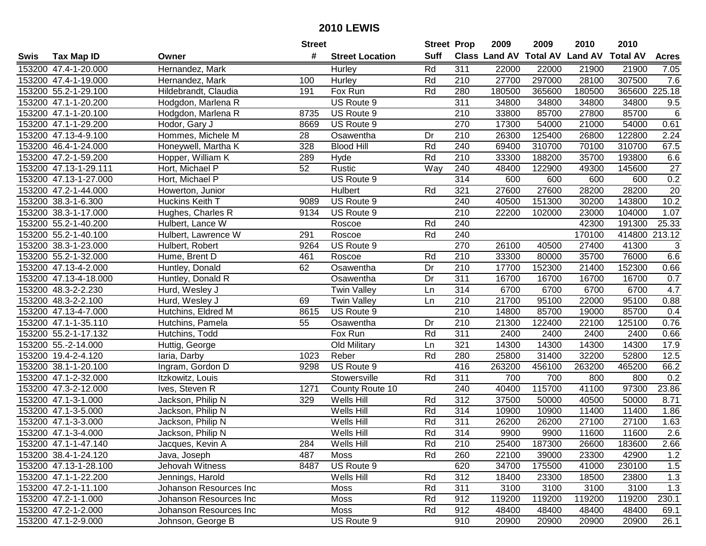|      |                       |                        | <b>Street</b> |                        | <b>Street Prop</b> |                  | 2009          | 2009   | 2010                    | 2010            |                  |
|------|-----------------------|------------------------|---------------|------------------------|--------------------|------------------|---------------|--------|-------------------------|-----------------|------------------|
| Swis | <b>Tax Map ID</b>     | Owner                  | #             | <b>Street Location</b> | <b>Suff</b>        |                  | Class Land AV |        | <b>Total AV Land AV</b> | <b>Total AV</b> | <b>Acres</b>     |
|      | 153200 47.4-1-20.000  | Hernandez, Mark        |               | Hurley                 | Rd                 | 311              | 22000         | 22000  | 21900                   | 21900           | 7.05             |
|      | 153200 47.4-1-19.000  | Hernandez, Mark        | 100           | Hurley                 | Rd                 | 210              | 27700         | 297000 | 28100                   | 307500          | 7.6              |
|      | 153200 55.2-1-29.100  | Hildebrandt, Claudia   | 191           | Fox Run                | Rd                 | 280              | 180500        | 365600 | 180500                  | 365600 225.18   |                  |
|      | 153200 47.1-1-20.200  | Hodgdon, Marlena R     |               | US Route 9             |                    | 311              | 34800         | 34800  | 34800                   | 34800           | 9.5              |
|      | 153200 47.1-1-20.100  | Hodgdon, Marlena R     | 8735          | US Route 9             |                    | 210              | 33800         | 85700  | 27800                   | 85700           | 6                |
|      | 153200 47.1-1-29.200  | Hodor, Gary J          | 8669          | US Route 9             |                    | 270              | 17300         | 54000  | 21000                   | 54000           | 0.61             |
|      | 153200 47.13-4-9.100  | Hommes, Michele M      | 28            | Osawentha              | Dr                 | 210              | 26300         | 125400 | 26800                   | 122800          | 2.24             |
|      | 153200 46.4-1-24.000  | Honeywell, Martha K    | 328           | <b>Blood Hill</b>      | Rd                 | 240              | 69400         | 310700 | 70100                   | 310700          | 67.5             |
|      | 153200 47.2-1-59.200  | Hopper, William K      | 289           | Hyde                   | Rd                 | $\overline{210}$ | 33300         | 188200 | 35700                   | 193800          | 6.6              |
|      | 153200 47.13-1-29.111 | Hort, Michael P        | 52            | Rustic                 | Way                | 240              | 48400         | 122900 | 49300                   | 145600          | 27               |
|      | 153200 47.13-1-27.000 | Hort, Michael P        |               | US Route 9             |                    | 314              | 600           | 600    | 600                     | 600             | 0.2              |
|      | 153200 47.2-1-44.000  | Howerton, Junior       |               | Hulbert                | Rd                 | 321              | 27600         | 27600  | 28200                   | 28200           | 20               |
|      | 153200 38.3-1-6.300   | Huckins Keith T        | 9089          | US Route 9             |                    | 240              | 40500         | 151300 | 30200                   | 143800          | 10.2             |
|      | 153200 38.3-1-17.000  | Hughes, Charles R      | 9134          | US Route 9             |                    | 210              | 22200         | 102000 | 23000                   | 104000          | 1.07             |
|      | 153200 55.2-1-40.200  | Hulbert, Lance W       |               | Roscoe                 | Rd                 | 240              |               |        | 42300                   | 191300          | 25.33            |
|      | 153200 55.2-1-40.100  | Hulbert, Lawrence W    | 291           | Roscoe                 | Rd                 | 240              |               |        | 170100                  | 414800          | 213.12           |
|      | 153200 38.3-1-23.000  | Hulbert, Robert        | 9264          | US Route 9             |                    | 270              | 26100         | 40500  | 27400                   | 41300           | 3                |
|      | 153200 55.2-1-32.000  | Hume, Brent D          | 461           | Roscoe                 | Rd                 | 210              | 33300         | 80000  | 35700                   | 76000           | 6.6              |
|      | 153200 47.13-4-2.000  | Huntley, Donald        | 62            | Osawentha              | Dr                 | 210              | 17700         | 152300 | 21400                   | 152300          | 0.66             |
|      | 153200 47.13-4-18.000 | Huntley, Donald R      |               | Osawentha              | Dr                 | 311              | 16700         | 16700  | 16700                   | 16700           | 0.7              |
|      | 153200 48.3-2-2.230   | Hurd, Wesley J         |               | <b>Twin Valley</b>     | Ln                 | 314              | 6700          | 6700   | 6700                    | 6700            | 4.7              |
|      | 153200 48.3-2-2.100   | Hurd, Wesley J         | 69            | <b>Twin Valley</b>     | Ln                 | 210              | 21700         | 95100  | 22000                   | 95100           | 0.88             |
|      | 153200 47.13-4-7.000  | Hutchins, Eldred M     | 8615          | US Route 9             |                    | 210              | 14800         | 85700  | 19000                   | 85700           | 0.4              |
|      | 153200 47.1-1-35.110  | Hutchins, Pamela       | 55            | Osawentha              | Dr                 | 210              | 21300         | 122400 | 22100                   | 125100          | 0.76             |
|      | 153200 55.2-1-17.132  | Hutchins, Todd         |               | Fox Run                | Rd                 | 311              | 2400          | 2400   | 2400                    | 2400            | 0.66             |
|      | 153200 55.-2-14.000   | Huttig, George         |               | Old Military           | Ln                 | 321              | 14300         | 14300  | 14300                   | 14300           | 17.9             |
|      | 153200 19.4-2-4.120   | laria, Darby           | 1023          | Reber                  | Rd                 | 280              | 25800         | 31400  | 32200                   | 52800           | 12.5             |
|      | 153200 38.1-1-20.100  | Ingram, Gordon D       | 9298          | US Route 9             |                    | 416              | 263200        | 456100 | 263200                  | 465200          | 66.2             |
|      | 153200 47.1-2-32.000  | Itzkowitz, Louis       |               | Stowersville           | Rd                 | $\overline{311}$ | 700           | 700    | 800                     | 800             | 0.2              |
|      | 153200 47.3-2-12.000  | Ives, Steven R         | 1271          | County Route 10        |                    | 240              | 40400         | 115700 | 41100                   | 97300           | 23.86            |
|      | 153200 47.1-3-1.000   | Jackson, Philip N      | 329           | Wells Hill             | Rd                 | 312              | 37500         | 50000  | 40500                   | 50000           | 8.71             |
|      | 153200 47.1-3-5.000   | Jackson, Philip N      |               | Wells Hill             | Rd                 | 314              | 10900         | 10900  | 11400                   | 11400           | 1.86             |
|      | 153200 47.1-3-3.000   | Jackson, Philip N      |               | Wells Hill             | Rd                 | 311              | 26200         | 26200  | 27100                   | 27100           | 1.63             |
|      | 153200 47.1-3-4.000   | Jackson, Philip N      |               | Wells Hill             | Rd                 | 314              | 9900          | 9900   | 11600                   | 11600           | $\overline{2.6}$ |
|      | 153200 47.1-1-47.140  | Jacques, Kevin A       | 284           | Wells Hill             | Rd                 | 210              | 25400         | 187300 | 26600                   | 183600          | 2.66             |
|      | 153200 38.4-1-24.120  | Java, Joseph           | 487           | Moss                   | Rd                 | 260              | 22100         | 39000  | 23300                   | 42900           | 1.2              |
|      | 153200 47.13-1-28.100 | Jehovah Witness        | 8487          | US Route 9             |                    | 620              | 34700         | 175500 | 41000                   | 230100          | 1.5              |
|      | 153200 47.1-1-22.200  | Jennings, Harold       |               | Wells Hill             | Rd                 | 312              | 18400         | 23300  | 18500                   | 23800           | 1.3              |
|      | 153200 47.2-1-11.100  | Johanson Resources Inc |               | Moss                   | Rd                 | 311              | 3100          | 3100   | 3100                    | 3100            | 1.3              |
|      | 153200 47.2-1-1.000   | Johanson Resources Inc |               | Moss                   | Rd                 | 912              | 119200        | 119200 | 119200                  | 119200          | 230.1            |
|      | 153200 47.2-1-2.000   | Johanson Resources Inc |               | Moss                   | Rd                 | 912              | 48400         | 48400  | 48400                   | 48400           | 69.1             |
|      | 153200 47.1-2-9.000   | Johnson, George B      |               | US Route 9             |                    | 910              | 20900         | 20900  | 20900                   | 20900           | 26.1             |
|      |                       |                        |               |                        |                    |                  |               |        |                         |                 |                  |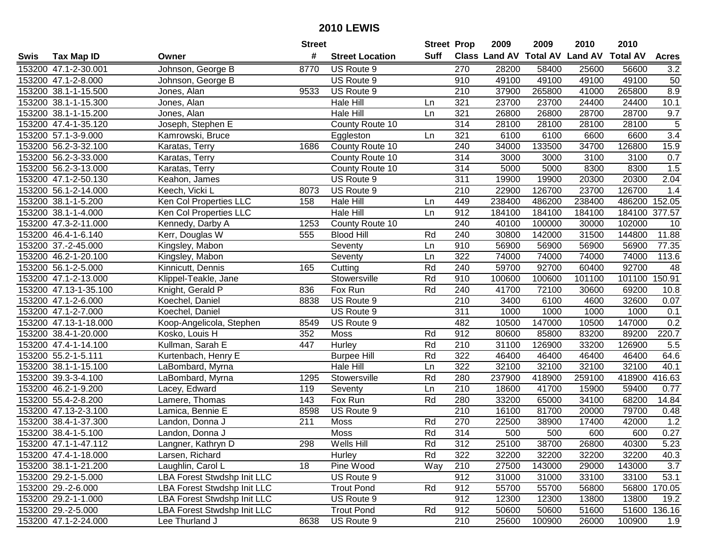|      |                       |                                    | <b>Street</b> |                        | <b>Street Prop</b> |                  | 2009                          | 2009   | 2010           | 2010            |                  |
|------|-----------------------|------------------------------------|---------------|------------------------|--------------------|------------------|-------------------------------|--------|----------------|-----------------|------------------|
| Swis | <b>Tax Map ID</b>     | Owner                              | #             | <b>Street Location</b> | Suff               |                  | <b>Class Land AV Total AV</b> |        | <b>Land AV</b> | <b>Total AV</b> | <b>Acres</b>     |
|      | 153200 47.1-2-30.001  | Johnson, George B                  | 8770          | US Route 9             |                    | 270              | 28200                         | 58400  | 25600          | 56600           | 3.2              |
|      | 153200 47.1-2-8.000   | Johnson, George B                  |               | US Route 9             |                    | 910              | 49100                         | 49100  | 49100          | 49100           | 50               |
|      | 153200 38.1-1-15.500  | Jones, Alan                        | 9533          | US Route 9             |                    | 210              | 37900                         | 265800 | 41000          | 265800          | 8.9              |
|      | 153200 38.1-1-15.300  | Jones, Alan                        |               | Hale Hill              | Ln                 | 321              | 23700                         | 23700  | 24400          | 24400           | 10.1             |
|      | 153200 38.1-1-15.200  | Jones, Alan                        |               | Hale Hill              | Ln                 | 321              | 26800                         | 26800  | 28700          | 28700           | 9.7              |
|      | 153200 47.4-1-35.120  | Joseph, Stephen E                  |               | County Route 10        |                    | 314              | 28100                         | 28100  | 28100          | 28100           | $\overline{5}$   |
|      | 153200 57.1-3-9.000   | Kamrowski, Bruce                   |               | Eggleston              | Ln                 | 321              | 6100                          | 6100   | 6600           | 6600            | $\overline{3.4}$ |
|      | 153200 56.2-3-32.100  | Karatas, Terry                     | 1686          | County Route 10        |                    | 240              | 34000                         | 133500 | 34700          | 126800          | 15.9             |
|      | 153200 56.2-3-33.000  | Karatas, Terry                     |               | County Route 10        |                    | 314              | 3000                          | 3000   | 3100           | 3100            | 0.7              |
|      | 153200 56.2-3-13.000  | Karatas, Terry                     |               | County Route 10        |                    | 314              | 5000                          | 5000   | 8300           | 8300            | 1.5              |
|      | 153200 47.1-2-50.130  | Keahon, James                      |               | US Route 9             |                    | 311              | 19900                         | 19900  | 20300          | 20300           | 2.04             |
|      | 153200 56.1-2-14.000  | Keech, Vicki L                     | 8073          | US Route 9             |                    | 210              | 22900                         | 126700 | 23700          | 126700          | 1.4              |
|      | 153200 38.1-1-5.200   | Ken Col Properties LLC             | 158           | Hale Hill              | Ln                 | 449              | 238400                        | 486200 | 238400         | 486200          | 152.05           |
|      | 153200 38.1-1-4.000   | Ken Col Properties LLC             |               | Hale Hill              | Ln                 | 912              | 184100                        | 184100 | 184100         | 184100          | 377.57           |
|      | 153200 47.3-2-11.000  | Kennedy, Darby A                   | 1253          | County Route 10        |                    | 240              | 40100                         | 100000 | 30000          | 102000          | 10               |
|      | 153200 46.4-1-6.140   | Kerr, Douglas W                    | 555           | <b>Blood Hill</b>      | Rd                 | 240              | 30800                         | 142000 | 31500          | 144800          | 11.88            |
|      | 153200 37.-2-45.000   | Kingsley, Mabon                    |               | Seventy                | Ln                 | 910              | 56900                         | 56900  | 56900          | 56900           | 77.35            |
|      | 153200 46.2-1-20.100  | Kingsley, Mabon                    |               | Seventy                | Ln                 | 322              | 74000                         | 74000  | 74000          | 74000           | 113.6            |
|      | 153200 56.1-2-5.000   | Kinnicutt, Dennis                  | 165           | Cutting                | Rd                 | 240              | 59700                         | 92700  | 60400          | 92700           | 48               |
|      | 153200 47.1-2-13.000  | Klippel-Teakle, Jane               |               | Stowersville           | Rd                 | 910              | 100600                        | 100600 | 101100         | 101100 150.91   |                  |
|      | 153200 47.13-1-35.100 | Knight, Gerald P                   | 836           | Fox Run                | Rd                 | 240              | 41700                         | 72100  | 30600          | 69200           | 10.8             |
|      | 153200 47.1-2-6.000   | Koechel, Daniel                    | 8838          | US Route 9             |                    | 210              | 3400                          | 6100   | 4600           | 32600           | 0.07             |
|      | 153200 47.1-2-7.000   | Koechel, Daniel                    |               | US Route 9             |                    | 311              | 1000                          | 1000   | 1000           | 1000            | 0.1              |
|      | 153200 47.13-1-18.000 | Koop-Angelicola, Stephen           | 8549          | US Route 9             |                    | 482              | 10500                         | 147000 | 10500          | 147000          | 0.2              |
|      | 153200 38.4-1-20.000  | Kosko, Louis H                     | 352           | Moss                   | Rd                 | 912              | 80600                         | 85800  | 83200          | 89200           | 220.7            |
|      | 153200 47.4-1-14.100  | Kullman, Sarah E                   | 447           | Hurley                 | Rd                 | 210              | 31100                         | 126900 | 33200          | 126900          | 5.5              |
|      | 153200 55.2-1-5.111   | Kurtenbach, Henry E                |               | <b>Burpee Hill</b>     | Rd                 | 322              | 46400                         | 46400  | 46400          | 46400           | 64.6             |
|      | 153200 38.1-1-15.100  | LaBombard, Myrna                   |               | Hale Hill              | Ln                 | 322              | 32100                         | 32100  | 32100          | 32100           | 40.1             |
|      | 153200 39.3-3-4.100   | LaBombard, Myrna                   | 1295          | Stowersville           | Rd                 | 280              | 237900                        | 418900 | 259100         | 418900          | 416.63           |
|      | 153200 46.2-1-9.200   | Lacey, Edward                      | 119           | Seventy                | Ln                 | $\overline{210}$ | 18600                         | 41700  | 15900          | 59400           | 0.77             |
|      | 153200 55.4-2-8.200   | Lamere, Thomas                     | 143           | Fox Run                | Rd                 | 280              | 33200                         | 65000  | 34100          | 68200           | 14.84            |
|      | 153200 47.13-2-3.100  | Lamica, Bennie E                   | 8598          | US Route 9             |                    | $\overline{210}$ | 16100                         | 81700  | 20000          | 79700           | 0.48             |
|      | 153200 38.4-1-37.300  | Landon, Donna J                    | 211           | Moss                   | Rd                 | 270              | 22500                         | 38900  | 17400          | 42000           | 1.2              |
|      | 153200 38.4-1-5.100   | Landon, Donna J                    |               | Moss                   | Rd                 | 314              | 500                           | 500    | 600            | 600             | 0.27             |
|      | 153200 47.1-1-47.112  | Langner, Kathryn D                 | 298           | Wells Hill             | Rd                 | 312              | 25100                         | 38700  | 26800          | 40300           | 5.23             |
|      | 153200 47.4-1-18.000  | Larsen, Richard                    |               | Hurley                 | Rd                 | 322              | 32200                         | 32200  | 32200          | 32200           | 40.3             |
|      | 153200 38.1-1-21.200  | Laughlin, Carol L                  | 18            | Pine Wood              | Way                | 210              | 27500                         | 143000 | 29000          | 143000          | 3.7              |
|      | 153200 29.2-1-5.000   | <b>LBA Forest Stwdshp Init LLC</b> |               | US Route 9             |                    | 912              | 31000                         | 31000  | 33100          | 33100           | 53.1             |
|      | 153200 29.-2-6.000    | LBA Forest Stwdshp Init LLC        |               | <b>Trout Pond</b>      | Rd                 | 912              | 55700                         | 55700  | 56800          | 56800           | 170.05           |
|      | 153200 29.2-1-1.000   | <b>LBA Forest Stwdshp Init LLC</b> |               | US Route 9             |                    | 912              | 12300                         | 12300  | 13800          | 13800           | 19.2             |
|      | 153200 29.-2-5.000    | <b>LBA Forest Stwdshp Init LLC</b> |               | <b>Trout Pond</b>      | Rd                 | 912              | 50600                         | 50600  | 51600          | 51600           | 136.16           |
|      | 153200 47.1-2-24.000  | Lee Thurland J                     | 8638          | US Route 9             |                    | 210              | 25600                         | 100900 | 26000          | 100900          | 1.9              |
|      |                       |                                    |               |                        |                    |                  |                               |        |                |                 |                  |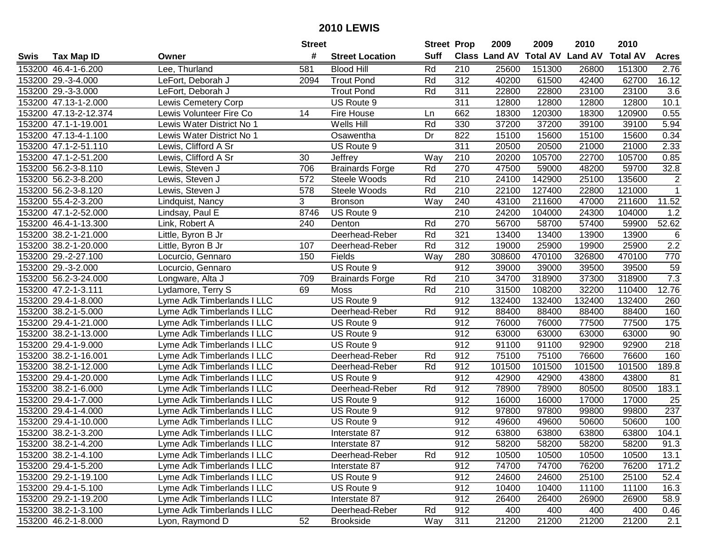| #<br><b>Suff</b><br><b>Total AV</b><br><b>Land AV</b><br><b>Class Land AV</b><br><b>Total AV</b><br><b>Tax Map ID</b><br><b>Street Location</b><br><b>Acres</b><br>Swis<br>Owner<br>153200 46.4-1-6.200<br>Lee, Thurland<br>581<br><b>Blood Hill</b><br>Rd<br>210<br>25600<br>151300<br>26800<br>151300<br>2.76<br>16.12<br>153200 29.-3-4.000<br><b>Trout Pond</b><br>Rd<br>312<br>40200<br>61500<br>42400<br>62700<br>LeFort, Deborah J<br>2094<br>153200 29.-3-3.000<br>LeFort, Deborah J<br><b>Trout Pond</b><br>Rd<br>311<br>22800<br>22800<br>23100<br>23100<br>3.6<br>$\overline{311}$<br>12800<br>12800<br>12800<br>10.1<br>153200 47.13-1-2.000<br>Lewis Cemetery Corp<br>US Route 9<br>12800<br>153200 47.13-2-12.374<br>Lewis Volunteer Fire Co<br>14<br>662<br>18300<br>120300<br>18300<br>120900<br>0.55<br>Fire House<br>Ln<br>Rd<br>153200 47.1-1-19.001<br>Lewis Water District No 1<br>Wells Hill<br>330<br>37200<br>37200<br>39100<br>39100<br>5.94<br>153200 47.13-4-1.100<br>Dr<br>822<br>15100<br>0.34<br>Lewis Water District No 1<br>15600<br>15100<br>15600<br>Osawentha<br>311<br>153200 47.1-2-51.110<br>20500<br>20500<br>21000<br>2.33<br>Lewis, Clifford A Sr<br>US Route 9<br>21000<br>153200 47.1-2-51.200<br>22700<br>Lewis, Clifford A Sr<br>30<br>Way<br>210<br>20200<br>105700<br>105700<br>0.85<br>Jeffrey<br>Rd<br>270<br>47500<br>59700<br>153200 56.2-3-8.110<br>706<br><b>Brainards Forge</b><br>48200<br>32.8<br>Lewis, Steven J<br>59000<br>210<br>24100<br>25100<br>$\overline{c}$<br>153200 56.2-3-8.200<br>572<br>Steele Woods<br>Rd<br>142900<br>135600<br>Lewis, Steven J<br>153200 56.2-3-8.120<br>Steele Woods<br>Rd<br>210<br>22100<br>127400<br>22800<br>121000<br>$\mathbf{1}$<br>Lewis, Steven J<br>578<br>3<br>11.52<br>153200 55.4-2-3.200<br>240<br>43100<br>211600<br>211600<br><b>Bronson</b><br>Way<br>47000<br>Lindquist, Nancy<br>153200 47.1-2-52.000<br>8746<br>US Route 9<br>210<br>24200<br>104000<br>24300<br>104000<br>1.2<br>Lindsay, Paul E<br>270<br>52.62<br>153200 46.4-1-13.300<br>240<br>Rd<br>56700<br>58700<br>57400<br>59900<br>Link, Robert A<br>Denton<br>153200 38.2-1-21.000<br>Deerhead-Reber<br>Rd<br>321<br>13400<br>13400<br>13900<br>13900<br>6<br>Little, Byron B Jr<br>2.2<br>Rd<br>312<br>153200 38.2-1-20.000<br>Little, Byron B Jr<br>107<br>19000<br>25900<br>19900<br>25900<br>Deerhead-Reber<br>770<br>153200 29.-2-27.100<br>Fields<br>Way<br>280<br>308600<br>470100<br>326800<br>470100<br>Locurcio, Gennaro<br>150<br>59<br>153200 29.-3-2.000<br>US Route 9<br>912<br>39000<br>39000<br>39500<br>39500<br>Locurcio, Gennaro<br>7.3<br>153200 56.2-3-24.000<br>210<br>34700<br>318900<br>37300<br>318900<br>Longware, Alta J<br>709<br><b>Brainards Forge</b><br>Rd<br>153200 47.2-1-3.111<br>Rd<br>31500<br>108200<br>32200<br>12.76<br>Lydamore, Terry S<br>69<br>Moss<br>210<br>110400<br>912<br>153200 29.4-1-8.000<br>Lyme Adk Timberlands I LLC<br>US Route 9<br>132400<br>132400<br>132400<br>132400<br>260<br>Rd<br>912<br>160<br>153200 38.2-1-5.000<br>Lyme Adk Timberlands I LLC<br>88400<br>88400<br>88400<br>88400<br>Deerhead-Reber<br>153200 29.4-1-21.000<br>912<br>76000<br>76000<br>77500<br>77500<br>175<br>Lyme Adk Timberlands I LLC<br>US Route 9<br>153200 38.2-1-13.000<br>912<br>63000<br>63000<br>63000<br>90<br>Lyme Adk Timberlands I LLC<br>US Route 9<br>63000<br>912<br>92900<br>218<br>153200 29.4-1-9.000<br>US Route 9<br>91100<br>91100<br>92900<br>Lyme Adk Timberlands I LLC<br>912<br>75100<br>76600<br>153200 38.2-1-16.001<br>Lyme Adk Timberlands I LLC<br>Deerhead-Reber<br>Rd<br>75100<br>76600<br>160<br>101500<br>153200 38.2-1-12.000<br>Rd<br>912<br>101500<br>101500<br>101500<br>189.8<br>Lyme Adk Timberlands I LLC<br>Deerhead-Reber<br>$\overline{912}$<br>153200 29.4-1-20.000<br>42900<br>42900<br>43800<br>43800<br>Lyme Adk Timberlands I LLC<br>US Route 9<br>81<br>Rd<br>$\overline{912}$<br>183.1<br>153200 38.2-1-6.000<br>Deerhead-Reber<br>78900<br>78900<br>80500<br>80500<br>Lyme Adk Timberlands I LLC<br>153200 29.4-1-7.000<br>$\overline{912}$<br>17000<br>17000<br>US Route 9<br>16000<br>16000<br>25<br>vme Adk Timberlands I LLC<br>237<br>153200 29.4-1-4.000<br>912<br>97800<br>97800<br>99800<br>99800<br>Lyme Adk Timberlands I LLC<br>US Route 9<br>912<br>50600<br>100<br>153200 29.4-1-10.000<br>US Route 9<br>49600<br>49600<br>50600<br>Lyme Adk Timberlands I LLC<br>153200 38.2-1-3.200<br>912<br>63800<br>63800<br>63800<br>63800<br>104.1<br>Lyme Adk Timberlands I LLC<br>Interstate 87<br>153200 38.2-1-4.200<br>Lyme Adk Timberlands I LLC<br>Interstate 87<br>912<br>58200<br>58200<br>58200<br>58200<br>91.3<br>153200 38.2-1-4.100<br>912<br>10500<br>13.1<br>Lyme Adk Timberlands I LLC<br>Deerhead-Reber<br>Rd<br>10500<br>10500<br>10500<br>153200 29.4-1-5.200<br>Lyme Adk Timberlands I LLC<br>912<br>74700<br>74700<br>76200<br>76200<br>171.2<br>Interstate 87<br>153200 29.2-1-19.100<br>24600<br>25100<br>Lyme Adk Timberlands I LLC<br>US Route 9<br>912<br>24600<br>25100<br>52.4<br>153200 29.4-1-5.100<br>Lyme Adk Timberlands I LLC<br>US Route 9<br>912<br>10400<br>10400<br>11100<br>11100<br>16.3<br>912<br>153200 29.2-1-19.200<br>Lyme Adk Timberlands I LLC<br>Interstate 87<br>26400<br>26900<br>26900<br>58.9<br>26400<br>153200 38.2-1-3.100<br>Lyme Adk Timberlands I LLC<br>Rd<br>912<br>400<br>400<br>400<br>Deerhead-Reber<br>400<br>0.46<br>21200<br>153200 46.2-1-8.000<br>52<br>311<br>21200<br>21200<br>21200<br>2.1<br>Lyon, Raymond D<br>Way<br><b>Brookside</b> |  | <b>Street</b> | <b>Street Prop</b> | 2009 | 2009 | 2010 | 2010 |  |
|-----------------------------------------------------------------------------------------------------------------------------------------------------------------------------------------------------------------------------------------------------------------------------------------------------------------------------------------------------------------------------------------------------------------------------------------------------------------------------------------------------------------------------------------------------------------------------------------------------------------------------------------------------------------------------------------------------------------------------------------------------------------------------------------------------------------------------------------------------------------------------------------------------------------------------------------------------------------------------------------------------------------------------------------------------------------------------------------------------------------------------------------------------------------------------------------------------------------------------------------------------------------------------------------------------------------------------------------------------------------------------------------------------------------------------------------------------------------------------------------------------------------------------------------------------------------------------------------------------------------------------------------------------------------------------------------------------------------------------------------------------------------------------------------------------------------------------------------------------------------------------------------------------------------------------------------------------------------------------------------------------------------------------------------------------------------------------------------------------------------------------------------------------------------------------------------------------------------------------------------------------------------------------------------------------------------------------------------------------------------------------------------------------------------------------------------------------------------------------------------------------------------------------------------------------------------------------------------------------------------------------------------------------------------------------------------------------------------------------------------------------------------------------------------------------------------------------------------------------------------------------------------------------------------------------------------------------------------------------------------------------------------------------------------------------------------------------------------------------------------------------------------------------------------------------------------------------------------------------------------------------------------------------------------------------------------------------------------------------------------------------------------------------------------------------------------------------------------------------------------------------------------------------------------------------------------------------------------------------------------------------------------------------------------------------------------------------------------------------------------------------------------------------------------------------------------------------------------------------------------------------------------------------------------------------------------------------------------------------------------------------------------------------------------------------------------------------------------------------------------------------------------------------------------------------------------------------------------------------------------------------------------------------------------------------------------------------------------------------------------------------------------------------------------------------------------------------------------------------------------------------------------------------------------------------------------------------------------------------------------------------------------------------------------------------------------------------------------------------------------------------------------------------------------------------------------------------------------------------------------------------------------------------------------------------------------------------------------------------------------------------------------------------------------------------------------------------------------------------------------------------------------------------------------------------------------------------------------------------------------------------------------------------------------------------------------------------------------------------------------------------------------------------------------------------------------------------------------------------------------------------------------------------------------------------------------------------------------------|--|---------------|--------------------|------|------|------|------|--|
|                                                                                                                                                                                                                                                                                                                                                                                                                                                                                                                                                                                                                                                                                                                                                                                                                                                                                                                                                                                                                                                                                                                                                                                                                                                                                                                                                                                                                                                                                                                                                                                                                                                                                                                                                                                                                                                                                                                                                                                                                                                                                                                                                                                                                                                                                                                                                                                                                                                                                                                                                                                                                                                                                                                                                                                                                                                                                                                                                                                                                                                                                                                                                                                                                                                                                                                                                                                                                                                                                                                                                                                                                                                                                                                                                                                                                                                                                                                                                                                                                                                                                                                                                                                                                                                                                                                                                                                                                                                                                                                                                                                                                                                                                                                                                                                                                                                                                                                                                                                                                                                                                                                                                                                                                                                                                                                                                                                                                                                                                                                                                                                               |  |               |                    |      |      |      |      |  |
|                                                                                                                                                                                                                                                                                                                                                                                                                                                                                                                                                                                                                                                                                                                                                                                                                                                                                                                                                                                                                                                                                                                                                                                                                                                                                                                                                                                                                                                                                                                                                                                                                                                                                                                                                                                                                                                                                                                                                                                                                                                                                                                                                                                                                                                                                                                                                                                                                                                                                                                                                                                                                                                                                                                                                                                                                                                                                                                                                                                                                                                                                                                                                                                                                                                                                                                                                                                                                                                                                                                                                                                                                                                                                                                                                                                                                                                                                                                                                                                                                                                                                                                                                                                                                                                                                                                                                                                                                                                                                                                                                                                                                                                                                                                                                                                                                                                                                                                                                                                                                                                                                                                                                                                                                                                                                                                                                                                                                                                                                                                                                                                               |  |               |                    |      |      |      |      |  |
|                                                                                                                                                                                                                                                                                                                                                                                                                                                                                                                                                                                                                                                                                                                                                                                                                                                                                                                                                                                                                                                                                                                                                                                                                                                                                                                                                                                                                                                                                                                                                                                                                                                                                                                                                                                                                                                                                                                                                                                                                                                                                                                                                                                                                                                                                                                                                                                                                                                                                                                                                                                                                                                                                                                                                                                                                                                                                                                                                                                                                                                                                                                                                                                                                                                                                                                                                                                                                                                                                                                                                                                                                                                                                                                                                                                                                                                                                                                                                                                                                                                                                                                                                                                                                                                                                                                                                                                                                                                                                                                                                                                                                                                                                                                                                                                                                                                                                                                                                                                                                                                                                                                                                                                                                                                                                                                                                                                                                                                                                                                                                                                               |  |               |                    |      |      |      |      |  |
|                                                                                                                                                                                                                                                                                                                                                                                                                                                                                                                                                                                                                                                                                                                                                                                                                                                                                                                                                                                                                                                                                                                                                                                                                                                                                                                                                                                                                                                                                                                                                                                                                                                                                                                                                                                                                                                                                                                                                                                                                                                                                                                                                                                                                                                                                                                                                                                                                                                                                                                                                                                                                                                                                                                                                                                                                                                                                                                                                                                                                                                                                                                                                                                                                                                                                                                                                                                                                                                                                                                                                                                                                                                                                                                                                                                                                                                                                                                                                                                                                                                                                                                                                                                                                                                                                                                                                                                                                                                                                                                                                                                                                                                                                                                                                                                                                                                                                                                                                                                                                                                                                                                                                                                                                                                                                                                                                                                                                                                                                                                                                                                               |  |               |                    |      |      |      |      |  |
|                                                                                                                                                                                                                                                                                                                                                                                                                                                                                                                                                                                                                                                                                                                                                                                                                                                                                                                                                                                                                                                                                                                                                                                                                                                                                                                                                                                                                                                                                                                                                                                                                                                                                                                                                                                                                                                                                                                                                                                                                                                                                                                                                                                                                                                                                                                                                                                                                                                                                                                                                                                                                                                                                                                                                                                                                                                                                                                                                                                                                                                                                                                                                                                                                                                                                                                                                                                                                                                                                                                                                                                                                                                                                                                                                                                                                                                                                                                                                                                                                                                                                                                                                                                                                                                                                                                                                                                                                                                                                                                                                                                                                                                                                                                                                                                                                                                                                                                                                                                                                                                                                                                                                                                                                                                                                                                                                                                                                                                                                                                                                                                               |  |               |                    |      |      |      |      |  |
|                                                                                                                                                                                                                                                                                                                                                                                                                                                                                                                                                                                                                                                                                                                                                                                                                                                                                                                                                                                                                                                                                                                                                                                                                                                                                                                                                                                                                                                                                                                                                                                                                                                                                                                                                                                                                                                                                                                                                                                                                                                                                                                                                                                                                                                                                                                                                                                                                                                                                                                                                                                                                                                                                                                                                                                                                                                                                                                                                                                                                                                                                                                                                                                                                                                                                                                                                                                                                                                                                                                                                                                                                                                                                                                                                                                                                                                                                                                                                                                                                                                                                                                                                                                                                                                                                                                                                                                                                                                                                                                                                                                                                                                                                                                                                                                                                                                                                                                                                                                                                                                                                                                                                                                                                                                                                                                                                                                                                                                                                                                                                                                               |  |               |                    |      |      |      |      |  |
|                                                                                                                                                                                                                                                                                                                                                                                                                                                                                                                                                                                                                                                                                                                                                                                                                                                                                                                                                                                                                                                                                                                                                                                                                                                                                                                                                                                                                                                                                                                                                                                                                                                                                                                                                                                                                                                                                                                                                                                                                                                                                                                                                                                                                                                                                                                                                                                                                                                                                                                                                                                                                                                                                                                                                                                                                                                                                                                                                                                                                                                                                                                                                                                                                                                                                                                                                                                                                                                                                                                                                                                                                                                                                                                                                                                                                                                                                                                                                                                                                                                                                                                                                                                                                                                                                                                                                                                                                                                                                                                                                                                                                                                                                                                                                                                                                                                                                                                                                                                                                                                                                                                                                                                                                                                                                                                                                                                                                                                                                                                                                                                               |  |               |                    |      |      |      |      |  |
|                                                                                                                                                                                                                                                                                                                                                                                                                                                                                                                                                                                                                                                                                                                                                                                                                                                                                                                                                                                                                                                                                                                                                                                                                                                                                                                                                                                                                                                                                                                                                                                                                                                                                                                                                                                                                                                                                                                                                                                                                                                                                                                                                                                                                                                                                                                                                                                                                                                                                                                                                                                                                                                                                                                                                                                                                                                                                                                                                                                                                                                                                                                                                                                                                                                                                                                                                                                                                                                                                                                                                                                                                                                                                                                                                                                                                                                                                                                                                                                                                                                                                                                                                                                                                                                                                                                                                                                                                                                                                                                                                                                                                                                                                                                                                                                                                                                                                                                                                                                                                                                                                                                                                                                                                                                                                                                                                                                                                                                                                                                                                                                               |  |               |                    |      |      |      |      |  |
|                                                                                                                                                                                                                                                                                                                                                                                                                                                                                                                                                                                                                                                                                                                                                                                                                                                                                                                                                                                                                                                                                                                                                                                                                                                                                                                                                                                                                                                                                                                                                                                                                                                                                                                                                                                                                                                                                                                                                                                                                                                                                                                                                                                                                                                                                                                                                                                                                                                                                                                                                                                                                                                                                                                                                                                                                                                                                                                                                                                                                                                                                                                                                                                                                                                                                                                                                                                                                                                                                                                                                                                                                                                                                                                                                                                                                                                                                                                                                                                                                                                                                                                                                                                                                                                                                                                                                                                                                                                                                                                                                                                                                                                                                                                                                                                                                                                                                                                                                                                                                                                                                                                                                                                                                                                                                                                                                                                                                                                                                                                                                                                               |  |               |                    |      |      |      |      |  |
|                                                                                                                                                                                                                                                                                                                                                                                                                                                                                                                                                                                                                                                                                                                                                                                                                                                                                                                                                                                                                                                                                                                                                                                                                                                                                                                                                                                                                                                                                                                                                                                                                                                                                                                                                                                                                                                                                                                                                                                                                                                                                                                                                                                                                                                                                                                                                                                                                                                                                                                                                                                                                                                                                                                                                                                                                                                                                                                                                                                                                                                                                                                                                                                                                                                                                                                                                                                                                                                                                                                                                                                                                                                                                                                                                                                                                                                                                                                                                                                                                                                                                                                                                                                                                                                                                                                                                                                                                                                                                                                                                                                                                                                                                                                                                                                                                                                                                                                                                                                                                                                                                                                                                                                                                                                                                                                                                                                                                                                                                                                                                                                               |  |               |                    |      |      |      |      |  |
|                                                                                                                                                                                                                                                                                                                                                                                                                                                                                                                                                                                                                                                                                                                                                                                                                                                                                                                                                                                                                                                                                                                                                                                                                                                                                                                                                                                                                                                                                                                                                                                                                                                                                                                                                                                                                                                                                                                                                                                                                                                                                                                                                                                                                                                                                                                                                                                                                                                                                                                                                                                                                                                                                                                                                                                                                                                                                                                                                                                                                                                                                                                                                                                                                                                                                                                                                                                                                                                                                                                                                                                                                                                                                                                                                                                                                                                                                                                                                                                                                                                                                                                                                                                                                                                                                                                                                                                                                                                                                                                                                                                                                                                                                                                                                                                                                                                                                                                                                                                                                                                                                                                                                                                                                                                                                                                                                                                                                                                                                                                                                                                               |  |               |                    |      |      |      |      |  |
|                                                                                                                                                                                                                                                                                                                                                                                                                                                                                                                                                                                                                                                                                                                                                                                                                                                                                                                                                                                                                                                                                                                                                                                                                                                                                                                                                                                                                                                                                                                                                                                                                                                                                                                                                                                                                                                                                                                                                                                                                                                                                                                                                                                                                                                                                                                                                                                                                                                                                                                                                                                                                                                                                                                                                                                                                                                                                                                                                                                                                                                                                                                                                                                                                                                                                                                                                                                                                                                                                                                                                                                                                                                                                                                                                                                                                                                                                                                                                                                                                                                                                                                                                                                                                                                                                                                                                                                                                                                                                                                                                                                                                                                                                                                                                                                                                                                                                                                                                                                                                                                                                                                                                                                                                                                                                                                                                                                                                                                                                                                                                                                               |  |               |                    |      |      |      |      |  |
|                                                                                                                                                                                                                                                                                                                                                                                                                                                                                                                                                                                                                                                                                                                                                                                                                                                                                                                                                                                                                                                                                                                                                                                                                                                                                                                                                                                                                                                                                                                                                                                                                                                                                                                                                                                                                                                                                                                                                                                                                                                                                                                                                                                                                                                                                                                                                                                                                                                                                                                                                                                                                                                                                                                                                                                                                                                                                                                                                                                                                                                                                                                                                                                                                                                                                                                                                                                                                                                                                                                                                                                                                                                                                                                                                                                                                                                                                                                                                                                                                                                                                                                                                                                                                                                                                                                                                                                                                                                                                                                                                                                                                                                                                                                                                                                                                                                                                                                                                                                                                                                                                                                                                                                                                                                                                                                                                                                                                                                                                                                                                                                               |  |               |                    |      |      |      |      |  |
|                                                                                                                                                                                                                                                                                                                                                                                                                                                                                                                                                                                                                                                                                                                                                                                                                                                                                                                                                                                                                                                                                                                                                                                                                                                                                                                                                                                                                                                                                                                                                                                                                                                                                                                                                                                                                                                                                                                                                                                                                                                                                                                                                                                                                                                                                                                                                                                                                                                                                                                                                                                                                                                                                                                                                                                                                                                                                                                                                                                                                                                                                                                                                                                                                                                                                                                                                                                                                                                                                                                                                                                                                                                                                                                                                                                                                                                                                                                                                                                                                                                                                                                                                                                                                                                                                                                                                                                                                                                                                                                                                                                                                                                                                                                                                                                                                                                                                                                                                                                                                                                                                                                                                                                                                                                                                                                                                                                                                                                                                                                                                                                               |  |               |                    |      |      |      |      |  |
|                                                                                                                                                                                                                                                                                                                                                                                                                                                                                                                                                                                                                                                                                                                                                                                                                                                                                                                                                                                                                                                                                                                                                                                                                                                                                                                                                                                                                                                                                                                                                                                                                                                                                                                                                                                                                                                                                                                                                                                                                                                                                                                                                                                                                                                                                                                                                                                                                                                                                                                                                                                                                                                                                                                                                                                                                                                                                                                                                                                                                                                                                                                                                                                                                                                                                                                                                                                                                                                                                                                                                                                                                                                                                                                                                                                                                                                                                                                                                                                                                                                                                                                                                                                                                                                                                                                                                                                                                                                                                                                                                                                                                                                                                                                                                                                                                                                                                                                                                                                                                                                                                                                                                                                                                                                                                                                                                                                                                                                                                                                                                                                               |  |               |                    |      |      |      |      |  |
|                                                                                                                                                                                                                                                                                                                                                                                                                                                                                                                                                                                                                                                                                                                                                                                                                                                                                                                                                                                                                                                                                                                                                                                                                                                                                                                                                                                                                                                                                                                                                                                                                                                                                                                                                                                                                                                                                                                                                                                                                                                                                                                                                                                                                                                                                                                                                                                                                                                                                                                                                                                                                                                                                                                                                                                                                                                                                                                                                                                                                                                                                                                                                                                                                                                                                                                                                                                                                                                                                                                                                                                                                                                                                                                                                                                                                                                                                                                                                                                                                                                                                                                                                                                                                                                                                                                                                                                                                                                                                                                                                                                                                                                                                                                                                                                                                                                                                                                                                                                                                                                                                                                                                                                                                                                                                                                                                                                                                                                                                                                                                                                               |  |               |                    |      |      |      |      |  |
|                                                                                                                                                                                                                                                                                                                                                                                                                                                                                                                                                                                                                                                                                                                                                                                                                                                                                                                                                                                                                                                                                                                                                                                                                                                                                                                                                                                                                                                                                                                                                                                                                                                                                                                                                                                                                                                                                                                                                                                                                                                                                                                                                                                                                                                                                                                                                                                                                                                                                                                                                                                                                                                                                                                                                                                                                                                                                                                                                                                                                                                                                                                                                                                                                                                                                                                                                                                                                                                                                                                                                                                                                                                                                                                                                                                                                                                                                                                                                                                                                                                                                                                                                                                                                                                                                                                                                                                                                                                                                                                                                                                                                                                                                                                                                                                                                                                                                                                                                                                                                                                                                                                                                                                                                                                                                                                                                                                                                                                                                                                                                                                               |  |               |                    |      |      |      |      |  |
|                                                                                                                                                                                                                                                                                                                                                                                                                                                                                                                                                                                                                                                                                                                                                                                                                                                                                                                                                                                                                                                                                                                                                                                                                                                                                                                                                                                                                                                                                                                                                                                                                                                                                                                                                                                                                                                                                                                                                                                                                                                                                                                                                                                                                                                                                                                                                                                                                                                                                                                                                                                                                                                                                                                                                                                                                                                                                                                                                                                                                                                                                                                                                                                                                                                                                                                                                                                                                                                                                                                                                                                                                                                                                                                                                                                                                                                                                                                                                                                                                                                                                                                                                                                                                                                                                                                                                                                                                                                                                                                                                                                                                                                                                                                                                                                                                                                                                                                                                                                                                                                                                                                                                                                                                                                                                                                                                                                                                                                                                                                                                                                               |  |               |                    |      |      |      |      |  |
|                                                                                                                                                                                                                                                                                                                                                                                                                                                                                                                                                                                                                                                                                                                                                                                                                                                                                                                                                                                                                                                                                                                                                                                                                                                                                                                                                                                                                                                                                                                                                                                                                                                                                                                                                                                                                                                                                                                                                                                                                                                                                                                                                                                                                                                                                                                                                                                                                                                                                                                                                                                                                                                                                                                                                                                                                                                                                                                                                                                                                                                                                                                                                                                                                                                                                                                                                                                                                                                                                                                                                                                                                                                                                                                                                                                                                                                                                                                                                                                                                                                                                                                                                                                                                                                                                                                                                                                                                                                                                                                                                                                                                                                                                                                                                                                                                                                                                                                                                                                                                                                                                                                                                                                                                                                                                                                                                                                                                                                                                                                                                                                               |  |               |                    |      |      |      |      |  |
|                                                                                                                                                                                                                                                                                                                                                                                                                                                                                                                                                                                                                                                                                                                                                                                                                                                                                                                                                                                                                                                                                                                                                                                                                                                                                                                                                                                                                                                                                                                                                                                                                                                                                                                                                                                                                                                                                                                                                                                                                                                                                                                                                                                                                                                                                                                                                                                                                                                                                                                                                                                                                                                                                                                                                                                                                                                                                                                                                                                                                                                                                                                                                                                                                                                                                                                                                                                                                                                                                                                                                                                                                                                                                                                                                                                                                                                                                                                                                                                                                                                                                                                                                                                                                                                                                                                                                                                                                                                                                                                                                                                                                                                                                                                                                                                                                                                                                                                                                                                                                                                                                                                                                                                                                                                                                                                                                                                                                                                                                                                                                                                               |  |               |                    |      |      |      |      |  |
|                                                                                                                                                                                                                                                                                                                                                                                                                                                                                                                                                                                                                                                                                                                                                                                                                                                                                                                                                                                                                                                                                                                                                                                                                                                                                                                                                                                                                                                                                                                                                                                                                                                                                                                                                                                                                                                                                                                                                                                                                                                                                                                                                                                                                                                                                                                                                                                                                                                                                                                                                                                                                                                                                                                                                                                                                                                                                                                                                                                                                                                                                                                                                                                                                                                                                                                                                                                                                                                                                                                                                                                                                                                                                                                                                                                                                                                                                                                                                                                                                                                                                                                                                                                                                                                                                                                                                                                                                                                                                                                                                                                                                                                                                                                                                                                                                                                                                                                                                                                                                                                                                                                                                                                                                                                                                                                                                                                                                                                                                                                                                                                               |  |               |                    |      |      |      |      |  |
|                                                                                                                                                                                                                                                                                                                                                                                                                                                                                                                                                                                                                                                                                                                                                                                                                                                                                                                                                                                                                                                                                                                                                                                                                                                                                                                                                                                                                                                                                                                                                                                                                                                                                                                                                                                                                                                                                                                                                                                                                                                                                                                                                                                                                                                                                                                                                                                                                                                                                                                                                                                                                                                                                                                                                                                                                                                                                                                                                                                                                                                                                                                                                                                                                                                                                                                                                                                                                                                                                                                                                                                                                                                                                                                                                                                                                                                                                                                                                                                                                                                                                                                                                                                                                                                                                                                                                                                                                                                                                                                                                                                                                                                                                                                                                                                                                                                                                                                                                                                                                                                                                                                                                                                                                                                                                                                                                                                                                                                                                                                                                                                               |  |               |                    |      |      |      |      |  |
|                                                                                                                                                                                                                                                                                                                                                                                                                                                                                                                                                                                                                                                                                                                                                                                                                                                                                                                                                                                                                                                                                                                                                                                                                                                                                                                                                                                                                                                                                                                                                                                                                                                                                                                                                                                                                                                                                                                                                                                                                                                                                                                                                                                                                                                                                                                                                                                                                                                                                                                                                                                                                                                                                                                                                                                                                                                                                                                                                                                                                                                                                                                                                                                                                                                                                                                                                                                                                                                                                                                                                                                                                                                                                                                                                                                                                                                                                                                                                                                                                                                                                                                                                                                                                                                                                                                                                                                                                                                                                                                                                                                                                                                                                                                                                                                                                                                                                                                                                                                                                                                                                                                                                                                                                                                                                                                                                                                                                                                                                                                                                                                               |  |               |                    |      |      |      |      |  |
|                                                                                                                                                                                                                                                                                                                                                                                                                                                                                                                                                                                                                                                                                                                                                                                                                                                                                                                                                                                                                                                                                                                                                                                                                                                                                                                                                                                                                                                                                                                                                                                                                                                                                                                                                                                                                                                                                                                                                                                                                                                                                                                                                                                                                                                                                                                                                                                                                                                                                                                                                                                                                                                                                                                                                                                                                                                                                                                                                                                                                                                                                                                                                                                                                                                                                                                                                                                                                                                                                                                                                                                                                                                                                                                                                                                                                                                                                                                                                                                                                                                                                                                                                                                                                                                                                                                                                                                                                                                                                                                                                                                                                                                                                                                                                                                                                                                                                                                                                                                                                                                                                                                                                                                                                                                                                                                                                                                                                                                                                                                                                                                               |  |               |                    |      |      |      |      |  |
|                                                                                                                                                                                                                                                                                                                                                                                                                                                                                                                                                                                                                                                                                                                                                                                                                                                                                                                                                                                                                                                                                                                                                                                                                                                                                                                                                                                                                                                                                                                                                                                                                                                                                                                                                                                                                                                                                                                                                                                                                                                                                                                                                                                                                                                                                                                                                                                                                                                                                                                                                                                                                                                                                                                                                                                                                                                                                                                                                                                                                                                                                                                                                                                                                                                                                                                                                                                                                                                                                                                                                                                                                                                                                                                                                                                                                                                                                                                                                                                                                                                                                                                                                                                                                                                                                                                                                                                                                                                                                                                                                                                                                                                                                                                                                                                                                                                                                                                                                                                                                                                                                                                                                                                                                                                                                                                                                                                                                                                                                                                                                                                               |  |               |                    |      |      |      |      |  |
|                                                                                                                                                                                                                                                                                                                                                                                                                                                                                                                                                                                                                                                                                                                                                                                                                                                                                                                                                                                                                                                                                                                                                                                                                                                                                                                                                                                                                                                                                                                                                                                                                                                                                                                                                                                                                                                                                                                                                                                                                                                                                                                                                                                                                                                                                                                                                                                                                                                                                                                                                                                                                                                                                                                                                                                                                                                                                                                                                                                                                                                                                                                                                                                                                                                                                                                                                                                                                                                                                                                                                                                                                                                                                                                                                                                                                                                                                                                                                                                                                                                                                                                                                                                                                                                                                                                                                                                                                                                                                                                                                                                                                                                                                                                                                                                                                                                                                                                                                                                                                                                                                                                                                                                                                                                                                                                                                                                                                                                                                                                                                                                               |  |               |                    |      |      |      |      |  |
|                                                                                                                                                                                                                                                                                                                                                                                                                                                                                                                                                                                                                                                                                                                                                                                                                                                                                                                                                                                                                                                                                                                                                                                                                                                                                                                                                                                                                                                                                                                                                                                                                                                                                                                                                                                                                                                                                                                                                                                                                                                                                                                                                                                                                                                                                                                                                                                                                                                                                                                                                                                                                                                                                                                                                                                                                                                                                                                                                                                                                                                                                                                                                                                                                                                                                                                                                                                                                                                                                                                                                                                                                                                                                                                                                                                                                                                                                                                                                                                                                                                                                                                                                                                                                                                                                                                                                                                                                                                                                                                                                                                                                                                                                                                                                                                                                                                                                                                                                                                                                                                                                                                                                                                                                                                                                                                                                                                                                                                                                                                                                                                               |  |               |                    |      |      |      |      |  |
|                                                                                                                                                                                                                                                                                                                                                                                                                                                                                                                                                                                                                                                                                                                                                                                                                                                                                                                                                                                                                                                                                                                                                                                                                                                                                                                                                                                                                                                                                                                                                                                                                                                                                                                                                                                                                                                                                                                                                                                                                                                                                                                                                                                                                                                                                                                                                                                                                                                                                                                                                                                                                                                                                                                                                                                                                                                                                                                                                                                                                                                                                                                                                                                                                                                                                                                                                                                                                                                                                                                                                                                                                                                                                                                                                                                                                                                                                                                                                                                                                                                                                                                                                                                                                                                                                                                                                                                                                                                                                                                                                                                                                                                                                                                                                                                                                                                                                                                                                                                                                                                                                                                                                                                                                                                                                                                                                                                                                                                                                                                                                                                               |  |               |                    |      |      |      |      |  |
|                                                                                                                                                                                                                                                                                                                                                                                                                                                                                                                                                                                                                                                                                                                                                                                                                                                                                                                                                                                                                                                                                                                                                                                                                                                                                                                                                                                                                                                                                                                                                                                                                                                                                                                                                                                                                                                                                                                                                                                                                                                                                                                                                                                                                                                                                                                                                                                                                                                                                                                                                                                                                                                                                                                                                                                                                                                                                                                                                                                                                                                                                                                                                                                                                                                                                                                                                                                                                                                                                                                                                                                                                                                                                                                                                                                                                                                                                                                                                                                                                                                                                                                                                                                                                                                                                                                                                                                                                                                                                                                                                                                                                                                                                                                                                                                                                                                                                                                                                                                                                                                                                                                                                                                                                                                                                                                                                                                                                                                                                                                                                                                               |  |               |                    |      |      |      |      |  |
|                                                                                                                                                                                                                                                                                                                                                                                                                                                                                                                                                                                                                                                                                                                                                                                                                                                                                                                                                                                                                                                                                                                                                                                                                                                                                                                                                                                                                                                                                                                                                                                                                                                                                                                                                                                                                                                                                                                                                                                                                                                                                                                                                                                                                                                                                                                                                                                                                                                                                                                                                                                                                                                                                                                                                                                                                                                                                                                                                                                                                                                                                                                                                                                                                                                                                                                                                                                                                                                                                                                                                                                                                                                                                                                                                                                                                                                                                                                                                                                                                                                                                                                                                                                                                                                                                                                                                                                                                                                                                                                                                                                                                                                                                                                                                                                                                                                                                                                                                                                                                                                                                                                                                                                                                                                                                                                                                                                                                                                                                                                                                                                               |  |               |                    |      |      |      |      |  |
|                                                                                                                                                                                                                                                                                                                                                                                                                                                                                                                                                                                                                                                                                                                                                                                                                                                                                                                                                                                                                                                                                                                                                                                                                                                                                                                                                                                                                                                                                                                                                                                                                                                                                                                                                                                                                                                                                                                                                                                                                                                                                                                                                                                                                                                                                                                                                                                                                                                                                                                                                                                                                                                                                                                                                                                                                                                                                                                                                                                                                                                                                                                                                                                                                                                                                                                                                                                                                                                                                                                                                                                                                                                                                                                                                                                                                                                                                                                                                                                                                                                                                                                                                                                                                                                                                                                                                                                                                                                                                                                                                                                                                                                                                                                                                                                                                                                                                                                                                                                                                                                                                                                                                                                                                                                                                                                                                                                                                                                                                                                                                                                               |  |               |                    |      |      |      |      |  |
|                                                                                                                                                                                                                                                                                                                                                                                                                                                                                                                                                                                                                                                                                                                                                                                                                                                                                                                                                                                                                                                                                                                                                                                                                                                                                                                                                                                                                                                                                                                                                                                                                                                                                                                                                                                                                                                                                                                                                                                                                                                                                                                                                                                                                                                                                                                                                                                                                                                                                                                                                                                                                                                                                                                                                                                                                                                                                                                                                                                                                                                                                                                                                                                                                                                                                                                                                                                                                                                                                                                                                                                                                                                                                                                                                                                                                                                                                                                                                                                                                                                                                                                                                                                                                                                                                                                                                                                                                                                                                                                                                                                                                                                                                                                                                                                                                                                                                                                                                                                                                                                                                                                                                                                                                                                                                                                                                                                                                                                                                                                                                                                               |  |               |                    |      |      |      |      |  |
|                                                                                                                                                                                                                                                                                                                                                                                                                                                                                                                                                                                                                                                                                                                                                                                                                                                                                                                                                                                                                                                                                                                                                                                                                                                                                                                                                                                                                                                                                                                                                                                                                                                                                                                                                                                                                                                                                                                                                                                                                                                                                                                                                                                                                                                                                                                                                                                                                                                                                                                                                                                                                                                                                                                                                                                                                                                                                                                                                                                                                                                                                                                                                                                                                                                                                                                                                                                                                                                                                                                                                                                                                                                                                                                                                                                                                                                                                                                                                                                                                                                                                                                                                                                                                                                                                                                                                                                                                                                                                                                                                                                                                                                                                                                                                                                                                                                                                                                                                                                                                                                                                                                                                                                                                                                                                                                                                                                                                                                                                                                                                                                               |  |               |                    |      |      |      |      |  |
|                                                                                                                                                                                                                                                                                                                                                                                                                                                                                                                                                                                                                                                                                                                                                                                                                                                                                                                                                                                                                                                                                                                                                                                                                                                                                                                                                                                                                                                                                                                                                                                                                                                                                                                                                                                                                                                                                                                                                                                                                                                                                                                                                                                                                                                                                                                                                                                                                                                                                                                                                                                                                                                                                                                                                                                                                                                                                                                                                                                                                                                                                                                                                                                                                                                                                                                                                                                                                                                                                                                                                                                                                                                                                                                                                                                                                                                                                                                                                                                                                                                                                                                                                                                                                                                                                                                                                                                                                                                                                                                                                                                                                                                                                                                                                                                                                                                                                                                                                                                                                                                                                                                                                                                                                                                                                                                                                                                                                                                                                                                                                                                               |  |               |                    |      |      |      |      |  |
|                                                                                                                                                                                                                                                                                                                                                                                                                                                                                                                                                                                                                                                                                                                                                                                                                                                                                                                                                                                                                                                                                                                                                                                                                                                                                                                                                                                                                                                                                                                                                                                                                                                                                                                                                                                                                                                                                                                                                                                                                                                                                                                                                                                                                                                                                                                                                                                                                                                                                                                                                                                                                                                                                                                                                                                                                                                                                                                                                                                                                                                                                                                                                                                                                                                                                                                                                                                                                                                                                                                                                                                                                                                                                                                                                                                                                                                                                                                                                                                                                                                                                                                                                                                                                                                                                                                                                                                                                                                                                                                                                                                                                                                                                                                                                                                                                                                                                                                                                                                                                                                                                                                                                                                                                                                                                                                                                                                                                                                                                                                                                                                               |  |               |                    |      |      |      |      |  |
|                                                                                                                                                                                                                                                                                                                                                                                                                                                                                                                                                                                                                                                                                                                                                                                                                                                                                                                                                                                                                                                                                                                                                                                                                                                                                                                                                                                                                                                                                                                                                                                                                                                                                                                                                                                                                                                                                                                                                                                                                                                                                                                                                                                                                                                                                                                                                                                                                                                                                                                                                                                                                                                                                                                                                                                                                                                                                                                                                                                                                                                                                                                                                                                                                                                                                                                                                                                                                                                                                                                                                                                                                                                                                                                                                                                                                                                                                                                                                                                                                                                                                                                                                                                                                                                                                                                                                                                                                                                                                                                                                                                                                                                                                                                                                                                                                                                                                                                                                                                                                                                                                                                                                                                                                                                                                                                                                                                                                                                                                                                                                                                               |  |               |                    |      |      |      |      |  |
|                                                                                                                                                                                                                                                                                                                                                                                                                                                                                                                                                                                                                                                                                                                                                                                                                                                                                                                                                                                                                                                                                                                                                                                                                                                                                                                                                                                                                                                                                                                                                                                                                                                                                                                                                                                                                                                                                                                                                                                                                                                                                                                                                                                                                                                                                                                                                                                                                                                                                                                                                                                                                                                                                                                                                                                                                                                                                                                                                                                                                                                                                                                                                                                                                                                                                                                                                                                                                                                                                                                                                                                                                                                                                                                                                                                                                                                                                                                                                                                                                                                                                                                                                                                                                                                                                                                                                                                                                                                                                                                                                                                                                                                                                                                                                                                                                                                                                                                                                                                                                                                                                                                                                                                                                                                                                                                                                                                                                                                                                                                                                                                               |  |               |                    |      |      |      |      |  |
|                                                                                                                                                                                                                                                                                                                                                                                                                                                                                                                                                                                                                                                                                                                                                                                                                                                                                                                                                                                                                                                                                                                                                                                                                                                                                                                                                                                                                                                                                                                                                                                                                                                                                                                                                                                                                                                                                                                                                                                                                                                                                                                                                                                                                                                                                                                                                                                                                                                                                                                                                                                                                                                                                                                                                                                                                                                                                                                                                                                                                                                                                                                                                                                                                                                                                                                                                                                                                                                                                                                                                                                                                                                                                                                                                                                                                                                                                                                                                                                                                                                                                                                                                                                                                                                                                                                                                                                                                                                                                                                                                                                                                                                                                                                                                                                                                                                                                                                                                                                                                                                                                                                                                                                                                                                                                                                                                                                                                                                                                                                                                                                               |  |               |                    |      |      |      |      |  |
|                                                                                                                                                                                                                                                                                                                                                                                                                                                                                                                                                                                                                                                                                                                                                                                                                                                                                                                                                                                                                                                                                                                                                                                                                                                                                                                                                                                                                                                                                                                                                                                                                                                                                                                                                                                                                                                                                                                                                                                                                                                                                                                                                                                                                                                                                                                                                                                                                                                                                                                                                                                                                                                                                                                                                                                                                                                                                                                                                                                                                                                                                                                                                                                                                                                                                                                                                                                                                                                                                                                                                                                                                                                                                                                                                                                                                                                                                                                                                                                                                                                                                                                                                                                                                                                                                                                                                                                                                                                                                                                                                                                                                                                                                                                                                                                                                                                                                                                                                                                                                                                                                                                                                                                                                                                                                                                                                                                                                                                                                                                                                                                               |  |               |                    |      |      |      |      |  |
|                                                                                                                                                                                                                                                                                                                                                                                                                                                                                                                                                                                                                                                                                                                                                                                                                                                                                                                                                                                                                                                                                                                                                                                                                                                                                                                                                                                                                                                                                                                                                                                                                                                                                                                                                                                                                                                                                                                                                                                                                                                                                                                                                                                                                                                                                                                                                                                                                                                                                                                                                                                                                                                                                                                                                                                                                                                                                                                                                                                                                                                                                                                                                                                                                                                                                                                                                                                                                                                                                                                                                                                                                                                                                                                                                                                                                                                                                                                                                                                                                                                                                                                                                                                                                                                                                                                                                                                                                                                                                                                                                                                                                                                                                                                                                                                                                                                                                                                                                                                                                                                                                                                                                                                                                                                                                                                                                                                                                                                                                                                                                                                               |  |               |                    |      |      |      |      |  |
|                                                                                                                                                                                                                                                                                                                                                                                                                                                                                                                                                                                                                                                                                                                                                                                                                                                                                                                                                                                                                                                                                                                                                                                                                                                                                                                                                                                                                                                                                                                                                                                                                                                                                                                                                                                                                                                                                                                                                                                                                                                                                                                                                                                                                                                                                                                                                                                                                                                                                                                                                                                                                                                                                                                                                                                                                                                                                                                                                                                                                                                                                                                                                                                                                                                                                                                                                                                                                                                                                                                                                                                                                                                                                                                                                                                                                                                                                                                                                                                                                                                                                                                                                                                                                                                                                                                                                                                                                                                                                                                                                                                                                                                                                                                                                                                                                                                                                                                                                                                                                                                                                                                                                                                                                                                                                                                                                                                                                                                                                                                                                                                               |  |               |                    |      |      |      |      |  |
|                                                                                                                                                                                                                                                                                                                                                                                                                                                                                                                                                                                                                                                                                                                                                                                                                                                                                                                                                                                                                                                                                                                                                                                                                                                                                                                                                                                                                                                                                                                                                                                                                                                                                                                                                                                                                                                                                                                                                                                                                                                                                                                                                                                                                                                                                                                                                                                                                                                                                                                                                                                                                                                                                                                                                                                                                                                                                                                                                                                                                                                                                                                                                                                                                                                                                                                                                                                                                                                                                                                                                                                                                                                                                                                                                                                                                                                                                                                                                                                                                                                                                                                                                                                                                                                                                                                                                                                                                                                                                                                                                                                                                                                                                                                                                                                                                                                                                                                                                                                                                                                                                                                                                                                                                                                                                                                                                                                                                                                                                                                                                                                               |  |               |                    |      |      |      |      |  |
|                                                                                                                                                                                                                                                                                                                                                                                                                                                                                                                                                                                                                                                                                                                                                                                                                                                                                                                                                                                                                                                                                                                                                                                                                                                                                                                                                                                                                                                                                                                                                                                                                                                                                                                                                                                                                                                                                                                                                                                                                                                                                                                                                                                                                                                                                                                                                                                                                                                                                                                                                                                                                                                                                                                                                                                                                                                                                                                                                                                                                                                                                                                                                                                                                                                                                                                                                                                                                                                                                                                                                                                                                                                                                                                                                                                                                                                                                                                                                                                                                                                                                                                                                                                                                                                                                                                                                                                                                                                                                                                                                                                                                                                                                                                                                                                                                                                                                                                                                                                                                                                                                                                                                                                                                                                                                                                                                                                                                                                                                                                                                                                               |  |               |                    |      |      |      |      |  |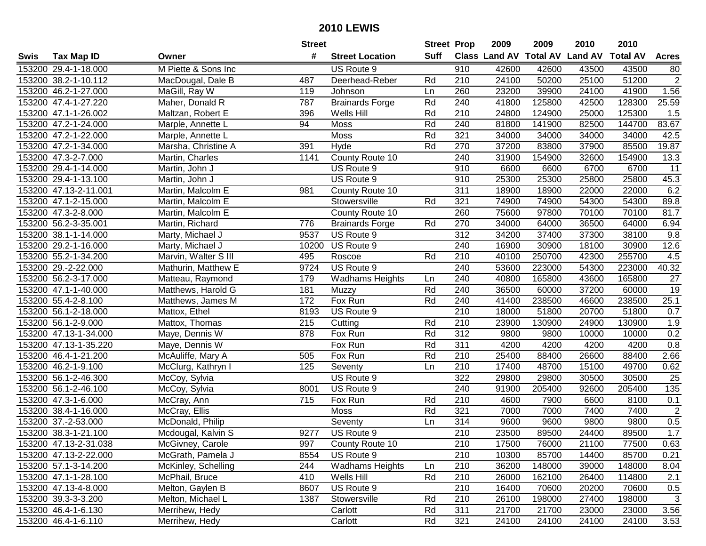| #<br>Suff<br>Class Land AV Total AV Land AV<br><b>Total AV</b><br><b>Tax Map ID</b><br><b>Street Location</b><br><b>Acres</b><br>Swis<br>Owner<br>M Piette & Sons Inc<br>42600<br>153200 29.4-1-18.000<br>910<br>42600<br>43500<br>43500<br>US Route 9<br>80<br>$\overline{2}$<br>51200<br>210<br>24100<br>50200<br>25100<br>153200 38.2-1-10.112<br>MacDougal, Dale B<br>487<br>Deerhead-Reber<br>Rd<br>1.56<br>153200 46.2-1-27.000<br>MaGill, Ray W<br>260<br>23200<br>39900<br>24100<br>41900<br>119<br>Ln<br>Johnson<br>Rd<br><b>Brainards Forge</b><br>240<br>41800<br>128300<br>25.59<br>153200 47.4-1-27.220<br>Maher, Donald R<br>787<br>125800<br>42500<br>153200 47.1-1-26.002<br>Maltzan, Robert E<br>Wells Hill<br>Rd<br>210<br>24800<br>124900<br>25000<br>125300<br>1.5<br>396<br>Rd<br>83.67<br>153200 47.2-1-24.000<br>94<br>Moss<br>240<br>81800<br>141900<br>82500<br>144700<br>Marple, Annette L<br>153200 47.2-1-22.000<br>Rd<br>321<br>34000<br>34000<br>42.5<br>Marple, Annette L<br>Moss<br>34000<br>34000<br>153200 47.2-1-34.000<br>391<br>Rd<br>270<br>37200<br>83800<br>37900<br>85500<br>19.87<br>Hyde<br>Marsha, Christine A<br>153200 47.3-2-7.000<br>1141<br>County Route 10<br>240<br>31900<br>154900<br>32600<br>154900<br>13.3<br>Martin, Charles<br>153200 29.4-1-14.000<br>910<br>6600<br>6600<br>6700<br>6700<br>11<br>Martin, John J<br>US Route 9<br>US Route 9<br>910<br>25300<br>25800<br>25800<br>45.3<br>153200 29.4-1-13.100<br>Martin, John J<br>25300<br>153200 47.13-2-11.001<br>311<br>18900<br>18900<br>22000<br>22000<br>6.2<br>Martin, Malcolm E<br>981<br>County Route 10<br>153200 47.1-2-15.000<br>321<br>74900<br>74900<br>54300<br>54300<br>89.8<br>Stowersville<br>Rd<br>Martin, Malcolm E<br>260<br>153200 47.3-2-8.000<br>75600<br>97800<br>70100<br>70100<br>81.7<br>Martin, Malcolm E<br>County Route 10<br>270<br>153200 56.2-3-35.001<br>776<br>Rd<br>34000<br>64000<br>36500<br>64000<br>6.94<br>Martin, Richard<br><b>Brainards Forge</b><br>312<br>37400<br>37300<br>38100<br>153200 38.1-1-14.000<br>9537<br>US Route 9<br>34200<br>9.8<br>Marty, Michael J<br>240<br>12.6<br>153200 29.2-1-16.000<br>10200<br>US Route 9<br>16900<br>30900<br>18100<br>30900<br>Marty, Michael J<br>153200 55.2-1-34.200<br>Roscoe<br>Rd<br>210<br>40100<br>250700<br>255700<br>4.5<br>Marvin, Walter S III<br>495<br>42300<br>40.32<br>153200 29.-2-22.000<br>9724<br>US Route 9<br>240<br>53600<br>223000<br>54300<br>223000<br>Mathurin, Matthew E<br>153200 56.2-3-17.000<br><b>Wadhams Heights</b><br>240<br>40800<br>165800<br>43600<br>165800<br>27<br>Matteau, Raymond<br>179<br>Ln<br>19<br>Rd<br>240<br>36500<br>37200<br>153200 47.1-1-40.000<br>Matthews, Harold G<br>181<br>60000<br>60000<br>Muzzy<br>Rd<br>25.1<br>153200 55.4-2-8.100<br>172<br>Fox Run<br>240<br>41400<br>238500<br>46600<br>238500<br>Matthews, James M<br>210<br>153200 56.1-2-18.000<br>8193<br>US Route 9<br>18000<br>51800<br>20700<br>51800<br>0.7<br>Mattox, Ethel<br>153200 56.1-2-9.000<br>215<br>Rd<br>210<br>23900<br>130900<br>130900<br>1.9<br>Mattox, Thomas<br>24900<br>Cutting<br>312<br>0.2<br>Rd<br>9800<br>153200 47.13-1-34.000<br>Maye, Dennis W<br>878<br>Fox Run<br>9800<br>10000<br>10000<br>Rd<br>311<br>0.8<br>153200 47.13-1-35.220<br>Maye, Dennis W<br>Fox Run<br>4200<br>4200<br>4200<br>4200<br>Rd<br>210<br>25400<br>88400<br>153200 46.4-1-21.200<br>McAuliffe, Mary A<br>505<br>Fox Run<br>88400<br>26600<br>2.66<br>153200 46.2-1-9.100<br>125<br>210<br>17400<br>48700<br>15100<br>49700<br>0.62<br>McClurg, Kathryn I<br>Seventy<br>Ln<br>322<br>29800<br>30500<br>30500<br>25<br>153200 56.1-2-46.300<br>McCoy, Sylvia<br>US Route 9<br>29800<br>240<br>205400<br>$\overline{135}$<br>153200 56.1-2-46.100<br>McCoy, Sylvia<br>8001<br>US Route 9<br>91900<br>205400<br>92600<br>153200 47.3-1-6.000<br>$\overline{715}$<br>Rd<br>$\overline{210}$<br>4600<br>7900<br>Fox Run<br>6600<br>8100<br>0.1<br>McCray, Ann<br>$\overline{2}$<br>7400<br>153200 38.4-1-16.000<br>Rd<br>321<br>7000<br>7000<br>7400<br>McCray, Ellis<br><b>Moss</b><br>314<br>0.5<br>153200 37.-2-53.000<br>9600<br>McDonald, Philip<br>9600<br>9800<br>9800<br>Seventy<br>Ln<br>1.7<br>$\overline{210}$<br>153200 38.3-1-21.100<br>9277<br>US Route 9<br>23500<br>89500<br>24400<br>89500<br>Mcdougal, Kalvin S<br>153200 47.13-2-31.038<br>McGivney, Carole<br>997<br>County Route 10<br>210<br>17500<br>76000<br>21100<br>77500<br>0.63<br>153200 47.13-2-22.000<br>McGrath, Pamela J<br>8554<br>US Route 9<br>210<br>10300<br>85700<br>14400<br>85700<br>0.21<br><b>Wadhams Heights</b><br>153200 57.1-3-14.200<br>McKinley, Schelling<br>244<br>210<br>36200<br>148000<br>39000<br>148000<br>Ln<br>8.04<br>Rd<br>Wells Hill<br>210<br>26000<br>162100<br>114800<br>2.1<br>153200 47.1-1-28.100<br>McPhail, Bruce<br>410<br>26400<br>US Route 9<br>16400<br>153200 47.13-4-8.000<br>Melton, Gaylen B<br>210<br>70600<br>20200<br>70600<br>0.5<br>8607<br>3<br>Stowersville<br>Rd<br>210<br>153200 39.3-3-3.200<br>Melton, Michael L<br>1387<br>26100<br>198000<br>27400<br>198000<br>153200 46.4-1-6.130<br>Rd<br>311<br>21700<br>21700<br>23000<br>23000<br>3.56<br>Merrihew, Hedy<br>Carlott<br>153200 46.4-1-6.110<br>Rd<br>321<br>24100<br>24100<br>3.53<br>Merrihew, Hedy<br>Carlott<br>24100<br>24100 |  | <b>Street</b> | <b>Street Prop</b> | 2009 | 2009 | 2010 | 2010 |  |
|--------------------------------------------------------------------------------------------------------------------------------------------------------------------------------------------------------------------------------------------------------------------------------------------------------------------------------------------------------------------------------------------------------------------------------------------------------------------------------------------------------------------------------------------------------------------------------------------------------------------------------------------------------------------------------------------------------------------------------------------------------------------------------------------------------------------------------------------------------------------------------------------------------------------------------------------------------------------------------------------------------------------------------------------------------------------------------------------------------------------------------------------------------------------------------------------------------------------------------------------------------------------------------------------------------------------------------------------------------------------------------------------------------------------------------------------------------------------------------------------------------------------------------------------------------------------------------------------------------------------------------------------------------------------------------------------------------------------------------------------------------------------------------------------------------------------------------------------------------------------------------------------------------------------------------------------------------------------------------------------------------------------------------------------------------------------------------------------------------------------------------------------------------------------------------------------------------------------------------------------------------------------------------------------------------------------------------------------------------------------------------------------------------------------------------------------------------------------------------------------------------------------------------------------------------------------------------------------------------------------------------------------------------------------------------------------------------------------------------------------------------------------------------------------------------------------------------------------------------------------------------------------------------------------------------------------------------------------------------------------------------------------------------------------------------------------------------------------------------------------------------------------------------------------------------------------------------------------------------------------------------------------------------------------------------------------------------------------------------------------------------------------------------------------------------------------------------------------------------------------------------------------------------------------------------------------------------------------------------------------------------------------------------------------------------------------------------------------------------------------------------------------------------------------------------------------------------------------------------------------------------------------------------------------------------------------------------------------------------------------------------------------------------------------------------------------------------------------------------------------------------------------------------------------------------------------------------------------------------------------------------------------------------------------------------------------------------------------------------------------------------------------------------------------------------------------------------------------------------------------------------------------------------------------------------------------------------------------------------------------------------------------------------------------------------------------------------------------------------------------------------------------------------------------------------------------------------------------------------------------------------------------------------------------------------------------------------------------------------------------------------------------------------------------------------------------------------------------------------------------------------------------------------------------------------------------------------------------------------------------------------------------------------------------------------------------------------------------------------------------|--|---------------|--------------------|------|------|------|------|--|
|                                                                                                                                                                                                                                                                                                                                                                                                                                                                                                                                                                                                                                                                                                                                                                                                                                                                                                                                                                                                                                                                                                                                                                                                                                                                                                                                                                                                                                                                                                                                                                                                                                                                                                                                                                                                                                                                                                                                                                                                                                                                                                                                                                                                                                                                                                                                                                                                                                                                                                                                                                                                                                                                                                                                                                                                                                                                                                                                                                                                                                                                                                                                                                                                                                                                                                                                                                                                                                                                                                                                                                                                                                                                                                                                                                                                                                                                                                                                                                                                                                                                                                                                                                                                                                                                                                                                                                                                                                                                                                                                                                                                                                                                                                                                                                                                                                                                                                                                                                                                                                                                                                                                                                                                                                                                                                                                                                    |  |               |                    |      |      |      |      |  |
|                                                                                                                                                                                                                                                                                                                                                                                                                                                                                                                                                                                                                                                                                                                                                                                                                                                                                                                                                                                                                                                                                                                                                                                                                                                                                                                                                                                                                                                                                                                                                                                                                                                                                                                                                                                                                                                                                                                                                                                                                                                                                                                                                                                                                                                                                                                                                                                                                                                                                                                                                                                                                                                                                                                                                                                                                                                                                                                                                                                                                                                                                                                                                                                                                                                                                                                                                                                                                                                                                                                                                                                                                                                                                                                                                                                                                                                                                                                                                                                                                                                                                                                                                                                                                                                                                                                                                                                                                                                                                                                                                                                                                                                                                                                                                                                                                                                                                                                                                                                                                                                                                                                                                                                                                                                                                                                                                                    |  |               |                    |      |      |      |      |  |
|                                                                                                                                                                                                                                                                                                                                                                                                                                                                                                                                                                                                                                                                                                                                                                                                                                                                                                                                                                                                                                                                                                                                                                                                                                                                                                                                                                                                                                                                                                                                                                                                                                                                                                                                                                                                                                                                                                                                                                                                                                                                                                                                                                                                                                                                                                                                                                                                                                                                                                                                                                                                                                                                                                                                                                                                                                                                                                                                                                                                                                                                                                                                                                                                                                                                                                                                                                                                                                                                                                                                                                                                                                                                                                                                                                                                                                                                                                                                                                                                                                                                                                                                                                                                                                                                                                                                                                                                                                                                                                                                                                                                                                                                                                                                                                                                                                                                                                                                                                                                                                                                                                                                                                                                                                                                                                                                                                    |  |               |                    |      |      |      |      |  |
|                                                                                                                                                                                                                                                                                                                                                                                                                                                                                                                                                                                                                                                                                                                                                                                                                                                                                                                                                                                                                                                                                                                                                                                                                                                                                                                                                                                                                                                                                                                                                                                                                                                                                                                                                                                                                                                                                                                                                                                                                                                                                                                                                                                                                                                                                                                                                                                                                                                                                                                                                                                                                                                                                                                                                                                                                                                                                                                                                                                                                                                                                                                                                                                                                                                                                                                                                                                                                                                                                                                                                                                                                                                                                                                                                                                                                                                                                                                                                                                                                                                                                                                                                                                                                                                                                                                                                                                                                                                                                                                                                                                                                                                                                                                                                                                                                                                                                                                                                                                                                                                                                                                                                                                                                                                                                                                                                                    |  |               |                    |      |      |      |      |  |
|                                                                                                                                                                                                                                                                                                                                                                                                                                                                                                                                                                                                                                                                                                                                                                                                                                                                                                                                                                                                                                                                                                                                                                                                                                                                                                                                                                                                                                                                                                                                                                                                                                                                                                                                                                                                                                                                                                                                                                                                                                                                                                                                                                                                                                                                                                                                                                                                                                                                                                                                                                                                                                                                                                                                                                                                                                                                                                                                                                                                                                                                                                                                                                                                                                                                                                                                                                                                                                                                                                                                                                                                                                                                                                                                                                                                                                                                                                                                                                                                                                                                                                                                                                                                                                                                                                                                                                                                                                                                                                                                                                                                                                                                                                                                                                                                                                                                                                                                                                                                                                                                                                                                                                                                                                                                                                                                                                    |  |               |                    |      |      |      |      |  |
|                                                                                                                                                                                                                                                                                                                                                                                                                                                                                                                                                                                                                                                                                                                                                                                                                                                                                                                                                                                                                                                                                                                                                                                                                                                                                                                                                                                                                                                                                                                                                                                                                                                                                                                                                                                                                                                                                                                                                                                                                                                                                                                                                                                                                                                                                                                                                                                                                                                                                                                                                                                                                                                                                                                                                                                                                                                                                                                                                                                                                                                                                                                                                                                                                                                                                                                                                                                                                                                                                                                                                                                                                                                                                                                                                                                                                                                                                                                                                                                                                                                                                                                                                                                                                                                                                                                                                                                                                                                                                                                                                                                                                                                                                                                                                                                                                                                                                                                                                                                                                                                                                                                                                                                                                                                                                                                                                                    |  |               |                    |      |      |      |      |  |
|                                                                                                                                                                                                                                                                                                                                                                                                                                                                                                                                                                                                                                                                                                                                                                                                                                                                                                                                                                                                                                                                                                                                                                                                                                                                                                                                                                                                                                                                                                                                                                                                                                                                                                                                                                                                                                                                                                                                                                                                                                                                                                                                                                                                                                                                                                                                                                                                                                                                                                                                                                                                                                                                                                                                                                                                                                                                                                                                                                                                                                                                                                                                                                                                                                                                                                                                                                                                                                                                                                                                                                                                                                                                                                                                                                                                                                                                                                                                                                                                                                                                                                                                                                                                                                                                                                                                                                                                                                                                                                                                                                                                                                                                                                                                                                                                                                                                                                                                                                                                                                                                                                                                                                                                                                                                                                                                                                    |  |               |                    |      |      |      |      |  |
|                                                                                                                                                                                                                                                                                                                                                                                                                                                                                                                                                                                                                                                                                                                                                                                                                                                                                                                                                                                                                                                                                                                                                                                                                                                                                                                                                                                                                                                                                                                                                                                                                                                                                                                                                                                                                                                                                                                                                                                                                                                                                                                                                                                                                                                                                                                                                                                                                                                                                                                                                                                                                                                                                                                                                                                                                                                                                                                                                                                                                                                                                                                                                                                                                                                                                                                                                                                                                                                                                                                                                                                                                                                                                                                                                                                                                                                                                                                                                                                                                                                                                                                                                                                                                                                                                                                                                                                                                                                                                                                                                                                                                                                                                                                                                                                                                                                                                                                                                                                                                                                                                                                                                                                                                                                                                                                                                                    |  |               |                    |      |      |      |      |  |
|                                                                                                                                                                                                                                                                                                                                                                                                                                                                                                                                                                                                                                                                                                                                                                                                                                                                                                                                                                                                                                                                                                                                                                                                                                                                                                                                                                                                                                                                                                                                                                                                                                                                                                                                                                                                                                                                                                                                                                                                                                                                                                                                                                                                                                                                                                                                                                                                                                                                                                                                                                                                                                                                                                                                                                                                                                                                                                                                                                                                                                                                                                                                                                                                                                                                                                                                                                                                                                                                                                                                                                                                                                                                                                                                                                                                                                                                                                                                                                                                                                                                                                                                                                                                                                                                                                                                                                                                                                                                                                                                                                                                                                                                                                                                                                                                                                                                                                                                                                                                                                                                                                                                                                                                                                                                                                                                                                    |  |               |                    |      |      |      |      |  |
|                                                                                                                                                                                                                                                                                                                                                                                                                                                                                                                                                                                                                                                                                                                                                                                                                                                                                                                                                                                                                                                                                                                                                                                                                                                                                                                                                                                                                                                                                                                                                                                                                                                                                                                                                                                                                                                                                                                                                                                                                                                                                                                                                                                                                                                                                                                                                                                                                                                                                                                                                                                                                                                                                                                                                                                                                                                                                                                                                                                                                                                                                                                                                                                                                                                                                                                                                                                                                                                                                                                                                                                                                                                                                                                                                                                                                                                                                                                                                                                                                                                                                                                                                                                                                                                                                                                                                                                                                                                                                                                                                                                                                                                                                                                                                                                                                                                                                                                                                                                                                                                                                                                                                                                                                                                                                                                                                                    |  |               |                    |      |      |      |      |  |
|                                                                                                                                                                                                                                                                                                                                                                                                                                                                                                                                                                                                                                                                                                                                                                                                                                                                                                                                                                                                                                                                                                                                                                                                                                                                                                                                                                                                                                                                                                                                                                                                                                                                                                                                                                                                                                                                                                                                                                                                                                                                                                                                                                                                                                                                                                                                                                                                                                                                                                                                                                                                                                                                                                                                                                                                                                                                                                                                                                                                                                                                                                                                                                                                                                                                                                                                                                                                                                                                                                                                                                                                                                                                                                                                                                                                                                                                                                                                                                                                                                                                                                                                                                                                                                                                                                                                                                                                                                                                                                                                                                                                                                                                                                                                                                                                                                                                                                                                                                                                                                                                                                                                                                                                                                                                                                                                                                    |  |               |                    |      |      |      |      |  |
|                                                                                                                                                                                                                                                                                                                                                                                                                                                                                                                                                                                                                                                                                                                                                                                                                                                                                                                                                                                                                                                                                                                                                                                                                                                                                                                                                                                                                                                                                                                                                                                                                                                                                                                                                                                                                                                                                                                                                                                                                                                                                                                                                                                                                                                                                                                                                                                                                                                                                                                                                                                                                                                                                                                                                                                                                                                                                                                                                                                                                                                                                                                                                                                                                                                                                                                                                                                                                                                                                                                                                                                                                                                                                                                                                                                                                                                                                                                                                                                                                                                                                                                                                                                                                                                                                                                                                                                                                                                                                                                                                                                                                                                                                                                                                                                                                                                                                                                                                                                                                                                                                                                                                                                                                                                                                                                                                                    |  |               |                    |      |      |      |      |  |
|                                                                                                                                                                                                                                                                                                                                                                                                                                                                                                                                                                                                                                                                                                                                                                                                                                                                                                                                                                                                                                                                                                                                                                                                                                                                                                                                                                                                                                                                                                                                                                                                                                                                                                                                                                                                                                                                                                                                                                                                                                                                                                                                                                                                                                                                                                                                                                                                                                                                                                                                                                                                                                                                                                                                                                                                                                                                                                                                                                                                                                                                                                                                                                                                                                                                                                                                                                                                                                                                                                                                                                                                                                                                                                                                                                                                                                                                                                                                                                                                                                                                                                                                                                                                                                                                                                                                                                                                                                                                                                                                                                                                                                                                                                                                                                                                                                                                                                                                                                                                                                                                                                                                                                                                                                                                                                                                                                    |  |               |                    |      |      |      |      |  |
|                                                                                                                                                                                                                                                                                                                                                                                                                                                                                                                                                                                                                                                                                                                                                                                                                                                                                                                                                                                                                                                                                                                                                                                                                                                                                                                                                                                                                                                                                                                                                                                                                                                                                                                                                                                                                                                                                                                                                                                                                                                                                                                                                                                                                                                                                                                                                                                                                                                                                                                                                                                                                                                                                                                                                                                                                                                                                                                                                                                                                                                                                                                                                                                                                                                                                                                                                                                                                                                                                                                                                                                                                                                                                                                                                                                                                                                                                                                                                                                                                                                                                                                                                                                                                                                                                                                                                                                                                                                                                                                                                                                                                                                                                                                                                                                                                                                                                                                                                                                                                                                                                                                                                                                                                                                                                                                                                                    |  |               |                    |      |      |      |      |  |
|                                                                                                                                                                                                                                                                                                                                                                                                                                                                                                                                                                                                                                                                                                                                                                                                                                                                                                                                                                                                                                                                                                                                                                                                                                                                                                                                                                                                                                                                                                                                                                                                                                                                                                                                                                                                                                                                                                                                                                                                                                                                                                                                                                                                                                                                                                                                                                                                                                                                                                                                                                                                                                                                                                                                                                                                                                                                                                                                                                                                                                                                                                                                                                                                                                                                                                                                                                                                                                                                                                                                                                                                                                                                                                                                                                                                                                                                                                                                                                                                                                                                                                                                                                                                                                                                                                                                                                                                                                                                                                                                                                                                                                                                                                                                                                                                                                                                                                                                                                                                                                                                                                                                                                                                                                                                                                                                                                    |  |               |                    |      |      |      |      |  |
|                                                                                                                                                                                                                                                                                                                                                                                                                                                                                                                                                                                                                                                                                                                                                                                                                                                                                                                                                                                                                                                                                                                                                                                                                                                                                                                                                                                                                                                                                                                                                                                                                                                                                                                                                                                                                                                                                                                                                                                                                                                                                                                                                                                                                                                                                                                                                                                                                                                                                                                                                                                                                                                                                                                                                                                                                                                                                                                                                                                                                                                                                                                                                                                                                                                                                                                                                                                                                                                                                                                                                                                                                                                                                                                                                                                                                                                                                                                                                                                                                                                                                                                                                                                                                                                                                                                                                                                                                                                                                                                                                                                                                                                                                                                                                                                                                                                                                                                                                                                                                                                                                                                                                                                                                                                                                                                                                                    |  |               |                    |      |      |      |      |  |
|                                                                                                                                                                                                                                                                                                                                                                                                                                                                                                                                                                                                                                                                                                                                                                                                                                                                                                                                                                                                                                                                                                                                                                                                                                                                                                                                                                                                                                                                                                                                                                                                                                                                                                                                                                                                                                                                                                                                                                                                                                                                                                                                                                                                                                                                                                                                                                                                                                                                                                                                                                                                                                                                                                                                                                                                                                                                                                                                                                                                                                                                                                                                                                                                                                                                                                                                                                                                                                                                                                                                                                                                                                                                                                                                                                                                                                                                                                                                                                                                                                                                                                                                                                                                                                                                                                                                                                                                                                                                                                                                                                                                                                                                                                                                                                                                                                                                                                                                                                                                                                                                                                                                                                                                                                                                                                                                                                    |  |               |                    |      |      |      |      |  |
|                                                                                                                                                                                                                                                                                                                                                                                                                                                                                                                                                                                                                                                                                                                                                                                                                                                                                                                                                                                                                                                                                                                                                                                                                                                                                                                                                                                                                                                                                                                                                                                                                                                                                                                                                                                                                                                                                                                                                                                                                                                                                                                                                                                                                                                                                                                                                                                                                                                                                                                                                                                                                                                                                                                                                                                                                                                                                                                                                                                                                                                                                                                                                                                                                                                                                                                                                                                                                                                                                                                                                                                                                                                                                                                                                                                                                                                                                                                                                                                                                                                                                                                                                                                                                                                                                                                                                                                                                                                                                                                                                                                                                                                                                                                                                                                                                                                                                                                                                                                                                                                                                                                                                                                                                                                                                                                                                                    |  |               |                    |      |      |      |      |  |
|                                                                                                                                                                                                                                                                                                                                                                                                                                                                                                                                                                                                                                                                                                                                                                                                                                                                                                                                                                                                                                                                                                                                                                                                                                                                                                                                                                                                                                                                                                                                                                                                                                                                                                                                                                                                                                                                                                                                                                                                                                                                                                                                                                                                                                                                                                                                                                                                                                                                                                                                                                                                                                                                                                                                                                                                                                                                                                                                                                                                                                                                                                                                                                                                                                                                                                                                                                                                                                                                                                                                                                                                                                                                                                                                                                                                                                                                                                                                                                                                                                                                                                                                                                                                                                                                                                                                                                                                                                                                                                                                                                                                                                                                                                                                                                                                                                                                                                                                                                                                                                                                                                                                                                                                                                                                                                                                                                    |  |               |                    |      |      |      |      |  |
|                                                                                                                                                                                                                                                                                                                                                                                                                                                                                                                                                                                                                                                                                                                                                                                                                                                                                                                                                                                                                                                                                                                                                                                                                                                                                                                                                                                                                                                                                                                                                                                                                                                                                                                                                                                                                                                                                                                                                                                                                                                                                                                                                                                                                                                                                                                                                                                                                                                                                                                                                                                                                                                                                                                                                                                                                                                                                                                                                                                                                                                                                                                                                                                                                                                                                                                                                                                                                                                                                                                                                                                                                                                                                                                                                                                                                                                                                                                                                                                                                                                                                                                                                                                                                                                                                                                                                                                                                                                                                                                                                                                                                                                                                                                                                                                                                                                                                                                                                                                                                                                                                                                                                                                                                                                                                                                                                                    |  |               |                    |      |      |      |      |  |
|                                                                                                                                                                                                                                                                                                                                                                                                                                                                                                                                                                                                                                                                                                                                                                                                                                                                                                                                                                                                                                                                                                                                                                                                                                                                                                                                                                                                                                                                                                                                                                                                                                                                                                                                                                                                                                                                                                                                                                                                                                                                                                                                                                                                                                                                                                                                                                                                                                                                                                                                                                                                                                                                                                                                                                                                                                                                                                                                                                                                                                                                                                                                                                                                                                                                                                                                                                                                                                                                                                                                                                                                                                                                                                                                                                                                                                                                                                                                                                                                                                                                                                                                                                                                                                                                                                                                                                                                                                                                                                                                                                                                                                                                                                                                                                                                                                                                                                                                                                                                                                                                                                                                                                                                                                                                                                                                                                    |  |               |                    |      |      |      |      |  |
|                                                                                                                                                                                                                                                                                                                                                                                                                                                                                                                                                                                                                                                                                                                                                                                                                                                                                                                                                                                                                                                                                                                                                                                                                                                                                                                                                                                                                                                                                                                                                                                                                                                                                                                                                                                                                                                                                                                                                                                                                                                                                                                                                                                                                                                                                                                                                                                                                                                                                                                                                                                                                                                                                                                                                                                                                                                                                                                                                                                                                                                                                                                                                                                                                                                                                                                                                                                                                                                                                                                                                                                                                                                                                                                                                                                                                                                                                                                                                                                                                                                                                                                                                                                                                                                                                                                                                                                                                                                                                                                                                                                                                                                                                                                                                                                                                                                                                                                                                                                                                                                                                                                                                                                                                                                                                                                                                                    |  |               |                    |      |      |      |      |  |
|                                                                                                                                                                                                                                                                                                                                                                                                                                                                                                                                                                                                                                                                                                                                                                                                                                                                                                                                                                                                                                                                                                                                                                                                                                                                                                                                                                                                                                                                                                                                                                                                                                                                                                                                                                                                                                                                                                                                                                                                                                                                                                                                                                                                                                                                                                                                                                                                                                                                                                                                                                                                                                                                                                                                                                                                                                                                                                                                                                                                                                                                                                                                                                                                                                                                                                                                                                                                                                                                                                                                                                                                                                                                                                                                                                                                                                                                                                                                                                                                                                                                                                                                                                                                                                                                                                                                                                                                                                                                                                                                                                                                                                                                                                                                                                                                                                                                                                                                                                                                                                                                                                                                                                                                                                                                                                                                                                    |  |               |                    |      |      |      |      |  |
|                                                                                                                                                                                                                                                                                                                                                                                                                                                                                                                                                                                                                                                                                                                                                                                                                                                                                                                                                                                                                                                                                                                                                                                                                                                                                                                                                                                                                                                                                                                                                                                                                                                                                                                                                                                                                                                                                                                                                                                                                                                                                                                                                                                                                                                                                                                                                                                                                                                                                                                                                                                                                                                                                                                                                                                                                                                                                                                                                                                                                                                                                                                                                                                                                                                                                                                                                                                                                                                                                                                                                                                                                                                                                                                                                                                                                                                                                                                                                                                                                                                                                                                                                                                                                                                                                                                                                                                                                                                                                                                                                                                                                                                                                                                                                                                                                                                                                                                                                                                                                                                                                                                                                                                                                                                                                                                                                                    |  |               |                    |      |      |      |      |  |
|                                                                                                                                                                                                                                                                                                                                                                                                                                                                                                                                                                                                                                                                                                                                                                                                                                                                                                                                                                                                                                                                                                                                                                                                                                                                                                                                                                                                                                                                                                                                                                                                                                                                                                                                                                                                                                                                                                                                                                                                                                                                                                                                                                                                                                                                                                                                                                                                                                                                                                                                                                                                                                                                                                                                                                                                                                                                                                                                                                                                                                                                                                                                                                                                                                                                                                                                                                                                                                                                                                                                                                                                                                                                                                                                                                                                                                                                                                                                                                                                                                                                                                                                                                                                                                                                                                                                                                                                                                                                                                                                                                                                                                                                                                                                                                                                                                                                                                                                                                                                                                                                                                                                                                                                                                                                                                                                                                    |  |               |                    |      |      |      |      |  |
|                                                                                                                                                                                                                                                                                                                                                                                                                                                                                                                                                                                                                                                                                                                                                                                                                                                                                                                                                                                                                                                                                                                                                                                                                                                                                                                                                                                                                                                                                                                                                                                                                                                                                                                                                                                                                                                                                                                                                                                                                                                                                                                                                                                                                                                                                                                                                                                                                                                                                                                                                                                                                                                                                                                                                                                                                                                                                                                                                                                                                                                                                                                                                                                                                                                                                                                                                                                                                                                                                                                                                                                                                                                                                                                                                                                                                                                                                                                                                                                                                                                                                                                                                                                                                                                                                                                                                                                                                                                                                                                                                                                                                                                                                                                                                                                                                                                                                                                                                                                                                                                                                                                                                                                                                                                                                                                                                                    |  |               |                    |      |      |      |      |  |
|                                                                                                                                                                                                                                                                                                                                                                                                                                                                                                                                                                                                                                                                                                                                                                                                                                                                                                                                                                                                                                                                                                                                                                                                                                                                                                                                                                                                                                                                                                                                                                                                                                                                                                                                                                                                                                                                                                                                                                                                                                                                                                                                                                                                                                                                                                                                                                                                                                                                                                                                                                                                                                                                                                                                                                                                                                                                                                                                                                                                                                                                                                                                                                                                                                                                                                                                                                                                                                                                                                                                                                                                                                                                                                                                                                                                                                                                                                                                                                                                                                                                                                                                                                                                                                                                                                                                                                                                                                                                                                                                                                                                                                                                                                                                                                                                                                                                                                                                                                                                                                                                                                                                                                                                                                                                                                                                                                    |  |               |                    |      |      |      |      |  |
|                                                                                                                                                                                                                                                                                                                                                                                                                                                                                                                                                                                                                                                                                                                                                                                                                                                                                                                                                                                                                                                                                                                                                                                                                                                                                                                                                                                                                                                                                                                                                                                                                                                                                                                                                                                                                                                                                                                                                                                                                                                                                                                                                                                                                                                                                                                                                                                                                                                                                                                                                                                                                                                                                                                                                                                                                                                                                                                                                                                                                                                                                                                                                                                                                                                                                                                                                                                                                                                                                                                                                                                                                                                                                                                                                                                                                                                                                                                                                                                                                                                                                                                                                                                                                                                                                                                                                                                                                                                                                                                                                                                                                                                                                                                                                                                                                                                                                                                                                                                                                                                                                                                                                                                                                                                                                                                                                                    |  |               |                    |      |      |      |      |  |
|                                                                                                                                                                                                                                                                                                                                                                                                                                                                                                                                                                                                                                                                                                                                                                                                                                                                                                                                                                                                                                                                                                                                                                                                                                                                                                                                                                                                                                                                                                                                                                                                                                                                                                                                                                                                                                                                                                                                                                                                                                                                                                                                                                                                                                                                                                                                                                                                                                                                                                                                                                                                                                                                                                                                                                                                                                                                                                                                                                                                                                                                                                                                                                                                                                                                                                                                                                                                                                                                                                                                                                                                                                                                                                                                                                                                                                                                                                                                                                                                                                                                                                                                                                                                                                                                                                                                                                                                                                                                                                                                                                                                                                                                                                                                                                                                                                                                                                                                                                                                                                                                                                                                                                                                                                                                                                                                                                    |  |               |                    |      |      |      |      |  |
|                                                                                                                                                                                                                                                                                                                                                                                                                                                                                                                                                                                                                                                                                                                                                                                                                                                                                                                                                                                                                                                                                                                                                                                                                                                                                                                                                                                                                                                                                                                                                                                                                                                                                                                                                                                                                                                                                                                                                                                                                                                                                                                                                                                                                                                                                                                                                                                                                                                                                                                                                                                                                                                                                                                                                                                                                                                                                                                                                                                                                                                                                                                                                                                                                                                                                                                                                                                                                                                                                                                                                                                                                                                                                                                                                                                                                                                                                                                                                                                                                                                                                                                                                                                                                                                                                                                                                                                                                                                                                                                                                                                                                                                                                                                                                                                                                                                                                                                                                                                                                                                                                                                                                                                                                                                                                                                                                                    |  |               |                    |      |      |      |      |  |
|                                                                                                                                                                                                                                                                                                                                                                                                                                                                                                                                                                                                                                                                                                                                                                                                                                                                                                                                                                                                                                                                                                                                                                                                                                                                                                                                                                                                                                                                                                                                                                                                                                                                                                                                                                                                                                                                                                                                                                                                                                                                                                                                                                                                                                                                                                                                                                                                                                                                                                                                                                                                                                                                                                                                                                                                                                                                                                                                                                                                                                                                                                                                                                                                                                                                                                                                                                                                                                                                                                                                                                                                                                                                                                                                                                                                                                                                                                                                                                                                                                                                                                                                                                                                                                                                                                                                                                                                                                                                                                                                                                                                                                                                                                                                                                                                                                                                                                                                                                                                                                                                                                                                                                                                                                                                                                                                                                    |  |               |                    |      |      |      |      |  |
|                                                                                                                                                                                                                                                                                                                                                                                                                                                                                                                                                                                                                                                                                                                                                                                                                                                                                                                                                                                                                                                                                                                                                                                                                                                                                                                                                                                                                                                                                                                                                                                                                                                                                                                                                                                                                                                                                                                                                                                                                                                                                                                                                                                                                                                                                                                                                                                                                                                                                                                                                                                                                                                                                                                                                                                                                                                                                                                                                                                                                                                                                                                                                                                                                                                                                                                                                                                                                                                                                                                                                                                                                                                                                                                                                                                                                                                                                                                                                                                                                                                                                                                                                                                                                                                                                                                                                                                                                                                                                                                                                                                                                                                                                                                                                                                                                                                                                                                                                                                                                                                                                                                                                                                                                                                                                                                                                                    |  |               |                    |      |      |      |      |  |
|                                                                                                                                                                                                                                                                                                                                                                                                                                                                                                                                                                                                                                                                                                                                                                                                                                                                                                                                                                                                                                                                                                                                                                                                                                                                                                                                                                                                                                                                                                                                                                                                                                                                                                                                                                                                                                                                                                                                                                                                                                                                                                                                                                                                                                                                                                                                                                                                                                                                                                                                                                                                                                                                                                                                                                                                                                                                                                                                                                                                                                                                                                                                                                                                                                                                                                                                                                                                                                                                                                                                                                                                                                                                                                                                                                                                                                                                                                                                                                                                                                                                                                                                                                                                                                                                                                                                                                                                                                                                                                                                                                                                                                                                                                                                                                                                                                                                                                                                                                                                                                                                                                                                                                                                                                                                                                                                                                    |  |               |                    |      |      |      |      |  |
|                                                                                                                                                                                                                                                                                                                                                                                                                                                                                                                                                                                                                                                                                                                                                                                                                                                                                                                                                                                                                                                                                                                                                                                                                                                                                                                                                                                                                                                                                                                                                                                                                                                                                                                                                                                                                                                                                                                                                                                                                                                                                                                                                                                                                                                                                                                                                                                                                                                                                                                                                                                                                                                                                                                                                                                                                                                                                                                                                                                                                                                                                                                                                                                                                                                                                                                                                                                                                                                                                                                                                                                                                                                                                                                                                                                                                                                                                                                                                                                                                                                                                                                                                                                                                                                                                                                                                                                                                                                                                                                                                                                                                                                                                                                                                                                                                                                                                                                                                                                                                                                                                                                                                                                                                                                                                                                                                                    |  |               |                    |      |      |      |      |  |
|                                                                                                                                                                                                                                                                                                                                                                                                                                                                                                                                                                                                                                                                                                                                                                                                                                                                                                                                                                                                                                                                                                                                                                                                                                                                                                                                                                                                                                                                                                                                                                                                                                                                                                                                                                                                                                                                                                                                                                                                                                                                                                                                                                                                                                                                                                                                                                                                                                                                                                                                                                                                                                                                                                                                                                                                                                                                                                                                                                                                                                                                                                                                                                                                                                                                                                                                                                                                                                                                                                                                                                                                                                                                                                                                                                                                                                                                                                                                                                                                                                                                                                                                                                                                                                                                                                                                                                                                                                                                                                                                                                                                                                                                                                                                                                                                                                                                                                                                                                                                                                                                                                                                                                                                                                                                                                                                                                    |  |               |                    |      |      |      |      |  |
|                                                                                                                                                                                                                                                                                                                                                                                                                                                                                                                                                                                                                                                                                                                                                                                                                                                                                                                                                                                                                                                                                                                                                                                                                                                                                                                                                                                                                                                                                                                                                                                                                                                                                                                                                                                                                                                                                                                                                                                                                                                                                                                                                                                                                                                                                                                                                                                                                                                                                                                                                                                                                                                                                                                                                                                                                                                                                                                                                                                                                                                                                                                                                                                                                                                                                                                                                                                                                                                                                                                                                                                                                                                                                                                                                                                                                                                                                                                                                                                                                                                                                                                                                                                                                                                                                                                                                                                                                                                                                                                                                                                                                                                                                                                                                                                                                                                                                                                                                                                                                                                                                                                                                                                                                                                                                                                                                                    |  |               |                    |      |      |      |      |  |
|                                                                                                                                                                                                                                                                                                                                                                                                                                                                                                                                                                                                                                                                                                                                                                                                                                                                                                                                                                                                                                                                                                                                                                                                                                                                                                                                                                                                                                                                                                                                                                                                                                                                                                                                                                                                                                                                                                                                                                                                                                                                                                                                                                                                                                                                                                                                                                                                                                                                                                                                                                                                                                                                                                                                                                                                                                                                                                                                                                                                                                                                                                                                                                                                                                                                                                                                                                                                                                                                                                                                                                                                                                                                                                                                                                                                                                                                                                                                                                                                                                                                                                                                                                                                                                                                                                                                                                                                                                                                                                                                                                                                                                                                                                                                                                                                                                                                                                                                                                                                                                                                                                                                                                                                                                                                                                                                                                    |  |               |                    |      |      |      |      |  |
|                                                                                                                                                                                                                                                                                                                                                                                                                                                                                                                                                                                                                                                                                                                                                                                                                                                                                                                                                                                                                                                                                                                                                                                                                                                                                                                                                                                                                                                                                                                                                                                                                                                                                                                                                                                                                                                                                                                                                                                                                                                                                                                                                                                                                                                                                                                                                                                                                                                                                                                                                                                                                                                                                                                                                                                                                                                                                                                                                                                                                                                                                                                                                                                                                                                                                                                                                                                                                                                                                                                                                                                                                                                                                                                                                                                                                                                                                                                                                                                                                                                                                                                                                                                                                                                                                                                                                                                                                                                                                                                                                                                                                                                                                                                                                                                                                                                                                                                                                                                                                                                                                                                                                                                                                                                                                                                                                                    |  |               |                    |      |      |      |      |  |
|                                                                                                                                                                                                                                                                                                                                                                                                                                                                                                                                                                                                                                                                                                                                                                                                                                                                                                                                                                                                                                                                                                                                                                                                                                                                                                                                                                                                                                                                                                                                                                                                                                                                                                                                                                                                                                                                                                                                                                                                                                                                                                                                                                                                                                                                                                                                                                                                                                                                                                                                                                                                                                                                                                                                                                                                                                                                                                                                                                                                                                                                                                                                                                                                                                                                                                                                                                                                                                                                                                                                                                                                                                                                                                                                                                                                                                                                                                                                                                                                                                                                                                                                                                                                                                                                                                                                                                                                                                                                                                                                                                                                                                                                                                                                                                                                                                                                                                                                                                                                                                                                                                                                                                                                                                                                                                                                                                    |  |               |                    |      |      |      |      |  |
|                                                                                                                                                                                                                                                                                                                                                                                                                                                                                                                                                                                                                                                                                                                                                                                                                                                                                                                                                                                                                                                                                                                                                                                                                                                                                                                                                                                                                                                                                                                                                                                                                                                                                                                                                                                                                                                                                                                                                                                                                                                                                                                                                                                                                                                                                                                                                                                                                                                                                                                                                                                                                                                                                                                                                                                                                                                                                                                                                                                                                                                                                                                                                                                                                                                                                                                                                                                                                                                                                                                                                                                                                                                                                                                                                                                                                                                                                                                                                                                                                                                                                                                                                                                                                                                                                                                                                                                                                                                                                                                                                                                                                                                                                                                                                                                                                                                                                                                                                                                                                                                                                                                                                                                                                                                                                                                                                                    |  |               |                    |      |      |      |      |  |
|                                                                                                                                                                                                                                                                                                                                                                                                                                                                                                                                                                                                                                                                                                                                                                                                                                                                                                                                                                                                                                                                                                                                                                                                                                                                                                                                                                                                                                                                                                                                                                                                                                                                                                                                                                                                                                                                                                                                                                                                                                                                                                                                                                                                                                                                                                                                                                                                                                                                                                                                                                                                                                                                                                                                                                                                                                                                                                                                                                                                                                                                                                                                                                                                                                                                                                                                                                                                                                                                                                                                                                                                                                                                                                                                                                                                                                                                                                                                                                                                                                                                                                                                                                                                                                                                                                                                                                                                                                                                                                                                                                                                                                                                                                                                                                                                                                                                                                                                                                                                                                                                                                                                                                                                                                                                                                                                                                    |  |               |                    |      |      |      |      |  |
|                                                                                                                                                                                                                                                                                                                                                                                                                                                                                                                                                                                                                                                                                                                                                                                                                                                                                                                                                                                                                                                                                                                                                                                                                                                                                                                                                                                                                                                                                                                                                                                                                                                                                                                                                                                                                                                                                                                                                                                                                                                                                                                                                                                                                                                                                                                                                                                                                                                                                                                                                                                                                                                                                                                                                                                                                                                                                                                                                                                                                                                                                                                                                                                                                                                                                                                                                                                                                                                                                                                                                                                                                                                                                                                                                                                                                                                                                                                                                                                                                                                                                                                                                                                                                                                                                                                                                                                                                                                                                                                                                                                                                                                                                                                                                                                                                                                                                                                                                                                                                                                                                                                                                                                                                                                                                                                                                                    |  |               |                    |      |      |      |      |  |
|                                                                                                                                                                                                                                                                                                                                                                                                                                                                                                                                                                                                                                                                                                                                                                                                                                                                                                                                                                                                                                                                                                                                                                                                                                                                                                                                                                                                                                                                                                                                                                                                                                                                                                                                                                                                                                                                                                                                                                                                                                                                                                                                                                                                                                                                                                                                                                                                                                                                                                                                                                                                                                                                                                                                                                                                                                                                                                                                                                                                                                                                                                                                                                                                                                                                                                                                                                                                                                                                                                                                                                                                                                                                                                                                                                                                                                                                                                                                                                                                                                                                                                                                                                                                                                                                                                                                                                                                                                                                                                                                                                                                                                                                                                                                                                                                                                                                                                                                                                                                                                                                                                                                                                                                                                                                                                                                                                    |  |               |                    |      |      |      |      |  |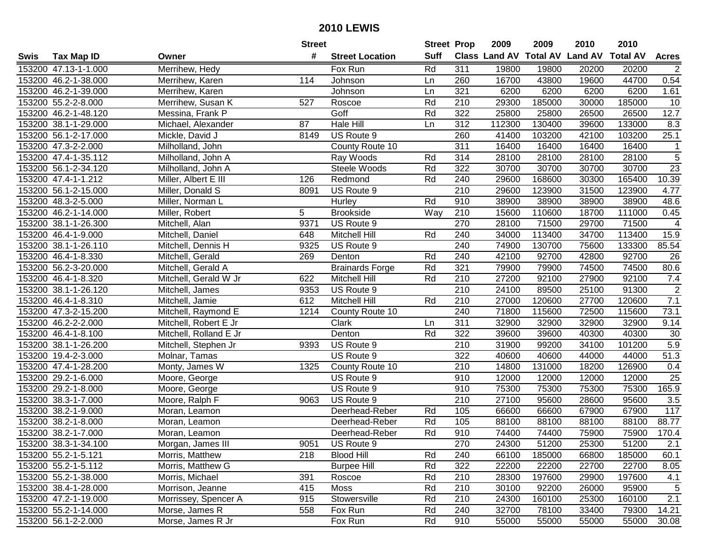|      |                      |                        | <b>Street</b>   |                        | <b>Street Prop</b> |                  | 2009   | 2009   | 2010                           | 2010            |                |
|------|----------------------|------------------------|-----------------|------------------------|--------------------|------------------|--------|--------|--------------------------------|-----------------|----------------|
| Swis | <b>Tax Map ID</b>    | Owner                  | #               | <b>Street Location</b> | <b>Suff</b>        |                  |        |        | Class Land AV Total AV Land AV | <b>Total AV</b> | <b>Acres</b>   |
|      | 153200 47.13-1-1.000 | Merrihew, Hedy         |                 | Fox Run                | Rd                 | 311              | 19800  | 19800  | 20200                          | 20200           | 2              |
|      | 153200 46.2-1-38.000 | Merrihew, Karen        | 114             | Johnson                | Ln                 | 260              | 16700  | 43800  | 19600                          | 44700           | 0.54           |
|      | 153200 46.2-1-39.000 | Merrihew, Karen        |                 | Johnson                | Ln                 | 321              | 6200   | 6200   | 6200                           | 6200            | 1.61           |
|      | 153200 55.2-2-8.000  | Merrihew, Susan K      | 527             | Roscoe                 | Rd                 | 210              | 29300  | 185000 | 30000                          | 185000          | 10             |
|      | 153200 46.2-1-48.120 | Messina, Frank P       |                 | Goff                   | Rd                 | 322              | 25800  | 25800  | 26500                          | 26500           | 12.7           |
|      | 153200 38.1-1-29.000 | Michael, Alexander     | $\overline{87}$ | <b>Hale Hill</b>       | Ln                 | $\overline{312}$ | 112300 | 130400 | 39600                          | 133000          | 8.3            |
|      | 153200 56.1-2-17.000 | Mickle, David J        | 8149            | US Route 9             |                    | 260              | 41400  | 103200 | 42100                          | 103200          | 25.1           |
|      | 153200 47.3-2-2.000  | Milholland, John       |                 | County Route 10        |                    | 311              | 16400  | 16400  | 16400                          | 16400           | $\mathbf{1}$   |
|      | 153200 47.4-1-35.112 | Milholland, John A     |                 | Ray Woods              | Rd                 | 314              | 28100  | 28100  | 28100                          | 28100           | $\overline{5}$ |
|      | 153200 56.1-2-34.120 | Milholland, John A     |                 | Steele Woods           | Rd                 | 322              | 30700  | 30700  | 30700                          | 30700           | 23             |
|      | 153200 47.4-1-1.212  | Miller, Albert E III   | 126             | Redmond                | Rd                 | 240              | 29600  | 168600 | 30300                          | 165400          | 10.39          |
|      | 153200 56.1-2-15.000 | Miller, Donald S       | 8091            | US Route 9             |                    | 210              | 29600  | 123900 | 31500                          | 123900          | 4.77           |
|      | 153200 48.3-2-5.000  | Miller, Norman L       |                 | Hurley                 | Rd                 | 910              | 38900  | 38900  | 38900                          | 38900           | 48.6           |
|      | 153200 46.2-1-14.000 | Miller, Robert         | 5               | <b>Brookside</b>       | Way                | 210              | 15600  | 110600 | 18700                          | 111000          | 0.45           |
|      | 153200 38.1-1-26.300 | Mitchell, Alan         | 9371            | US Route 9             |                    | 270              | 28100  | 71500  | 29700                          | 71500           | $\overline{4}$ |
|      | 153200 46.4-1-9.000  | Mitchell, Daniel       | 648             | Mitchell Hill          | Rd                 | 240              | 34000  | 113400 | 34700                          | 113400          | 15.9           |
|      | 153200 38.1-1-26.110 | Mitchell, Dennis H     | 9325            | US Route 9             |                    | 240              | 74900  | 130700 | 75600                          | 133300          | 85.54          |
|      | 153200 46.4-1-8.330  | Mitchell, Gerald       | 269             | Denton                 | Rd                 | 240              | 42100  | 92700  | 42800                          | 92700           | 26             |
|      | 153200 56.2-3-20.000 | Mitchell, Gerald A     |                 | <b>Brainards Forge</b> | Rd                 | 321              | 79900  | 79900  | 74500                          | 74500           | 80.6           |
|      | 153200 46.4-1-8.320  | Mitchell, Gerald W Jr  | 622             | Mitchell Hill          | Rd                 | 210              | 27200  | 92100  | 27900                          | 92100           | 7.4            |
|      | 153200 38.1-1-26.120 | Mitchell, James        | 9353            | US Route 9             |                    | 210              | 24100  | 89500  | 25100                          | 91300           | $\overline{2}$ |
|      | 153200 46.4-1-8.310  | Mitchell, Jamie        | 612             | Mitchell Hill          | Rd                 | 210              | 27000  | 120600 | 27700                          | 120600          | 7.1            |
|      | 153200 47.3-2-15.200 | Mitchell, Raymond E    | 1214            | County Route 10        |                    | 240              | 71800  | 115600 | 72500                          | 115600          | 73.1           |
|      | 153200 46.2-2-2.000  | Mitchell, Robert E Jr  |                 | Clark                  | Ln                 | 311              | 32900  | 32900  | 32900                          | 32900           | 9.14           |
|      | 153200 46.4-1-8.100  | Mitchell, Rolland E Jr |                 | Denton                 | Rd                 | 322              | 39600  | 39600  | 40300                          | 40300           | 30             |
|      | 153200 38.1-1-26.200 | Mitchell, Stephen Jr   | 9393            | US Route 9             |                    | 210              | 31900  | 99200  | 34100                          | 101200          | 5.9            |
|      | 153200 19.4-2-3.000  | Molnar, Tamas          |                 | US Route 9             |                    | 322              | 40600  | 40600  | 44000                          | 44000           | 51.3           |
|      | 153200 47.4-1-28.200 | Monty, James W         | 1325            | County Route 10        |                    | 210              | 14800  | 131000 | 18200                          | 126900          | 0.4            |
|      | 153200 29.2-1-6.000  | Moore, George          |                 | US Route 9             |                    | 910              | 12000  | 12000  | 12000                          | 12000           | 25             |
|      | 153200 29.2-1-8.000  | Moore, George          |                 | US Route 9             |                    | 910              | 75300  | 75300  | 75300                          | 75300           | 165.9          |
|      | 153200 38.3-1-7.000  | Moore, Ralph F         | 9063            | US Route 9             |                    | $\overline{210}$ | 27100  | 95600  | 28600                          | 95600           | 3.5            |
|      | 153200 38.2-1-9.000  | Moran, Leamon          |                 | Deerhead-Reber         | Rd                 | 105              | 66600  | 66600  | 67900                          | 67900           | 117            |
|      | 153200 38.2-1-8.000  | Moran, Leamon          |                 | Deerhead-Reber         | Rd                 | 105              | 88100  | 88100  | 88100                          | 88100           | 88.77          |
|      | 153200 38.2-1-7.000  | Moran, Leamon          |                 | Deerhead-Reber         | Rd                 | 910              | 74400  | 74400  | 75900                          | 75900           | 170.4          |
|      | 153200 38.3-1-34.100 | Morgan, James III      | 9051            | US Route 9             |                    | 270              | 24300  | 51200  | 25300                          | 51200           | 2.1            |
|      | 153200 55.2-1-5.121  | Morris, Matthew        | 218             | <b>Blood Hill</b>      | Rd                 | 240              | 66100  | 185000 | 66800                          | 185000          | 60.1           |
|      | 153200 55.2-1-5.112  | Morris, Matthew G      |                 | <b>Burpee Hill</b>     | Rd                 | 322              | 22200  | 22200  | 22700                          | 22700           | 8.05           |
|      | 153200 55.2-1-38.000 | Morris, Michael        | 391             | Roscoe                 | Rd                 | 210              | 28300  | 197600 | 29900                          | 197600          | 4.1            |
|      | 153200 38.4-1-28.000 | Morrison, Jeanne       | 415             | Moss                   | Rd                 | 210              | 30100  | 92200  | 26000                          | 95900           | 5              |
|      | 153200 47.2-1-19.000 | Morrissey, Spencer A   | 915             | Stowersville           | Rd                 | 210              | 24300  | 160100 | 25300                          | 160100          | 2.1            |
|      | 153200 55.2-1-14.000 | Morse, James R         | 558             | Fox Run                | Rd                 | 240              | 32700  | 78100  | 33400                          | 79300           | 14.21          |
|      | 153200 56.1-2-2.000  | Morse, James R Jr      |                 | Fox Run                | Rd                 | 910              | 55000  | 55000  | 55000                          | 55000           | 30.08          |
|      |                      |                        |                 |                        |                    |                  |        |        |                                |                 |                |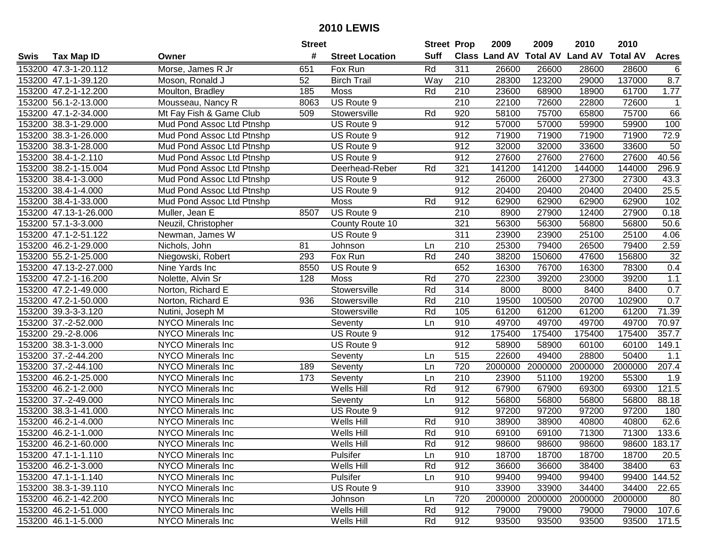|      |                       |                           | <b>Street</b> |                        | <b>Street Prop</b> |                  | 2009    | 2009    | 2010                           | 2010            |              |
|------|-----------------------|---------------------------|---------------|------------------------|--------------------|------------------|---------|---------|--------------------------------|-----------------|--------------|
| Swis | <b>Tax Map ID</b>     | Owner                     | #             | <b>Street Location</b> | <b>Suff</b>        |                  |         |         | Class Land AV Total AV Land AV | <b>Total AV</b> | <b>Acres</b> |
|      | 153200 47.3-1-20.112  | Morse, James R Jr         | 651           | Fox Run                | Rd                 | 311              | 26600   | 26600   | 28600                          | 28600           | 6            |
|      | 153200 47.1-1-39.120  | Moson, Ronald J           | 52            | <b>Birch Trail</b>     | Way                | 210              | 28300   | 123200  | 29000                          | 137000          | 8.7          |
|      | 153200 47.2-1-12.200  | Moulton, Bradley          | 185           | <b>Moss</b>            | Rd                 | 210              | 23600   | 68900   | 18900                          | 61700           | 1.77         |
|      | 153200 56.1-2-13.000  | Mousseau, Nancy R         | 8063          | US Route 9             |                    | 210              | 22100   | 72600   | 22800                          | 72600           | $\mathbf{1}$ |
|      | 153200 47.1-2-34.000  | Mt Fay Fish & Game Club   | 509           | Stowersville           | Rd                 | 920              | 58100   | 75700   | 65800                          | 75700           | 66           |
|      | 153200 38.3-1-29.000  | Mud Pond Assoc Ltd Ptnshp |               | US Route 9             |                    | 912              | 57000   | 57000   | 59900                          | 59900           | 100          |
|      | 153200 38.3-1-26.000  | Mud Pond Assoc Ltd Ptnshp |               | US Route 9             |                    | 912              | 71900   | 71900   | 71900                          | 71900           | 72.9         |
|      | 153200 38.3-1-28.000  | Mud Pond Assoc Ltd Ptnshp |               | US Route 9             |                    | 912              | 32000   | 32000   | 33600                          | 33600           | 50           |
|      | 153200 38.4-1-2.110   | Mud Pond Assoc Ltd Ptnshp |               | US Route 9             |                    | 912              | 27600   | 27600   | 27600                          | 27600           | 40.56        |
|      | 153200 38.2-1-15.004  | Mud Pond Assoc Ltd Ptnshp |               | Deerhead-Reber         | Rd                 | 321              | 141200  | 141200  | 144000                         | 144000          | 296.9        |
|      | 153200 38.4-1-3.000   | Mud Pond Assoc Ltd Ptnshp |               | US Route 9             |                    | 912              | 26000   | 26000   | 27300                          | 27300           | 43.3         |
|      | 153200 38.4-1-4.000   | Mud Pond Assoc Ltd Ptnshp |               | US Route 9             |                    | 912              | 20400   | 20400   | 20400                          | 20400           | 25.5         |
|      | 153200 38.4-1-33.000  | Mud Pond Assoc Ltd Ptnshp |               | Moss                   | Rd                 | 912              | 62900   | 62900   | 62900                          | 62900           | 102          |
|      | 153200 47.13-1-26.000 | Muller, Jean E            | 8507          | US Route 9             |                    | 210              | 8900    | 27900   | 12400                          | 27900           | 0.18         |
|      | 153200 57.1-3-3.000   | Neuzil, Christopher       |               | County Route 10        |                    | 321              | 56300   | 56300   | 56800                          | 56800           | 50.6         |
|      | 153200 47.1-2-51.122  | Newman, James W           |               | US Route 9             |                    | 311              | 23900   | 23900   | 25100                          | 25100           | 4.06         |
|      | 153200 46.2-1-29.000  | Nichols, John             | 81            | Johnson                | Ln                 | 210              | 25300   | 79400   | 26500                          | 79400           | 2.59         |
|      | 153200 55.2-1-25.000  | Niegowski, Robert         | 293           | Fox Run                | Rd                 | 240              | 38200   | 150600  | 47600                          | 156800          | 32           |
|      | 153200 47.13-2-27.000 | Nine Yards Inc            | 8550          | US Route 9             |                    | 652              | 16300   | 76700   | 16300                          | 78300           | 0.4          |
|      | 153200 47.2-1-16.200  | Nolette, Alvin Sr         | 128           | <b>Moss</b>            | Rd                 | 270              | 22300   | 39200   | 23000                          | 39200           | $1.1$        |
|      | 153200 47.2-1-49.000  | Norton, Richard E         |               | Stowersville           | Rd                 | 314              | 8000    | 8000    | 8400                           | 8400            | 0.7          |
|      | 153200 47.2-1-50.000  | Norton, Richard E         | 936           | Stowersville           | Rd                 | 210              | 19500   | 100500  | 20700                          | 102900          | 0.7          |
|      | 153200 39.3-3-3.120   | Nutini, Joseph M          |               | Stowersville           | Rd                 | 105              | 61200   | 61200   | 61200                          | 61200           | 71.39        |
|      | 153200 37.-2-52.000   | NYCO Minerals Inc         |               | Seventy                | Ln                 | 910              | 49700   | 49700   | 49700                          | 49700           | 70.97        |
|      | 153200 29.-2-8.006    | <b>NYCO Minerals Inc</b>  |               | US Route 9             |                    | 912              | 175400  | 175400  | 175400                         | 175400          | 357.7        |
|      | 153200 38.3-1-3.000   | NYCO Minerals Inc         |               | US Route 9             |                    | 912              | 58900   | 58900   | 60100                          | 60100           | 149.1        |
|      | 153200 37.-2-44.200   | NYCO Minerals Inc         |               | Seventy                | Ln                 | 515              | 22600   | 49400   | 28800                          | 50400           | 1.1          |
|      | 153200 37.-2-44.100   | NYCO Minerals Inc         | 189           | Seventy                | Ln                 | 720              | 2000000 | 2000000 | 2000000                        | 2000000         | 207.4        |
|      | 153200 46.2-1-25.000  | NYCO Minerals Inc         | 173           | Seventy                | Ln                 | $\overline{210}$ | 23900   | 51100   | 19200                          | 55300           | 1.9          |
|      | 153200 46.2-1-2.000   | NYCO Minerals Inc         |               | Wells Hill             | Rd                 | 912              | 67900   | 67900   | 69300                          | 69300           | 121.5        |
|      | 153200 37.-2-49.000   | <b>NYCO Minerals Inc</b>  |               | Seventy                | Ln                 | 912              | 56800   | 56800   | 56800                          | 56800           | 88.18        |
|      | 153200 38.3-1-41.000  | NYCO Minerals Inc         |               | US Route 9             |                    | 912              | 97200   | 97200   | 97200                          | 97200           | 180          |
|      | 153200 46.2-1-4.000   | <b>NYCO Minerals Inc</b>  |               | Wells Hill             | Rd                 | 910              | 38900   | 38900   | 40800                          | 40800           | 62.6         |
|      | 153200 46.2-1-1.000   | NYCO Minerals Inc         |               | Wells Hill             | Rd                 | 910              | 69100   | 69100   | 71300                          | 71300           | 133.6        |
|      | 153200 46.2-1-60.000  | NYCO Minerals Inc         |               | Wells Hill             | Rd                 | 912              | 98600   | 98600   | 98600                          |                 | 98600 183.17 |
|      | 153200 47.1-1-1.110   | NYCO Minerals Inc         |               | Pulsifer               | Ln                 | 910              | 18700   | 18700   | 18700                          | 18700           | 20.5         |
|      | 153200 46.2-1-3.000   | <b>NYCO Minerals Inc</b>  |               | Wells Hill             | Rd                 | 912              | 36600   | 36600   | 38400                          | 38400           | 63           |
|      | 153200 47.1-1-1.140   | <b>NYCO Minerals Inc</b>  |               | Pulsifer               | Ln                 | 910              | 99400   | 99400   | 99400                          |                 | 99400 144.52 |
|      | 153200 38.3-1-39.110  | <b>NYCO Minerals Inc</b>  |               | US Route 9             |                    | 910              | 33900   | 33900   | 34400                          | 34400           | 22.65        |
|      | 153200 46.2-1-42.200  | <b>NYCO Minerals Inc</b>  |               | Johnson                | Ln                 | 720              | 2000000 | 2000000 | 2000000                        | 2000000         | 80           |
|      | 153200 46.2-1-51.000  | NYCO Minerals Inc         |               | Wells Hill             | Rd                 | 912              | 79000   | 79000   | 79000                          | 79000           | 107.6        |
|      | 153200 46.1-1-5.000   | NYCO Minerals Inc         |               | Wells Hill             | Rd                 | 912              | 93500   | 93500   | 93500                          | 93500           | 171.5        |
|      |                       |                           |               |                        |                    |                  |         |         |                                |                 |              |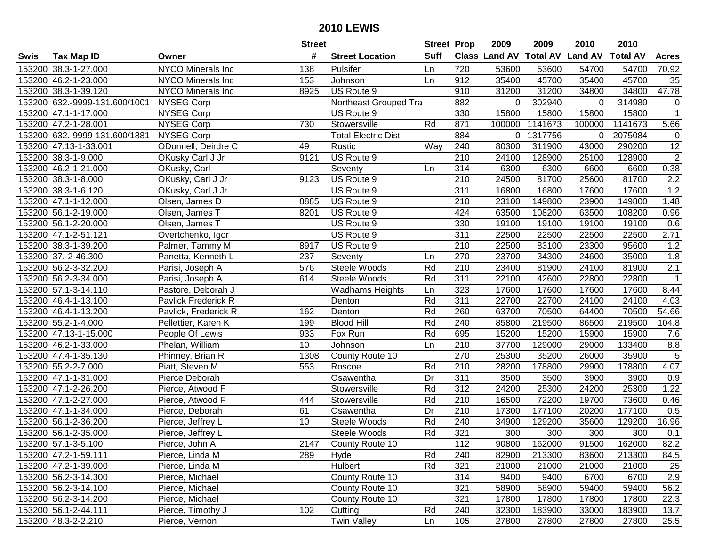|      |                               |                          | <b>Street</b>   |                            | <b>Street Prop</b> |                  | 2009                          | 2009    | 2010           | 2010            |                   |
|------|-------------------------------|--------------------------|-----------------|----------------------------|--------------------|------------------|-------------------------------|---------|----------------|-----------------|-------------------|
| Swis | <b>Tax Map ID</b>             | Owner                    | #               | <b>Street Location</b>     | <b>Suff</b>        |                  | <b>Class Land AV Total AV</b> |         | <b>Land AV</b> | <b>Total AV</b> | <b>Acres</b>      |
|      | 153200 38.3-1-27.000          | <b>NYCO Minerals Inc</b> | 138             | Pulsifer                   | Ln                 | 720              | 53600                         | 53600   | 54700          | 54700           | 70.92             |
|      | 153200 46.2-1-23.000          | NYCO Minerals Inc        | 153             | Johnson                    | Ln                 | 912              | 35400                         | 45700   | 35400          | 45700           | 35                |
|      | 153200 38.3-1-39.120          | <b>NYCO Minerals Inc</b> | 8925            | US Route 9                 |                    | 910              | 31200                         | 31200   | 34800          | 34800           | 47.78             |
|      | 153200 632.-9999-131.600/1001 | NYSEG Corp               |                 | Northeast Grouped Tra      |                    | 882              | 0                             | 302940  | $\Omega$       | 314980          | $\mathbf 0$       |
|      | 153200 47.1-1-17.000          | <b>NYSEG Corp</b>        |                 | US Route 9                 |                    | 330              | 15800                         | 15800   | 15800          | 15800           | $\overline{1}$    |
|      | 153200 47.2-1-28.001          | <b>NYSEG Corp</b>        | 730             | Stowersville               | Rd                 | 871              | 100000                        | 1141673 | 100000         | 1141673         | 5.66              |
|      | 153200 632.-9999-131.600/1881 | <b>NYSEG Corp</b>        |                 | <b>Total Electric Dist</b> |                    | 884              | 0                             | 1317756 | 0              | 2075084         | $\mathbf 0$       |
|      | 153200 47.13-1-33.001         | ODonnell, Deirdre C      | 49              | Rustic                     | Way                | 240              | 80300                         | 311900  | 43000          | 290200          | 12                |
|      | 153200 38.3-1-9.000           | OKusky Carl J Jr         | 9121            | US Route 9                 |                    | $\overline{210}$ | 24100                         | 128900  | 25100          | 128900          | $\overline{2}$    |
|      | 153200 46.2-1-21.000          | OKusky, Carl             |                 | Seventy                    | Ln                 | 314              | 6300                          | 6300    | 6600           | 6600            | 0.38              |
|      | 153200 38.3-1-8.000           | OKusky, Carl J Jr        | 9123            | US Route 9                 |                    | 210              | 24500                         | 81700   | 25600          | 81700           | 2.2               |
|      | 153200 38.3-1-6.120           | OKusky, Carl J Jr        |                 | US Route 9                 |                    | 311              | 16800                         | 16800   | 17600          | 17600           | 1.2               |
|      | 153200 47.1-1-12.000          | Olsen, James D           | 8885            | US Route 9                 |                    | 210              | 23100                         | 149800  | 23900          | 149800          | 1.48              |
|      | 153200 56.1-2-19.000          | Olsen, James T           | 8201            | US Route 9                 |                    | 424              | 63500                         | 108200  | 63500          | 108200          | 0.96              |
|      | 153200 56.1-2-20.000          | Olsen, James T           |                 | US Route 9                 |                    | 330              | 19100                         | 19100   | 19100          | 19100           | 0.6               |
|      | 153200 47.1-2-51.121          | Overtchenko, Igor        |                 | US Route 9                 |                    | 311              | 22500                         | 22500   | 22500          | 22500           | 2.71              |
|      | 153200 38.3-1-39.200          | Palmer, Tammy M          | 8917            | US Route 9                 |                    | 210              | 22500                         | 83100   | 23300          | 95600           | 1.2               |
|      | 153200 37.-2-46.300           | Panetta, Kenneth L       | 237             | Seventy                    | Ln                 | 270              | 23700                         | 34300   | 24600          | 35000           | 1.8               |
|      | 153200 56.2-3-32.200          | Parisi, Joseph A         | 576             | Steele Woods               | Rd                 | 210              | 23400                         | 81900   | 24100          | 81900           | 2.1               |
|      | 153200 56.2-3-34.000          | Parisi, Joseph A         | 614             | Steele Woods               | Rd                 | 311              | 22100                         | 42600   | 22800          | 22800           | $\mathbf{1}$      |
|      | 153200 57.1-3-14.110          | Pastore, Deborah J       |                 | <b>Wadhams Heights</b>     | Ln                 | 323              | 17600                         | 17600   | 17600          | 17600           | 8.44              |
|      | 153200 46.4-1-13.100          | Pavlick Frederick R      |                 | Denton                     | Rd                 | 311              | 22700                         | 22700   | 24100          | 24100           | 4.03              |
|      | 153200 46.4-1-13.200          | Pavlick, Frederick R     | 162             | Denton                     | Rd                 | 260              | 63700                         | 70500   | 64400          | 70500           | 54.66             |
|      | 153200 55.2-1-4.000           | Pellettier, Karen K      | 199             | <b>Blood Hill</b>          | Rd                 | 240              | 85800                         | 219500  | 86500          | 219500          | 104.8             |
|      | 153200 47.13-1-15.000         | People Of Lewis          | 933             | Fox Run                    | Rd                 | 695              | 15200                         | 15200   | 15900          | 15900           | 7.6               |
|      | 153200 46.2-1-33.000          | Phelan, William          | 10 <sup>1</sup> | Johnson                    | Ln                 | 210              | 37700                         | 129000  | 29000          | 133400          | 8.8               |
|      | 153200 47.4-1-35.130          | Phinney, Brian R         | 1308            | County Route 10            |                    | 270              | 25300                         | 35200   | 26000          | 35900           | $\sqrt{5}$        |
|      | 153200 55.2-2-7.000           | Piatt, Steven M          | 553             | Roscoe                     | Rd                 | 210              | 28200                         | 178800  | 29900          | 178800          | 4.07              |
|      | 153200 47.1-1-31.000          | Pierce Deborah           |                 | Osawentha                  | Dr                 | $\overline{311}$ | 3500                          | 3500    | 3900           | 3900            | 0.9               |
|      | 153200 47.1-2-26.200          | Pierce, Atwood F         |                 | Stowersville               | Rd                 | $\overline{312}$ | 24200                         | 25300   | 24200          | 25300           | 1.22              |
|      | 153200 47.1-2-27.000          | Pierce, Atwood F         | 444             | Stowersville               | Rd                 | $\overline{210}$ | 16500                         | 72200   | 19700          | 73600           | 0.46              |
|      | 153200 47.1-1-34.000          | Pierce, Deborah          | 61              | Osawentha                  | $\overline{Dr}$    | 210              | 17300                         | 177100  | 20200          | 177100          | 0.5               |
|      | 153200 56.1-2-36.200          | Pierce, Jeffrey L        | 10              | Steele Woods               | Rd                 | 240              | 34900                         | 129200  | 35600          | 129200          | 16.96             |
|      | 153200 56.1-2-35.000          | Pierce, Jeffrey L        |                 | Steele Woods               | Rd                 | 321              | 300                           | 300     | 300            | 300             | 0.1               |
|      | 153200 57.1-3-5.100           | Pierce, John A           | 2147            | County Route 10            |                    | 112              | 90800                         | 162000  | 91500          | 162000          | 82.2              |
|      | 153200 47.2-1-59.111          | Pierce, Linda M          | 289             | Hyde                       | Rd                 | 240              | 82900                         | 213300  | 83600          | 213300          | 84.5              |
|      | 153200 47.2-1-39.000          | Pierce, Linda M          |                 | Hulbert                    | Rd                 | 321              | 21000                         | 21000   | 21000          | 21000           | 25                |
|      | 153200 56.2-3-14.300          | Pierce, Michael          |                 | County Route 10            |                    | 314              | 9400                          | 9400    | 6700           | 6700            | 2.9               |
|      | 153200 56.2-3-14.100          | Pierce, Michael          |                 | County Route 10            |                    | 321              | 58900                         | 58900   | 59400          | 59400           | 56.2              |
|      | 153200 56.2-3-14.200          | Pierce, Michael          |                 | County Route 10            |                    | 321              | 17800                         | 17800   | 17800          | 17800           | 22.3              |
|      | 153200 56.1-2-44.111          | Pierce, Timothy J        | 102             | Cutting                    | Rd                 | 240              | 32300                         | 183900  | 33000          | 183900          | 13.7              |
|      | 153200 48.3-2-2.210           | Pierce, Vernon           |                 | <b>Twin Valley</b>         | Ln                 | 105              | 27800                         | 27800   | 27800          | 27800           | $\overline{25.5}$ |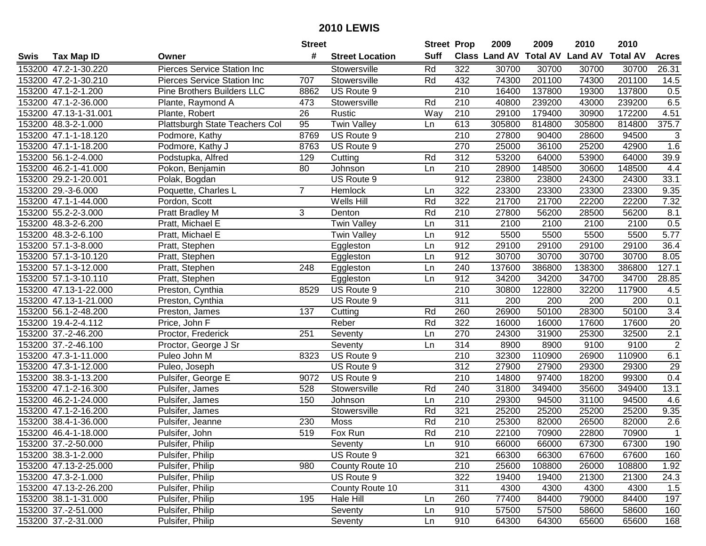| #<br><b>Suff</b><br><b>Total AV</b><br><b>Land AV</b><br><b>Class Land AV</b><br><b>Total AV</b><br><b>Tax Map ID</b><br><b>Street Location</b><br>Swis<br>Owner<br>322<br>153200 47.2-1-30.220<br>Pierces Service Station Inc<br>Rd<br>30700<br>30700<br>30700<br>30700<br>Stowersville<br>201100<br>153200 47.2-1-30.210<br>Stowersville<br>Rd<br>432<br>74300<br>74300<br>201100<br><b>Pierces Service Station Inc</b><br>707<br>153200 47.1-2-1.200<br>Pine Brothers Builders LLC<br>US Route 9<br>210<br>16400<br>137800<br>19300<br>137800<br>8862<br>Rd<br>210<br>40800<br>239200<br>153200 47.1-2-36.000<br>Plante, Raymond A<br>Stowersville<br>43000<br>239200<br>473<br>153200 47.13-1-31.001<br>26<br>Way<br>210<br>29100<br>179400<br>30900<br>172200<br>Plante, Robert<br>Rustic<br>Plattsburgh State Teachers Col<br><b>Twin Valley</b><br>613<br>153200 48.3-2-1.000<br>95<br>305800<br>814800<br>305800<br>814800<br>Ln<br>8769<br>US Route 9<br>210<br>27800<br>94500<br>153200 47.1-1-18.120<br>Podmore, Kathy<br>90400<br>28600<br>US Route 9<br>270<br>25000<br>36100<br>25200<br>42900<br>153200 47.1-1-18.200<br>Podmore, Kathy J<br>8763<br>153200 56.1-2-4.000<br>Rd<br>$\overline{312}$<br>53200<br>129<br>64000<br>53900<br>64000<br>Podstupka, Alfred<br>Cutting<br>153200 46.2-1-41.000<br>80<br>210<br>28900<br>148500<br>30600<br>148500<br>Pokon, Benjamin<br>Johnson<br>Ln<br>912<br>153200 29.2-1-20.001<br>US Route 9<br>23800<br>23800<br>24300<br>24300<br>Polak, Bogdan<br>153200 29.-3-6.000<br>322<br>23300<br>23300<br>23300<br>23300<br>Poquette, Charles L<br>7<br>Hemlock<br>Ln<br>322<br>Rd<br>21700<br>21700<br>22200<br>22200<br>153200 47.1-1-44.000<br>Pordon, Scott<br>Wells Hill<br>Rd<br>153200 55.2-2-3.000<br>3<br>210<br>27800<br>56200<br>28500<br>56200<br>Pratt Bradley M<br>Denton<br>311<br>153200 48.3-2-6.200<br><b>Twin Valley</b><br>2100<br>2100<br>2100<br>2100<br>Pratt, Michael E<br>Ln<br>912<br>153200 48.3-2-6.100<br>5500<br>5500<br>5500<br>5500<br><b>Twin Valley</b><br>Ln<br>Pratt, Michael E<br>912<br>153200 57.1-3-8.000<br>29100<br>29100<br>29100<br>29100<br>Pratt, Stephen<br>Ln<br>Eggleston<br>153200 57.1-3-10.120<br>912<br>30700<br>30700<br>30700<br>30700<br>Pratt, Stephen<br>Eggleston<br>Ln<br>153200 57.1-3-12.000<br>386800 |  |                | <b>Street</b> |           | <b>Street Prop</b> |     | 2009   | 2009   | 2010   | 2010 |                  |
|----------------------------------------------------------------------------------------------------------------------------------------------------------------------------------------------------------------------------------------------------------------------------------------------------------------------------------------------------------------------------------------------------------------------------------------------------------------------------------------------------------------------------------------------------------------------------------------------------------------------------------------------------------------------------------------------------------------------------------------------------------------------------------------------------------------------------------------------------------------------------------------------------------------------------------------------------------------------------------------------------------------------------------------------------------------------------------------------------------------------------------------------------------------------------------------------------------------------------------------------------------------------------------------------------------------------------------------------------------------------------------------------------------------------------------------------------------------------------------------------------------------------------------------------------------------------------------------------------------------------------------------------------------------------------------------------------------------------------------------------------------------------------------------------------------------------------------------------------------------------------------------------------------------------------------------------------------------------------------------------------------------------------------------------------------------------------------------------------------------------------------------------------------------------------------------------------------------------------------------------------------------------------------------------------------------------------|--|----------------|---------------|-----------|--------------------|-----|--------|--------|--------|------|------------------|
|                                                                                                                                                                                                                                                                                                                                                                                                                                                                                                                                                                                                                                                                                                                                                                                                                                                                                                                                                                                                                                                                                                                                                                                                                                                                                                                                                                                                                                                                                                                                                                                                                                                                                                                                                                                                                                                                                                                                                                                                                                                                                                                                                                                                                                                                                                                            |  |                |               |           |                    |     |        |        |        |      | <b>Acres</b>     |
|                                                                                                                                                                                                                                                                                                                                                                                                                                                                                                                                                                                                                                                                                                                                                                                                                                                                                                                                                                                                                                                                                                                                                                                                                                                                                                                                                                                                                                                                                                                                                                                                                                                                                                                                                                                                                                                                                                                                                                                                                                                                                                                                                                                                                                                                                                                            |  |                |               |           |                    |     |        |        |        |      | 26.31            |
|                                                                                                                                                                                                                                                                                                                                                                                                                                                                                                                                                                                                                                                                                                                                                                                                                                                                                                                                                                                                                                                                                                                                                                                                                                                                                                                                                                                                                                                                                                                                                                                                                                                                                                                                                                                                                                                                                                                                                                                                                                                                                                                                                                                                                                                                                                                            |  |                |               |           |                    |     |        |        |        |      | 14.5             |
|                                                                                                                                                                                                                                                                                                                                                                                                                                                                                                                                                                                                                                                                                                                                                                                                                                                                                                                                                                                                                                                                                                                                                                                                                                                                                                                                                                                                                                                                                                                                                                                                                                                                                                                                                                                                                                                                                                                                                                                                                                                                                                                                                                                                                                                                                                                            |  |                |               |           |                    |     |        |        |        |      | 0.5              |
|                                                                                                                                                                                                                                                                                                                                                                                                                                                                                                                                                                                                                                                                                                                                                                                                                                                                                                                                                                                                                                                                                                                                                                                                                                                                                                                                                                                                                                                                                                                                                                                                                                                                                                                                                                                                                                                                                                                                                                                                                                                                                                                                                                                                                                                                                                                            |  |                |               |           |                    |     |        |        |        |      | 6.5              |
|                                                                                                                                                                                                                                                                                                                                                                                                                                                                                                                                                                                                                                                                                                                                                                                                                                                                                                                                                                                                                                                                                                                                                                                                                                                                                                                                                                                                                                                                                                                                                                                                                                                                                                                                                                                                                                                                                                                                                                                                                                                                                                                                                                                                                                                                                                                            |  |                |               |           |                    |     |        |        |        |      | 4.51             |
|                                                                                                                                                                                                                                                                                                                                                                                                                                                                                                                                                                                                                                                                                                                                                                                                                                                                                                                                                                                                                                                                                                                                                                                                                                                                                                                                                                                                                                                                                                                                                                                                                                                                                                                                                                                                                                                                                                                                                                                                                                                                                                                                                                                                                                                                                                                            |  |                |               |           |                    |     |        |        |        |      | 375.7            |
|                                                                                                                                                                                                                                                                                                                                                                                                                                                                                                                                                                                                                                                                                                                                                                                                                                                                                                                                                                                                                                                                                                                                                                                                                                                                                                                                                                                                                                                                                                                                                                                                                                                                                                                                                                                                                                                                                                                                                                                                                                                                                                                                                                                                                                                                                                                            |  |                |               |           |                    |     |        |        |        |      | 3                |
|                                                                                                                                                                                                                                                                                                                                                                                                                                                                                                                                                                                                                                                                                                                                                                                                                                                                                                                                                                                                                                                                                                                                                                                                                                                                                                                                                                                                                                                                                                                                                                                                                                                                                                                                                                                                                                                                                                                                                                                                                                                                                                                                                                                                                                                                                                                            |  |                |               |           |                    |     |        |        |        |      | 1.6              |
|                                                                                                                                                                                                                                                                                                                                                                                                                                                                                                                                                                                                                                                                                                                                                                                                                                                                                                                                                                                                                                                                                                                                                                                                                                                                                                                                                                                                                                                                                                                                                                                                                                                                                                                                                                                                                                                                                                                                                                                                                                                                                                                                                                                                                                                                                                                            |  |                |               |           |                    |     |        |        |        |      | 39.9             |
|                                                                                                                                                                                                                                                                                                                                                                                                                                                                                                                                                                                                                                                                                                                                                                                                                                                                                                                                                                                                                                                                                                                                                                                                                                                                                                                                                                                                                                                                                                                                                                                                                                                                                                                                                                                                                                                                                                                                                                                                                                                                                                                                                                                                                                                                                                                            |  |                |               |           |                    |     |        |        |        |      | 4.4              |
|                                                                                                                                                                                                                                                                                                                                                                                                                                                                                                                                                                                                                                                                                                                                                                                                                                                                                                                                                                                                                                                                                                                                                                                                                                                                                                                                                                                                                                                                                                                                                                                                                                                                                                                                                                                                                                                                                                                                                                                                                                                                                                                                                                                                                                                                                                                            |  |                |               |           |                    |     |        |        |        |      | 33.1             |
|                                                                                                                                                                                                                                                                                                                                                                                                                                                                                                                                                                                                                                                                                                                                                                                                                                                                                                                                                                                                                                                                                                                                                                                                                                                                                                                                                                                                                                                                                                                                                                                                                                                                                                                                                                                                                                                                                                                                                                                                                                                                                                                                                                                                                                                                                                                            |  |                |               |           |                    |     |        |        |        |      | 9.35             |
|                                                                                                                                                                                                                                                                                                                                                                                                                                                                                                                                                                                                                                                                                                                                                                                                                                                                                                                                                                                                                                                                                                                                                                                                                                                                                                                                                                                                                                                                                                                                                                                                                                                                                                                                                                                                                                                                                                                                                                                                                                                                                                                                                                                                                                                                                                                            |  |                |               |           |                    |     |        |        |        |      | 7.32             |
|                                                                                                                                                                                                                                                                                                                                                                                                                                                                                                                                                                                                                                                                                                                                                                                                                                                                                                                                                                                                                                                                                                                                                                                                                                                                                                                                                                                                                                                                                                                                                                                                                                                                                                                                                                                                                                                                                                                                                                                                                                                                                                                                                                                                                                                                                                                            |  |                |               |           |                    |     |        |        |        |      | 8.1              |
|                                                                                                                                                                                                                                                                                                                                                                                                                                                                                                                                                                                                                                                                                                                                                                                                                                                                                                                                                                                                                                                                                                                                                                                                                                                                                                                                                                                                                                                                                                                                                                                                                                                                                                                                                                                                                                                                                                                                                                                                                                                                                                                                                                                                                                                                                                                            |  |                |               |           |                    |     |        |        |        |      | 0.5              |
|                                                                                                                                                                                                                                                                                                                                                                                                                                                                                                                                                                                                                                                                                                                                                                                                                                                                                                                                                                                                                                                                                                                                                                                                                                                                                                                                                                                                                                                                                                                                                                                                                                                                                                                                                                                                                                                                                                                                                                                                                                                                                                                                                                                                                                                                                                                            |  |                |               |           |                    |     |        |        |        |      | 5.77             |
|                                                                                                                                                                                                                                                                                                                                                                                                                                                                                                                                                                                                                                                                                                                                                                                                                                                                                                                                                                                                                                                                                                                                                                                                                                                                                                                                                                                                                                                                                                                                                                                                                                                                                                                                                                                                                                                                                                                                                                                                                                                                                                                                                                                                                                                                                                                            |  |                |               |           |                    |     |        |        |        |      | 36.4             |
|                                                                                                                                                                                                                                                                                                                                                                                                                                                                                                                                                                                                                                                                                                                                                                                                                                                                                                                                                                                                                                                                                                                                                                                                                                                                                                                                                                                                                                                                                                                                                                                                                                                                                                                                                                                                                                                                                                                                                                                                                                                                                                                                                                                                                                                                                                                            |  |                |               |           |                    |     |        |        |        |      | 8.05             |
|                                                                                                                                                                                                                                                                                                                                                                                                                                                                                                                                                                                                                                                                                                                                                                                                                                                                                                                                                                                                                                                                                                                                                                                                                                                                                                                                                                                                                                                                                                                                                                                                                                                                                                                                                                                                                                                                                                                                                                                                                                                                                                                                                                                                                                                                                                                            |  | Pratt, Stephen | 248           | Eggleston | Ln                 | 240 | 137600 | 386800 | 138300 |      | 127.1            |
| 153200 57.1-3-10.110<br>912<br>34200<br>34200<br>34700<br>34700<br>Pratt, Stephen<br>Ln<br>Eggleston                                                                                                                                                                                                                                                                                                                                                                                                                                                                                                                                                                                                                                                                                                                                                                                                                                                                                                                                                                                                                                                                                                                                                                                                                                                                                                                                                                                                                                                                                                                                                                                                                                                                                                                                                                                                                                                                                                                                                                                                                                                                                                                                                                                                                       |  |                |               |           |                    |     |        |        |        |      | 28.85            |
| 210<br>117900<br>153200 47.13-1-22.000<br>8529<br>US Route 9<br>30800<br>122800<br>32200<br>Preston, Cynthia                                                                                                                                                                                                                                                                                                                                                                                                                                                                                                                                                                                                                                                                                                                                                                                                                                                                                                                                                                                                                                                                                                                                                                                                                                                                                                                                                                                                                                                                                                                                                                                                                                                                                                                                                                                                                                                                                                                                                                                                                                                                                                                                                                                                               |  |                |               |           |                    |     |        |        |        |      | 4.5              |
| 153200 47.13-1-21.000<br>US Route 9<br>311<br>200<br>200<br>200<br>200<br>Preston, Cynthia                                                                                                                                                                                                                                                                                                                                                                                                                                                                                                                                                                                                                                                                                                                                                                                                                                                                                                                                                                                                                                                                                                                                                                                                                                                                                                                                                                                                                                                                                                                                                                                                                                                                                                                                                                                                                                                                                                                                                                                                                                                                                                                                                                                                                                 |  |                |               |           |                    |     |        |        |        |      | 0.1              |
| 260<br>26900<br>50100<br>50100<br>153200 56.1-2-48.200<br>137<br>Rd<br>28300<br>Preston, James<br>Cutting                                                                                                                                                                                                                                                                                                                                                                                                                                                                                                                                                                                                                                                                                                                                                                                                                                                                                                                                                                                                                                                                                                                                                                                                                                                                                                                                                                                                                                                                                                                                                                                                                                                                                                                                                                                                                                                                                                                                                                                                                                                                                                                                                                                                                  |  |                |               |           |                    |     |        |        |        |      | 3.4              |
| 153200 19.4-2-4.112<br>Reber<br>Rd<br>322<br>16000<br>17600<br>17600<br>Price, John F<br>16000                                                                                                                                                                                                                                                                                                                                                                                                                                                                                                                                                                                                                                                                                                                                                                                                                                                                                                                                                                                                                                                                                                                                                                                                                                                                                                                                                                                                                                                                                                                                                                                                                                                                                                                                                                                                                                                                                                                                                                                                                                                                                                                                                                                                                             |  |                |               |           |                    |     |        |        |        |      | 20               |
| 153200 37.-2-46.200<br>251<br>Seventy<br>270<br>32500<br>24300<br>31900<br>25300<br>Proctor, Frederick<br>Ln                                                                                                                                                                                                                                                                                                                                                                                                                                                                                                                                                                                                                                                                                                                                                                                                                                                                                                                                                                                                                                                                                                                                                                                                                                                                                                                                                                                                                                                                                                                                                                                                                                                                                                                                                                                                                                                                                                                                                                                                                                                                                                                                                                                                               |  |                |               |           |                    |     |        |        |        |      | 2.1              |
| 314<br>153200 37.-2-46.100<br>Seventy<br>Ln<br>8900<br>8900<br>9100<br>9100<br>Proctor, George J Sr                                                                                                                                                                                                                                                                                                                                                                                                                                                                                                                                                                                                                                                                                                                                                                                                                                                                                                                                                                                                                                                                                                                                                                                                                                                                                                                                                                                                                                                                                                                                                                                                                                                                                                                                                                                                                                                                                                                                                                                                                                                                                                                                                                                                                        |  |                |               |           |                    |     |        |        |        |      | $\sqrt{2}$       |
| 210<br>32300<br>110900<br>153200 47.3-1-11.000<br>Puleo John M<br>8323<br>US Route 9<br>110900<br>26900                                                                                                                                                                                                                                                                                                                                                                                                                                                                                                                                                                                                                                                                                                                                                                                                                                                                                                                                                                                                                                                                                                                                                                                                                                                                                                                                                                                                                                                                                                                                                                                                                                                                                                                                                                                                                                                                                                                                                                                                                                                                                                                                                                                                                    |  |                |               |           |                    |     |        |        |        |      | 6.1              |
| 312<br>153200 47.3-1-12.000<br>US Route 9<br>27900<br>27900<br>29300<br>29300<br>Puleo, Joseph                                                                                                                                                                                                                                                                                                                                                                                                                                                                                                                                                                                                                                                                                                                                                                                                                                                                                                                                                                                                                                                                                                                                                                                                                                                                                                                                                                                                                                                                                                                                                                                                                                                                                                                                                                                                                                                                                                                                                                                                                                                                                                                                                                                                                             |  |                |               |           |                    |     |        |        |        |      | 29               |
| $\overline{210}$<br>14800<br>97400<br>18200<br>99300<br>153200 38.3-1-13.200<br>Pulsifer, George E<br>9072<br>US Route 9                                                                                                                                                                                                                                                                                                                                                                                                                                                                                                                                                                                                                                                                                                                                                                                                                                                                                                                                                                                                                                                                                                                                                                                                                                                                                                                                                                                                                                                                                                                                                                                                                                                                                                                                                                                                                                                                                                                                                                                                                                                                                                                                                                                                   |  |                |               |           |                    |     |        |        |        |      | 0.4              |
| Rd<br>349400<br>153200 47.1-2-16.300<br>528<br>Stowersville<br>240<br>31800<br>35600<br>349400<br>Pulsifer, James                                                                                                                                                                                                                                                                                                                                                                                                                                                                                                                                                                                                                                                                                                                                                                                                                                                                                                                                                                                                                                                                                                                                                                                                                                                                                                                                                                                                                                                                                                                                                                                                                                                                                                                                                                                                                                                                                                                                                                                                                                                                                                                                                                                                          |  |                |               |           |                    |     |        |        |        |      | 13.1             |
| 153200 46.2-1-24.000<br>$\overline{210}$<br>29300<br>94500<br>150<br>Johnson<br>94500<br>31100<br>Pulsifer, James<br>Ln                                                                                                                                                                                                                                                                                                                                                                                                                                                                                                                                                                                                                                                                                                                                                                                                                                                                                                                                                                                                                                                                                                                                                                                                                                                                                                                                                                                                                                                                                                                                                                                                                                                                                                                                                                                                                                                                                                                                                                                                                                                                                                                                                                                                    |  |                |               |           |                    |     |        |        |        |      | 4.6              |
| 321<br>153200 47.1-2-16.200<br>Rd<br>25200<br>25200<br>25200<br>25200<br>Pulsifer, James<br>Stowersville                                                                                                                                                                                                                                                                                                                                                                                                                                                                                                                                                                                                                                                                                                                                                                                                                                                                                                                                                                                                                                                                                                                                                                                                                                                                                                                                                                                                                                                                                                                                                                                                                                                                                                                                                                                                                                                                                                                                                                                                                                                                                                                                                                                                                   |  |                |               |           |                    |     |        |        |        |      | 9.35             |
| 153200 38.4-1-36.000<br>Rd<br>$\overline{210}$<br>230<br>25300<br>82000<br>26500<br>82000<br>Pulsifer, Jeanne<br>Moss                                                                                                                                                                                                                                                                                                                                                                                                                                                                                                                                                                                                                                                                                                                                                                                                                                                                                                                                                                                                                                                                                                                                                                                                                                                                                                                                                                                                                                                                                                                                                                                                                                                                                                                                                                                                                                                                                                                                                                                                                                                                                                                                                                                                      |  |                |               |           |                    |     |        |        |        |      | $\overline{2.6}$ |
| Rd<br>$\overline{210}$<br>153200 46.4-1-18.000<br>519<br>Fox Run<br>22100<br>70900<br>22800<br>70900<br>Pulsifer, John                                                                                                                                                                                                                                                                                                                                                                                                                                                                                                                                                                                                                                                                                                                                                                                                                                                                                                                                                                                                                                                                                                                                                                                                                                                                                                                                                                                                                                                                                                                                                                                                                                                                                                                                                                                                                                                                                                                                                                                                                                                                                                                                                                                                     |  |                |               |           |                    |     |        |        |        |      | $\overline{1}$   |
| 153200 37.-2-50.000<br>Pulsifer, Philip<br>Seventy<br>Ln<br>910<br>66000<br>66000<br>67300<br>67300                                                                                                                                                                                                                                                                                                                                                                                                                                                                                                                                                                                                                                                                                                                                                                                                                                                                                                                                                                                                                                                                                                                                                                                                                                                                                                                                                                                                                                                                                                                                                                                                                                                                                                                                                                                                                                                                                                                                                                                                                                                                                                                                                                                                                        |  |                |               |           |                    |     |        |        |        |      | 190              |
| 153200 38.3-1-2.000<br>Pulsifer, Philip<br>US Route 9<br>321<br>66300<br>66300<br>67600<br>67600                                                                                                                                                                                                                                                                                                                                                                                                                                                                                                                                                                                                                                                                                                                                                                                                                                                                                                                                                                                                                                                                                                                                                                                                                                                                                                                                                                                                                                                                                                                                                                                                                                                                                                                                                                                                                                                                                                                                                                                                                                                                                                                                                                                                                           |  |                |               |           |                    |     |        |        |        |      | 160              |
| 153200 47.13-2-25.000<br>Pulsifer, Philip<br>980<br>County Route 10<br>210<br>25600<br>108800<br>26000<br>108800                                                                                                                                                                                                                                                                                                                                                                                                                                                                                                                                                                                                                                                                                                                                                                                                                                                                                                                                                                                                                                                                                                                                                                                                                                                                                                                                                                                                                                                                                                                                                                                                                                                                                                                                                                                                                                                                                                                                                                                                                                                                                                                                                                                                           |  |                |               |           |                    |     |        |        |        |      | 1.92             |
| 153200 47.3-2-1.000<br>US Route 9<br>322<br>19400<br>21300<br>Pulsifer, Philip<br>19400<br>21300                                                                                                                                                                                                                                                                                                                                                                                                                                                                                                                                                                                                                                                                                                                                                                                                                                                                                                                                                                                                                                                                                                                                                                                                                                                                                                                                                                                                                                                                                                                                                                                                                                                                                                                                                                                                                                                                                                                                                                                                                                                                                                                                                                                                                           |  |                |               |           |                    |     |        |        |        |      | 24.3             |
| County Route 10<br>153200 47.13-2-26.200<br>Pulsifer, Philip<br>311<br>4300<br>4300<br>4300<br>4300                                                                                                                                                                                                                                                                                                                                                                                                                                                                                                                                                                                                                                                                                                                                                                                                                                                                                                                                                                                                                                                                                                                                                                                                                                                                                                                                                                                                                                                                                                                                                                                                                                                                                                                                                                                                                                                                                                                                                                                                                                                                                                                                                                                                                        |  |                |               |           |                    |     |        |        |        |      | 1.5              |
| 77400<br>153200 38.1-1-31.000<br>Pulsifer, Philip<br>195<br>Hale Hill<br>260<br>84400<br>79000<br>84400<br>Ln                                                                                                                                                                                                                                                                                                                                                                                                                                                                                                                                                                                                                                                                                                                                                                                                                                                                                                                                                                                                                                                                                                                                                                                                                                                                                                                                                                                                                                                                                                                                                                                                                                                                                                                                                                                                                                                                                                                                                                                                                                                                                                                                                                                                              |  |                |               |           |                    |     |        |        |        |      | 197              |
| 153200 37.-2-51.000<br>Pulsifer, Philip<br>Seventy<br>910<br>57500<br>57500<br>58600<br>58600<br>Ln                                                                                                                                                                                                                                                                                                                                                                                                                                                                                                                                                                                                                                                                                                                                                                                                                                                                                                                                                                                                                                                                                                                                                                                                                                                                                                                                                                                                                                                                                                                                                                                                                                                                                                                                                                                                                                                                                                                                                                                                                                                                                                                                                                                                                        |  |                |               |           |                    |     |        |        |        |      | 160              |
| 153200 37.-2-31.000<br>Pulsifer, Philip<br>Seventy<br>910<br>65600<br>65600<br>64300<br>64300<br>Ln                                                                                                                                                                                                                                                                                                                                                                                                                                                                                                                                                                                                                                                                                                                                                                                                                                                                                                                                                                                                                                                                                                                                                                                                                                                                                                                                                                                                                                                                                                                                                                                                                                                                                                                                                                                                                                                                                                                                                                                                                                                                                                                                                                                                                        |  |                |               |           |                    |     |        |        |        |      | 168              |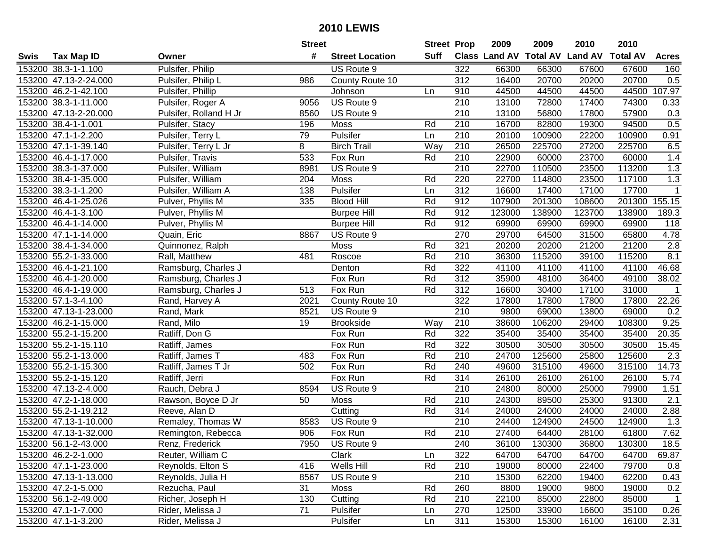|      |                       |                        | <b>Street</b> |                        | <b>Street Prop</b> |                  | 2009   | 2009   | 2010                           | 2010            |                  |
|------|-----------------------|------------------------|---------------|------------------------|--------------------|------------------|--------|--------|--------------------------------|-----------------|------------------|
| Swis | <b>Tax Map ID</b>     | Owner                  | #             | <b>Street Location</b> | Suff               |                  |        |        | Class Land AV Total AV Land AV | <b>Total AV</b> | <b>Acres</b>     |
|      | 153200 38.3-1-1.100   | Pulsifer, Philip       |               | US Route 9             |                    | 322              | 66300  | 66300  | 67600                          | 67600           | 160              |
|      | 153200 47.13-2-24.000 | Pulsifer, Philip L     | 986           | County Route 10        |                    | 312              | 16400  | 20700  | 20200                          | 20700           | 0.5              |
|      | 153200 46.2-1-42.100  | Pulsifer, Phillip      |               | Johnson                | Ln                 | 910              | 44500  | 44500  | 44500                          | 44500           | 107.97           |
|      | 153200 38.3-1-11.000  | Pulsifer, Roger A      | 9056          | US Route 9             |                    | 210              | 13100  | 72800  | 17400                          | 74300           | 0.33             |
|      | 153200 47.13-2-20.000 | Pulsifer, Rolland H Jr | 8560          | US Route 9             |                    | 210              | 13100  | 56800  | 17800                          | 57900           | 0.3              |
|      | 153200 38.4-1-1.001   | Pulsifer, Stacy        | 196           | Moss                   | Rd                 | 210              | 16700  | 82800  | 19300                          | 94500           | 0.5              |
|      | 153200 47.1-1-2.200   | Pulsifer, Terry L      | 79            | Pulsifer               | Ln                 | 210              | 20100  | 100900 | 22200                          | 100900          | 0.91             |
|      | 153200 47.1-1-39.140  | Pulsifer, Terry L Jr   | 8             | <b>Birch Trail</b>     | Way                | 210              | 26500  | 225700 | 27200                          | 225700          | 6.5              |
|      | 153200 46.4-1-17.000  | Pulsifer, Travis       | 533           | Fox Run                | Rd                 | $\overline{210}$ | 22900  | 60000  | 23700                          | 60000           | 1.4              |
|      | 153200 38.3-1-37.000  | Pulsifer, William      | 8981          | US Route 9             |                    | 210              | 22700  | 110500 | 23500                          | 113200          | 1.3              |
|      | 153200 38.4-1-35.000  | Pulsifer, William      | 204           | Moss                   | Rd                 | 220              | 22700  | 114800 | 23500                          | 117100          | 1.3              |
|      | 153200 38.3-1-1.200   | Pulsifer, William A    | 138           | Pulsifer               | Ln                 | 312              | 16600  | 17400  | 17100                          | 17700           | 1                |
|      | 153200 46.4-1-25.026  | Pulver, Phyllis M      | 335           | <b>Blood Hill</b>      | Rd                 | 912              | 107900 | 201300 | 108600                         | 201300          | 155.15           |
|      | 153200 46.4-1-3.100   | Pulver, Phyllis M      |               | <b>Burpee Hill</b>     | Rd                 | 912              | 123000 | 138900 | 123700                         | 138900          | 189.3            |
|      | 153200 46.4-1-14.000  | Pulver, Phyllis M      |               | <b>Burpee Hill</b>     | Rd                 | 912              | 69900  | 69900  | 69900                          | 69900           | 118              |
|      | 153200 47.1-1-14.000  | Quain, Eric            | 8867          | US Route 9             |                    | 270              | 29700  | 64500  | 31500                          | 65800           | 4.78             |
|      | 153200 38.4-1-34.000  | Quinnonez, Ralph       |               | Moss                   | Rd                 | 321              | 20200  | 20200  | 21200                          | 21200           | 2.8              |
|      | 153200 55.2-1-33.000  | Rall, Matthew          | 481           | Roscoe                 | Rd                 | 210              | 36300  | 115200 | 39100                          | 115200          | 8.1              |
|      | 153200 46.4-1-21.100  | Ramsburg, Charles J    |               | Denton                 | Rd                 | 322              | 41100  | 41100  | 41100                          | 41100           | 46.68            |
|      | 153200 46.4-1-20.000  | Ramsburg, Charles J    |               | Fox Run                | Rd                 | 312              | 35900  | 48100  | 36400                          | 49100           | 38.02            |
|      | 153200 46.4-1-19.000  | Ramsburg, Charles J    | 513           | Fox Run                | Rd                 | 312              | 16600  | 30400  | 17100                          | 31000           | $\mathbf{1}$     |
|      | 153200 57.1-3-4.100   | Rand, Harvey A         | 2021          | County Route 10        |                    | 322              | 17800  | 17800  | 17800                          | 17800           | 22.26            |
|      | 153200 47.13-1-23.000 | Rand, Mark             | 8521          | US Route 9             |                    | 210              | 9800   | 69000  | 13800                          | 69000           | 0.2              |
|      | 153200 46.2-1-15.000  | Rand, Milo             | 19            | <b>Brookside</b>       | Way                | 210              | 38600  | 106200 | 29400                          | 108300          | 9.25             |
|      | 153200 55.2-1-15.200  | Ratliff, Don G         |               | Fox Run                | Rd                 | 322              | 35400  | 35400  | 35400                          | 35400           | 20.35            |
|      | 153200 55.2-1-15.110  | Ratliff, James         |               | Fox Run                | Rd                 | 322              | 30500  | 30500  | 30500                          | 30500           | 15.45            |
|      | 153200 55.2-1-13.000  | Ratliff, James T       | 483           | Fox Run                | Rd                 | 210              | 24700  | 125600 | 25800                          | 125600          | 2.3              |
|      | 153200 55.2-1-15.300  | Ratliff, James T Jr    | 502           | Fox Run                | Rd                 | 240              | 49600  | 315100 | 49600                          | 315100          | 14.73            |
|      | 153200 55.2-1-15.120  | Ratliff, Jerri         |               | Fox Run                | Rd                 | 314              | 26100  | 26100  | 26100                          | 26100           | 5.74             |
|      | 153200 47.13-2-4.000  | Rauch, Debra J         | 8594          | US Route 9             |                    | $\overline{210}$ | 24800  | 80000  | 25000                          | 79900           | 1.51             |
|      | 153200 47.2-1-18.000  | Rawson, Boyce D Jr     | 50            | Moss                   | Rd                 | $\overline{210}$ | 24300  | 89500  | 25300                          | 91300           | $\overline{2.1}$ |
|      | 153200 55.2-1-19.212  | Reeve, Alan D          |               | Cutting                | Rd                 | 314              | 24000  | 24000  | 24000                          | 24000           | 2.88             |
|      | 153200 47.13-1-10.000 | Remaley, Thomas W      | 8583          | US Route 9             |                    | 210              | 24400  | 124900 | 24500                          | 124900          | 1.3              |
|      | 153200 47.13-1-32.000 | Remington, Rebecca     | 906           | Fox Run                | Rd                 | 210              | 27400  | 64400  | 28100                          | 61800           | 7.62             |
|      | 153200 56.1-2-43.000  | Renz, Frederick        | 7950          | US Route 9             |                    | 240              | 36100  | 130300 | 36800                          | 130300          | 18.5             |
|      | 153200 46.2-2-1.000   | Reuter, William C      |               | Clark                  | Ln                 | 322              | 64700  | 64700  | 64700                          | 64700           | 69.87            |
|      | 153200 47.1-1-23.000  | Reynolds, Elton S      | 416           | Wells Hill             | Rd                 | 210              | 19000  | 80000  | 22400                          | 79700           | 0.8              |
|      | 153200 47.13-1-13.000 | Reynolds, Julia H      | 8567          | US Route 9             |                    | 210              | 15300  | 62200  | 19400                          | 62200           | 0.43             |
|      | 153200 47.2-1-5.000   | Rezucha, Paul          | 31            | Moss                   | Rd                 | 260              | 8800   | 19000  | 9800                           | 19000           | 0.2              |
|      | 153200 56.1-2-49.000  | Richer, Joseph H       | 130           | Cutting                | Rd                 | 210              | 22100  | 85000  | 22800                          | 85000           | $\mathbf{1}$     |
|      | 153200 47.1-1-7.000   | Rider, Melissa J       | 71            | Pulsifer               | Ln                 | 270              | 12500  | 33900  | 16600                          | 35100           | 0.26             |
|      | 153200 47.1-1-3.200   | Rider, Melissa J       |               | Pulsifer               | Ln                 | 311              | 15300  | 15300  | 16100                          | 16100           | 2.31             |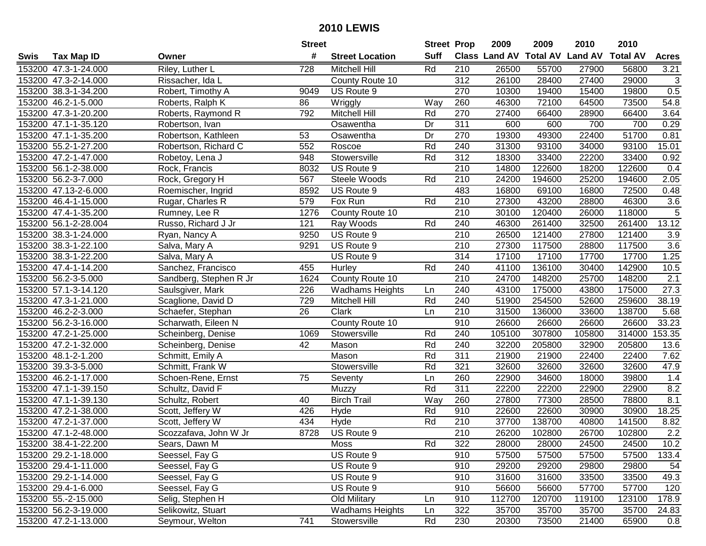|      |                      |                        | <b>Street</b> |                        | <b>Street Prop</b> |                  | 2009                          | 2009   | 2010           | 2010            |                  |
|------|----------------------|------------------------|---------------|------------------------|--------------------|------------------|-------------------------------|--------|----------------|-----------------|------------------|
| Swis | <b>Tax Map ID</b>    | Owner                  | #             | <b>Street Location</b> | <b>Suff</b>        |                  | <b>Class Land AV Total AV</b> |        | <b>Land AV</b> | <b>Total AV</b> | <b>Acres</b>     |
|      | 153200 47.3-1-24.000 | Riley, Luther L        | 728           | <b>Mitchell Hill</b>   | Rd                 | 210              | 26500                         | 55700  | 27900          | 56800           | 3.21             |
|      | 153200 47.3-2-14.000 | Rissacher, Ida L       |               | County Route 10        |                    | 312              | 26100                         | 28400  | 27400          | 29000           | $\sqrt{3}$       |
|      | 153200 38.3-1-34.200 | Robert, Timothy A      | 9049          | US Route 9             |                    | 270              | 10300                         | 19400  | 15400          | 19800           | 0.5              |
|      | 153200 46.2-1-5.000  | Roberts, Ralph K       | 86            | Wriggly                | Way                | 260              | 46300                         | 72100  | 64500          | 73500           | 54.8             |
|      | 153200 47.3-1-20.200 | Roberts, Raymond R     | 792           | <b>Mitchell Hill</b>   | Rd                 | 270              | 27400                         | 66400  | 28900          | 66400           | 3.64             |
|      | 153200 47.1-1-35.120 | Robertson, Ivan        |               | Osawentha              | Dr                 | 311              | 600                           | 600    | 700            | 700             | 0.29             |
|      | 153200 47.1-1-35.200 | Robertson, Kathleen    | 53            | Osawentha              | Dr                 | 270              | 19300                         | 49300  | 22400          | 51700           | 0.81             |
|      | 153200 55.2-1-27.200 | Robertson, Richard C   | 552           | Roscoe                 | Rd                 | 240              | 31300                         | 93100  | 34000          | 93100           | 15.01            |
|      | 153200 47.2-1-47.000 | Robetoy, Lena J        | 948           | Stowersville           | Rd                 | 312              | 18300                         | 33400  | 22200          | 33400           | 0.92             |
|      | 153200 56.1-2-38.000 | Rock, Francis          | 8032          | US Route 9             |                    | 210              | 14800                         | 122600 | 18200          | 122600          | 0.4              |
|      | 153200 56.2-3-7.000  | Rock, Gregory H        | 567           | Steele Woods           | Rd                 | 210              | 24200                         | 194600 | 25200          | 194600          | 2.05             |
|      | 153200 47.13-2-6.000 | Roemischer, Ingrid     | 8592          | US Route 9             |                    | 483              | 16800                         | 69100  | 16800          | 72500           | 0.48             |
|      | 153200 46.4-1-15.000 | Rugar, Charles R       | 579           | Fox Run                | Rd                 | 210              | 27300                         | 43200  | 28800          | 46300           | 3.6              |
|      | 153200 47.4-1-35.200 | Rumney, Lee R          | 1276          | County Route 10        |                    | 210              | 30100                         | 120400 | 26000          | 118000          | 5                |
|      | 153200 56.1-2-28.004 | Russo, Richard J Jr    | 121           | Ray Woods              | Rd                 | 240              | 46300                         | 261400 | 32500          | 261400          | 13.12            |
|      | 153200 38.3-1-24.000 | Ryan, Nancy A          | 9250          | US Route 9             |                    | 210              | 26500                         | 121400 | 27800          | 121400          | 3.9              |
|      | 153200 38.3-1-22.100 | Salva, Mary A          | 9291          | US Route 9             |                    | 210              | 27300                         | 117500 | 28800          | 117500          | $\overline{3.6}$ |
|      | 153200 38.3-1-22.200 | Salva, Mary A          |               | US Route 9             |                    | 314              | 17100                         | 17100  | 17700          | 17700           | 1.25             |
|      | 153200 47.4-1-14.200 | Sanchez, Francisco     | 455           | Hurley                 | Rd                 | 240              | 41100                         | 136100 | 30400          | 142900          | 10.5             |
|      | 153200 56.2-3-5.000  | Sandberg, Stephen R Jr | 1624          | County Route 10        |                    | 210              | 24700                         | 148200 | 25700          | 148200          | 2.1              |
|      | 153200 57.1-3-14.120 | Saulsgiver, Mark       | 226           | <b>Wadhams Heights</b> | Ln                 | 240              | 43100                         | 175000 | 43800          | 175000          | 27.3             |
|      | 153200 47.3-1-21.000 | Scaglione, David D     | 729           | Mitchell Hill          | Rd                 | 240              | 51900                         | 254500 | 52600          | 259600          | 38.19            |
|      | 153200 46.2-2-3.000  | Schaefer, Stephan      | 26            | Clark                  | Ln                 | 210              | 31500                         | 136000 | 33600          | 138700          | 5.68             |
|      | 153200 56.2-3-16.000 | Scharwath, Eileen N    |               | County Route 10        |                    | 910              | 26600                         | 26600  | 26600          | 26600           | 33.23            |
|      | 153200 47.2-1-25.000 | Scheinberg, Denise     | 1069          | Stowersville           | Rd                 | 240              | 105100                        | 307800 | 105800         | 314000          | 153.35           |
|      | 153200 47.2-1-32.000 | Scheinberg, Denise     | 42            | Mason                  | Rd                 | 240              | 32200                         | 205800 | 32900          | 205800          | 13.6             |
|      | 153200 48.1-2-1.200  | Schmitt, Emily A       |               | Mason                  | Rd                 | 311              | 21900                         | 21900  | 22400          | 22400           | 7.62             |
|      | 153200 39.3-3-5.000  | Schmitt, Frank W       |               | Stowersville           | Rd                 | 321              | 32600                         | 32600  | 32600          | 32600           | 47.9             |
|      | 153200 46.2-1-17.000 | Schoen-Rene, Ernst     | 75            | Seventy                | Ln                 | 260              | 22900                         | 34600  | 18000          | 39800           | 1.4              |
|      | 153200 47.1-1-39.150 | Schultz, David F       |               | Muzzy                  | Rd                 | $\overline{311}$ | 22200                         | 22200  | 22900          | 22900           | 8.2              |
|      | 153200 47.1-1-39.130 | Schultz, Robert        | 40            | <b>Birch Trail</b>     | Way                | 260              | 27800                         | 77300  | 28500          | 78800           | 8.1              |
|      | 153200 47.2-1-38.000 | Scott, Jeffery W       | 426           | Hyde                   | Rd                 | 910              | 22600                         | 22600  | 30900          | 30900           | 18.25            |
|      | 153200 47.2-1-37.000 | Scott, Jeffery W       | 434           | Hyde                   | Rd                 | $\overline{210}$ | 37700                         | 138700 | 40800          | 141500          | 8.82             |
|      | 153200 47.1-2-48.000 | Scozzafava, John W Jr  | 8728          | US Route 9             |                    | $\overline{210}$ | 26200                         | 102800 | 26700          | 102800          | $\overline{2.2}$ |
|      | 153200 38.4-1-22.200 | Sears, Dawn M          |               | Moss                   | Rd                 | 322              | 28000                         | 28000  | 24500          | 24500           | 10.2             |
|      | 153200 29.2-1-18.000 | Seessel, Fay G         |               | US Route 9             |                    | 910              | 57500                         | 57500  | 57500          | 57500           | 133.4            |
|      | 153200 29.4-1-11.000 | Seessel, Fay G         |               | US Route 9             |                    | 910              | 29200                         | 29200  | 29800          | 29800           | 54               |
|      | 153200 29.2-1-14.000 | Seessel, Fay G         |               | US Route 9             |                    | 910              | 31600                         | 31600  | 33500          | 33500           | 49.3             |
|      | 153200 29.4-1-6.000  | Seessel, Fay G         |               | US Route 9             |                    | 910              | 56600                         | 56600  | 57700          | 57700           | 120              |
|      | 153200 55.-2-15.000  | Selig, Stephen H       |               | Old Military           | Ln                 | 910              | 112700                        | 120700 | 119100         | 123100          | 178.9            |
|      | 153200 56.2-3-19.000 | Selikowitz, Stuart     |               | <b>Wadhams Heights</b> | Ln                 | 322              | 35700                         | 35700  | 35700          | 35700           | 24.83            |
|      | 153200 47.2-1-13.000 | Seymour, Welton        | 741           | Stowersville           | Rd                 | 230              | 20300                         | 73500  | 21400          | 65900           | 0.8              |
|      |                      |                        |               |                        |                    |                  |                               |        |                |                 |                  |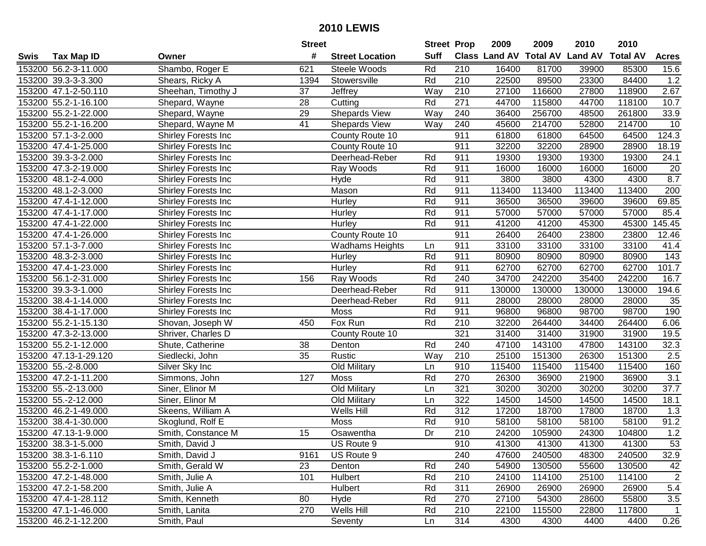|      |                       |                     | <b>Street</b>   |                        | <b>Street Prop</b> |                  | 2009   | 2009   | 2010                           | 2010            |                    |
|------|-----------------------|---------------------|-----------------|------------------------|--------------------|------------------|--------|--------|--------------------------------|-----------------|--------------------|
| Swis | <b>Tax Map ID</b>     | Owner               | #               | <b>Street Location</b> | <b>Suff</b>        |                  |        |        | Class Land AV Total AV Land AV | <b>Total AV</b> | <b>Acres</b>       |
|      | 153200 56.2-3-11.000  | Shambo, Roger E     | 621             | Steele Woods           | Rd                 | 210              | 16400  | 81700  | 39900                          | 85300           | 15.6               |
|      | 153200 39.3-3-3.300   | Shears, Ricky A     | 1394            | Stowersville           | Rd                 | 210              | 22500  | 89500  | 23300                          | 84400           | 1.2                |
|      | 153200 47.1-2-50.110  | Sheehan, Timothy J  | 37              | <b>Jeffrey</b>         | Way                | 210              | 27100  | 116600 | 27800                          | 118900          | 2.67               |
|      | 153200 55.2-1-16.100  | Shepard, Wayne      | 28              | Cutting                | Rd                 | 271              | 44700  | 115800 | 44700                          | 118100          | 10.7               |
|      | 153200 55.2-1-22.000  | Shepard, Wayne      | 29              | Shepards View          | Way                | 240              | 36400  | 256700 | 48500                          | 261800          | 33.9               |
|      | 153200 55.2-1-16.200  | Shepard, Wayne M    | $\overline{41}$ | Shepards View          | Way                | 240              | 45600  | 214700 | 52800                          | 214700          | 10                 |
|      | 153200 57.1-3-2.000   | Shirley Forests Inc |                 | County Route 10        |                    | 911              | 61800  | 61800  | 64500                          | 64500           | 124.3              |
|      | 153200 47.4-1-25.000  | Shirley Forests Inc |                 | County Route 10        |                    | 911              | 32200  | 32200  | 28900                          | 28900           | 18.19              |
|      | 153200 39.3-3-2.000   | Shirley Forests Inc |                 | Deerhead-Reber         | Rd                 | 911              | 19300  | 19300  | 19300                          | 19300           | 24.1               |
|      | 153200 47.3-2-19.000  | Shirley Forests Inc |                 | Ray Woods              | Rd                 | 911              | 16000  | 16000  | 16000                          | 16000           | 20                 |
|      | 153200 48.1-2-4.000   | Shirley Forests Inc |                 | Hyde                   | Rd                 | 911              | 3800   | 3800   | 4300                           | 4300            | 8.7                |
|      | 153200 48.1-2-3.000   | Shirley Forests Inc |                 | Mason                  | Rd                 | 911              | 113400 | 113400 | 113400                         | 113400          | 200                |
|      | 153200 47.4-1-12.000  | Shirley Forests Inc |                 | Hurley                 | Rd                 | 911              | 36500  | 36500  | 39600                          | 39600           | 69.85              |
|      | 153200 47.4-1-17.000  | Shirley Forests Inc |                 | Hurley                 | Rd                 | 911              | 57000  | 57000  | 57000                          | 57000           | 85.4               |
|      | 153200 47.4-1-22.000  | Shirley Forests Inc |                 | Hurley                 | Rd                 | 911              | 41200  | 41200  | 45300                          | 45300           | 145.45             |
|      | 153200 47.4-1-26.000  | Shirley Forests Inc |                 | County Route 10        |                    | 911              | 26400  | 26400  | 23800                          | 23800           | 12.46              |
|      | 153200 57.1-3-7.000   | Shirley Forests Inc |                 | <b>Wadhams Heights</b> | Ln                 | 911              | 33100  | 33100  | 33100                          | 33100           | 41.4               |
|      | 153200 48.3-2-3.000   | Shirley Forests Inc |                 | Hurley                 | Rd                 | 911              | 80900  | 80900  | 80900                          | 80900           | 143                |
|      | 153200 47.4-1-23.000  | Shirley Forests Inc |                 | Hurley                 | Rd                 | 911              | 62700  | 62700  | 62700                          | 62700           | $101.\overline{7}$ |
|      | 153200 56.1-2-31.000  | Shirley Forests Inc | 156             | Ray Woods              | Rd                 | 240              | 34700  | 242200 | 35400                          | 242200          | 16.7               |
|      | 153200 39.3-3-1.000   | Shirley Forests Inc |                 | Deerhead-Reber         | Rd                 | 911              | 130000 | 130000 | 130000                         | 130000          | 194.6              |
|      | 153200 38.4-1-14.000  | Shirley Forests Inc |                 | Deerhead-Reber         | Rd                 | 911              | 28000  | 28000  | 28000                          | 28000           | 35                 |
|      | 153200 38.4-1-17.000  | Shirley Forests Inc |                 | Moss                   | Rd                 | 911              | 96800  | 96800  | 98700                          | 98700           | 190                |
|      | 153200 55.2-1-15.130  | Shovan, Joseph W    | 450             | Fox Run                | Rd                 | 210              | 32200  | 264400 | 34400                          | 264400          | 6.06               |
|      | 153200 47.3-2-13.000  | Shriver, Charles D  |                 | County Route 10        |                    | 321              | 31400  | 31400  | 31900                          | 31900           | 19.5               |
|      | 153200 55.2-1-12.000  | Shute, Catherine    | 38              | Denton                 | Rd                 | 240              | 47100  | 143100 | 47800                          | 143100          | 32.3               |
|      | 153200 47.13-1-29.120 | Siedlecki, John     | 35              | Rustic                 | Way                | 210              | 25100  | 151300 | 26300                          | 151300          | 2.5                |
|      | 153200 55.-2-8.000    | Silver Sky Inc      |                 | Old Military           | Ln                 | 910              | 115400 | 115400 | 115400                         | 115400          | 160                |
|      | 153200 47.2-1-11.200  | Simmons, John       | 127             | Moss                   | Rd                 | 270              | 26300  | 36900  | 21900                          | 36900           | 3.1                |
|      | 153200 55.-2-13.000   | Siner, Elinor M     |                 | <b>Old Military</b>    | Ln                 | 321              | 30200  | 30200  | 30200                          | 30200           | 37.7               |
|      | 153200 55.-2-12.000   | Siner, Elinor M     |                 | Old Military           | Ln                 | 322              | 14500  | 14500  | 14500                          | 14500           | 18.1               |
|      | 153200 46.2-1-49.000  | Skeens, William A   |                 | Wells Hill             | Rd                 | 312              | 17200  | 18700  | 17800                          | 18700           | 1.3                |
|      | 153200 38.4-1-30.000  | Skoglund, Rolf E    |                 | <b>Moss</b>            | Rd                 | 910              | 58100  | 58100  | 58100                          | 58100           | 91.2               |
|      | 153200 47.13-1-9.000  | Smith, Constance M  | 15              | Osawentha              | Dr                 | $\overline{210}$ | 24200  | 105900 | 24300                          | 104800          | 1.2                |
|      | 153200 38.3-1-5.000   | Smith, David J      |                 | US Route 9             |                    | 910              | 41300  | 41300  | 41300                          | 41300           | 53                 |
|      | 153200 38.3-1-6.110   | Smith, David J      | 9161            | US Route 9             |                    | 240              | 47600  | 240500 | 48300                          | 240500          | 32.9               |
|      | 153200 55.2-2-1.000   | Smith, Gerald W     | 23              | Denton                 | Rd                 | 240              | 54900  | 130500 | 55600                          | 130500          | 42                 |
|      | 153200 47.2-1-48.000  | Smith, Julie A      | 101             | Hulbert                | Rd                 | 210              | 24100  | 114100 | 25100                          | 114100          | $\overline{2}$     |
|      | 153200 47.2-1-58.200  | Smith, Julie A      |                 | Hulbert                | Rd                 | 311              | 26900  | 26900  | 26900                          | 26900           | 5.4                |
|      | 153200 47.4-1-28.112  | Smith, Kenneth      | 80              | Hyde                   | Rd                 | 270              | 27100  | 54300  | 28600                          | 55800           | 3.5                |
|      | 153200 47.1-1-46.000  | Smith, Lanita       | 270             | Wells Hill             | Rd                 | 210              | 22100  | 115500 | 22800                          | 117800          | 1                  |
|      | 153200 46.2-1-12.200  | Smith, Paul         |                 | Seventy                | Ln                 | 314              | 4300   | 4300   | 4400                           | 4400            | 0.26               |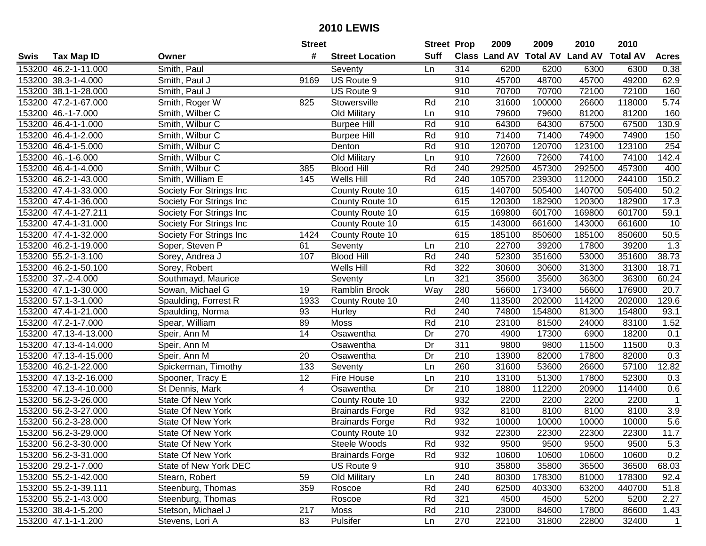| #<br><b>Suff</b><br>Class Land AV Total AV Land AV Total AV<br><b>Tax Map ID</b><br><b>Street Location</b><br><b>Acres</b><br>Swis<br>Owner<br>153200 46.2-1-11.000<br>Smith, Paul<br>314<br>6200<br>6200<br>6300<br>6300<br>0.38<br>Seventy<br>Ln<br>45700<br>48700<br>45700<br>153200 38.3-1-4.000<br>US Route 9<br>910<br>49200<br>62.9<br>Smith, Paul J<br>9169<br>153200 38.1-1-28.000<br>Smith, Paul J<br>US Route 9<br>70700<br>70700<br>72100<br>72100<br>160<br>910<br>Rd<br>210<br>31600<br>100000<br>26600<br>5.74<br>153200 47.2-1-67.000<br>Smith, Roger W<br>825<br>Stowersville<br>118000<br>153200 46.-1-7.000<br>Smith, Wilber C<br>Old Military<br>910<br>79600<br>79600<br>81200<br>81200<br>160<br>Ln<br>Rd<br>130.9<br>153200 46.4-1-1.000<br>Smith, Wilbur C<br><b>Burpee Hill</b><br>910<br>64300<br>64300<br>67500<br>67500<br>Smith, Wilbur C<br>Rd<br>910<br>71400<br>71400<br>74900<br>74900<br>150<br>153200 46.4-1-2.000<br><b>Burpee Hill</b><br>254<br>153200 46.4-1-5.000<br>Smith, Wilbur C<br>Rd<br>910<br>120700<br>120700<br>123100<br>123100<br>Denton<br><b>Old Military</b><br>72600<br>72600<br>74100<br>74100<br>142.4<br>153200 46.-1-6.000<br>Smith, Wilbur C<br>910<br>Ln<br>Rd<br>292500<br>457300<br>292500<br>457300<br>153200 46.4-1-4.000<br>Smith, Wilbur C<br><b>Blood Hill</b><br>240<br>400<br>385<br>Wells Hill<br>105700<br>239300<br>244100<br>150.2<br>153200 46.2-1-43.000<br>Smith, William E<br>145<br>Rd<br>240<br>112000<br>505400<br>153200 47.4-1-33.000<br>615<br>140700<br>140700<br>505400<br>Society For Strings Inc<br>County Route 10<br>50.2<br>615<br>120300<br>182900<br>120300<br>182900<br>17.3<br>153200 47.4-1-36.000<br>Society For Strings Inc<br>County Route 10<br>153200 47.4-1-27.211<br>Society For Strings Inc<br>615<br>169800<br>601700<br>169800<br>601700<br>59.1<br>County Route 10<br>153200 47.4-1-31.000<br>615<br>143000<br>661600<br>143000<br>661600<br>10<br>Society For Strings Inc<br>County Route 10<br>153200 47.4-1-32.000<br>615<br>185100<br>850600<br>185100<br>50.5<br>Society For Strings Inc<br>1424<br>County Route 10<br>850600<br>210<br>1.3<br>153200 46.2-1-19.000<br>61<br>Seventy<br>22700<br>39200<br>17800<br>39200<br>Soper, Steven P<br>Ln<br>Rd<br>153200 55.2-1-3.100<br>107<br><b>Blood Hill</b><br>240<br>52300<br>351600<br>53000<br>351600<br>38.73<br>Sorey, Andrea J<br>153200 46.2-1-50.100<br>Rd<br>322<br>30600<br>30600<br>31300<br>31300<br>18.71<br>Sorey, Robert<br>Wells Hill<br>153200 37.-2-4.000<br>Ln<br>321<br>35600<br>35600<br>36300<br>36300<br>60.24<br>Southmayd, Maurice<br>Seventy<br>Ramblin Brook<br>Way<br>280<br>56600<br>173400<br>56600<br>176900<br>20.7<br>153200 47.1-1-30.000<br>Sowan, Michael G<br>19<br>129.6<br>153200 57.1-3-1.000<br>Spaulding, Forrest R<br>1933<br>240<br>113500<br>202000<br>114200<br>202000<br>County Route 10<br>240<br>153200 47.4-1-21.000<br>93<br>Rd<br>74800<br>154800<br>81300<br>154800<br>93.1<br>Spaulding, Norma<br>Hurley<br>153200 47.2-1-7.000<br>Rd<br>210<br>23100<br>81500<br>24000<br>83100<br>1.52<br>Spear, William<br>89<br>Moss<br>14<br>Dr<br>270<br>4900<br>18200<br>0.1<br>153200 47.13-4-13.000<br>Osawentha<br>17300<br>6900<br>Speir, Ann M<br>Dr<br>311<br>9800<br>153200 47.13-4-14.000<br>Speir, Ann M<br>Osawentha<br>9800<br>11500<br>11500<br>0.3<br>0.3<br>Dr<br>210<br>82000<br>153200 47.13-4-15.000<br>Speir, Ann M<br>20<br>Osawentha<br>13900<br>82000<br>17800<br>57100<br>153200 46.2-1-22.000<br>133<br>Ln<br>260<br>31600<br>53600<br>26600<br>12.82<br>Spickerman, Timothy<br>Seventy<br>210<br>153200 47.13-2-16.000<br>12<br>13100<br>51300<br>17800<br>52300<br>Spooner, Tracy E<br>Fire House<br>Ln<br>0.3<br>$\overline{210}$<br>112200<br>114400<br>153200 47.13-4-10.000<br>St Dennis, Mark<br>4<br>Dr<br>18800<br>20900<br>0.6<br>Osawentha<br>932<br>153200 56.2-3-26.000<br><b>State Of New York</b><br>2200<br>2200<br>2200<br>2200<br>$\overline{1}$<br>County Route 10<br>3.9<br>153200 56.2-3-27.000<br>State Of New York<br>932<br>8100<br>8100<br>8100<br><b>Brainards Forge</b><br>Rd<br>8100<br>5.6<br>Rd<br>932<br>153200 56.2-3-28.000<br><b>State Of New York</b><br>10000<br>10000<br>10000<br>10000<br><b>Brainards Forge</b><br>11.7<br>153200 56.2-3-29.000<br><b>State Of New York</b><br>932<br>22300<br>22300<br>22300<br>22300<br>County Route 10<br>153200 56.2-3-30.000<br>State Of New York<br>Steele Woods<br>Rd<br>932<br>9500<br>9500<br>9500<br>9500<br>5.3<br>0.2<br>153200 56.2-3-31.000<br>State Of New York<br><b>Brainards Forge</b><br>Rd<br>932<br>10600<br>10600<br>10600<br>10600<br>35800<br>153200 29.2-1-7.000<br>State of New York DEC<br>US Route 9<br>910<br>35800<br>36500<br>36500<br>68.03<br>153200 55.2-1-42.000<br>Old Military<br>240<br>80300<br>178300<br>92.4<br>Stearn, Robert<br>59<br>178300<br>81000<br>Ln<br>Rd<br>153200 55.2-1-39.111<br>Steenburg, Thomas<br>359<br>Roscoe<br>240<br>62500<br>403300<br>63200<br>440700<br>51.8<br>321<br>153200 55.2-1-43.000<br>Steenburg, Thomas<br>Rd<br>4500<br>4500<br>5200<br>5200<br>2.27<br>Roscoe<br>153200 38.4-1-5.200<br>Stetson, Michael J<br>217<br>Rd<br>210<br>23000<br>84600<br>17800<br>86600<br>1.43<br>Moss<br>153200 47.1-1-1.200<br>83<br>Pulsifer<br>270<br>22100<br>22800<br>32400<br>Stevens, Lori A<br>Ln<br>31800<br>$\overline{1}$ |  | <b>Street</b> | <b>Street Prop</b> | 2009 | 2009 | 2010 | 2010 |  |
|-----------------------------------------------------------------------------------------------------------------------------------------------------------------------------------------------------------------------------------------------------------------------------------------------------------------------------------------------------------------------------------------------------------------------------------------------------------------------------------------------------------------------------------------------------------------------------------------------------------------------------------------------------------------------------------------------------------------------------------------------------------------------------------------------------------------------------------------------------------------------------------------------------------------------------------------------------------------------------------------------------------------------------------------------------------------------------------------------------------------------------------------------------------------------------------------------------------------------------------------------------------------------------------------------------------------------------------------------------------------------------------------------------------------------------------------------------------------------------------------------------------------------------------------------------------------------------------------------------------------------------------------------------------------------------------------------------------------------------------------------------------------------------------------------------------------------------------------------------------------------------------------------------------------------------------------------------------------------------------------------------------------------------------------------------------------------------------------------------------------------------------------------------------------------------------------------------------------------------------------------------------------------------------------------------------------------------------------------------------------------------------------------------------------------------------------------------------------------------------------------------------------------------------------------------------------------------------------------------------------------------------------------------------------------------------------------------------------------------------------------------------------------------------------------------------------------------------------------------------------------------------------------------------------------------------------------------------------------------------------------------------------------------------------------------------------------------------------------------------------------------------------------------------------------------------------------------------------------------------------------------------------------------------------------------------------------------------------------------------------------------------------------------------------------------------------------------------------------------------------------------------------------------------------------------------------------------------------------------------------------------------------------------------------------------------------------------------------------------------------------------------------------------------------------------------------------------------------------------------------------------------------------------------------------------------------------------------------------------------------------------------------------------------------------------------------------------------------------------------------------------------------------------------------------------------------------------------------------------------------------------------------------------------------------------------------------------------------------------------------------------------------------------------------------------------------------------------------------------------------------------------------------------------------------------------------------------------------------------------------------------------------------------------------------------------------------------------------------------------------------------------------------------------------------------------------------------------------------------------------------------------------------------------------------------------------------------------------------------------------------------------------------------------------------------------------------------------------------------------------------------------------------------------------------------------------------------------------------------------------------------------------------------------------------------------------------------------------------------------------------------------------------------------|--|---------------|--------------------|------|------|------|------|--|
|                                                                                                                                                                                                                                                                                                                                                                                                                                                                                                                                                                                                                                                                                                                                                                                                                                                                                                                                                                                                                                                                                                                                                                                                                                                                                                                                                                                                                                                                                                                                                                                                                                                                                                                                                                                                                                                                                                                                                                                                                                                                                                                                                                                                                                                                                                                                                                                                                                                                                                                                                                                                                                                                                                                                                                                                                                                                                                                                                                                                                                                                                                                                                                                                                                                                                                                                                                                                                                                                                                                                                                                                                                                                                                                                                                                                                                                                                                                                                                                                                                                                                                                                                                                                                                                                                                                                                                                                                                                                                                                                                                                                                                                                                                                                                                                                                                                                                                                                                                                                                                                                                                                                                                                                                                                                                                                                                                                                           |  |               |                    |      |      |      |      |  |
|                                                                                                                                                                                                                                                                                                                                                                                                                                                                                                                                                                                                                                                                                                                                                                                                                                                                                                                                                                                                                                                                                                                                                                                                                                                                                                                                                                                                                                                                                                                                                                                                                                                                                                                                                                                                                                                                                                                                                                                                                                                                                                                                                                                                                                                                                                                                                                                                                                                                                                                                                                                                                                                                                                                                                                                                                                                                                                                                                                                                                                                                                                                                                                                                                                                                                                                                                                                                                                                                                                                                                                                                                                                                                                                                                                                                                                                                                                                                                                                                                                                                                                                                                                                                                                                                                                                                                                                                                                                                                                                                                                                                                                                                                                                                                                                                                                                                                                                                                                                                                                                                                                                                                                                                                                                                                                                                                                                                           |  |               |                    |      |      |      |      |  |
|                                                                                                                                                                                                                                                                                                                                                                                                                                                                                                                                                                                                                                                                                                                                                                                                                                                                                                                                                                                                                                                                                                                                                                                                                                                                                                                                                                                                                                                                                                                                                                                                                                                                                                                                                                                                                                                                                                                                                                                                                                                                                                                                                                                                                                                                                                                                                                                                                                                                                                                                                                                                                                                                                                                                                                                                                                                                                                                                                                                                                                                                                                                                                                                                                                                                                                                                                                                                                                                                                                                                                                                                                                                                                                                                                                                                                                                                                                                                                                                                                                                                                                                                                                                                                                                                                                                                                                                                                                                                                                                                                                                                                                                                                                                                                                                                                                                                                                                                                                                                                                                                                                                                                                                                                                                                                                                                                                                                           |  |               |                    |      |      |      |      |  |
|                                                                                                                                                                                                                                                                                                                                                                                                                                                                                                                                                                                                                                                                                                                                                                                                                                                                                                                                                                                                                                                                                                                                                                                                                                                                                                                                                                                                                                                                                                                                                                                                                                                                                                                                                                                                                                                                                                                                                                                                                                                                                                                                                                                                                                                                                                                                                                                                                                                                                                                                                                                                                                                                                                                                                                                                                                                                                                                                                                                                                                                                                                                                                                                                                                                                                                                                                                                                                                                                                                                                                                                                                                                                                                                                                                                                                                                                                                                                                                                                                                                                                                                                                                                                                                                                                                                                                                                                                                                                                                                                                                                                                                                                                                                                                                                                                                                                                                                                                                                                                                                                                                                                                                                                                                                                                                                                                                                                           |  |               |                    |      |      |      |      |  |
|                                                                                                                                                                                                                                                                                                                                                                                                                                                                                                                                                                                                                                                                                                                                                                                                                                                                                                                                                                                                                                                                                                                                                                                                                                                                                                                                                                                                                                                                                                                                                                                                                                                                                                                                                                                                                                                                                                                                                                                                                                                                                                                                                                                                                                                                                                                                                                                                                                                                                                                                                                                                                                                                                                                                                                                                                                                                                                                                                                                                                                                                                                                                                                                                                                                                                                                                                                                                                                                                                                                                                                                                                                                                                                                                                                                                                                                                                                                                                                                                                                                                                                                                                                                                                                                                                                                                                                                                                                                                                                                                                                                                                                                                                                                                                                                                                                                                                                                                                                                                                                                                                                                                                                                                                                                                                                                                                                                                           |  |               |                    |      |      |      |      |  |
|                                                                                                                                                                                                                                                                                                                                                                                                                                                                                                                                                                                                                                                                                                                                                                                                                                                                                                                                                                                                                                                                                                                                                                                                                                                                                                                                                                                                                                                                                                                                                                                                                                                                                                                                                                                                                                                                                                                                                                                                                                                                                                                                                                                                                                                                                                                                                                                                                                                                                                                                                                                                                                                                                                                                                                                                                                                                                                                                                                                                                                                                                                                                                                                                                                                                                                                                                                                                                                                                                                                                                                                                                                                                                                                                                                                                                                                                                                                                                                                                                                                                                                                                                                                                                                                                                                                                                                                                                                                                                                                                                                                                                                                                                                                                                                                                                                                                                                                                                                                                                                                                                                                                                                                                                                                                                                                                                                                                           |  |               |                    |      |      |      |      |  |
|                                                                                                                                                                                                                                                                                                                                                                                                                                                                                                                                                                                                                                                                                                                                                                                                                                                                                                                                                                                                                                                                                                                                                                                                                                                                                                                                                                                                                                                                                                                                                                                                                                                                                                                                                                                                                                                                                                                                                                                                                                                                                                                                                                                                                                                                                                                                                                                                                                                                                                                                                                                                                                                                                                                                                                                                                                                                                                                                                                                                                                                                                                                                                                                                                                                                                                                                                                                                                                                                                                                                                                                                                                                                                                                                                                                                                                                                                                                                                                                                                                                                                                                                                                                                                                                                                                                                                                                                                                                                                                                                                                                                                                                                                                                                                                                                                                                                                                                                                                                                                                                                                                                                                                                                                                                                                                                                                                                                           |  |               |                    |      |      |      |      |  |
|                                                                                                                                                                                                                                                                                                                                                                                                                                                                                                                                                                                                                                                                                                                                                                                                                                                                                                                                                                                                                                                                                                                                                                                                                                                                                                                                                                                                                                                                                                                                                                                                                                                                                                                                                                                                                                                                                                                                                                                                                                                                                                                                                                                                                                                                                                                                                                                                                                                                                                                                                                                                                                                                                                                                                                                                                                                                                                                                                                                                                                                                                                                                                                                                                                                                                                                                                                                                                                                                                                                                                                                                                                                                                                                                                                                                                                                                                                                                                                                                                                                                                                                                                                                                                                                                                                                                                                                                                                                                                                                                                                                                                                                                                                                                                                                                                                                                                                                                                                                                                                                                                                                                                                                                                                                                                                                                                                                                           |  |               |                    |      |      |      |      |  |
|                                                                                                                                                                                                                                                                                                                                                                                                                                                                                                                                                                                                                                                                                                                                                                                                                                                                                                                                                                                                                                                                                                                                                                                                                                                                                                                                                                                                                                                                                                                                                                                                                                                                                                                                                                                                                                                                                                                                                                                                                                                                                                                                                                                                                                                                                                                                                                                                                                                                                                                                                                                                                                                                                                                                                                                                                                                                                                                                                                                                                                                                                                                                                                                                                                                                                                                                                                                                                                                                                                                                                                                                                                                                                                                                                                                                                                                                                                                                                                                                                                                                                                                                                                                                                                                                                                                                                                                                                                                                                                                                                                                                                                                                                                                                                                                                                                                                                                                                                                                                                                                                                                                                                                                                                                                                                                                                                                                                           |  |               |                    |      |      |      |      |  |
|                                                                                                                                                                                                                                                                                                                                                                                                                                                                                                                                                                                                                                                                                                                                                                                                                                                                                                                                                                                                                                                                                                                                                                                                                                                                                                                                                                                                                                                                                                                                                                                                                                                                                                                                                                                                                                                                                                                                                                                                                                                                                                                                                                                                                                                                                                                                                                                                                                                                                                                                                                                                                                                                                                                                                                                                                                                                                                                                                                                                                                                                                                                                                                                                                                                                                                                                                                                                                                                                                                                                                                                                                                                                                                                                                                                                                                                                                                                                                                                                                                                                                                                                                                                                                                                                                                                                                                                                                                                                                                                                                                                                                                                                                                                                                                                                                                                                                                                                                                                                                                                                                                                                                                                                                                                                                                                                                                                                           |  |               |                    |      |      |      |      |  |
|                                                                                                                                                                                                                                                                                                                                                                                                                                                                                                                                                                                                                                                                                                                                                                                                                                                                                                                                                                                                                                                                                                                                                                                                                                                                                                                                                                                                                                                                                                                                                                                                                                                                                                                                                                                                                                                                                                                                                                                                                                                                                                                                                                                                                                                                                                                                                                                                                                                                                                                                                                                                                                                                                                                                                                                                                                                                                                                                                                                                                                                                                                                                                                                                                                                                                                                                                                                                                                                                                                                                                                                                                                                                                                                                                                                                                                                                                                                                                                                                                                                                                                                                                                                                                                                                                                                                                                                                                                                                                                                                                                                                                                                                                                                                                                                                                                                                                                                                                                                                                                                                                                                                                                                                                                                                                                                                                                                                           |  |               |                    |      |      |      |      |  |
|                                                                                                                                                                                                                                                                                                                                                                                                                                                                                                                                                                                                                                                                                                                                                                                                                                                                                                                                                                                                                                                                                                                                                                                                                                                                                                                                                                                                                                                                                                                                                                                                                                                                                                                                                                                                                                                                                                                                                                                                                                                                                                                                                                                                                                                                                                                                                                                                                                                                                                                                                                                                                                                                                                                                                                                                                                                                                                                                                                                                                                                                                                                                                                                                                                                                                                                                                                                                                                                                                                                                                                                                                                                                                                                                                                                                                                                                                                                                                                                                                                                                                                                                                                                                                                                                                                                                                                                                                                                                                                                                                                                                                                                                                                                                                                                                                                                                                                                                                                                                                                                                                                                                                                                                                                                                                                                                                                                                           |  |               |                    |      |      |      |      |  |
|                                                                                                                                                                                                                                                                                                                                                                                                                                                                                                                                                                                                                                                                                                                                                                                                                                                                                                                                                                                                                                                                                                                                                                                                                                                                                                                                                                                                                                                                                                                                                                                                                                                                                                                                                                                                                                                                                                                                                                                                                                                                                                                                                                                                                                                                                                                                                                                                                                                                                                                                                                                                                                                                                                                                                                                                                                                                                                                                                                                                                                                                                                                                                                                                                                                                                                                                                                                                                                                                                                                                                                                                                                                                                                                                                                                                                                                                                                                                                                                                                                                                                                                                                                                                                                                                                                                                                                                                                                                                                                                                                                                                                                                                                                                                                                                                                                                                                                                                                                                                                                                                                                                                                                                                                                                                                                                                                                                                           |  |               |                    |      |      |      |      |  |
|                                                                                                                                                                                                                                                                                                                                                                                                                                                                                                                                                                                                                                                                                                                                                                                                                                                                                                                                                                                                                                                                                                                                                                                                                                                                                                                                                                                                                                                                                                                                                                                                                                                                                                                                                                                                                                                                                                                                                                                                                                                                                                                                                                                                                                                                                                                                                                                                                                                                                                                                                                                                                                                                                                                                                                                                                                                                                                                                                                                                                                                                                                                                                                                                                                                                                                                                                                                                                                                                                                                                                                                                                                                                                                                                                                                                                                                                                                                                                                                                                                                                                                                                                                                                                                                                                                                                                                                                                                                                                                                                                                                                                                                                                                                                                                                                                                                                                                                                                                                                                                                                                                                                                                                                                                                                                                                                                                                                           |  |               |                    |      |      |      |      |  |
|                                                                                                                                                                                                                                                                                                                                                                                                                                                                                                                                                                                                                                                                                                                                                                                                                                                                                                                                                                                                                                                                                                                                                                                                                                                                                                                                                                                                                                                                                                                                                                                                                                                                                                                                                                                                                                                                                                                                                                                                                                                                                                                                                                                                                                                                                                                                                                                                                                                                                                                                                                                                                                                                                                                                                                                                                                                                                                                                                                                                                                                                                                                                                                                                                                                                                                                                                                                                                                                                                                                                                                                                                                                                                                                                                                                                                                                                                                                                                                                                                                                                                                                                                                                                                                                                                                                                                                                                                                                                                                                                                                                                                                                                                                                                                                                                                                                                                                                                                                                                                                                                                                                                                                                                                                                                                                                                                                                                           |  |               |                    |      |      |      |      |  |
|                                                                                                                                                                                                                                                                                                                                                                                                                                                                                                                                                                                                                                                                                                                                                                                                                                                                                                                                                                                                                                                                                                                                                                                                                                                                                                                                                                                                                                                                                                                                                                                                                                                                                                                                                                                                                                                                                                                                                                                                                                                                                                                                                                                                                                                                                                                                                                                                                                                                                                                                                                                                                                                                                                                                                                                                                                                                                                                                                                                                                                                                                                                                                                                                                                                                                                                                                                                                                                                                                                                                                                                                                                                                                                                                                                                                                                                                                                                                                                                                                                                                                                                                                                                                                                                                                                                                                                                                                                                                                                                                                                                                                                                                                                                                                                                                                                                                                                                                                                                                                                                                                                                                                                                                                                                                                                                                                                                                           |  |               |                    |      |      |      |      |  |
|                                                                                                                                                                                                                                                                                                                                                                                                                                                                                                                                                                                                                                                                                                                                                                                                                                                                                                                                                                                                                                                                                                                                                                                                                                                                                                                                                                                                                                                                                                                                                                                                                                                                                                                                                                                                                                                                                                                                                                                                                                                                                                                                                                                                                                                                                                                                                                                                                                                                                                                                                                                                                                                                                                                                                                                                                                                                                                                                                                                                                                                                                                                                                                                                                                                                                                                                                                                                                                                                                                                                                                                                                                                                                                                                                                                                                                                                                                                                                                                                                                                                                                                                                                                                                                                                                                                                                                                                                                                                                                                                                                                                                                                                                                                                                                                                                                                                                                                                                                                                                                                                                                                                                                                                                                                                                                                                                                                                           |  |               |                    |      |      |      |      |  |
|                                                                                                                                                                                                                                                                                                                                                                                                                                                                                                                                                                                                                                                                                                                                                                                                                                                                                                                                                                                                                                                                                                                                                                                                                                                                                                                                                                                                                                                                                                                                                                                                                                                                                                                                                                                                                                                                                                                                                                                                                                                                                                                                                                                                                                                                                                                                                                                                                                                                                                                                                                                                                                                                                                                                                                                                                                                                                                                                                                                                                                                                                                                                                                                                                                                                                                                                                                                                                                                                                                                                                                                                                                                                                                                                                                                                                                                                                                                                                                                                                                                                                                                                                                                                                                                                                                                                                                                                                                                                                                                                                                                                                                                                                                                                                                                                                                                                                                                                                                                                                                                                                                                                                                                                                                                                                                                                                                                                           |  |               |                    |      |      |      |      |  |
|                                                                                                                                                                                                                                                                                                                                                                                                                                                                                                                                                                                                                                                                                                                                                                                                                                                                                                                                                                                                                                                                                                                                                                                                                                                                                                                                                                                                                                                                                                                                                                                                                                                                                                                                                                                                                                                                                                                                                                                                                                                                                                                                                                                                                                                                                                                                                                                                                                                                                                                                                                                                                                                                                                                                                                                                                                                                                                                                                                                                                                                                                                                                                                                                                                                                                                                                                                                                                                                                                                                                                                                                                                                                                                                                                                                                                                                                                                                                                                                                                                                                                                                                                                                                                                                                                                                                                                                                                                                                                                                                                                                                                                                                                                                                                                                                                                                                                                                                                                                                                                                                                                                                                                                                                                                                                                                                                                                                           |  |               |                    |      |      |      |      |  |
|                                                                                                                                                                                                                                                                                                                                                                                                                                                                                                                                                                                                                                                                                                                                                                                                                                                                                                                                                                                                                                                                                                                                                                                                                                                                                                                                                                                                                                                                                                                                                                                                                                                                                                                                                                                                                                                                                                                                                                                                                                                                                                                                                                                                                                                                                                                                                                                                                                                                                                                                                                                                                                                                                                                                                                                                                                                                                                                                                                                                                                                                                                                                                                                                                                                                                                                                                                                                                                                                                                                                                                                                                                                                                                                                                                                                                                                                                                                                                                                                                                                                                                                                                                                                                                                                                                                                                                                                                                                                                                                                                                                                                                                                                                                                                                                                                                                                                                                                                                                                                                                                                                                                                                                                                                                                                                                                                                                                           |  |               |                    |      |      |      |      |  |
|                                                                                                                                                                                                                                                                                                                                                                                                                                                                                                                                                                                                                                                                                                                                                                                                                                                                                                                                                                                                                                                                                                                                                                                                                                                                                                                                                                                                                                                                                                                                                                                                                                                                                                                                                                                                                                                                                                                                                                                                                                                                                                                                                                                                                                                                                                                                                                                                                                                                                                                                                                                                                                                                                                                                                                                                                                                                                                                                                                                                                                                                                                                                                                                                                                                                                                                                                                                                                                                                                                                                                                                                                                                                                                                                                                                                                                                                                                                                                                                                                                                                                                                                                                                                                                                                                                                                                                                                                                                                                                                                                                                                                                                                                                                                                                                                                                                                                                                                                                                                                                                                                                                                                                                                                                                                                                                                                                                                           |  |               |                    |      |      |      |      |  |
|                                                                                                                                                                                                                                                                                                                                                                                                                                                                                                                                                                                                                                                                                                                                                                                                                                                                                                                                                                                                                                                                                                                                                                                                                                                                                                                                                                                                                                                                                                                                                                                                                                                                                                                                                                                                                                                                                                                                                                                                                                                                                                                                                                                                                                                                                                                                                                                                                                                                                                                                                                                                                                                                                                                                                                                                                                                                                                                                                                                                                                                                                                                                                                                                                                                                                                                                                                                                                                                                                                                                                                                                                                                                                                                                                                                                                                                                                                                                                                                                                                                                                                                                                                                                                                                                                                                                                                                                                                                                                                                                                                                                                                                                                                                                                                                                                                                                                                                                                                                                                                                                                                                                                                                                                                                                                                                                                                                                           |  |               |                    |      |      |      |      |  |
|                                                                                                                                                                                                                                                                                                                                                                                                                                                                                                                                                                                                                                                                                                                                                                                                                                                                                                                                                                                                                                                                                                                                                                                                                                                                                                                                                                                                                                                                                                                                                                                                                                                                                                                                                                                                                                                                                                                                                                                                                                                                                                                                                                                                                                                                                                                                                                                                                                                                                                                                                                                                                                                                                                                                                                                                                                                                                                                                                                                                                                                                                                                                                                                                                                                                                                                                                                                                                                                                                                                                                                                                                                                                                                                                                                                                                                                                                                                                                                                                                                                                                                                                                                                                                                                                                                                                                                                                                                                                                                                                                                                                                                                                                                                                                                                                                                                                                                                                                                                                                                                                                                                                                                                                                                                                                                                                                                                                           |  |               |                    |      |      |      |      |  |
|                                                                                                                                                                                                                                                                                                                                                                                                                                                                                                                                                                                                                                                                                                                                                                                                                                                                                                                                                                                                                                                                                                                                                                                                                                                                                                                                                                                                                                                                                                                                                                                                                                                                                                                                                                                                                                                                                                                                                                                                                                                                                                                                                                                                                                                                                                                                                                                                                                                                                                                                                                                                                                                                                                                                                                                                                                                                                                                                                                                                                                                                                                                                                                                                                                                                                                                                                                                                                                                                                                                                                                                                                                                                                                                                                                                                                                                                                                                                                                                                                                                                                                                                                                                                                                                                                                                                                                                                                                                                                                                                                                                                                                                                                                                                                                                                                                                                                                                                                                                                                                                                                                                                                                                                                                                                                                                                                                                                           |  |               |                    |      |      |      |      |  |
|                                                                                                                                                                                                                                                                                                                                                                                                                                                                                                                                                                                                                                                                                                                                                                                                                                                                                                                                                                                                                                                                                                                                                                                                                                                                                                                                                                                                                                                                                                                                                                                                                                                                                                                                                                                                                                                                                                                                                                                                                                                                                                                                                                                                                                                                                                                                                                                                                                                                                                                                                                                                                                                                                                                                                                                                                                                                                                                                                                                                                                                                                                                                                                                                                                                                                                                                                                                                                                                                                                                                                                                                                                                                                                                                                                                                                                                                                                                                                                                                                                                                                                                                                                                                                                                                                                                                                                                                                                                                                                                                                                                                                                                                                                                                                                                                                                                                                                                                                                                                                                                                                                                                                                                                                                                                                                                                                                                                           |  |               |                    |      |      |      |      |  |
|                                                                                                                                                                                                                                                                                                                                                                                                                                                                                                                                                                                                                                                                                                                                                                                                                                                                                                                                                                                                                                                                                                                                                                                                                                                                                                                                                                                                                                                                                                                                                                                                                                                                                                                                                                                                                                                                                                                                                                                                                                                                                                                                                                                                                                                                                                                                                                                                                                                                                                                                                                                                                                                                                                                                                                                                                                                                                                                                                                                                                                                                                                                                                                                                                                                                                                                                                                                                                                                                                                                                                                                                                                                                                                                                                                                                                                                                                                                                                                                                                                                                                                                                                                                                                                                                                                                                                                                                                                                                                                                                                                                                                                                                                                                                                                                                                                                                                                                                                                                                                                                                                                                                                                                                                                                                                                                                                                                                           |  |               |                    |      |      |      |      |  |
|                                                                                                                                                                                                                                                                                                                                                                                                                                                                                                                                                                                                                                                                                                                                                                                                                                                                                                                                                                                                                                                                                                                                                                                                                                                                                                                                                                                                                                                                                                                                                                                                                                                                                                                                                                                                                                                                                                                                                                                                                                                                                                                                                                                                                                                                                                                                                                                                                                                                                                                                                                                                                                                                                                                                                                                                                                                                                                                                                                                                                                                                                                                                                                                                                                                                                                                                                                                                                                                                                                                                                                                                                                                                                                                                                                                                                                                                                                                                                                                                                                                                                                                                                                                                                                                                                                                                                                                                                                                                                                                                                                                                                                                                                                                                                                                                                                                                                                                                                                                                                                                                                                                                                                                                                                                                                                                                                                                                           |  |               |                    |      |      |      |      |  |
|                                                                                                                                                                                                                                                                                                                                                                                                                                                                                                                                                                                                                                                                                                                                                                                                                                                                                                                                                                                                                                                                                                                                                                                                                                                                                                                                                                                                                                                                                                                                                                                                                                                                                                                                                                                                                                                                                                                                                                                                                                                                                                                                                                                                                                                                                                                                                                                                                                                                                                                                                                                                                                                                                                                                                                                                                                                                                                                                                                                                                                                                                                                                                                                                                                                                                                                                                                                                                                                                                                                                                                                                                                                                                                                                                                                                                                                                                                                                                                                                                                                                                                                                                                                                                                                                                                                                                                                                                                                                                                                                                                                                                                                                                                                                                                                                                                                                                                                                                                                                                                                                                                                                                                                                                                                                                                                                                                                                           |  |               |                    |      |      |      |      |  |
|                                                                                                                                                                                                                                                                                                                                                                                                                                                                                                                                                                                                                                                                                                                                                                                                                                                                                                                                                                                                                                                                                                                                                                                                                                                                                                                                                                                                                                                                                                                                                                                                                                                                                                                                                                                                                                                                                                                                                                                                                                                                                                                                                                                                                                                                                                                                                                                                                                                                                                                                                                                                                                                                                                                                                                                                                                                                                                                                                                                                                                                                                                                                                                                                                                                                                                                                                                                                                                                                                                                                                                                                                                                                                                                                                                                                                                                                                                                                                                                                                                                                                                                                                                                                                                                                                                                                                                                                                                                                                                                                                                                                                                                                                                                                                                                                                                                                                                                                                                                                                                                                                                                                                                                                                                                                                                                                                                                                           |  |               |                    |      |      |      |      |  |
|                                                                                                                                                                                                                                                                                                                                                                                                                                                                                                                                                                                                                                                                                                                                                                                                                                                                                                                                                                                                                                                                                                                                                                                                                                                                                                                                                                                                                                                                                                                                                                                                                                                                                                                                                                                                                                                                                                                                                                                                                                                                                                                                                                                                                                                                                                                                                                                                                                                                                                                                                                                                                                                                                                                                                                                                                                                                                                                                                                                                                                                                                                                                                                                                                                                                                                                                                                                                                                                                                                                                                                                                                                                                                                                                                                                                                                                                                                                                                                                                                                                                                                                                                                                                                                                                                                                                                                                                                                                                                                                                                                                                                                                                                                                                                                                                                                                                                                                                                                                                                                                                                                                                                                                                                                                                                                                                                                                                           |  |               |                    |      |      |      |      |  |
|                                                                                                                                                                                                                                                                                                                                                                                                                                                                                                                                                                                                                                                                                                                                                                                                                                                                                                                                                                                                                                                                                                                                                                                                                                                                                                                                                                                                                                                                                                                                                                                                                                                                                                                                                                                                                                                                                                                                                                                                                                                                                                                                                                                                                                                                                                                                                                                                                                                                                                                                                                                                                                                                                                                                                                                                                                                                                                                                                                                                                                                                                                                                                                                                                                                                                                                                                                                                                                                                                                                                                                                                                                                                                                                                                                                                                                                                                                                                                                                                                                                                                                                                                                                                                                                                                                                                                                                                                                                                                                                                                                                                                                                                                                                                                                                                                                                                                                                                                                                                                                                                                                                                                                                                                                                                                                                                                                                                           |  |               |                    |      |      |      |      |  |
|                                                                                                                                                                                                                                                                                                                                                                                                                                                                                                                                                                                                                                                                                                                                                                                                                                                                                                                                                                                                                                                                                                                                                                                                                                                                                                                                                                                                                                                                                                                                                                                                                                                                                                                                                                                                                                                                                                                                                                                                                                                                                                                                                                                                                                                                                                                                                                                                                                                                                                                                                                                                                                                                                                                                                                                                                                                                                                                                                                                                                                                                                                                                                                                                                                                                                                                                                                                                                                                                                                                                                                                                                                                                                                                                                                                                                                                                                                                                                                                                                                                                                                                                                                                                                                                                                                                                                                                                                                                                                                                                                                                                                                                                                                                                                                                                                                                                                                                                                                                                                                                                                                                                                                                                                                                                                                                                                                                                           |  |               |                    |      |      |      |      |  |
|                                                                                                                                                                                                                                                                                                                                                                                                                                                                                                                                                                                                                                                                                                                                                                                                                                                                                                                                                                                                                                                                                                                                                                                                                                                                                                                                                                                                                                                                                                                                                                                                                                                                                                                                                                                                                                                                                                                                                                                                                                                                                                                                                                                                                                                                                                                                                                                                                                                                                                                                                                                                                                                                                                                                                                                                                                                                                                                                                                                                                                                                                                                                                                                                                                                                                                                                                                                                                                                                                                                                                                                                                                                                                                                                                                                                                                                                                                                                                                                                                                                                                                                                                                                                                                                                                                                                                                                                                                                                                                                                                                                                                                                                                                                                                                                                                                                                                                                                                                                                                                                                                                                                                                                                                                                                                                                                                                                                           |  |               |                    |      |      |      |      |  |
|                                                                                                                                                                                                                                                                                                                                                                                                                                                                                                                                                                                                                                                                                                                                                                                                                                                                                                                                                                                                                                                                                                                                                                                                                                                                                                                                                                                                                                                                                                                                                                                                                                                                                                                                                                                                                                                                                                                                                                                                                                                                                                                                                                                                                                                                                                                                                                                                                                                                                                                                                                                                                                                                                                                                                                                                                                                                                                                                                                                                                                                                                                                                                                                                                                                                                                                                                                                                                                                                                                                                                                                                                                                                                                                                                                                                                                                                                                                                                                                                                                                                                                                                                                                                                                                                                                                                                                                                                                                                                                                                                                                                                                                                                                                                                                                                                                                                                                                                                                                                                                                                                                                                                                                                                                                                                                                                                                                                           |  |               |                    |      |      |      |      |  |
|                                                                                                                                                                                                                                                                                                                                                                                                                                                                                                                                                                                                                                                                                                                                                                                                                                                                                                                                                                                                                                                                                                                                                                                                                                                                                                                                                                                                                                                                                                                                                                                                                                                                                                                                                                                                                                                                                                                                                                                                                                                                                                                                                                                                                                                                                                                                                                                                                                                                                                                                                                                                                                                                                                                                                                                                                                                                                                                                                                                                                                                                                                                                                                                                                                                                                                                                                                                                                                                                                                                                                                                                                                                                                                                                                                                                                                                                                                                                                                                                                                                                                                                                                                                                                                                                                                                                                                                                                                                                                                                                                                                                                                                                                                                                                                                                                                                                                                                                                                                                                                                                                                                                                                                                                                                                                                                                                                                                           |  |               |                    |      |      |      |      |  |
|                                                                                                                                                                                                                                                                                                                                                                                                                                                                                                                                                                                                                                                                                                                                                                                                                                                                                                                                                                                                                                                                                                                                                                                                                                                                                                                                                                                                                                                                                                                                                                                                                                                                                                                                                                                                                                                                                                                                                                                                                                                                                                                                                                                                                                                                                                                                                                                                                                                                                                                                                                                                                                                                                                                                                                                                                                                                                                                                                                                                                                                                                                                                                                                                                                                                                                                                                                                                                                                                                                                                                                                                                                                                                                                                                                                                                                                                                                                                                                                                                                                                                                                                                                                                                                                                                                                                                                                                                                                                                                                                                                                                                                                                                                                                                                                                                                                                                                                                                                                                                                                                                                                                                                                                                                                                                                                                                                                                           |  |               |                    |      |      |      |      |  |
|                                                                                                                                                                                                                                                                                                                                                                                                                                                                                                                                                                                                                                                                                                                                                                                                                                                                                                                                                                                                                                                                                                                                                                                                                                                                                                                                                                                                                                                                                                                                                                                                                                                                                                                                                                                                                                                                                                                                                                                                                                                                                                                                                                                                                                                                                                                                                                                                                                                                                                                                                                                                                                                                                                                                                                                                                                                                                                                                                                                                                                                                                                                                                                                                                                                                                                                                                                                                                                                                                                                                                                                                                                                                                                                                                                                                                                                                                                                                                                                                                                                                                                                                                                                                                                                                                                                                                                                                                                                                                                                                                                                                                                                                                                                                                                                                                                                                                                                                                                                                                                                                                                                                                                                                                                                                                                                                                                                                           |  |               |                    |      |      |      |      |  |
|                                                                                                                                                                                                                                                                                                                                                                                                                                                                                                                                                                                                                                                                                                                                                                                                                                                                                                                                                                                                                                                                                                                                                                                                                                                                                                                                                                                                                                                                                                                                                                                                                                                                                                                                                                                                                                                                                                                                                                                                                                                                                                                                                                                                                                                                                                                                                                                                                                                                                                                                                                                                                                                                                                                                                                                                                                                                                                                                                                                                                                                                                                                                                                                                                                                                                                                                                                                                                                                                                                                                                                                                                                                                                                                                                                                                                                                                                                                                                                                                                                                                                                                                                                                                                                                                                                                                                                                                                                                                                                                                                                                                                                                                                                                                                                                                                                                                                                                                                                                                                                                                                                                                                                                                                                                                                                                                                                                                           |  |               |                    |      |      |      |      |  |
|                                                                                                                                                                                                                                                                                                                                                                                                                                                                                                                                                                                                                                                                                                                                                                                                                                                                                                                                                                                                                                                                                                                                                                                                                                                                                                                                                                                                                                                                                                                                                                                                                                                                                                                                                                                                                                                                                                                                                                                                                                                                                                                                                                                                                                                                                                                                                                                                                                                                                                                                                                                                                                                                                                                                                                                                                                                                                                                                                                                                                                                                                                                                                                                                                                                                                                                                                                                                                                                                                                                                                                                                                                                                                                                                                                                                                                                                                                                                                                                                                                                                                                                                                                                                                                                                                                                                                                                                                                                                                                                                                                                                                                                                                                                                                                                                                                                                                                                                                                                                                                                                                                                                                                                                                                                                                                                                                                                                           |  |               |                    |      |      |      |      |  |
|                                                                                                                                                                                                                                                                                                                                                                                                                                                                                                                                                                                                                                                                                                                                                                                                                                                                                                                                                                                                                                                                                                                                                                                                                                                                                                                                                                                                                                                                                                                                                                                                                                                                                                                                                                                                                                                                                                                                                                                                                                                                                                                                                                                                                                                                                                                                                                                                                                                                                                                                                                                                                                                                                                                                                                                                                                                                                                                                                                                                                                                                                                                                                                                                                                                                                                                                                                                                                                                                                                                                                                                                                                                                                                                                                                                                                                                                                                                                                                                                                                                                                                                                                                                                                                                                                                                                                                                                                                                                                                                                                                                                                                                                                                                                                                                                                                                                                                                                                                                                                                                                                                                                                                                                                                                                                                                                                                                                           |  |               |                    |      |      |      |      |  |
|                                                                                                                                                                                                                                                                                                                                                                                                                                                                                                                                                                                                                                                                                                                                                                                                                                                                                                                                                                                                                                                                                                                                                                                                                                                                                                                                                                                                                                                                                                                                                                                                                                                                                                                                                                                                                                                                                                                                                                                                                                                                                                                                                                                                                                                                                                                                                                                                                                                                                                                                                                                                                                                                                                                                                                                                                                                                                                                                                                                                                                                                                                                                                                                                                                                                                                                                                                                                                                                                                                                                                                                                                                                                                                                                                                                                                                                                                                                                                                                                                                                                                                                                                                                                                                                                                                                                                                                                                                                                                                                                                                                                                                                                                                                                                                                                                                                                                                                                                                                                                                                                                                                                                                                                                                                                                                                                                                                                           |  |               |                    |      |      |      |      |  |
|                                                                                                                                                                                                                                                                                                                                                                                                                                                                                                                                                                                                                                                                                                                                                                                                                                                                                                                                                                                                                                                                                                                                                                                                                                                                                                                                                                                                                                                                                                                                                                                                                                                                                                                                                                                                                                                                                                                                                                                                                                                                                                                                                                                                                                                                                                                                                                                                                                                                                                                                                                                                                                                                                                                                                                                                                                                                                                                                                                                                                                                                                                                                                                                                                                                                                                                                                                                                                                                                                                                                                                                                                                                                                                                                                                                                                                                                                                                                                                                                                                                                                                                                                                                                                                                                                                                                                                                                                                                                                                                                                                                                                                                                                                                                                                                                                                                                                                                                                                                                                                                                                                                                                                                                                                                                                                                                                                                                           |  |               |                    |      |      |      |      |  |
|                                                                                                                                                                                                                                                                                                                                                                                                                                                                                                                                                                                                                                                                                                                                                                                                                                                                                                                                                                                                                                                                                                                                                                                                                                                                                                                                                                                                                                                                                                                                                                                                                                                                                                                                                                                                                                                                                                                                                                                                                                                                                                                                                                                                                                                                                                                                                                                                                                                                                                                                                                                                                                                                                                                                                                                                                                                                                                                                                                                                                                                                                                                                                                                                                                                                                                                                                                                                                                                                                                                                                                                                                                                                                                                                                                                                                                                                                                                                                                                                                                                                                                                                                                                                                                                                                                                                                                                                                                                                                                                                                                                                                                                                                                                                                                                                                                                                                                                                                                                                                                                                                                                                                                                                                                                                                                                                                                                                           |  |               |                    |      |      |      |      |  |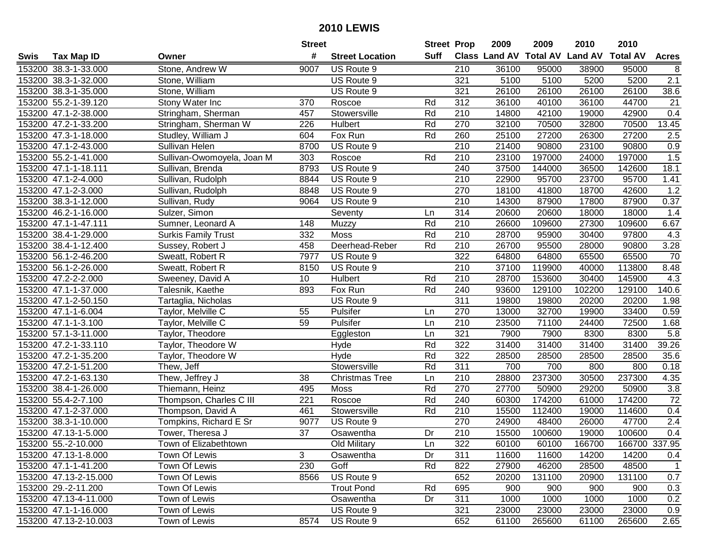|      |                       |                            | <b>Street</b>   |                        | <b>Street Prop</b> |                  | 2009  | 2009   | 2010                           | 2010            |                 |
|------|-----------------------|----------------------------|-----------------|------------------------|--------------------|------------------|-------|--------|--------------------------------|-----------------|-----------------|
| Swis | <b>Tax Map ID</b>     | Owner                      | #               | <b>Street Location</b> | Suff               |                  |       |        | Class Land AV Total AV Land AV | <b>Total AV</b> | <b>Acres</b>    |
|      | 153200 38.3-1-33.000  | Stone, Andrew W            | 9007            | US Route 9             |                    | 210              | 36100 | 95000  | 38900                          | 95000           | 8               |
|      | 153200 38.3-1-32.000  | Stone, William             |                 | US Route 9             |                    | 321              | 5100  | 5100   | 5200                           | 5200            | 2.1             |
|      | 153200 38.3-1-35.000  | Stone, William             |                 | US Route 9             |                    | 321              | 26100 | 26100  | 26100                          | 26100           | 38.6            |
|      | 153200 55.2-1-39.120  | Stony Water Inc            | 370             | Roscoe                 | Rd                 | 312              | 36100 | 40100  | 36100                          | 44700           | 21              |
|      | 153200 47.1-2-38.000  | Stringham, Sherman         | 457             | Stowersville           | Rd                 | 210              | 14800 | 42100  | 19000                          | 42900           | 0.4             |
|      | 153200 47.2-1-33.200  | Stringham, Sherman W       | 226             | Hulbert                | Rd                 | 270              | 32100 | 70500  | 32800                          | 70500           | 13.45           |
|      | 153200 47.3-1-18.000  | Studley, William J         | 604             | Fox Run                | Rd                 | 260              | 25100 | 27200  | 26300                          | 27200           | 2.5             |
|      | 153200 47.1-2-43.000  | Sullivan Helen             | 8700            | US Route 9             |                    | 210              | 21400 | 90800  | 23100                          | 90800           | 0.9             |
|      | 153200 55.2-1-41.000  | Sullivan-Owomoyela, Joan M | 303             | Roscoe                 | Rd                 | 210              | 23100 | 197000 | 24000                          | 197000          | 1.5             |
|      | 153200 47.1-1-18.111  | Sullivan, Brenda           | 8793            | US Route 9             |                    | 240              | 37500 | 144000 | 36500                          | 142600          | 18.1            |
|      | 153200 47.1-2-4.000   | Sullivan, Rudolph          | 8844            | US Route 9             |                    | 210              | 22900 | 95700  | 23700                          | 95700           | 1.41            |
|      | 153200 47.1-2-3.000   | Sullivan, Rudolph          | 8848            | US Route 9             |                    | 270              | 18100 | 41800  | 18700                          | 42600           | 1.2             |
|      | 153200 38.3-1-12.000  | Sullivan, Rudy             | 9064            | US Route 9             |                    | 210              | 14300 | 87900  | 17800                          | 87900           | 0.37            |
|      | 153200 46.2-1-16.000  | Sulzer, Simon              |                 | Seventy                | Ln                 | 314              | 20600 | 20600  | 18000                          | 18000           | 1.4             |
|      | 153200 47.1-1-47.111  | Sumner, Leonard A          | 148             | Muzzy                  | Rd                 | 210              | 26600 | 109600 | 27300                          | 109600          | 6.67            |
|      | 153200 38.4-1-29.000  | <b>Surkis Family Trust</b> | 332             | <b>Moss</b>            | Rd                 | 210              | 28700 | 95900  | 30400                          | 97800           | 4.3             |
|      | 153200 38.4-1-12.400  | Sussey, Robert J           | 458             | Deerhead-Reber         | Rd                 | 210              | 26700 | 95500  | 28000                          | 90800           | 3.28            |
|      | 153200 56.1-2-46.200  | Sweatt, Robert R           | 7977            | US Route 9             |                    | 322              | 64800 | 64800  | 65500                          | 65500           | 70              |
|      | 153200 56.1-2-26.000  | Sweatt, Robert R           | 8150            | US Route 9             |                    | 210              | 37100 | 119900 | 40000                          | 113800          | 8.48            |
|      | 153200 47.2-2-2.000   | Sweeney, David A           | 10              | Hulbert                | Rd                 | 210              | 28700 | 153600 | 30400                          | 145900          | 4.3             |
|      | 153200 47.1-1-37.000  | Talesnik, Kaethe           | 893             | Fox Run                | Rd                 | 240              | 93600 | 129100 | 102200                         | 129100          | 140.6           |
|      | 153200 47.1-2-50.150  | Tartaglia, Nicholas        |                 | US Route 9             |                    | 311              | 19800 | 19800  | 20200                          | 20200           | 1.98            |
|      | 153200 47.1-1-6.004   | Taylor, Melville C         | 55              | Pulsifer               | Ln                 | 270              | 13000 | 32700  | 19900                          | 33400           | 0.59            |
|      | 153200 47.1-1-3.100   | Taylor, Melville C         | 59              | Pulsifer               | Ln                 | 210              | 23500 | 71100  | 24400                          | 72500           | 1.68            |
|      | 153200 57.1-3-11.000  | Taylor, Theodore           |                 | Eggleston              | Ln                 | 321              | 7900  | 7900   | 8300                           | 8300            | 5.8             |
|      | 153200 47.2-1-33.110  | Taylor, Theodore W         |                 | Hyde                   | Rd                 | 322              | 31400 | 31400  | 31400                          | 31400           | 39.26           |
|      | 153200 47.2-1-35.200  | Taylor, Theodore W         |                 | Hyde                   | Rd                 | 322              | 28500 | 28500  | 28500                          | 28500           | 35.6            |
|      | 153200 47.2-1-51.200  | Thew, Jeff                 |                 | Stowersville           | Rd                 | 311              | 700   | 700    | 800                            | 800             | 0.18            |
|      | 153200 47.2-1-63.130  | Thew, Jeffrey J            | 38              | <b>Christmas Tree</b>  | Ln                 | 210              | 28800 | 237300 | 30500                          | 237300          | 4.35            |
|      | 153200 38.4-1-26.000  | Thiemann, Heinz            | 495             | <b>Moss</b>            | Rd                 | 270              | 27700 | 50900  | 29200                          | 50900           | 3.8             |
|      | 153200 55.4-2-7.100   | Thompson, Charles C III    | 221             | Roscoe                 | Rd                 | 240              | 60300 | 174200 | 61000                          | 174200          | $\overline{72}$ |
|      | 153200 47.1-2-37.000  | Thompson, David A          | 461             | Stowersville           | Rd                 | 210              | 15500 | 112400 | 19000                          | 114600          | 0.4             |
|      | 153200 38.3-1-10.000  | Tompkins, Richard E Sr     | 9077            | US Route 9             |                    | 270              | 24900 | 48400  | 26000                          | 47700           | 2.4             |
|      | 153200 47.13-1-5.000  | Tower, Theresa J           | $\overline{37}$ | Osawentha              | Dr                 | $\overline{210}$ | 15500 | 100600 | 19000                          | 100600          | 0.4             |
|      | 153200 55.-2-10.000   | Town of Elizabethtown      |                 | <b>Old Military</b>    | Ln                 | 322              | 60100 | 60100  | 166700                         | 166700 337.95   |                 |
|      | 153200 47.13-1-8.000  | Town Of Lewis              | 3               | Osawentha              | Dr                 | 311              | 11600 | 11600  | 14200                          | 14200           | 0.4             |
|      | 153200 47.1-1-41.200  | Town Of Lewis              | 230             | Goff                   | Rd                 | 822              | 27900 | 46200  | 28500                          | 48500           | $\mathbf{1}$    |
|      | 153200 47.13-2-15.000 | Town Of Lewis              | 8566            | US Route 9             |                    | 652              | 20200 | 131100 | 20900                          | 131100          | 0.7             |
|      | 153200 29.-2-11.200   | Town Of Lewis              |                 | <b>Trout Pond</b>      | Rd                 | 695              | 900   | 900    | 900                            | 900             | 0.3             |
|      | 153200 47.13-4-11.000 | Town of Lewis              |                 | Osawentha              | Dr                 | 311              | 1000  | 1000   | 1000                           | 1000            | 0.2             |
|      | 153200 47.1-1-16.000  | Town of Lewis              |                 | US Route 9             |                    | 321              | 23000 | 23000  | 23000                          | 23000           | 0.9             |
|      | 153200 47.13-2-10.003 | Town of Lewis              | 8574            | US Route 9             |                    | 652              | 61100 | 265600 | 61100                          | 265600          | 2.65            |
|      |                       |                            |                 |                        |                    |                  |       |        |                                |                 |                 |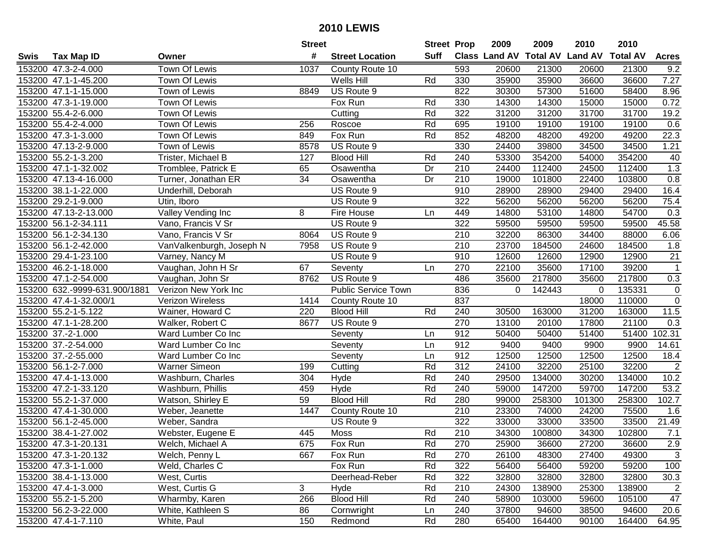|      |                               |                          | <b>Street</b> |                            | <b>Street Prop</b> |     | 2009                          | 2009   | 2010           | 2010            |                   |
|------|-------------------------------|--------------------------|---------------|----------------------------|--------------------|-----|-------------------------------|--------|----------------|-----------------|-------------------|
| Swis | <b>Tax Map ID</b>             | Owner                    | #             | <b>Street Location</b>     | Suff               |     | <b>Class Land AV Total AV</b> |        | <b>Land AV</b> | <b>Total AV</b> | <b>Acres</b>      |
|      | 153200 47.3-2-4.000           | Town Of Lewis            | 1037          | County Route 10            |                    | 593 | 20600                         | 21300  | 20600          | 21300           | 9.2               |
|      | 153200 47.1-1-45.200          | Town Of Lewis            |               | Wells Hill                 | Rd                 | 330 | 35900                         | 35900  | 36600          | 36600           | 7.27              |
|      | 153200 47.1-1-15.000          | Town of Lewis            | 8849          | US Route 9                 |                    | 822 | 30300                         | 57300  | 51600          | 58400           | 8.96              |
|      | 153200 47.3-1-19.000          | Town Of Lewis            |               | Fox Run                    | Rd                 | 330 | 14300                         | 14300  | 15000          | 15000           | 0.72              |
|      | 153200 55.4-2-6.000           | Town Of Lewis            |               | Cutting                    | Rd                 | 322 | 31200                         | 31200  | 31700          | 31700           | 19.2              |
|      | 153200 55.4-2-4.000           | Town Of Lewis            | 256           | Roscoe                     | Rd                 | 695 | 19100                         | 19100  | 19100          | 19100           | 0.6               |
|      | 153200 47.3-1-3.000           | Town Of Lewis            | 849           | Fox Run                    | Rd                 | 852 | 48200                         | 48200  | 49200          | 49200           | 22.3              |
|      | 153200 47.13-2-9.000          | Town of Lewis            | 8578          | US Route 9                 |                    | 330 | 24400                         | 39800  | 34500          | 34500           | 1.21              |
|      | 153200 55.2-1-3.200           | Trister, Michael B       | 127           | <b>Blood Hill</b>          | Rd                 | 240 | 53300                         | 354200 | 54000          | 354200          | 40                |
|      | 153200 47.1-1-32.002          | Tromblee, Patrick E      | 65            | Osawentha                  | Dr                 | 210 | 24400                         | 112400 | 24500          | 112400          | 1.3               |
|      | 153200 47.13-4-16.000         | Turner, Jonathan ER      | 34            | Osawentha                  | Dr                 | 210 | 19000                         | 101800 | 22400          | 103800          | 0.8               |
|      | 153200 38.1-1-22.000          | Underhill, Deborah       |               | US Route 9                 |                    | 910 | 28900                         | 28900  | 29400          | 29400           | 16.4              |
|      | 153200 29.2-1-9.000           | Utin, Iboro              |               | US Route 9                 |                    | 322 | 56200                         | 56200  | 56200          | 56200           | 75.4              |
|      | 153200 47.13-2-13.000         | Valley Vending Inc       | 8             | Fire House                 | Ln                 | 449 | 14800                         | 53100  | 14800          | 54700           | 0.3               |
|      | 153200 56.1-2-34.111          | Vano, Francis V Sr       |               | US Route 9                 |                    | 322 | 59500                         | 59500  | 59500          | 59500           | 45.58             |
|      | 153200 56.1-2-34.130          | Vano, Francis V Sr       | 8064          | US Route 9                 |                    | 210 | 32200                         | 86300  | 34400          | 88000           | 6.06              |
|      | 153200 56.1-2-42.000          | VanValkenburgh, Joseph N | 7958          | US Route 9                 |                    | 210 | 23700                         | 184500 | 24600          | 184500          | 1.8               |
|      | 153200 29.4-1-23.100          | Varney, Nancy M          |               | US Route 9                 |                    | 910 | 12600                         | 12600  | 12900          | 12900           | 21                |
|      | 153200 46.2-1-18.000          | Vaughan, John H Sr       | 67            | Seventy                    | Ln                 | 270 | 22100                         | 35600  | 17100          | 39200           | $\mathbf{1}$      |
|      | 153200 47.1-2-54.000          | Vaughan, John Sr         | 8762          | US Route 9                 |                    | 486 | 35600                         | 217800 | 35600          | 217800          | 0.3               |
|      | 153200 632.-9999-631.900/1881 | Verizon New York Inc     |               | <b>Public Service Town</b> |                    | 836 | $\mathbf 0$                   | 142443 | 0              | 135331          | $\mathbf 0$       |
|      | 153200 47.4-1-32.000/1        | Verizon Wireless         | 1414          | County Route 10            |                    | 837 |                               |        | 18000          | 110000          | $\mathbf 0$       |
|      | 153200 55.2-1-5.122           | Wainer, Howard C         | 220           | <b>Blood Hill</b>          | Rd                 | 240 | 30500                         | 163000 | 31200          | 163000          | 11.5              |
|      | 153200 47.1-1-28.200          | Walker, Robert C         | 8677          | US Route 9                 |                    | 270 | 13100                         | 20100  | 17800          | 21100           | 0.3               |
|      | 153200 37.-2-1.000            | Ward Lumber Co Inc       |               | Seventy                    | Ln                 | 912 | 50400                         | 50400  | 51400          | 51400           | 102.31            |
|      | 153200 37.-2-54.000           | Ward Lumber Co Inc       |               | Seventy                    | Ln                 | 912 | 9400                          | 9400   | 9900           | 9900            | 14.61             |
|      | 153200 37.-2-55.000           | Ward Lumber Co Inc       |               | Seventy                    | Ln                 | 912 | 12500                         | 12500  | 12500          | 12500           | 18.4              |
|      | 153200 56.1-2-7.000           | <b>Warner Simeon</b>     | 199           | Cutting                    | Rd                 | 312 | 24100                         | 32200  | 25100          | 32200           | $\overline{2}$    |
|      | 153200 47.4-1-13.000          | Washburn, Charles        | 304           | Hyde                       | Rd                 | 240 | 29500                         | 134000 | 30200          | 134000          | 10.2              |
|      | 153200 47.2-1-33.120          | Washburn, Phillis        | 459           | Hyde                       | Rd                 | 240 | 59000                         | 147200 | 59700          | 147200          | $\overline{53.2}$ |
|      | 153200 55.2-1-37.000          | Watson, Shirley E        | 59            | <b>Blood Hill</b>          | Rd                 | 280 | 99000                         | 258300 | 101300         | 258300          | 102.7             |
|      | 153200 47.4-1-30.000          | Weber, Jeanette          | 1447          | County Route 10            |                    | 210 | 23300                         | 74000  | 24200          | 75500           | 1.6               |
|      | 153200 56.1-2-45.000          | Weber, Sandra            |               | US Route 9                 |                    | 322 | 33000                         | 33000  | 33500          | 33500           | 21.49             |
|      | 153200 38.4-1-27.002          | Webster, Eugene E        | 445           | Moss                       | Rd                 | 210 | 34300                         | 100800 | 34300          | 102800          | 7.1               |
|      | 153200 47.3-1-20.131          | Welch, Michael A         | 675           | Fox Run                    | Rd                 | 270 | 25900                         | 36600  | 27200          | 36600           | 2.9               |
|      | 153200 47.3-1-20.132          | Welch, Penny L           | 667           | Fox Run                    | Rd                 | 270 | 26100                         | 48300  | 27400          | 49300           | 3                 |
|      | 153200 47.3-1-1.000           | Weld, Charles C          |               | Fox Run                    | Rd                 | 322 | 56400                         | 56400  | 59200          | 59200           | 100               |
|      | 153200 38.4-1-13.000          | West, Curtis             |               | Deerhead-Reber             | Rd                 | 322 | 32800                         | 32800  | 32800          | 32800           | 30.3              |
|      | 153200 47.4-1-3.000           | West, Curtis G           | 3             | Hyde                       | Rd                 | 210 | 24300                         | 138900 | 25300          | 138900          | $\overline{2}$    |
|      | 153200 55.2-1-5.200           | Wharmby, Karen           | 266           | <b>Blood Hill</b>          | Rd                 | 240 | 58900                         | 103000 | 59600          | 105100          | 47                |
|      | 153200 56.2-3-22.000          | White, Kathleen S        | 86            | Cornwright                 | Ln                 | 240 | 37800                         | 94600  | 38500          | 94600           | 20.6              |
|      | 153200 47.4-1-7.110           | White, Paul              | 150           | Redmond                    | Rd                 | 280 | 65400                         | 164400 | 90100          | 164400          | 64.95             |